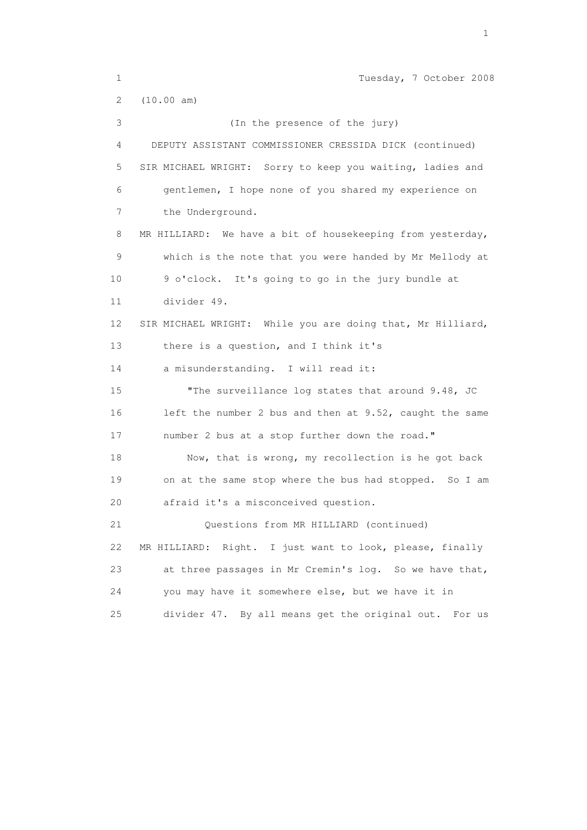1 Tuesday, 7 October 2008 2 (10.00 am) 3 (In the presence of the jury) 4 DEPUTY ASSISTANT COMMISSIONER CRESSIDA DICK (continued) 5 SIR MICHAEL WRIGHT: Sorry to keep you waiting, ladies and 6 gentlemen, I hope none of you shared my experience on 7 the Underground. 8 MR HILLIARD: We have a bit of housekeeping from yesterday, 9 which is the note that you were handed by Mr Mellody at 10 9 o'clock. It's going to go in the jury bundle at 11 divider 49. 12 SIR MICHAEL WRIGHT: While you are doing that, Mr Hilliard, 13 there is a question, and I think it's 14 a misunderstanding. I will read it: 15 "The surveillance log states that around 9.48, JC 16 left the number 2 bus and then at 9.52, caught the same 17 number 2 bus at a stop further down the road." 18 Now, that is wrong, my recollection is he got back 19 on at the same stop where the bus had stopped. So I am 20 afraid it's a misconceived question. 21 Questions from MR HILLIARD (continued) 22 MR HILLIARD: Right. I just want to look, please, finally 23 at three passages in Mr Cremin's log. So we have that, 24 you may have it somewhere else, but we have it in 25 divider 47. By all means get the original out. For us

the contract of the contract of the contract of the contract of the contract of the contract of the contract of the contract of the contract of the contract of the contract of the contract of the contract of the contract o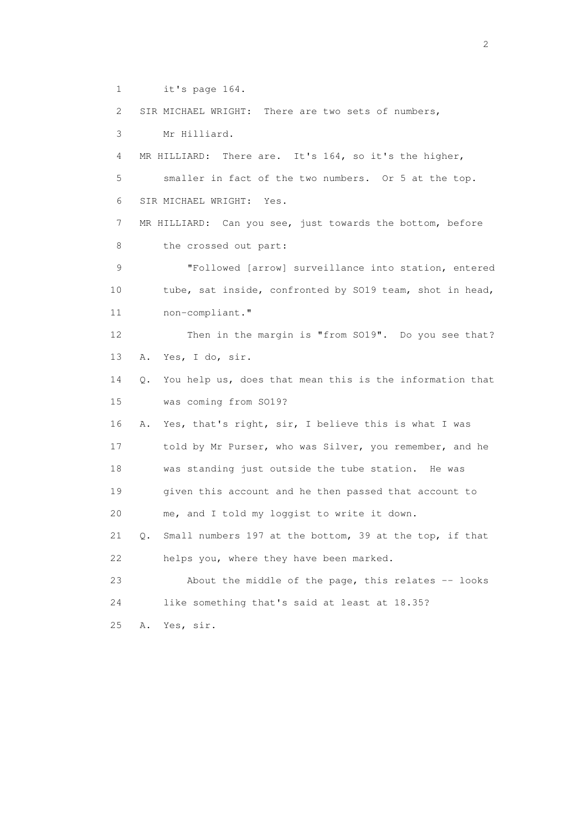1 it's page 164.

2 SIR MICHAEL WRIGHT: There are two sets of numbers,

3 Mr Hilliard.

 4 MR HILLIARD: There are. It's 164, so it's the higher, 5 smaller in fact of the two numbers. Or 5 at the top. 6 SIR MICHAEL WRIGHT: Yes.

 7 MR HILLIARD: Can you see, just towards the bottom, before 8 the crossed out part:

 9 "Followed [arrow] surveillance into station, entered 10 tube, sat inside, confronted by SO19 team, shot in head, 11 non-compliant."

 12 Then in the margin is "from SO19". Do you see that? 13 A. Yes, I do, sir.

 14 Q. You help us, does that mean this is the information that 15 was coming from SO19?

 16 A. Yes, that's right, sir, I believe this is what I was 17 told by Mr Purser, who was Silver, you remember, and he 18 was standing just outside the tube station. He was 19 given this account and he then passed that account to 20 me, and I told my loggist to write it down.

 21 Q. Small numbers 197 at the bottom, 39 at the top, if that 22 helps you, where they have been marked.

 23 About the middle of the page, this relates -- looks 24 like something that's said at least at 18.35?

25 A. Yes, sir.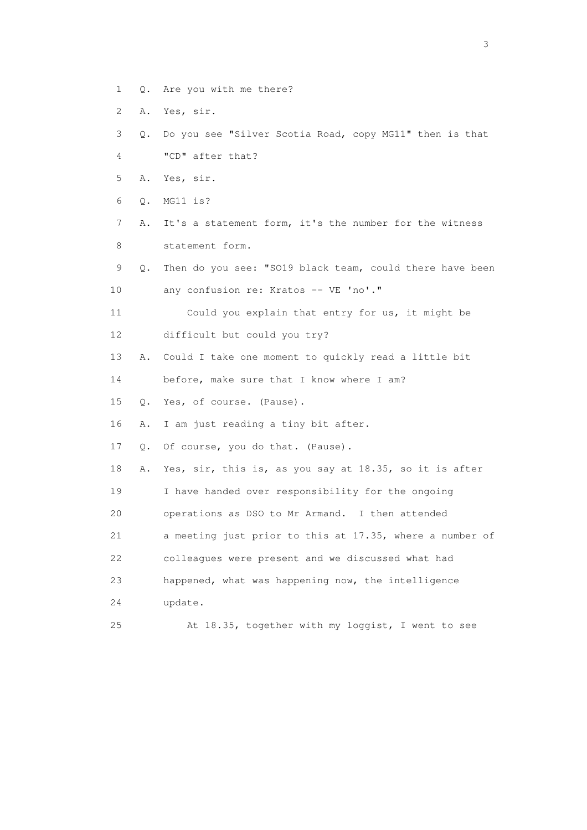- 1 Q. Are you with me there?
- 2 A. Yes, sir.
- 3 Q. Do you see "Silver Scotia Road, copy MG11" then is that 4 "CD" after that?
- 5 A. Yes, sir.
- 6 Q. MG11 is?
- 7 A. It's a statement form, it's the number for the witness 8 statement form.
- 9 Q. Then do you see: "SO19 black team, could there have been 10 any confusion re: Kratos -- VE 'no'."
- 11 Could you explain that entry for us, it might be 12 difficult but could you try?
- 13 A. Could I take one moment to quickly read a little bit
- 14 before, make sure that I know where I am?
- 15 Q. Yes, of course. (Pause).
- 16 A. I am just reading a tiny bit after.
- 17 Q. Of course, you do that. (Pause).
- 18 A. Yes, sir, this is, as you say at 18.35, so it is after
- 19 I have handed over responsibility for the ongoing
- 20 operations as DSO to Mr Armand. I then attended
- 21 a meeting just prior to this at 17.35, where a number of
- 22 colleagues were present and we discussed what had
- 23 happened, what was happening now, the intelligence
- 24 update.
- 25 At 18.35, together with my loggist, I went to see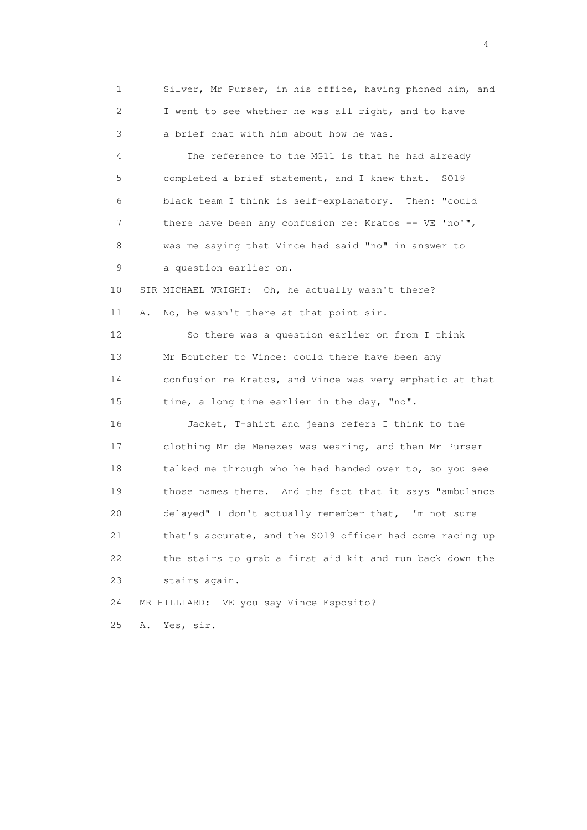1 Silver, Mr Purser, in his office, having phoned him, and 2 I went to see whether he was all right, and to have 3 a brief chat with him about how he was. 4 The reference to the MG11 is that he had already 5 completed a brief statement, and I knew that. SO19 6 black team I think is self-explanatory. Then: "could 7 there have been any confusion re: Kratos -- VE 'no'", 8 was me saying that Vince had said "no" in answer to 9 a question earlier on. 10 SIR MICHAEL WRIGHT: Oh, he actually wasn't there? 11 A. No, he wasn't there at that point sir. 12 So there was a question earlier on from I think 13 Mr Boutcher to Vince: could there have been any 14 confusion re Kratos, and Vince was very emphatic at that 15 time, a long time earlier in the day, "no". 16 Jacket, T-shirt and jeans refers I think to the 17 clothing Mr de Menezes was wearing, and then Mr Purser 18 talked me through who he had handed over to, so you see 19 those names there. And the fact that it says "ambulance 20 delayed" I don't actually remember that, I'm not sure 21 that's accurate, and the SO19 officer had come racing up 22 the stairs to grab a first aid kit and run back down the 23 stairs again. 24 MR HILLIARD: VE you say Vince Esposito? 25 A. Yes, sir.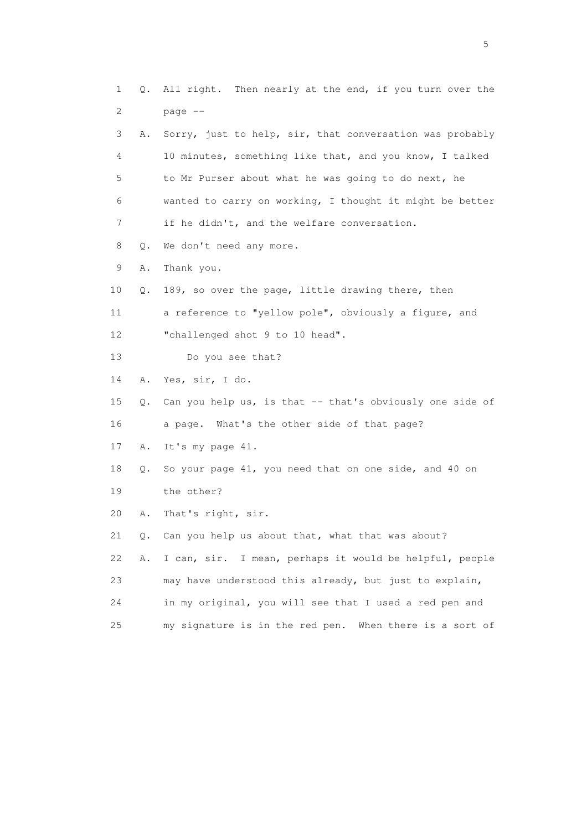1 Q. All right. Then nearly at the end, if you turn over the 2 page -- 3 A. Sorry, just to help, sir, that conversation was probably 4 10 minutes, something like that, and you know, I talked 5 to Mr Purser about what he was going to do next, he 6 wanted to carry on working, I thought it might be better 7 if he didn't, and the welfare conversation. 8 Q. We don't need any more. 9 A. Thank you. 10 Q. 189, so over the page, little drawing there, then 11 a reference to "yellow pole", obviously a figure, and 12 "challenged shot 9 to 10 head". 13 Do you see that? 14 A. Yes, sir, I do. 15 Q. Can you help us, is that -- that's obviously one side of 16 a page. What's the other side of that page? 17 A. It's my page 41. 18 Q. So your page 41, you need that on one side, and 40 on 19 the other? 20 A. That's right, sir. 21 Q. Can you help us about that, what that was about? 22 A. I can, sir. I mean, perhaps it would be helpful, people 23 may have understood this already, but just to explain, 24 in my original, you will see that I used a red pen and 25 my signature is in the red pen. When there is a sort of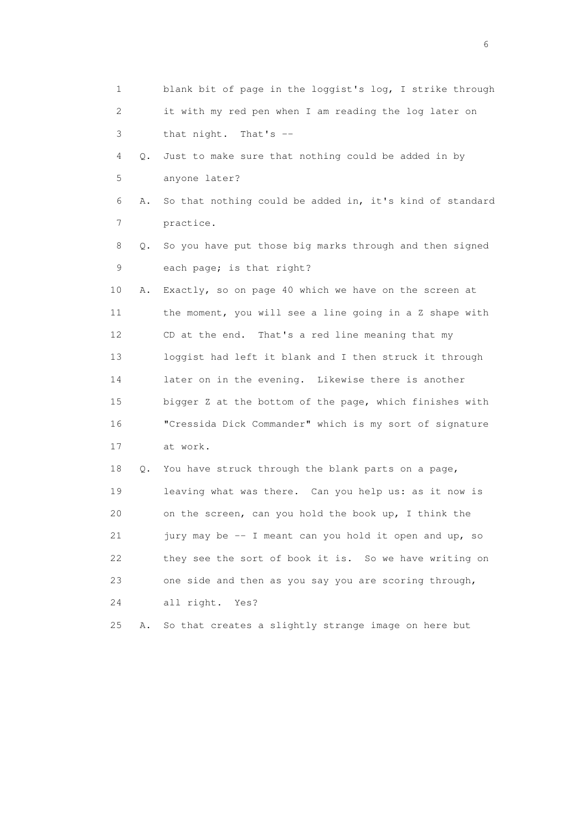| 1              |    | blank bit of page in the loggist's log, I strike through |
|----------------|----|----------------------------------------------------------|
| 2              |    | it with my red pen when I am reading the log later on    |
| 3              |    | that night. That's --                                    |
| 4              | Q. | Just to make sure that nothing could be added in by      |
| 5              |    | anyone later?                                            |
| 6              | Α. | So that nothing could be added in, it's kind of standard |
| $\overline{7}$ |    | practice.                                                |
| 8              | Q. | So you have put those big marks through and then signed  |
| 9              |    | each page; is that right?                                |
| 10             | Α. | Exactly, so on page 40 which we have on the screen at    |
| 11             |    | the moment, you will see a line going in a Z shape with  |
| 12             |    | CD at the end. That's a red line meaning that my         |
| 13             |    | loggist had left it blank and I then struck it through   |
| 14             |    | later on in the evening. Likewise there is another       |
| 15             |    | bigger Z at the bottom of the page, which finishes with  |
| 16             |    | "Cressida Dick Commander" which is my sort of signature  |
| 17             |    | at work.                                                 |
| 18             | Q. | You have struck through the blank parts on a page,       |
| 19             |    | leaving what was there. Can you help us: as it now is    |
| 20             |    | on the screen, can you hold the book up, I think the     |
| 21             |    | jury may be -- I meant can you hold it open and up, so   |
| 22             |    | they see the sort of book it is. So we have writing on   |
| 23             |    | one side and then as you say you are scoring through,    |
| 24             |    | all right.<br>Yes?                                       |
| 25             | Α. | So that creates a slightly strange image on here but     |

 $\sim$  6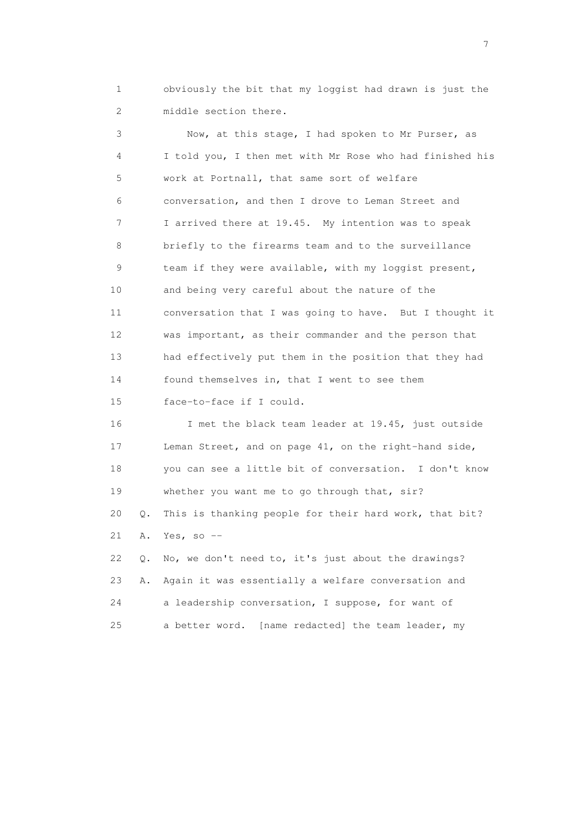1 obviously the bit that my loggist had drawn is just the 2 middle section there.

 3 Now, at this stage, I had spoken to Mr Purser, as 4 I told you, I then met with Mr Rose who had finished his 5 work at Portnall, that same sort of welfare 6 conversation, and then I drove to Leman Street and 7 I arrived there at 19.45. My intention was to speak 8 briefly to the firearms team and to the surveillance 9 team if they were available, with my loggist present, 10 and being very careful about the nature of the 11 conversation that I was going to have. But I thought it 12 was important, as their commander and the person that 13 had effectively put them in the position that they had 14 found themselves in, that I went to see them 15 face-to-face if I could. 16 I met the black team leader at 19.45, just outside 17 Leman Street, and on page 41, on the right-hand side,

 18 you can see a little bit of conversation. I don't know 19 whether you want me to go through that, sir? 20 Q. This is thanking people for their hard work, that bit? 21 A. Yes, so --

 22 Q. No, we don't need to, it's just about the drawings? 23 A. Again it was essentially a welfare conversation and 24 a leadership conversation, I suppose, for want of 25 a better word. [name redacted] the team leader, my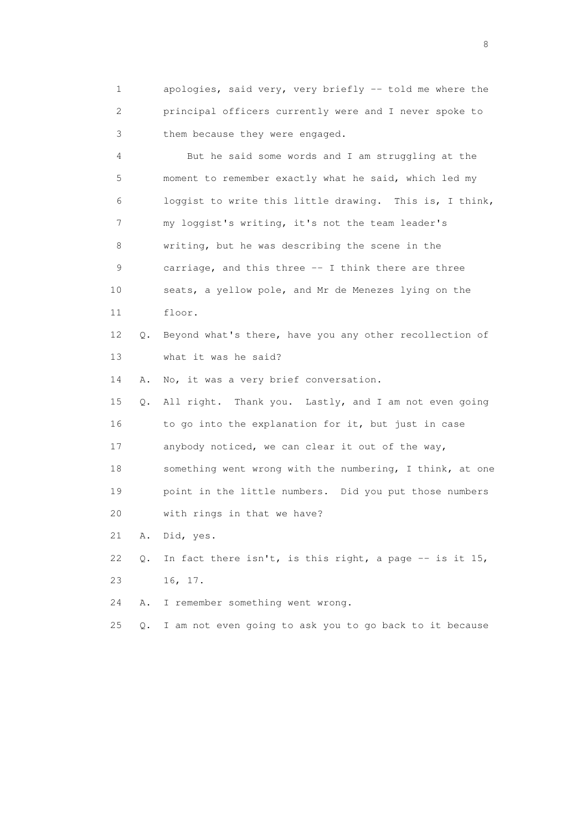1 apologies, said very, very briefly -- told me where the 2 principal officers currently were and I never spoke to 3 them because they were engaged.

 4 But he said some words and I am struggling at the 5 moment to remember exactly what he said, which led my 6 loggist to write this little drawing. This is, I think, 7 my loggist's writing, it's not the team leader's 8 writing, but he was describing the scene in the 9 carriage, and this three -- I think there are three 10 seats, a yellow pole, and Mr de Menezes lying on the 11 floor. 12 Q. Beyond what's there, have you any other recollection of 13 what it was he said? 14 A. No, it was a very brief conversation. 15 Q. All right. Thank you. Lastly, and I am not even going 16 to go into the explanation for it, but just in case

17 anybody noticed, we can clear it out of the way,

 18 something went wrong with the numbering, I think, at one 19 point in the little numbers. Did you put those numbers

20 with rings in that we have?

21 A. Did, yes.

22 Q. In fact there isn't, is this right, a page  $-$  is it 15, 23 16, 17.

24 A. I remember something went wrong.

25 Q. I am not even going to ask you to go back to it because

en de la construction de la construction de la construction de la construction de la construction de la constr<br>18 de juny : la construction de la construction de la construction de la construction de la construction de l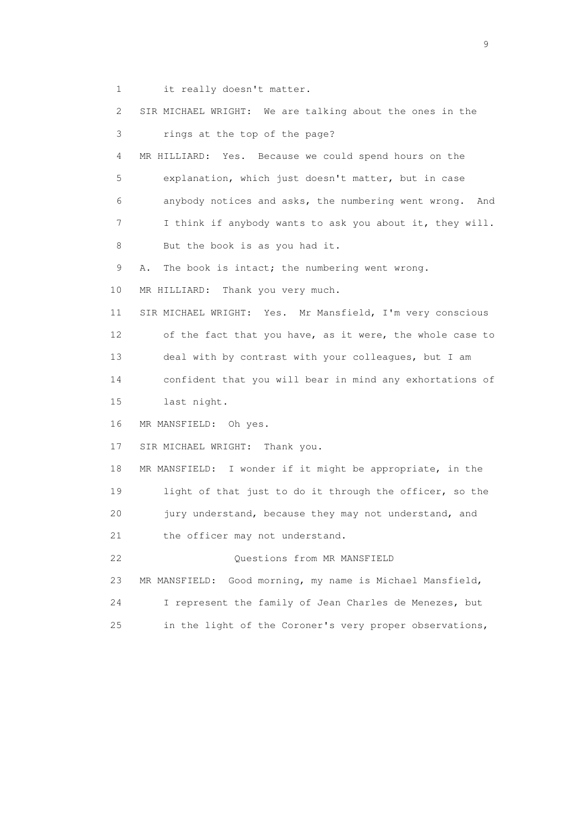1 it really doesn't matter.

 2 SIR MICHAEL WRIGHT: We are talking about the ones in the 3 rings at the top of the page? 4 MR HILLIARD: Yes. Because we could spend hours on the 5 explanation, which just doesn't matter, but in case 6 anybody notices and asks, the numbering went wrong. And 7 I think if anybody wants to ask you about it, they will. 8 But the book is as you had it. 9 A. The book is intact; the numbering went wrong. 10 MR HILLIARD: Thank you very much. 11 SIR MICHAEL WRIGHT: Yes. Mr Mansfield, I'm very conscious 12 of the fact that you have, as it were, the whole case to 13 deal with by contrast with your colleagues, but I am 14 confident that you will bear in mind any exhortations of 15 last night. 16 MR MANSFIELD: Oh yes. 17 SIR MICHAEL WRIGHT: Thank you. 18 MR MANSFIELD: I wonder if it might be appropriate, in the 19 light of that just to do it through the officer, so the 20 jury understand, because they may not understand, and 21 the officer may not understand. 22 Questions from MR MANSFIELD 23 MR MANSFIELD: Good morning, my name is Michael Mansfield, 24 I represent the family of Jean Charles de Menezes, but 25 in the light of the Coroner's very proper observations,

en de la construction de la construction de la construction de la construction de la construction de la constr<br>1911 : la construction de la construction de la construction de la construction de la construction de la const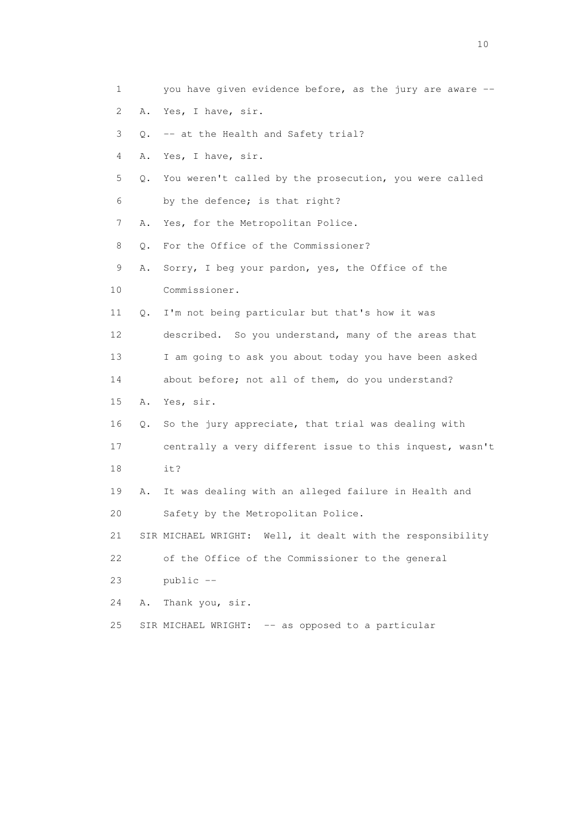1 you have given evidence before, as the jury are aware -- 2 A. Yes, I have, sir. 3 Q. -- at the Health and Safety trial? 4 A. Yes, I have, sir. 5 Q. You weren't called by the prosecution, you were called 6 by the defence; is that right? 7 A. Yes, for the Metropolitan Police. 8 Q. For the Office of the Commissioner? 9 A. Sorry, I beg your pardon, yes, the Office of the 10 Commissioner. 11 Q. I'm not being particular but that's how it was 12 described. So you understand, many of the areas that 13 I am going to ask you about today you have been asked 14 about before; not all of them, do you understand? 15 A. Yes, sir. 16 Q. So the jury appreciate, that trial was dealing with 17 centrally a very different issue to this inquest, wasn't 18 it? 19 A. It was dealing with an alleged failure in Health and 20 Safety by the Metropolitan Police. 21 SIR MICHAEL WRIGHT: Well, it dealt with the responsibility 22 of the Office of the Commissioner to the general 23 public -- 24 A. Thank you, sir. 25 SIR MICHAEL WRIGHT: -- as opposed to a particular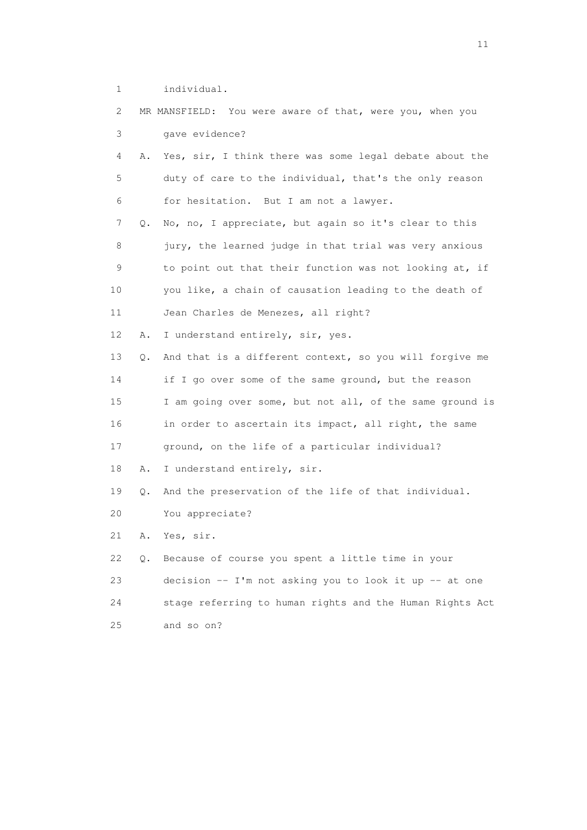1 individual.

| 2  |    | MR MANSFIELD: You were aware of that, were you, when you |
|----|----|----------------------------------------------------------|
| 3  |    | gave evidence?                                           |
| 4  | Α. | Yes, sir, I think there was some legal debate about the  |
| 5  |    | duty of care to the individual, that's the only reason   |
| 6  |    | for hesitation. But I am not a lawyer.                   |
| 7  | Q. | No, no, I appreciate, but again so it's clear to this    |
| 8  |    | jury, the learned judge in that trial was very anxious   |
| 9  |    | to point out that their function was not looking at, if  |
| 10 |    | you like, a chain of causation leading to the death of   |
| 11 |    | Jean Charles de Menezes, all right?                      |
| 12 | Α. | I understand entirely, sir, yes.                         |
| 13 | Q. | And that is a different context, so you will forgive me  |
| 14 |    | if I go over some of the same ground, but the reason     |
| 15 |    | I am going over some, but not all, of the same ground is |
| 16 |    | in order to ascertain its impact, all right, the same    |
| 17 |    | ground, on the life of a particular individual?          |
| 18 | Α. | I understand entirely, sir.                              |
| 19 | Q. | And the preservation of the life of that individual.     |
| 20 |    | You appreciate?                                          |
| 21 | Α. | Yes, sir.                                                |
| 22 | Q. | Because of course you spent a little time in your        |
| 23 |    | decision -- I'm not asking you to look it up -- at one   |
| 24 |    | stage referring to human rights and the Human Rights Act |
| 25 |    | and so on?                                               |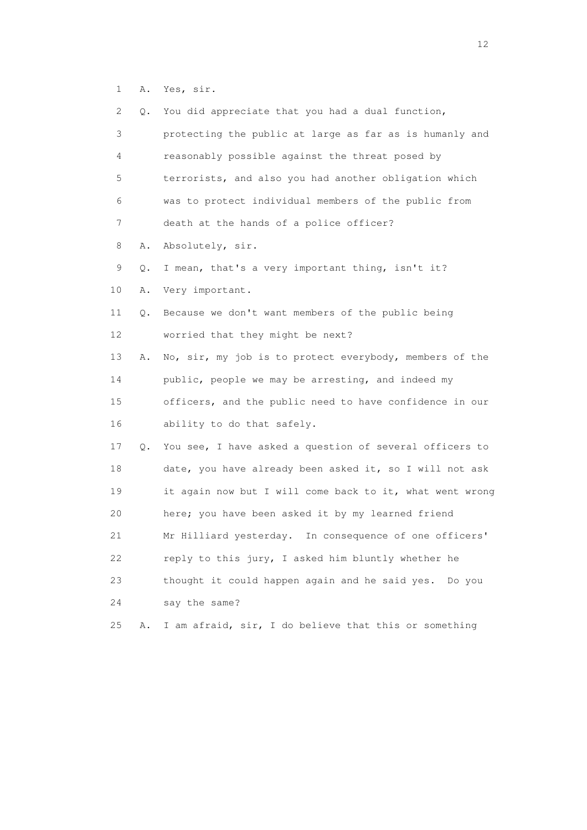1 A. Yes, sir.

| 2  | Q. | You did appreciate that you had a dual function,           |
|----|----|------------------------------------------------------------|
| 3  |    | protecting the public at large as far as is humanly and    |
| 4  |    | reasonably possible against the threat posed by            |
| 5  |    | terrorists, and also you had another obligation which      |
| 6  |    | was to protect individual members of the public from       |
| 7  |    | death at the hands of a police officer?                    |
| 8  | Α. | Absolutely, sir.                                           |
| 9  | Q. | I mean, that's a very important thing, isn't it?           |
| 10 | Α. | Very important.                                            |
| 11 | Q. | Because we don't want members of the public being          |
| 12 |    | worried that they might be next?                           |
| 13 | Α. | No, sir, my job is to protect everybody, members of the    |
| 14 |    | public, people we may be arresting, and indeed my          |
| 15 |    | officers, and the public need to have confidence in our    |
| 16 |    | ability to do that safely.                                 |
| 17 |    | Q. You see, I have asked a question of several officers to |
| 18 |    | date, you have already been asked it, so I will not ask    |
| 19 |    | it again now but I will come back to it, what went wrong   |
| 20 |    | here; you have been asked it by my learned friend          |
| 21 |    | Mr Hilliard yesterday. In consequence of one officers'     |
| 22 |    | reply to this jury, I asked him bluntly whether he         |
| 23 |    | thought it could happen again and he said yes.<br>Do you   |
| 24 |    | say the same?                                              |
| 25 | Α. | I am afraid, sir, I do believe that this or something      |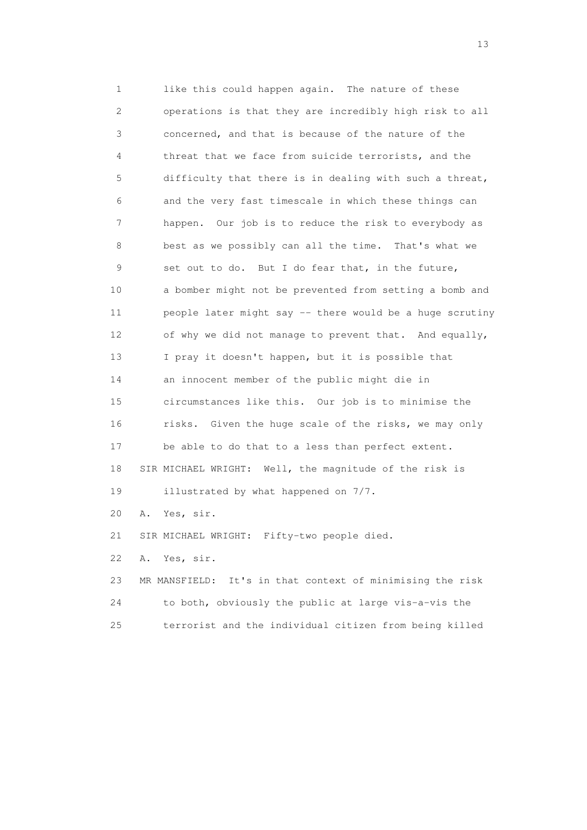1 like this could happen again. The nature of these 2 operations is that they are incredibly high risk to all 3 concerned, and that is because of the nature of the 4 threat that we face from suicide terrorists, and the 5 difficulty that there is in dealing with such a threat, 6 and the very fast timescale in which these things can 7 happen. Our job is to reduce the risk to everybody as 8 best as we possibly can all the time. That's what we 9 set out to do. But I do fear that, in the future, 10 a bomber might not be prevented from setting a bomb and 11 people later might say -- there would be a huge scrutiny 12 of why we did not manage to prevent that. And equally, 13 I pray it doesn't happen, but it is possible that 14 an innocent member of the public might die in 15 circumstances like this. Our job is to minimise the 16 risks. Given the huge scale of the risks, we may only 17 be able to do that to a less than perfect extent. 18 SIR MICHAEL WRIGHT: Well, the magnitude of the risk is 19 illustrated by what happened on 7/7. 20 A. Yes, sir. 21 SIR MICHAEL WRIGHT: Fifty-two people died.

22 A. Yes, sir.

 23 MR MANSFIELD: It's in that context of minimising the risk 24 to both, obviously the public at large vis-a-vis the 25 terrorist and the individual citizen from being killed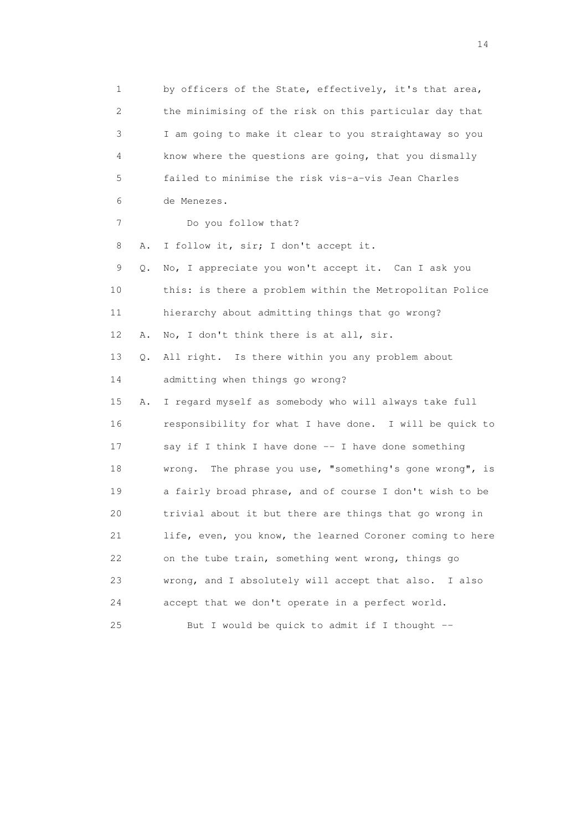1 by officers of the State, effectively, it's that area, 2 the minimising of the risk on this particular day that 3 I am going to make it clear to you straightaway so you 4 know where the questions are going, that you dismally 5 failed to minimise the risk vis-a-vis Jean Charles 6 de Menezes. 7 Do you follow that? 8 A. I follow it, sir; I don't accept it. 9 Q. No, I appreciate you won't accept it. Can I ask you 10 this: is there a problem within the Metropolitan Police 11 hierarchy about admitting things that go wrong? 12 A. No, I don't think there is at all, sir. 13 Q. All right. Is there within you any problem about 14 admitting when things go wrong? 15 A. I regard myself as somebody who will always take full 16 responsibility for what I have done. I will be quick to 17 say if I think I have done -- I have done something 18 wrong. The phrase you use, "something's gone wrong", is 19 a fairly broad phrase, and of course I don't wish to be 20 trivial about it but there are things that go wrong in 21 life, even, you know, the learned Coroner coming to here 22 on the tube train, something went wrong, things go 23 wrong, and I absolutely will accept that also. I also 24 accept that we don't operate in a perfect world. 25 But I would be quick to admit if I thought --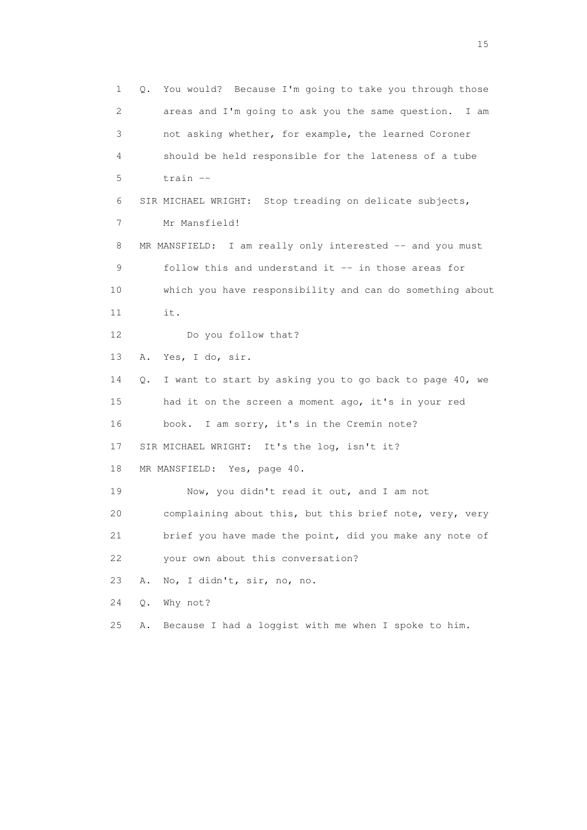1 Q. You would? Because I'm going to take you through those 2 areas and I'm going to ask you the same question. I am 3 not asking whether, for example, the learned Coroner 4 should be held responsible for the lateness of a tube 5 train -- 6 SIR MICHAEL WRIGHT: Stop treading on delicate subjects, 7 Mr Mansfield! 8 MR MANSFIELD: I am really only interested -- and you must 9 follow this and understand it -- in those areas for 10 which you have responsibility and can do something about 11 it. 12 Do you follow that? 13 A. Yes, I do, sir. 14 Q. I want to start by asking you to go back to page 40, we 15 had it on the screen a moment ago, it's in your red 16 book. I am sorry, it's in the Cremin note? 17 SIR MICHAEL WRIGHT: It's the log, isn't it? 18 MR MANSFIELD: Yes, page 40. 19 Now, you didn't read it out, and I am not 20 complaining about this, but this brief note, very, very 21 brief you have made the point, did you make any note of 22 your own about this conversation? 23 A. No, I didn't, sir, no, no. 24 Q. Why not? 25 A. Because I had a loggist with me when I spoke to him.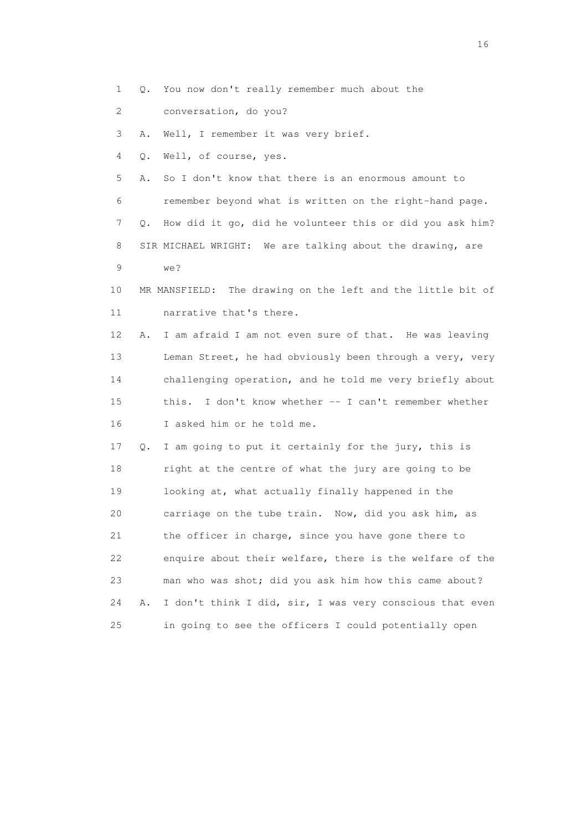- 1 Q. You now don't really remember much about the
- 2 conversation, do you?

3 A. Well, I remember it was very brief.

4 Q. Well, of course, yes.

 5 A. So I don't know that there is an enormous amount to 6 remember beyond what is written on the right-hand page. 7 Q. How did it go, did he volunteer this or did you ask him? 8 SIR MICHAEL WRIGHT: We are talking about the drawing, are 9 we?

 10 MR MANSFIELD: The drawing on the left and the little bit of 11 narrative that's there.

 12 A. I am afraid I am not even sure of that. He was leaving 13 Leman Street, he had obviously been through a very, very 14 challenging operation, and he told me very briefly about 15 this. I don't know whether -- I can't remember whether 16 I asked him or he told me.

 17 Q. I am going to put it certainly for the jury, this is 18 right at the centre of what the jury are going to be 19 looking at, what actually finally happened in the 20 carriage on the tube train. Now, did you ask him, as 21 the officer in charge, since you have gone there to 22 enquire about their welfare, there is the welfare of the 23 man who was shot; did you ask him how this came about? 24 A. I don't think I did, sir, I was very conscious that even 25 in going to see the officers I could potentially open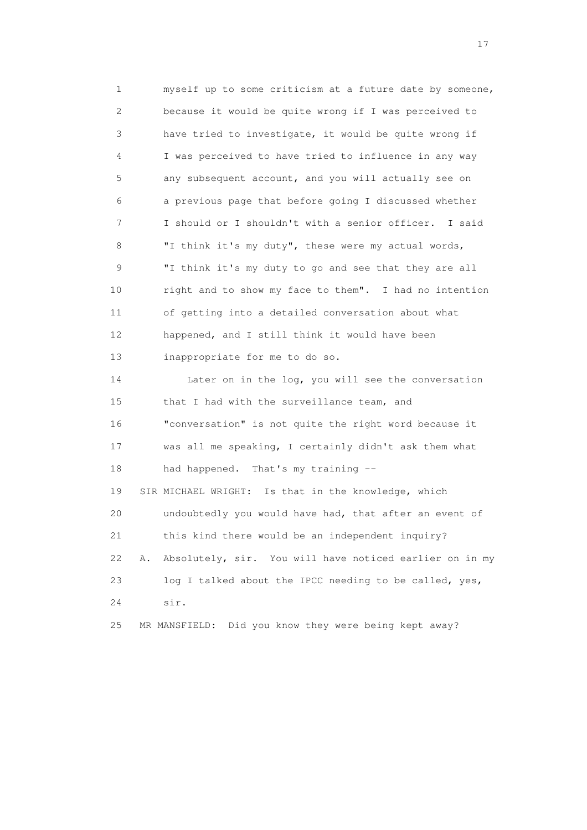1 myself up to some criticism at a future date by someone, 2 because it would be quite wrong if I was perceived to 3 have tried to investigate, it would be quite wrong if 4 I was perceived to have tried to influence in any way 5 any subsequent account, and you will actually see on 6 a previous page that before going I discussed whether 7 I should or I shouldn't with a senior officer. I said 8 "I think it's my duty", these were my actual words, 9 "I think it's my duty to go and see that they are all 10 right and to show my face to them". I had no intention 11 of getting into a detailed conversation about what 12 happened, and I still think it would have been 13 inappropriate for me to do so. 14 Later on in the log, you will see the conversation 15 that I had with the surveillance team, and 16 "conversation" is not quite the right word because it 17 was all me speaking, I certainly didn't ask them what 18 had happened. That's my training -- 19 SIR MICHAEL WRIGHT: Is that in the knowledge, which 20 undoubtedly you would have had, that after an event of 21 this kind there would be an independent inquiry? 22 A. Absolutely, sir. You will have noticed earlier on in my 23 log I talked about the IPCC needing to be called, yes, 24 sir. 25 MR MANSFIELD: Did you know they were being kept away?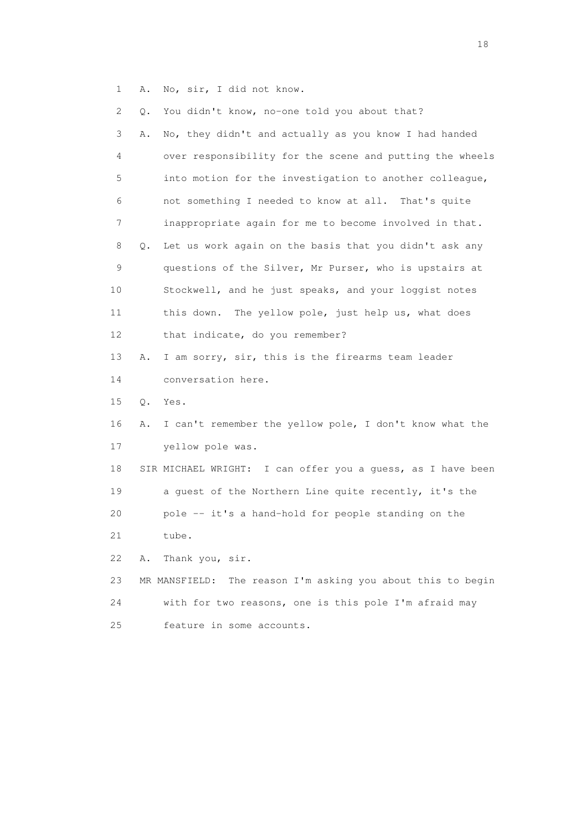1 A. No, sir, I did not know.

| 2  | Q. | You didn't know, no-one told you about that?                   |
|----|----|----------------------------------------------------------------|
| 3  | Α. | No, they didn't and actually as you know I had handed          |
| 4  |    | over responsibility for the scene and putting the wheels       |
| 5  |    | into motion for the investigation to another colleague,        |
| 6  |    | not something I needed to know at all. That's quite            |
| 7  |    | inappropriate again for me to become involved in that.         |
| 8  | Q. | Let us work again on the basis that you didn't ask any         |
| 9  |    | questions of the Silver, Mr Purser, who is upstairs at         |
| 10 |    | Stockwell, and he just speaks, and your loggist notes          |
| 11 |    | this down. The yellow pole, just help us, what does            |
| 12 |    | that indicate, do you remember?                                |
| 13 | Α. | I am sorry, sir, this is the firearms team leader              |
| 14 |    | conversation here.                                             |
| 15 | Q. | Yes.                                                           |
| 16 | Α. | I can't remember the yellow pole, I don't know what the        |
| 17 |    | yellow pole was.                                               |
| 18 |    | SIR MICHAEL WRIGHT: I can offer you a guess, as I have been    |
| 19 |    | a guest of the Northern Line quite recently, it's the          |
| 20 |    | pole -- it's a hand-hold for people standing on the            |
| 21 |    | tube.                                                          |
| 22 | Α. | Thank you, sir.                                                |
| 23 |    | The reason I'm asking you about this to begin<br>MR MANSFIELD: |
| 24 |    | with for two reasons, one is this pole I'm afraid may          |
| 25 |    | feature in some accounts.                                      |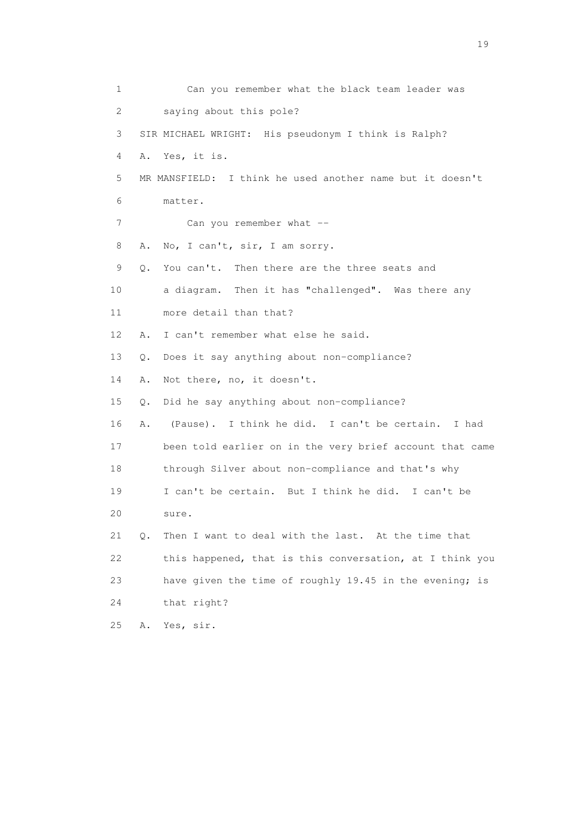| $\mathbf 1$ |    | Can you remember what the black team leader was           |
|-------------|----|-----------------------------------------------------------|
| 2           |    | saying about this pole?                                   |
| 3           |    | SIR MICHAEL WRIGHT: His pseudonym I think is Ralph?       |
| 4           |    | A. Yes, it is.                                            |
| 5           |    | MR MANSFIELD: I think he used another name but it doesn't |
| 6           |    | matter.                                                   |
| 7           |    | Can you remember what --                                  |
| 8           | Α. | No, I can't, sir, I am sorry.                             |
| 9           | Q. | You can't. Then there are the three seats and             |
| 10          |    | a diagram. Then it has "challenged". Was there any        |
| 11          |    | more detail than that?                                    |
| 12          | Α. | I can't remember what else he said.                       |
| 13          | Q. | Does it say anything about non-compliance?                |
| 14          | Α. | Not there, no, it doesn't.                                |
| 15          | Q. | Did he say anything about non-compliance?                 |
| 16          | Α. | (Pause). I think he did. I can't be certain.<br>I had     |
| 17          |    | been told earlier on in the very brief account that came  |
| 18          |    | through Silver about non-compliance and that's why        |
| 19          |    | I can't be certain. But I think he did. I can't be        |
| 20          |    | sure.                                                     |
| 21          | Q. | Then I want to deal with the last. At the time that       |
| 22          |    | this happened, that is this conversation, at I think you  |
| 23          |    | have given the time of roughly 19.45 in the evening; is   |
| 24          |    | that right?                                               |
| 25          | Α. | Yes, sir.                                                 |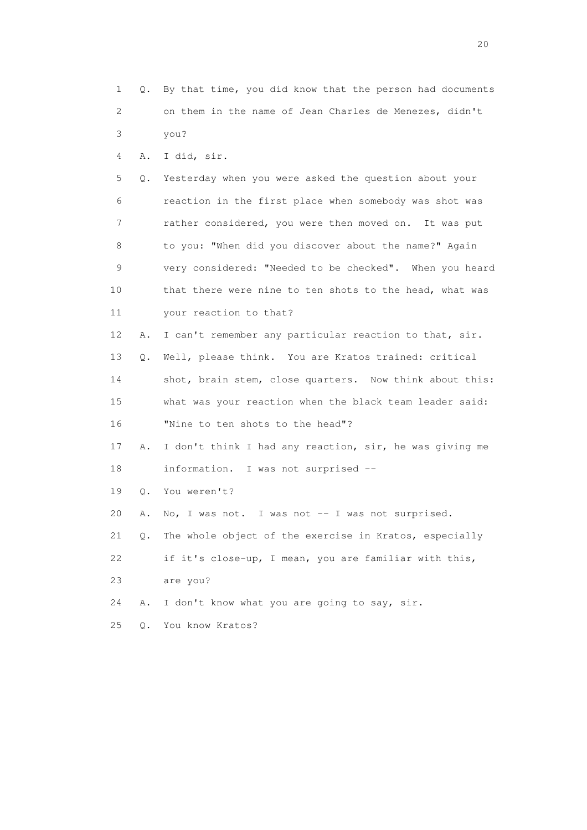1 Q. By that time, you did know that the person had documents 2 on them in the name of Jean Charles de Menezes, didn't 3 you? 4 A. I did, sir. 5 Q. Yesterday when you were asked the question about your 6 reaction in the first place when somebody was shot was 7 rather considered, you were then moved on. It was put 8 to you: "When did you discover about the name?" Again 9 very considered: "Needed to be checked". When you heard 10 that there were nine to ten shots to the head, what was 11 your reaction to that? 12 A. I can't remember any particular reaction to that, sir. 13 Q. Well, please think. You are Kratos trained: critical 14 shot, brain stem, close quarters. Now think about this: 15 what was your reaction when the black team leader said: 16 "Nine to ten shots to the head"? 17 A. I don't think I had any reaction, sir, he was giving me 18 information. I was not surprised -- 19 Q. You weren't? 20 A. No, I was not. I was not -- I was not surprised. 21 Q. The whole object of the exercise in Kratos, especially 22 if it's close-up, I mean, you are familiar with this, 23 are you? 24 A. I don't know what you are going to say, sir. 25 Q. You know Kratos?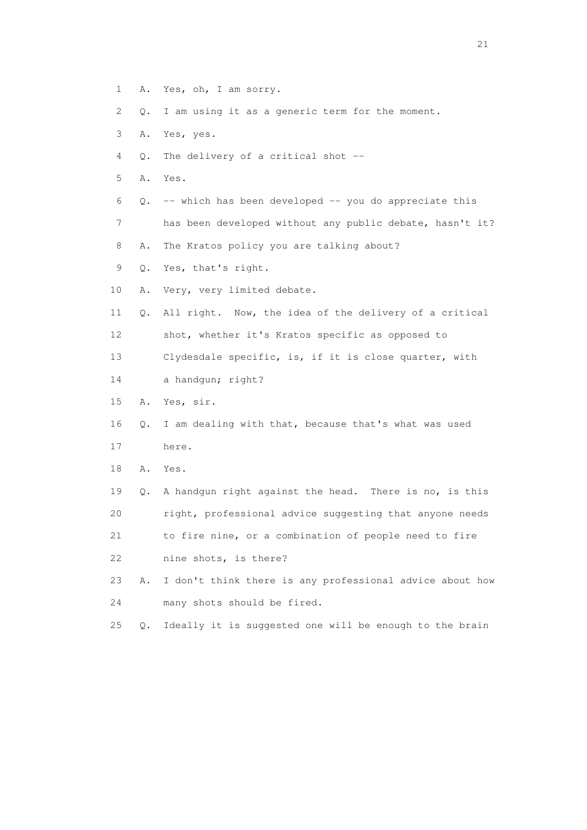- 1 A. Yes, oh, I am sorry.
- 2 Q. I am using it as a generic term for the moment.
- 3 A. Yes, yes.
- 4 Q. The delivery of a critical shot --
- 5 A. Yes.
- 6  $Q.$  -- which has been developed -- you do appreciate this
- 7 has been developed without any public debate, hasn't it?
- 8 A. The Kratos policy you are talking about?
- 9 Q. Yes, that's right.
- 10 A. Very, very limited debate.
- 11 Q. All right. Now, the idea of the delivery of a critical 12 shot, whether it's Kratos specific as opposed to 13 Clydesdale specific, is, if it is close quarter, with
- 14 a handgun; right?
- 15 A. Yes, sir.
- 16 Q. I am dealing with that, because that's what was used
- 17 here.
- 18 A. Yes.
- 19 Q. A handgun right against the head. There is no, is this 20 right, professional advice suggesting that anyone needs 21 to fire nine, or a combination of people need to fire 22 nine shots, is there?
- 23 A. I don't think there is any professional advice about how 24 many shots should be fired.
- 25 Q. Ideally it is suggested one will be enough to the brain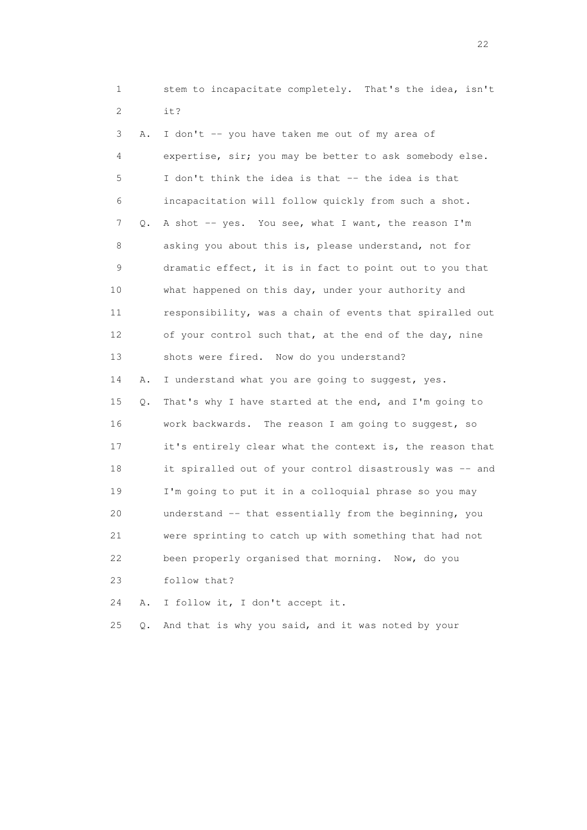1 stem to incapacitate completely. That's the idea, isn't 2 it?

 3 A. I don't -- you have taken me out of my area of 4 expertise, sir; you may be better to ask somebody else. 5 I don't think the idea is that -- the idea is that 6 incapacitation will follow quickly from such a shot. 7 Q. A shot -- yes. You see, what I want, the reason I'm 8 asking you about this is, please understand, not for 9 dramatic effect, it is in fact to point out to you that 10 what happened on this day, under your authority and 11 responsibility, was a chain of events that spiralled out 12 of your control such that, at the end of the day, nine 13 shots were fired. Now do you understand? 14 A. I understand what you are going to suggest, yes. 15 Q. That's why I have started at the end, and I'm going to 16 work backwards. The reason I am going to suggest, so 17 it's entirely clear what the context is, the reason that 18 it spiralled out of your control disastrously was -- and 19 I'm going to put it in a colloquial phrase so you may 20 understand -- that essentially from the beginning, you 21 were sprinting to catch up with something that had not 22 been properly organised that morning. Now, do you 23 follow that?

24 A. I follow it, I don't accept it.

25 Q. And that is why you said, and it was noted by your

22 and 22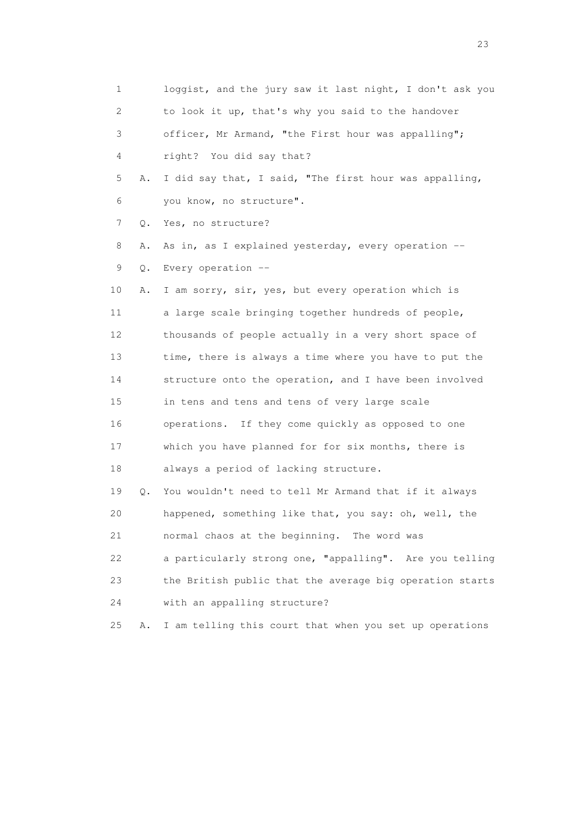1 loggist, and the jury saw it last night, I don't ask you 2 to look it up, that's why you said to the handover 3 officer, Mr Armand, "the First hour was appalling"; 4 right? You did say that? 5 A. I did say that, I said, "The first hour was appalling, 6 you know, no structure". 7 Q. Yes, no structure? 8 A. As in, as I explained yesterday, every operation -- 9 Q. Every operation -- 10 A. I am sorry, sir, yes, but every operation which is 11 a large scale bringing together hundreds of people, 12 thousands of people actually in a very short space of 13 time, there is always a time where you have to put the 14 structure onto the operation, and I have been involved 15 in tens and tens and tens of very large scale 16 operations. If they come quickly as opposed to one 17 which you have planned for for six months, there is 18 always a period of lacking structure. 19 Q. You wouldn't need to tell Mr Armand that if it always 20 happened, something like that, you say: oh, well, the 21 normal chaos at the beginning. The word was 22 a particularly strong one, "appalling". Are you telling 23 the British public that the average big operation starts 24 with an appalling structure? 25 A. I am telling this court that when you set up operations

23 and 23 and 23 and 23 and 23 and 23 and 23 and 23 and 23 and 23 and 23 and 23 and 23 and 23 and 23 and 23 and 24 and 25 and 25 and 25 and 26 and 26 and 26 and 26 and 26 and 26 and 26 and 26 and 26 and 26 and 26 and 26 an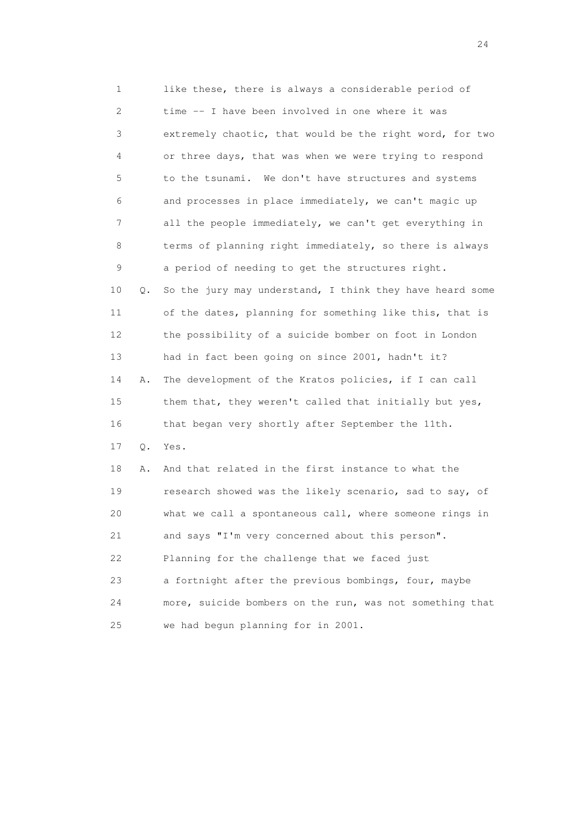1 like these, there is always a considerable period of 2 time -- I have been involved in one where it was 3 extremely chaotic, that would be the right word, for two 4 or three days, that was when we were trying to respond 5 to the tsunami. We don't have structures and systems 6 and processes in place immediately, we can't magic up 7 all the people immediately, we can't get everything in 8 terms of planning right immediately, so there is always 9 a period of needing to get the structures right. 10 Q. So the jury may understand, I think they have heard some 11 of the dates, planning for something like this, that is 12 the possibility of a suicide bomber on foot in London 13 had in fact been going on since 2001, hadn't it? 14 A. The development of the Kratos policies, if I can call 15 them that, they weren't called that initially but yes, 16 that began very shortly after September the 11th. 17 Q. Yes. 18 A. And that related in the first instance to what the 19 research showed was the likely scenario, sad to say, of 20 what we call a spontaneous call, where someone rings in 21 and says "I'm very concerned about this person". 22 Planning for the challenge that we faced just 23 a fortnight after the previous bombings, four, maybe 24 more, suicide bombers on the run, was not something that 25 we had begun planning for in 2001.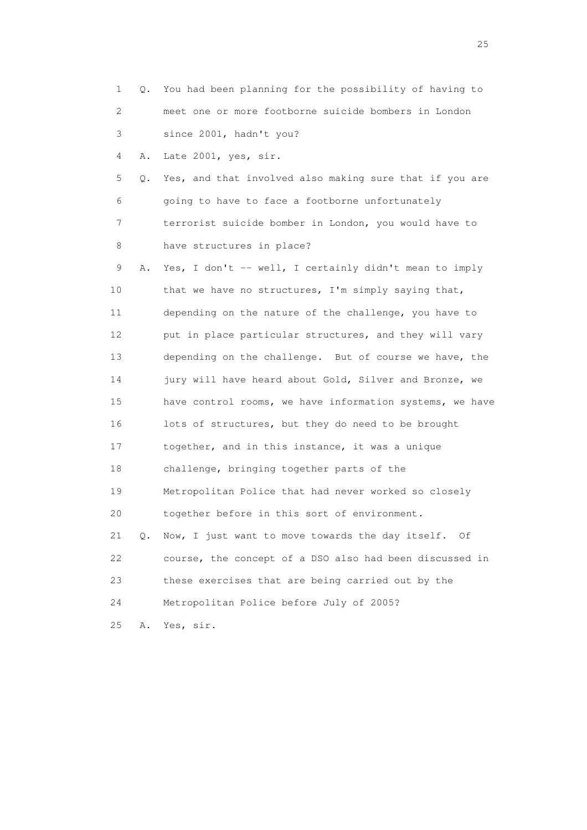| 1                         |    | Q. You had been planning for the possibility of having to |
|---------------------------|----|-----------------------------------------------------------|
| $\mathbf{2}^{\mathsf{I}}$ |    | meet one or more footborne suicide bombers in London      |
| 3                         |    | since 2001, hadn't you?                                   |
| 4                         | Α. | Late 2001, yes, sir.                                      |
| 5                         | Q. | Yes, and that involved also making sure that if you are   |
| 6                         |    | going to have to face a footborne unfortunately           |
| 7                         |    | terrorist suicide bomber in London, you would have to     |
| 8                         |    | have structures in place?                                 |
| 9                         | Α. | Yes, I don't -- well, I certainly didn't mean to imply    |
| 10                        |    | that we have no structures, I'm simply saying that,       |
| 11                        |    | depending on the nature of the challenge, you have to     |
| 12                        |    | put in place particular structures, and they will vary    |
| 13                        |    | depending on the challenge. But of course we have, the    |
| 14                        |    | jury will have heard about Gold, Silver and Bronze, we    |
| 15                        |    | have control rooms, we have information systems, we have  |
| 16                        |    | lots of structures, but they do need to be brought        |
| 17                        |    | together, and in this instance, it was a unique           |
| 18                        |    | challenge, bringing together parts of the                 |
| 19                        |    | Metropolitan Police that had never worked so closely      |
| 20                        |    | together before in this sort of environment.              |
| 21                        | Q. | Now, I just want to move towards the day itself.<br>Of    |
| 22                        |    | course, the concept of a DSO also had been discussed in   |
| 23                        |    | these exercises that are being carried out by the         |
| 24                        |    | Metropolitan Police before July of 2005?                  |
| 25                        | Α. | Yes, sir.                                                 |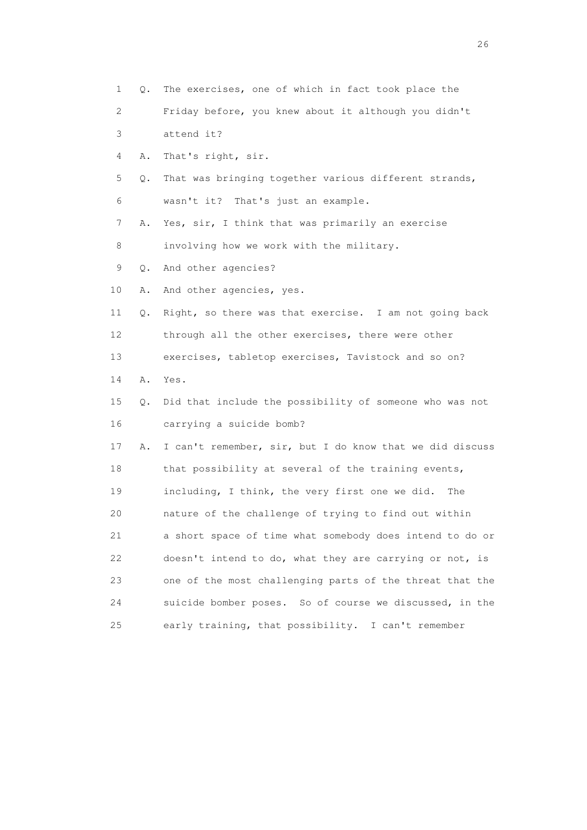1 Q. The exercises, one of which in fact took place the 2 Friday before, you knew about it although you didn't 3 attend it? 4 A. That's right, sir. 5 Q. That was bringing together various different strands, 6 wasn't it? That's just an example. 7 A. Yes, sir, I think that was primarily an exercise 8 involving how we work with the military. 9 Q. And other agencies? 10 A. And other agencies, yes. 11 Q. Right, so there was that exercise. I am not going back 12 through all the other exercises, there were other 13 exercises, tabletop exercises, Tavistock and so on? 14 A. Yes. 15 Q. Did that include the possibility of someone who was not 16 carrying a suicide bomb? 17 A. I can't remember, sir, but I do know that we did discuss 18 that possibility at several of the training events, 19 including, I think, the very first one we did. The 20 nature of the challenge of trying to find out within 21 a short space of time what somebody does intend to do or 22 doesn't intend to do, what they are carrying or not, is 23 one of the most challenging parts of the threat that the 24 suicide bomber poses. So of course we discussed, in the 25 early training, that possibility. I can't remember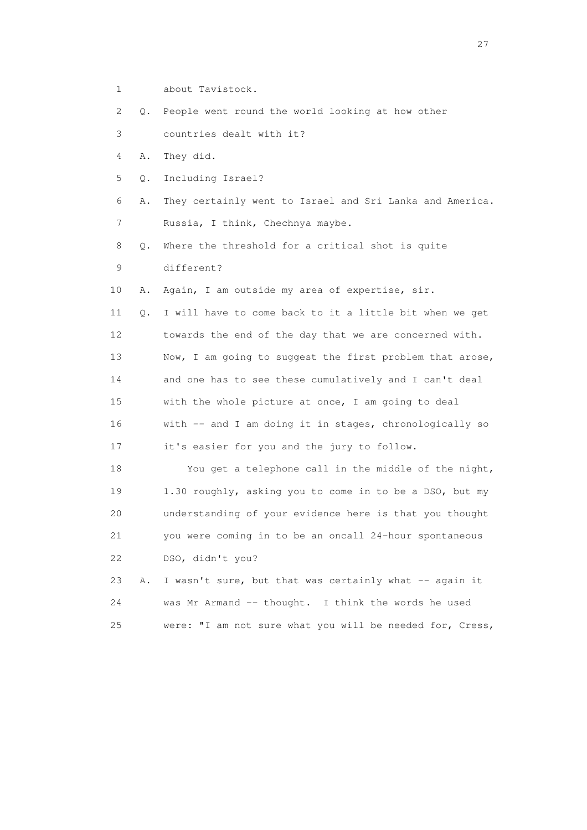1 about Tavistock.

2 Q. People went round the world looking at how other

3 countries dealt with it?

4 A. They did.

5 Q. Including Israel?

 6 A. They certainly went to Israel and Sri Lanka and America. 7 Russia, I think, Chechnya maybe.

 8 Q. Where the threshold for a critical shot is quite 9 different?

10 A. Again, I am outside my area of expertise, sir.

 11 Q. I will have to come back to it a little bit when we get 12 towards the end of the day that we are concerned with. 13 Now, I am going to suggest the first problem that arose, 14 and one has to see these cumulatively and I can't deal 15 with the whole picture at once, I am going to deal 16 with -- and I am doing it in stages, chronologically so 17 it's easier for you and the jury to follow.

 18 You get a telephone call in the middle of the night, 19 1.30 roughly, asking you to come in to be a DSO, but my 20 understanding of your evidence here is that you thought 21 you were coming in to be an oncall 24-hour spontaneous 22 DSO, didn't you?

|     | 23 A. I wasn't sure, but that was certainly what $-$ again it |
|-----|---------------------------------------------------------------|
| 24  | was Mr Armand $-$ thought. I think the words he used          |
| 2.5 | were: "I am not sure what you will be needed for, Cress,      |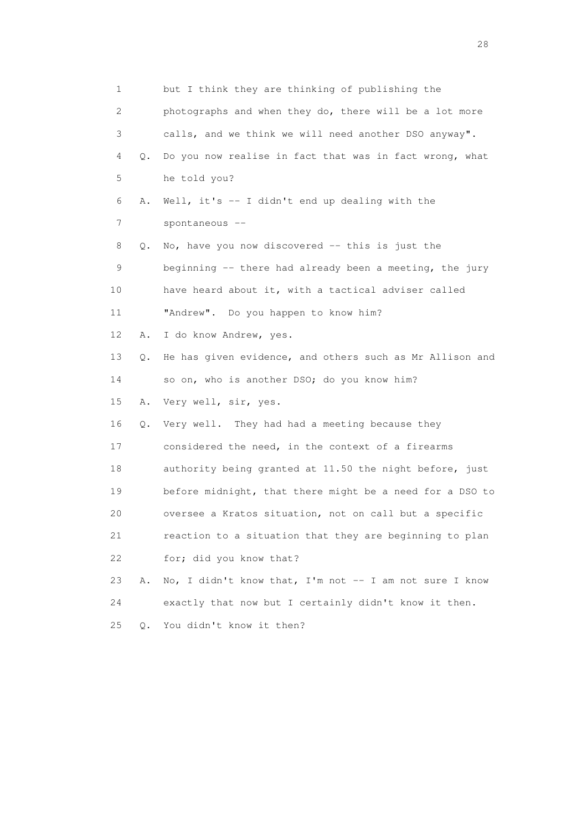| 1  |           | but I think they are thinking of publishing the          |
|----|-----------|----------------------------------------------------------|
| 2  |           | photographs and when they do, there will be a lot more   |
| 3  |           | calls, and we think we will need another DSO anyway".    |
| 4  | Q.        | Do you now realise in fact that was in fact wrong, what  |
| 5  |           | he told you?                                             |
| 6  | Α.        | Well, it's $-$ I didn't end up dealing with the          |
| 7  |           | spontaneous --                                           |
| 8  | Q.        | No, have you now discovered -- this is just the          |
| 9  |           | beginning -- there had already been a meeting, the jury  |
| 10 |           | have heard about it, with a tactical adviser called      |
| 11 |           | "Andrew". Do you happen to know him?                     |
| 12 | Α.        | I do know Andrew, yes.                                   |
| 13 | Q.        | He has given evidence, and others such as Mr Allison and |
| 14 |           | so on, who is another DSO; do you know him?              |
| 15 | Α.        | Very well, sir, yes.                                     |
| 16 | Q.        | Very well. They had had a meeting because they           |
| 17 |           | considered the need, in the context of a firearms        |
| 18 |           | authority being granted at 11.50 the night before, just  |
| 19 |           | before midnight, that there might be a need for a DSO to |
| 20 |           | oversee a Kratos situation, not on call but a specific   |
| 21 |           | reaction to a situation that they are beginning to plan  |
| 22 |           | for; did you know that?                                  |
| 23 | Α.        | No, I didn't know that, I'm not -- I am not sure I know  |
| 24 |           | exactly that now but I certainly didn't know it then.    |
| 25 | $\circ$ . | You didn't know it then?                                 |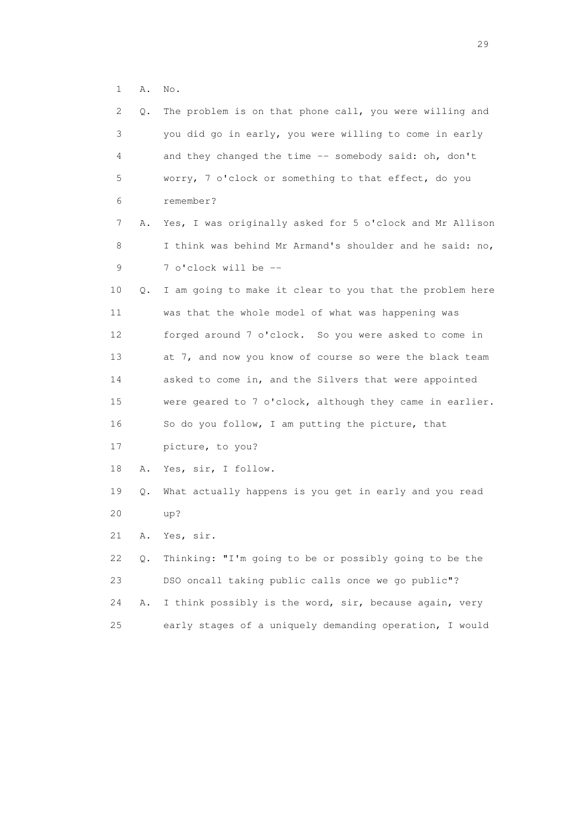1 A. No.

| 2           | Q. | The problem is on that phone call, you were willing and  |
|-------------|----|----------------------------------------------------------|
| 3           |    | you did go in early, you were willing to come in early   |
| 4           |    | and they changed the time -- somebody said: oh, don't    |
| 5           |    | worry, 7 o'clock or something to that effect, do you     |
| 6           |    | remember?                                                |
| 7           | Α. | Yes, I was originally asked for 5 o'clock and Mr Allison |
| 8           |    | I think was behind Mr Armand's shoulder and he said: no, |
| $\mathsf 9$ |    | 7 o'clock will be --                                     |
| 10          | Q. | I am going to make it clear to you that the problem here |
| 11          |    | was that the whole model of what was happening was       |
| 12          |    | forged around 7 o'clock. So you were asked to come in    |
| 13          |    | at 7, and now you know of course so were the black team  |
| 14          |    | asked to come in, and the Silvers that were appointed    |
| 15          |    | were geared to 7 o'clock, although they came in earlier. |
| 16          |    | So do you follow, I am putting the picture, that         |
| 17          |    | picture, to you?                                         |
| 18          | Α. | Yes, sir, I follow.                                      |
| 19          | Q. | What actually happens is you get in early and you read   |
| 20          |    | up?                                                      |
| 21          | Α. | Yes, sir.                                                |
| 22          | Q. | Thinking: "I'm going to be or possibly going to be the   |
| 23          |    | DSO oncall taking public calls once we go public"?       |
| 24          | Α. | I think possibly is the word, sir, because again, very   |
| 25          |    | early stages of a uniquely demanding operation, I would  |
|             |    |                                                          |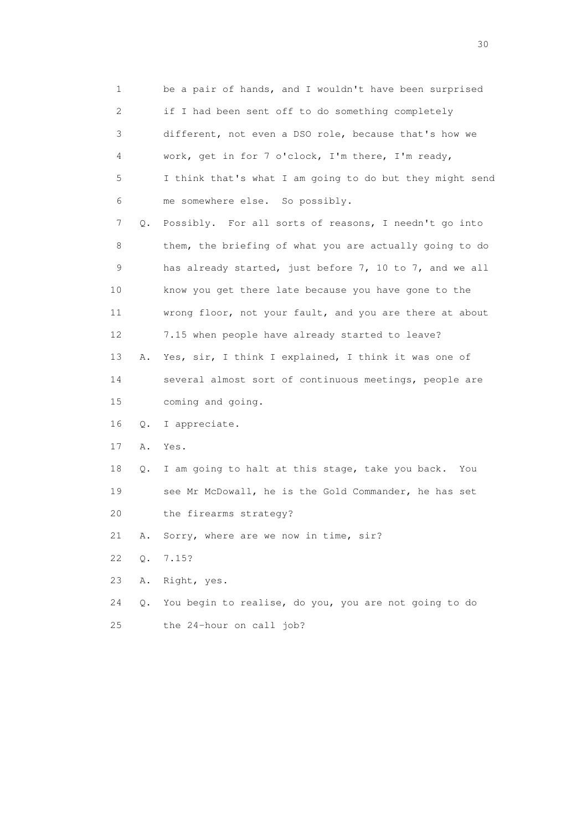1 be a pair of hands, and I wouldn't have been surprised 2 if I had been sent off to do something completely 3 different, not even a DSO role, because that's how we 4 work, get in for 7 o'clock, I'm there, I'm ready, 5 I think that's what I am going to do but they might send 6 me somewhere else. So possibly. 7 Q. Possibly. For all sorts of reasons, I needn't go into 8 them, the briefing of what you are actually going to do 9 has already started, just before 7, 10 to 7, and we all 10 know you get there late because you have gone to the 11 wrong floor, not your fault, and you are there at about 12 7.15 when people have already started to leave? 13 A. Yes, sir, I think I explained, I think it was one of 14 several almost sort of continuous meetings, people are 15 coming and going. 16 Q. I appreciate. 17 A. Yes. 18 Q. I am going to halt at this stage, take you back. You 19 see Mr McDowall, he is the Gold Commander, he has set 20 the firearms strategy? 21 A. Sorry, where are we now in time, sir? 22 Q. 7.15? 23 A. Right, yes. 24 Q. You begin to realise, do you, you are not going to do 25 the 24-hour on call job?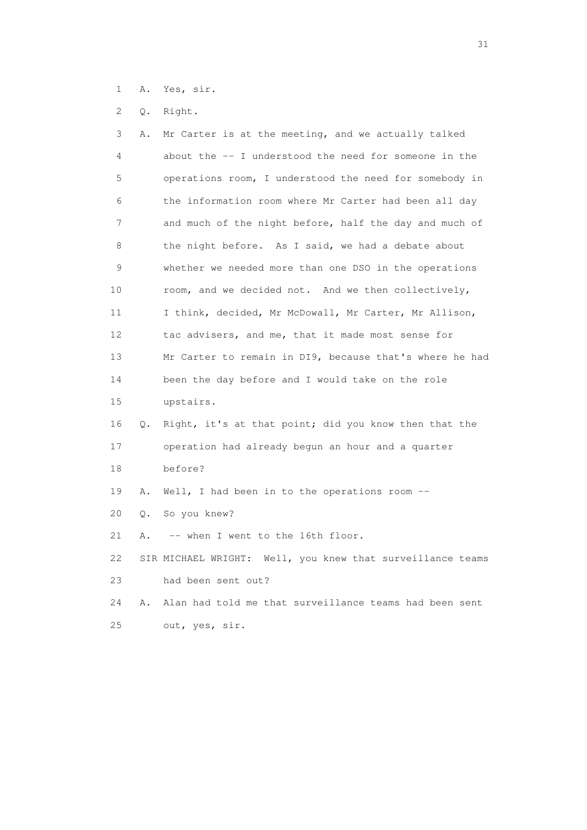- 1 A. Yes, sir.
- 2 Q. Right.

| 3  | Α. | Mr Carter is at the meeting, and we actually talked        |
|----|----|------------------------------------------------------------|
| 4  |    | about the -- I understood the need for someone in the      |
| 5  |    | operations room, I understood the need for somebody in     |
| 6  |    | the information room where Mr Carter had been all day      |
| 7  |    | and much of the night before, half the day and much of     |
| 8  |    | the night before. As I said, we had a debate about         |
| 9  |    | whether we needed more than one DSO in the operations      |
| 10 |    | room, and we decided not. And we then collectively,        |
| 11 |    | I think, decided, Mr McDowall, Mr Carter, Mr Allison,      |
| 12 |    | tac advisers, and me, that it made most sense for          |
| 13 |    | Mr Carter to remain in DI9, because that's where he had    |
| 14 |    | been the day before and I would take on the role           |
| 15 |    | upstairs.                                                  |
| 16 | Q. | Right, it's at that point; did you know then that the      |
| 17 |    | operation had already begun an hour and a quarter          |
| 18 |    | before?                                                    |
| 19 | Α. | Well, I had been in to the operations room $-$ -           |
| 20 | Q. | So you knew?                                               |
| 21 | Α. | -- when I went to the 16th floor.                          |
| 22 |    | SIR MICHAEL WRIGHT: Well, you knew that surveillance teams |
| 23 |    | had been sent out?                                         |
| 24 | Α. | Alan had told me that surveillance teams had been sent     |
| 25 |    | out, yes, sir.                                             |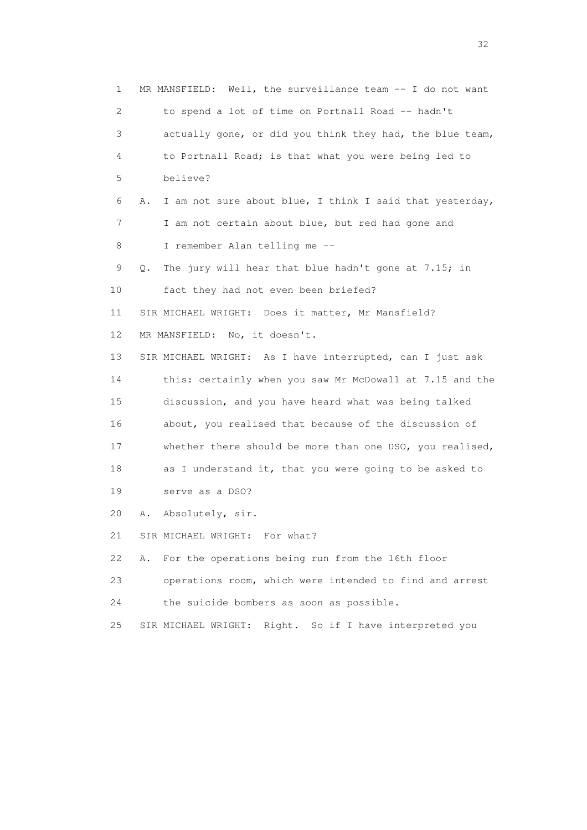1 MR MANSFIELD: Well, the surveillance team -- I do not want 2 to spend a lot of time on Portnall Road -- hadn't 3 actually gone, or did you think they had, the blue team, 4 to Portnall Road; is that what you were being led to 5 believe? 6 A. I am not sure about blue, I think I said that yesterday, 7 I am not certain about blue, but red had gone and 8 I remember Alan telling me -- 9 Q. The jury will hear that blue hadn't gone at 7.15; in 10 fact they had not even been briefed? 11 SIR MICHAEL WRIGHT: Does it matter, Mr Mansfield? 12 MR MANSFIELD: No, it doesn't. 13 SIR MICHAEL WRIGHT: As I have interrupted, can I just ask 14 this: certainly when you saw Mr McDowall at 7.15 and the 15 discussion, and you have heard what was being talked 16 about, you realised that because of the discussion of 17 whether there should be more than one DSO, you realised, 18 as I understand it, that you were going to be asked to 19 serve as a DSO? 20 A. Absolutely, sir. 21 SIR MICHAEL WRIGHT: For what? 22 A. For the operations being run from the 16th floor 23 operations room, which were intended to find and arrest 24 the suicide bombers as soon as possible. 25 SIR MICHAEL WRIGHT: Right. So if I have interpreted you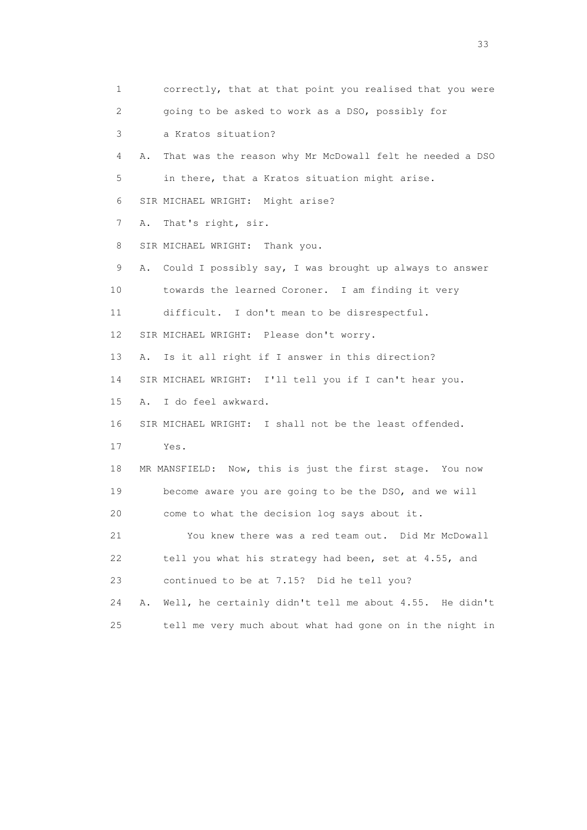1 correctly, that at that point you realised that you were 2 going to be asked to work as a DSO, possibly for 3 a Kratos situation? 4 A. That was the reason why Mr McDowall felt he needed a DSO 5 in there, that a Kratos situation might arise. 6 SIR MICHAEL WRIGHT: Might arise? 7 A. That's right, sir. 8 SIR MICHAEL WRIGHT: Thank you. 9 A. Could I possibly say, I was brought up always to answer 10 towards the learned Coroner. I am finding it very 11 difficult. I don't mean to be disrespectful. 12 SIR MICHAEL WRIGHT: Please don't worry. 13 A. Is it all right if I answer in this direction? 14 SIR MICHAEL WRIGHT: I'll tell you if I can't hear you. 15 A. I do feel awkward. 16 SIR MICHAEL WRIGHT: I shall not be the least offended. 17 Yes. 18 MR MANSFIELD: Now, this is just the first stage. You now 19 become aware you are going to be the DSO, and we will 20 come to what the decision log says about it. 21 You knew there was a red team out. Did Mr McDowall 22 tell you what his strategy had been, set at 4.55, and 23 continued to be at 7.15? Did he tell you? 24 A. Well, he certainly didn't tell me about 4.55. He didn't 25 tell me very much about what had gone on in the night in

<u>33</u> and the state of the state of the state of the state of the state of the state of the state of the state of the state of the state of the state of the state of the state of the state of the state of the state of the s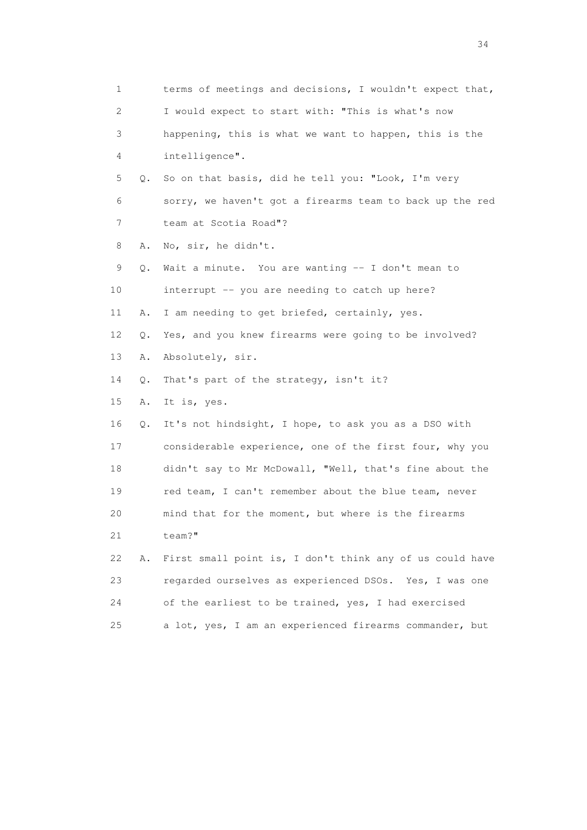1 terms of meetings and decisions, I wouldn't expect that, 2 I would expect to start with: "This is what's now 3 happening, this is what we want to happen, this is the 4 intelligence". 5 Q. So on that basis, did he tell you: "Look, I'm very 6 sorry, we haven't got a firearms team to back up the red 7 team at Scotia Road"? 8 A. No, sir, he didn't. 9 Q. Wait a minute. You are wanting -- I don't mean to 10 interrupt -- you are needing to catch up here? 11 A. I am needing to get briefed, certainly, yes. 12 Q. Yes, and you knew firearms were going to be involved? 13 A. Absolutely, sir. 14 Q. That's part of the strategy, isn't it? 15 A. It is, yes. 16 Q. It's not hindsight, I hope, to ask you as a DSO with 17 considerable experience, one of the first four, why you 18 didn't say to Mr McDowall, "Well, that's fine about the 19 red team, I can't remember about the blue team, never 20 mind that for the moment, but where is the firearms 21 team?" 22 A. First small point is, I don't think any of us could have 23 regarded ourselves as experienced DSOs. Yes, I was one 24 of the earliest to be trained, yes, I had exercised 25 a lot, yes, I am an experienced firearms commander, but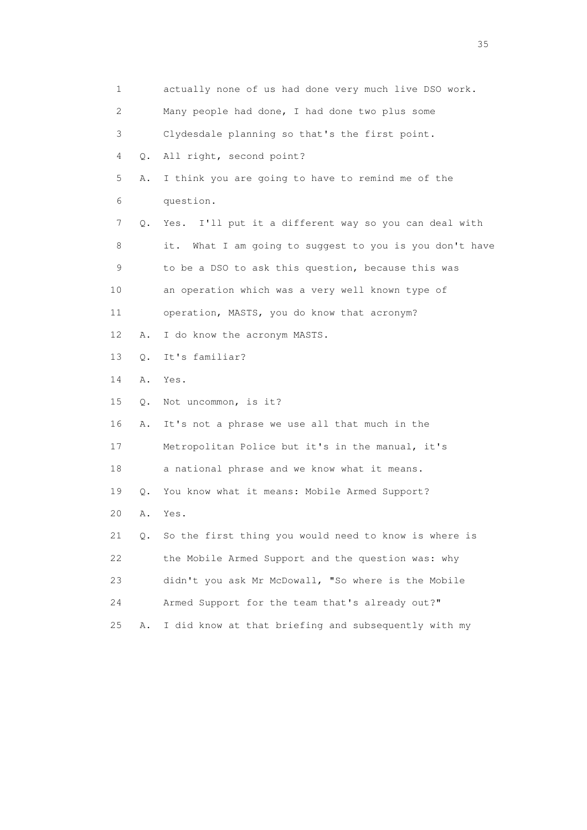| $\mathbf 1$               |       | actually none of us had done very much live DSO work.      |
|---------------------------|-------|------------------------------------------------------------|
| $\mathbf{2}^{\mathsf{I}}$ |       | Many people had done, I had done two plus some             |
| 3                         |       | Clydesdale planning so that's the first point.             |
| 4                         | Q.    | All right, second point?                                   |
| 5                         | Α.    | I think you are going to have to remind me of the          |
| 6                         |       | question.                                                  |
| 7                         | Q.    | Yes. I'll put it a different way so you can deal with      |
| 8                         |       | What I am going to suggest to you is you don't have<br>it. |
| 9                         |       | to be a DSO to ask this question, because this was         |
| 10                        |       | an operation which was a very well known type of           |
| 11                        |       | operation, MASTS, you do know that acronym?                |
| 12                        | Α.    | I do know the acronym MASTS.                               |
| 13                        | О.    | It's familiar?                                             |
| 14                        | Α.    | Yes.                                                       |
| 15                        | $Q$ . | Not uncommon, is it?                                       |
| 16                        | Α.    | It's not a phrase we use all that much in the              |
| 17                        |       | Metropolitan Police but it's in the manual, it's           |
| 18                        |       | a national phrase and we know what it means.               |
| 19                        | $Q$ . | You know what it means: Mobile Armed Support?              |
| 20                        | Α.    | Yes.                                                       |
| 21                        | Q.    | So the first thing you would need to know is where is      |
| 22                        |       | the Mobile Armed Support and the question was: why         |
| 23                        |       | didn't you ask Mr McDowall, "So where is the Mobile        |
| 24                        |       | Armed Support for the team that's already out?"            |
| 25                        | Α.    | I did know at that briefing and subsequently with my       |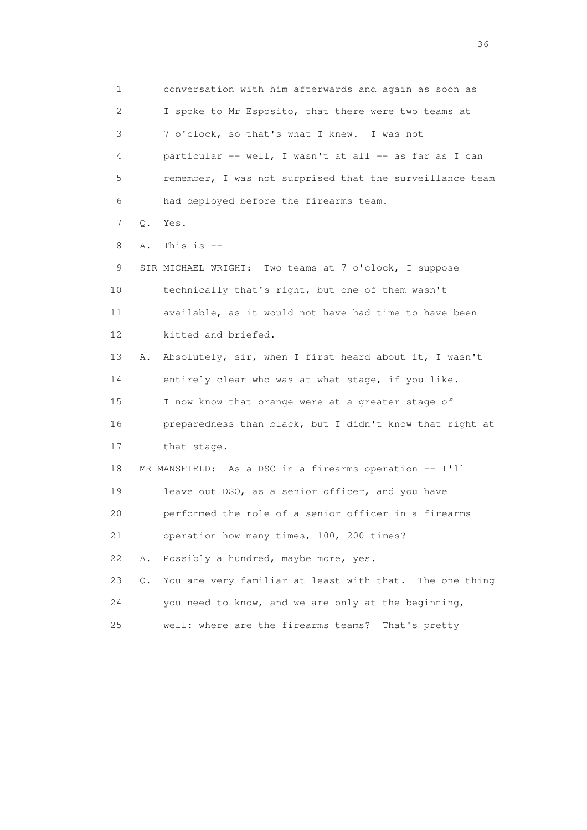1 conversation with him afterwards and again as soon as 2 I spoke to Mr Esposito, that there were two teams at 3 7 o'clock, so that's what I knew. I was not 4 particular -- well, I wasn't at all -- as far as I can 5 remember, I was not surprised that the surveillance team 6 had deployed before the firearms team. 7 Q. Yes.  $8$  A. This is  $-$  9 SIR MICHAEL WRIGHT: Two teams at 7 o'clock, I suppose 10 technically that's right, but one of them wasn't 11 available, as it would not have had time to have been 12 kitted and briefed. 13 A. Absolutely, sir, when I first heard about it, I wasn't 14 entirely clear who was at what stage, if you like. 15 I now know that orange were at a greater stage of 16 preparedness than black, but I didn't know that right at 17 that stage. 18 MR MANSFIELD: As a DSO in a firearms operation -- I'll 19 leave out DSO, as a senior officer, and you have 20 performed the role of a senior officer in a firearms 21 operation how many times, 100, 200 times? 22 A. Possibly a hundred, maybe more, yes. 23 Q. You are very familiar at least with that. The one thing 24 you need to know, and we are only at the beginning, 25 well: where are the firearms teams? That's pretty

 $36<sup>2</sup>$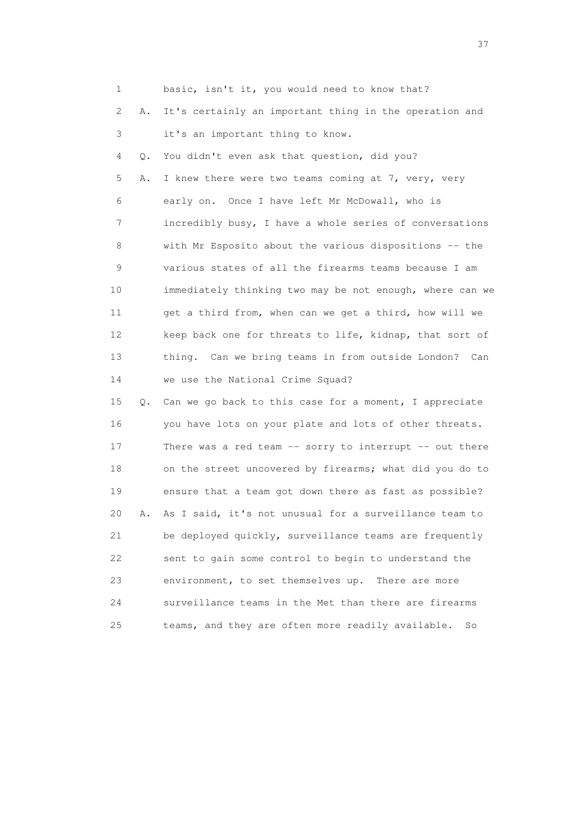1 basic, isn't it, you would need to know that? 2 A. It's certainly an important thing in the operation and 3 it's an important thing to know. 4 Q. You didn't even ask that question, did you? 5 A. I knew there were two teams coming at 7, very, very 6 early on. Once I have left Mr McDowall, who is 7 incredibly busy, I have a whole series of conversations 8 with Mr Esposito about the various dispositions -- the 9 various states of all the firearms teams because I am 10 immediately thinking two may be not enough, where can we 11 get a third from, when can we get a third, how will we 12 keep back one for threats to life, kidnap, that sort of 13 thing. Can we bring teams in from outside London? Can 14 we use the National Crime Squad? 15 Q. Can we go back to this case for a moment, I appreciate 16 you have lots on your plate and lots of other threats. 17 There was a red team -- sorry to interrupt -- out there 18 on the street uncovered by firearms; what did you do to 19 ensure that a team got down there as fast as possible? 20 A. As I said, it's not unusual for a surveillance team to 21 be deployed quickly, surveillance teams are frequently 22 sent to gain some control to begin to understand the 23 environment, to set themselves up. There are more 24 surveillance teams in the Met than there are firearms 25 teams, and they are often more readily available. So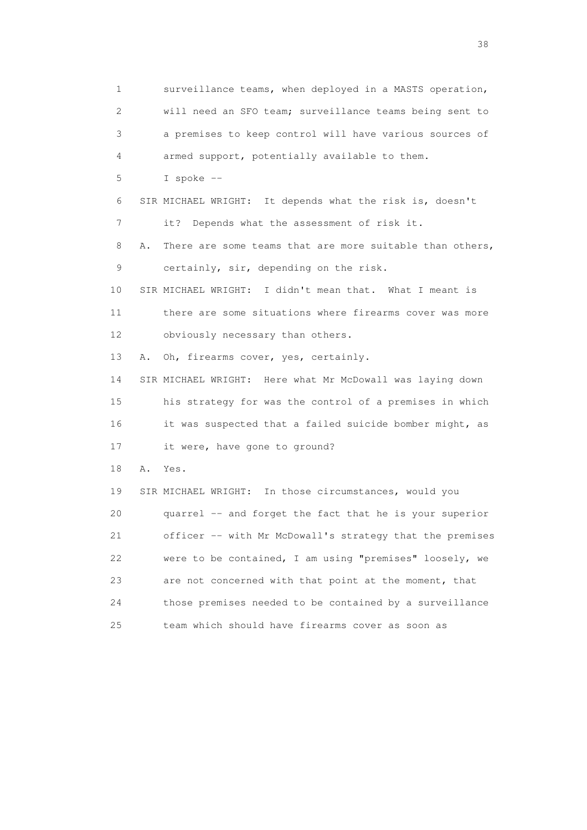1 surveillance teams, when deployed in a MASTS operation, 2 will need an SFO team; surveillance teams being sent to 3 a premises to keep control will have various sources of 4 armed support, potentially available to them. 5 I spoke -- 6 SIR MICHAEL WRIGHT: It depends what the risk is, doesn't 7 it? Depends what the assessment of risk it. 8 A. There are some teams that are more suitable than others, 9 certainly, sir, depending on the risk. 10 SIR MICHAEL WRIGHT: I didn't mean that. What I meant is 11 there are some situations where firearms cover was more 12 obviously necessary than others. 13 A. Oh, firearms cover, yes, certainly. 14 SIR MICHAEL WRIGHT: Here what Mr McDowall was laying down 15 his strategy for was the control of a premises in which 16 it was suspected that a failed suicide bomber might, as 17 it were, have gone to ground? 18 A. Yes. 19 SIR MICHAEL WRIGHT: In those circumstances, would you 20 quarrel -- and forget the fact that he is your superior 21 officer -- with Mr McDowall's strategy that the premises 22 were to be contained, I am using "premises" loosely, we 23 are not concerned with that point at the moment, that 24 those premises needed to be contained by a surveillance 25 team which should have firearms cover as soon as

and the state of the state of the state of the state of the state of the state of the state of the state of the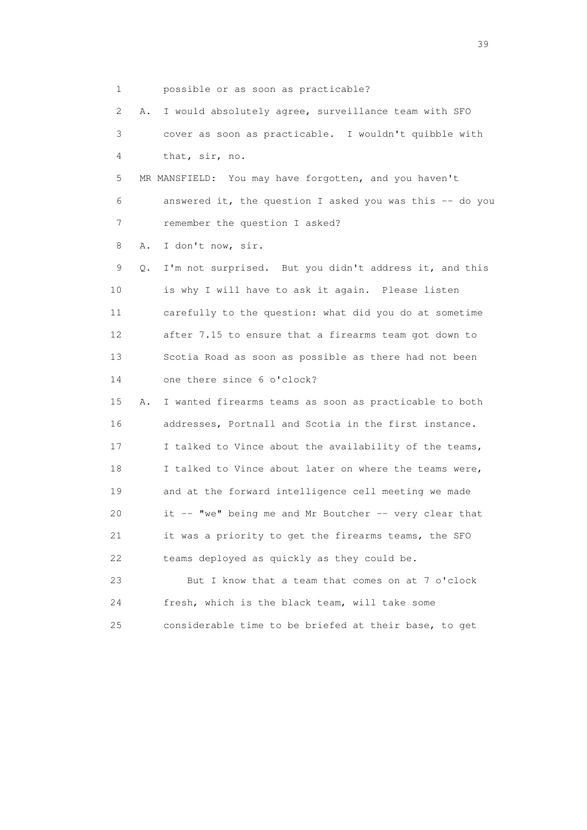1 possible or as soon as practicable?

 2 A. I would absolutely agree, surveillance team with SFO 3 cover as soon as practicable. I wouldn't quibble with 4 that, sir, no.

 5 MR MANSFIELD: You may have forgotten, and you haven't 6 answered it, the question I asked you was this -- do you 7 remember the question I asked?

8 A. I don't now, sir.

 9 Q. I'm not surprised. But you didn't address it, and this 10 is why I will have to ask it again. Please listen 11 carefully to the question: what did you do at sometime 12 after 7.15 to ensure that a firearms team got down to 13 Scotia Road as soon as possible as there had not been 14 one there since 6 o'clock?

 15 A. I wanted firearms teams as soon as practicable to both 16 addresses, Portnall and Scotia in the first instance. 17 I talked to Vince about the availability of the teams, 18 I talked to Vince about later on where the teams were, 19 and at the forward intelligence cell meeting we made 20 it -- "we" being me and Mr Boutcher -- very clear that 21 it was a priority to get the firearms teams, the SFO 22 teams deployed as quickly as they could be.

 23 But I know that a team that comes on at 7 o'clock 24 fresh, which is the black team, will take some 25 considerable time to be briefed at their base, to get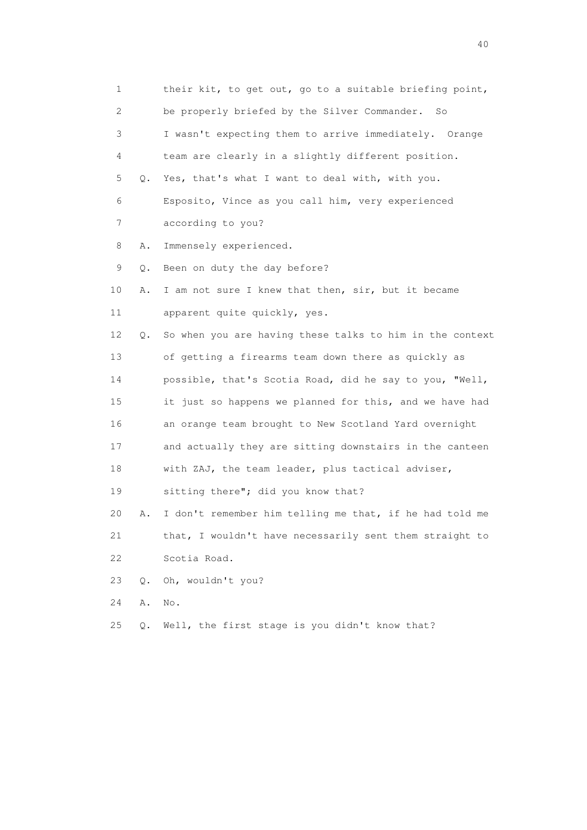| 1  |       | their kit, to get out, go to a suitable briefing point,  |
|----|-------|----------------------------------------------------------|
| 2  |       | be properly briefed by the Silver Commander.<br>So       |
| 3  |       | I wasn't expecting them to arrive immediately. Orange    |
| 4  |       | team are clearly in a slightly different position.       |
| 5  | Q.    | Yes, that's what I want to deal with, with you.          |
| 6  |       | Esposito, Vince as you call him, very experienced        |
| 7  |       | according to you?                                        |
| 8  | Α.    | Immensely experienced.                                   |
| 9  | Q.    | Been on duty the day before?                             |
| 10 | Α.    | I am not sure I knew that then, sir, but it became       |
| 11 |       | apparent quite quickly, yes.                             |
| 12 | Q.    | So when you are having these talks to him in the context |
| 13 |       | of getting a firearms team down there as quickly as      |
| 14 |       | possible, that's Scotia Road, did he say to you, "Well,  |
| 15 |       | it just so happens we planned for this, and we have had  |
| 16 |       | an orange team brought to New Scotland Yard overnight    |
| 17 |       | and actually they are sitting downstairs in the canteen  |
| 18 |       | with ZAJ, the team leader, plus tactical adviser,        |
| 19 |       | sitting there"; did you know that?                       |
| 20 | Α.    | I don't remember him telling me that, if he had told me  |
| 21 |       | that, I wouldn't have necessarily sent them straight to  |
| 22 |       | Scotia Road.                                             |
| 23 | $Q$ . | Oh, wouldn't you?                                        |
| 24 | Α.    | No.                                                      |
| 25 | Q.    | Well, the first stage is you didn't know that?           |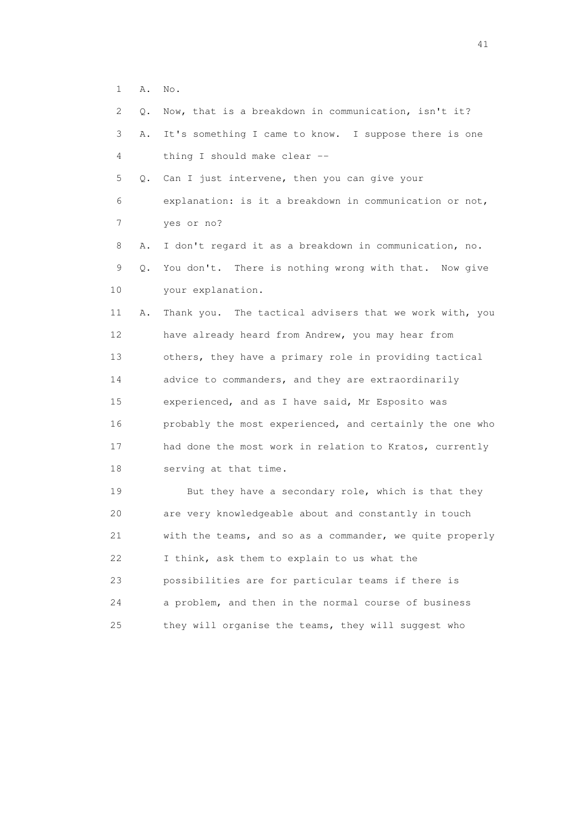1 A. No.

| $\mathbf{2}^{\mathsf{I}}$<br>О. | Now, that is a breakdown in communication, isn't it?     |
|---------------------------------|----------------------------------------------------------|
| 3<br>Α.                         | It's something I came to know. I suppose there is one    |
| 4                               | thing I should make clear --                             |
| 5<br>Q.                         | Can I just intervene, then you can give your             |
| 6                               | explanation: is it a breakdown in communication or not,  |
| $\overline{7}$                  | yes or no?                                               |
| 8<br>Α.                         | I don't regard it as a breakdown in communication, no.   |
| 9<br>Q.                         | You don't. There is nothing wrong with that. Now give    |
| 10                              | your explanation.                                        |
| 11<br>Α.                        | Thank you. The tactical advisers that we work with, you  |
| 12                              | have already heard from Andrew, you may hear from        |
| 13                              | others, they have a primary role in providing tactical   |
| 14                              | advice to commanders, and they are extraordinarily       |
| 15                              | experienced, and as I have said, Mr Esposito was         |
| 16                              | probably the most experienced, and certainly the one who |
| 17                              | had done the most work in relation to Kratos, currently  |
| 18                              | serving at that time.                                    |
| 19                              | But they have a secondary role, which is that they       |
| 20                              | are very knowledgeable about and constantly in touch     |
| 21                              | with the teams, and so as a commander, we quite properly |

22 I think, ask them to explain to us what the

23 possibilities are for particular teams if there is

24 a problem, and then in the normal course of business

25 they will organise the teams, they will suggest who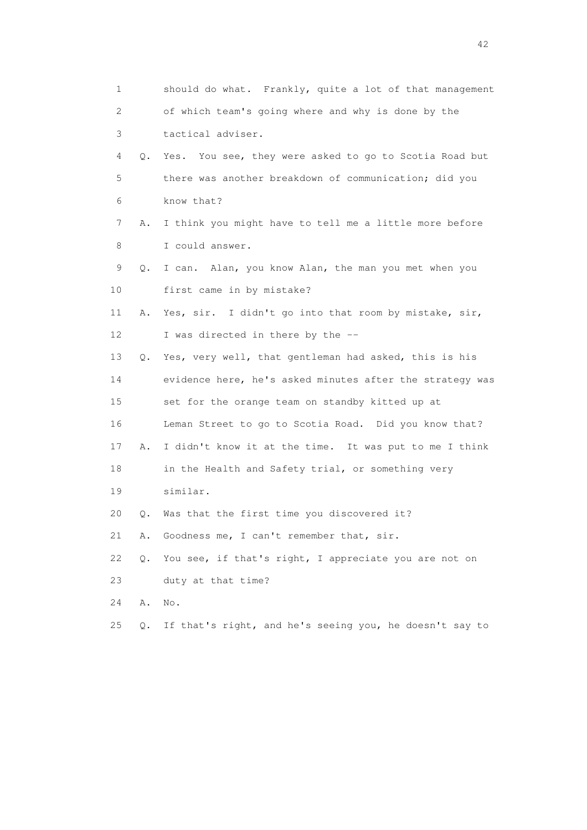1 should do what. Frankly, quite a lot of that management 2 of which team's going where and why is done by the 3 tactical adviser. 4 Q. Yes. You see, they were asked to go to Scotia Road but 5 there was another breakdown of communication; did you 6 know that? 7 A. I think you might have to tell me a little more before 8 I could answer. 9 Q. I can. Alan, you know Alan, the man you met when you 10 first came in by mistake? 11 A. Yes, sir. I didn't go into that room by mistake, sir, 12 I was directed in there by the -- 13 Q. Yes, very well, that gentleman had asked, this is his 14 evidence here, he's asked minutes after the strategy was 15 set for the orange team on standby kitted up at 16 Leman Street to go to Scotia Road. Did you know that? 17 A. I didn't know it at the time. It was put to me I think 18 in the Health and Safety trial, or something very 19 similar. 20 Q. Was that the first time you discovered it? 21 A. Goodness me, I can't remember that, sir. 22 Q. You see, if that's right, I appreciate you are not on 23 duty at that time? 24 A. No. 25 Q. If that's right, and he's seeing you, he doesn't say to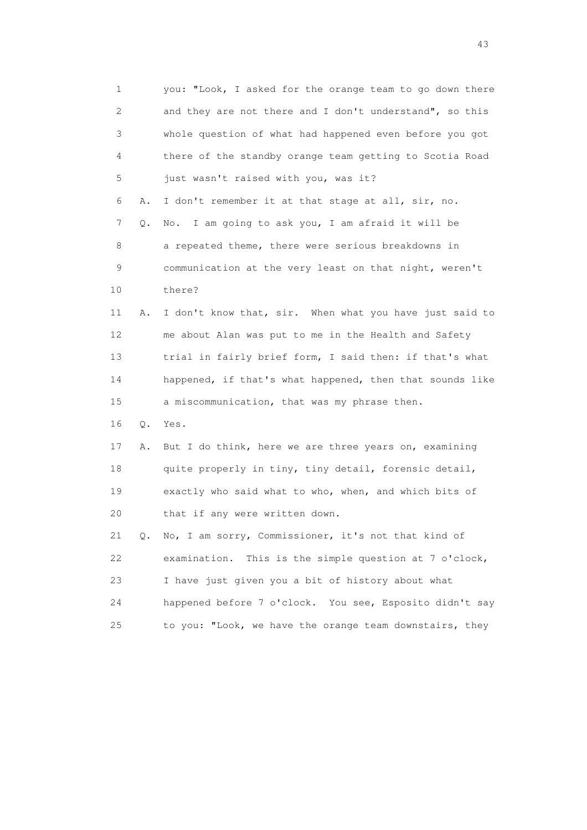1 you: "Look, I asked for the orange team to go down there 2 and they are not there and I don't understand", so this 3 whole question of what had happened even before you got 4 there of the standby orange team getting to Scotia Road 5 just wasn't raised with you, was it? 6 A. I don't remember it at that stage at all, sir, no. 7 Q. No. I am going to ask you, I am afraid it will be 8 a repeated theme, there were serious breakdowns in 9 communication at the very least on that night, weren't 10 there? 11 A. I don't know that, sir. When what you have just said to 12 me about Alan was put to me in the Health and Safety 13 trial in fairly brief form, I said then: if that's what 14 happened, if that's what happened, then that sounds like 15 a miscommunication, that was my phrase then. 16 Q. Yes. 17 A. But I do think, here we are three years on, examining 18 quite properly in tiny, tiny detail, forensic detail, 19 exactly who said what to who, when, and which bits of 20 that if any were written down. 21 Q. No, I am sorry, Commissioner, it's not that kind of 22 examination. This is the simple question at 7 o'clock, 23 I have just given you a bit of history about what 24 happened before 7 o'clock. You see, Esposito didn't say 25 to you: "Look, we have the orange team downstairs, they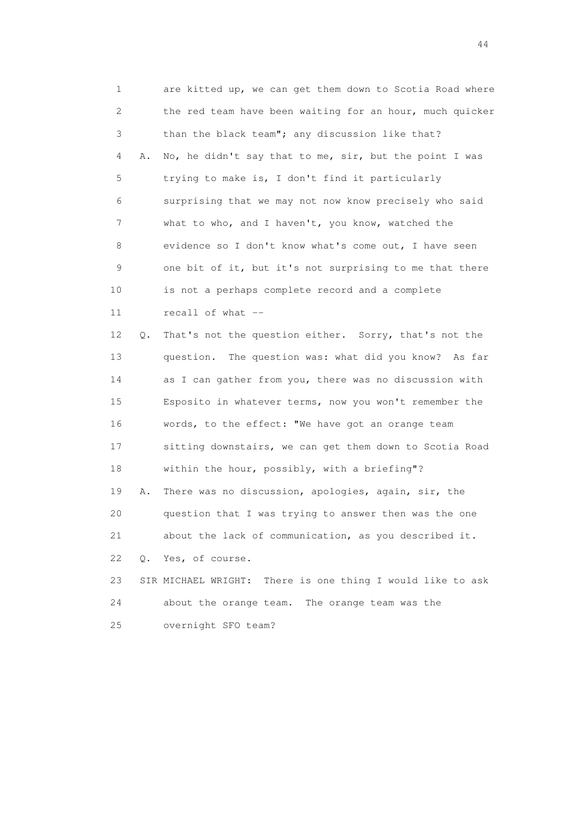1 are kitted up, we can get them down to Scotia Road where 2 the red team have been waiting for an hour, much quicker 3 than the black team"; any discussion like that? 4 A. No, he didn't say that to me, sir, but the point I was 5 trying to make is, I don't find it particularly 6 surprising that we may not now know precisely who said 7 what to who, and I haven't, you know, watched the 8 evidence so I don't know what's come out, I have seen 9 one bit of it, but it's not surprising to me that there 10 is not a perhaps complete record and a complete 11 recall of what -- 12 Q. That's not the question either. Sorry, that's not the 13 question. The question was: what did you know? As far 14 as I can gather from you, there was no discussion with 15 Esposito in whatever terms, now you won't remember the 16 words, to the effect: "We have got an orange team 17 sitting downstairs, we can get them down to Scotia Road 18 within the hour, possibly, with a briefing"? 19 A. There was no discussion, apologies, again, sir, the 20 question that I was trying to answer then was the one 21 about the lack of communication, as you described it. 22 Q. Yes, of course. 23 SIR MICHAEL WRIGHT: There is one thing I would like to ask 24 about the orange team. The orange team was the 25 overnight SFO team?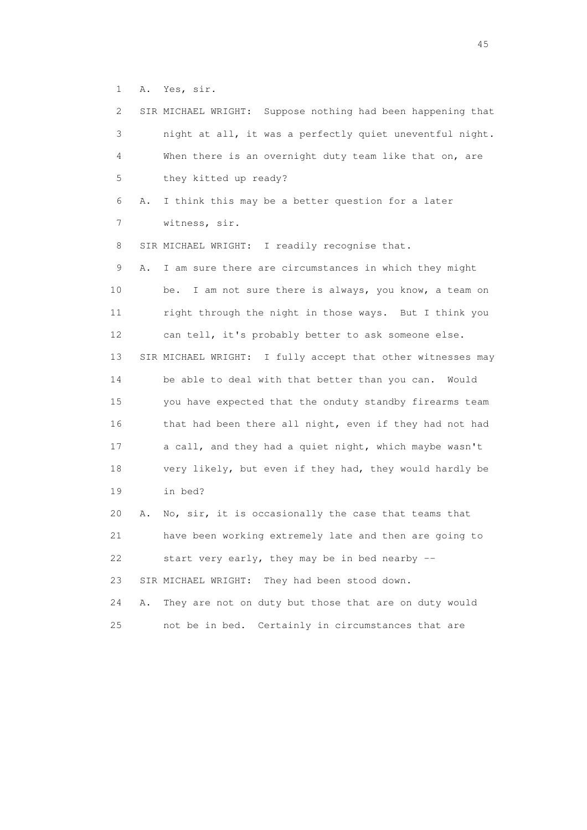1 A. Yes, sir.

| 2  |    | SIR MICHAEL WRIGHT: Suppose nothing had been happening that |
|----|----|-------------------------------------------------------------|
| 3  |    | night at all, it was a perfectly quiet uneventful night.    |
| 4  |    | When there is an overnight duty team like that on, are      |
| 5  |    | they kitted up ready?                                       |
| 6  | Α. | I think this may be a better question for a later           |
| 7  |    | witness, sir.                                               |
| 8  |    | SIR MICHAEL WRIGHT: I readily recognise that.               |
| 9  | Α. | I am sure there are circumstances in which they might       |
| 10 |    | I am not sure there is always, you know, a team on<br>be.   |
| 11 |    | right through the night in those ways. But I think you      |
| 12 |    | can tell, it's probably better to ask someone else.         |
| 13 |    | SIR MICHAEL WRIGHT: I fully accept that other witnesses may |
| 14 |    | be able to deal with that better than you can.<br>Would     |
| 15 |    | you have expected that the onduty standby firearms team     |
| 16 |    | that had been there all night, even if they had not had     |
| 17 |    | a call, and they had a quiet night, which maybe wasn't      |
| 18 |    | very likely, but even if they had, they would hardly be     |
| 19 |    | in bed?                                                     |
| 20 | Α. | No, sir, it is occasionally the case that teams that        |
| 21 |    | have been working extremely late and then are going to      |
| 22 |    | start very early, they may be in bed nearby --              |
| 23 |    | SIR MICHAEL WRIGHT:<br>They had been stood down.            |
| 24 | Α. | They are not on duty but those that are on duty would       |
| 25 |    | not be in bed.<br>Certainly in circumstances that are       |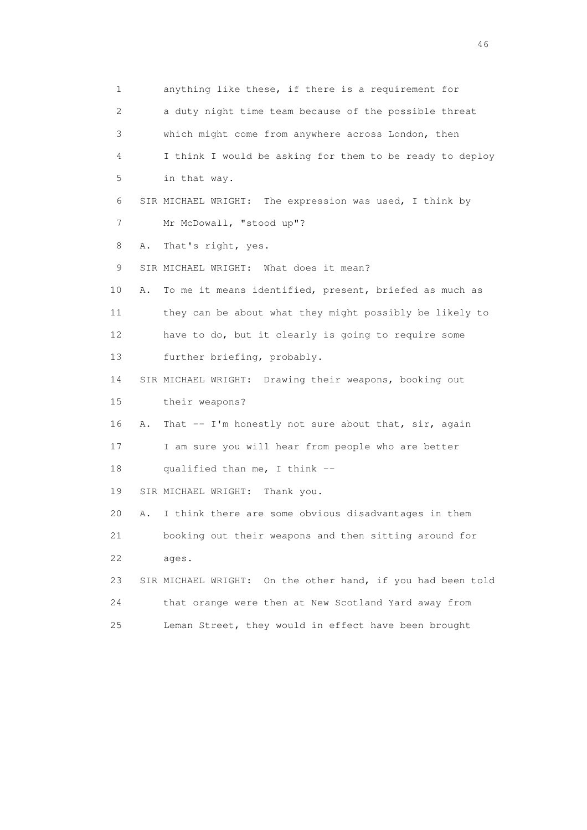1 anything like these, if there is a requirement for 2 a duty night time team because of the possible threat 3 which might come from anywhere across London, then 4 I think I would be asking for them to be ready to deploy 5 in that way. 6 SIR MICHAEL WRIGHT: The expression was used, I think by 7 Mr McDowall, "stood up"? 8 A. That's right, yes. 9 SIR MICHAEL WRIGHT: What does it mean? 10 A. To me it means identified, present, briefed as much as 11 they can be about what they might possibly be likely to 12 have to do, but it clearly is going to require some 13 further briefing, probably. 14 SIR MICHAEL WRIGHT: Drawing their weapons, booking out 15 their weapons? 16 A. That -- I'm honestly not sure about that, sir, again 17 I am sure you will hear from people who are better 18 qualified than me, I think -- 19 SIR MICHAEL WRIGHT: Thank you. 20 A. I think there are some obvious disadvantages in them 21 booking out their weapons and then sitting around for 22 ages. 23 SIR MICHAEL WRIGHT: On the other hand, if you had been told 24 that orange were then at New Scotland Yard away from 25 Leman Street, they would in effect have been brought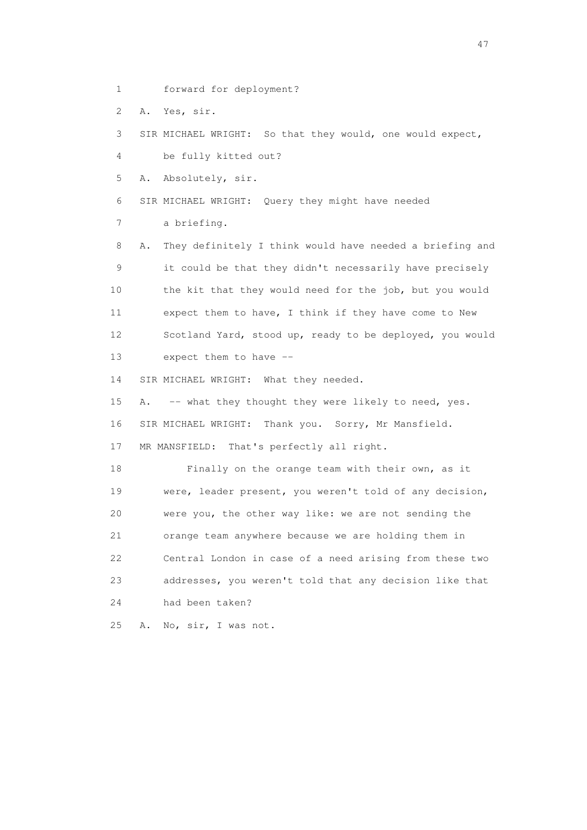1 forward for deployment?

2 A. Yes, sir.

3 SIR MICHAEL WRIGHT: So that they would, one would expect,

4 be fully kitted out?

5 A. Absolutely, sir.

6 SIR MICHAEL WRIGHT: Query they might have needed

7 a briefing.

 8 A. They definitely I think would have needed a briefing and 9 it could be that they didn't necessarily have precisely 10 the kit that they would need for the job, but you would 11 expect them to have, I think if they have come to New 12 Scotland Yard, stood up, ready to be deployed, you would 13 expect them to have --

14 SIR MICHAEL WRIGHT: What they needed.

15 A. -- what they thought they were likely to need, yes. 16 SIR MICHAEL WRIGHT: Thank you. Sorry, Mr Mansfield.

17 MR MANSFIELD: That's perfectly all right.

 18 Finally on the orange team with their own, as it 19 were, leader present, you weren't told of any decision, 20 were you, the other way like: we are not sending the 21 orange team anywhere because we are holding them in 22 Central London in case of a need arising from these two 23 addresses, you weren't told that any decision like that 24 had been taken?

25 A. No, sir, I was not.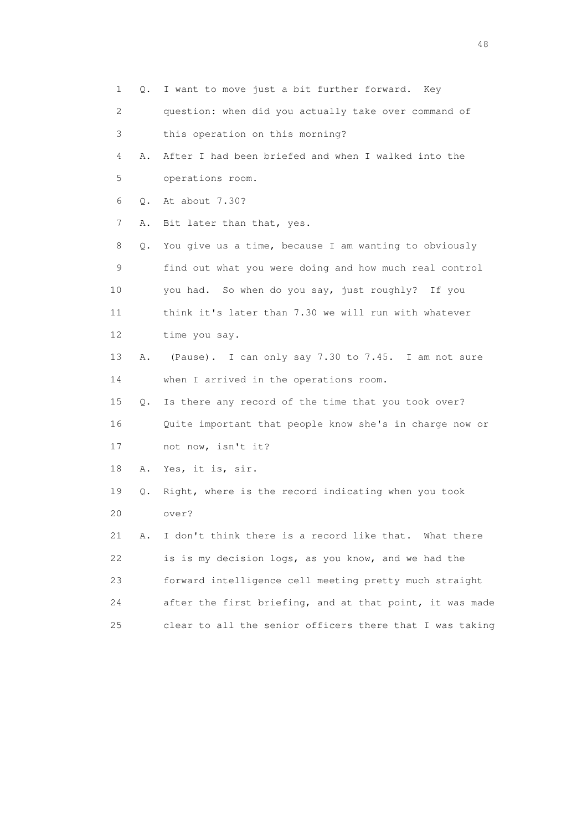1 Q. I want to move just a bit further forward. Key 2 question: when did you actually take over command of 3 this operation on this morning? 4 A. After I had been briefed and when I walked into the 5 operations room. 6 Q. At about 7.30? 7 A. Bit later than that, yes. 8 Q. You give us a time, because I am wanting to obviously 9 find out what you were doing and how much real control 10 you had. So when do you say, just roughly? If you 11 think it's later than 7.30 we will run with whatever 12 time you say. 13 A. (Pause). I can only say 7.30 to 7.45. I am not sure 14 when I arrived in the operations room. 15 Q. Is there any record of the time that you took over? 16 Quite important that people know she's in charge now or 17 not now, isn't it? 18 A. Yes, it is, sir. 19 Q. Right, where is the record indicating when you took 20 over? 21 A. I don't think there is a record like that. What there 22 is is my decision logs, as you know, and we had the 23 forward intelligence cell meeting pretty much straight 24 after the first briefing, and at that point, it was made 25 clear to all the senior officers there that I was taking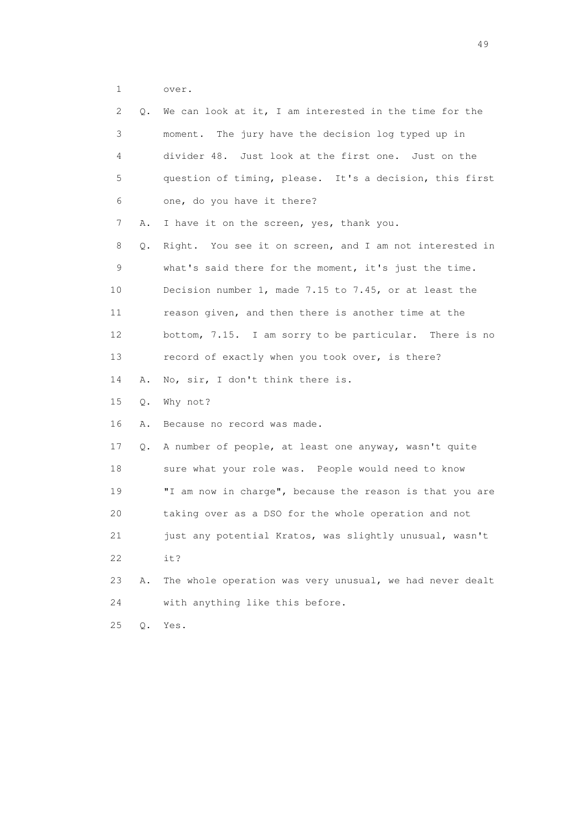1 over.

| 2  | Q. | We can look at it, I am interested in the time for the   |
|----|----|----------------------------------------------------------|
| 3  |    | moment. The jury have the decision log typed up in       |
| 4  |    | divider 48. Just look at the first one. Just on the      |
| 5  |    | question of timing, please. It's a decision, this first  |
| 6  |    | one, do you have it there?                               |
| 7  | Α. | I have it on the screen, yes, thank you.                 |
| 8  | Q. | Right. You see it on screen, and I am not interested in  |
| 9  |    | what's said there for the moment, it's just the time.    |
| 10 |    | Decision number 1, made 7.15 to 7.45, or at least the    |
| 11 |    | reason given, and then there is another time at the      |
| 12 |    | bottom, 7.15. I am sorry to be particular. There is no   |
| 13 |    | record of exactly when you took over, is there?          |
| 14 | Α. | No, sir, I don't think there is.                         |
| 15 | Q. | Why not?                                                 |
| 16 | Α. | Because no record was made.                              |
| 17 | Q. | A number of people, at least one anyway, wasn't quite    |
| 18 |    |                                                          |
|    |    | sure what your role was. People would need to know       |
| 19 |    | "I am now in charge", because the reason is that you are |
| 20 |    | taking over as a DSO for the whole operation and not     |
| 21 |    | just any potential Kratos, was slightly unusual, wasn't  |
| 22 |    | it?                                                      |
| 23 | Α. | The whole operation was very unusual, we had never dealt |
| 24 |    | with anything like this before.                          |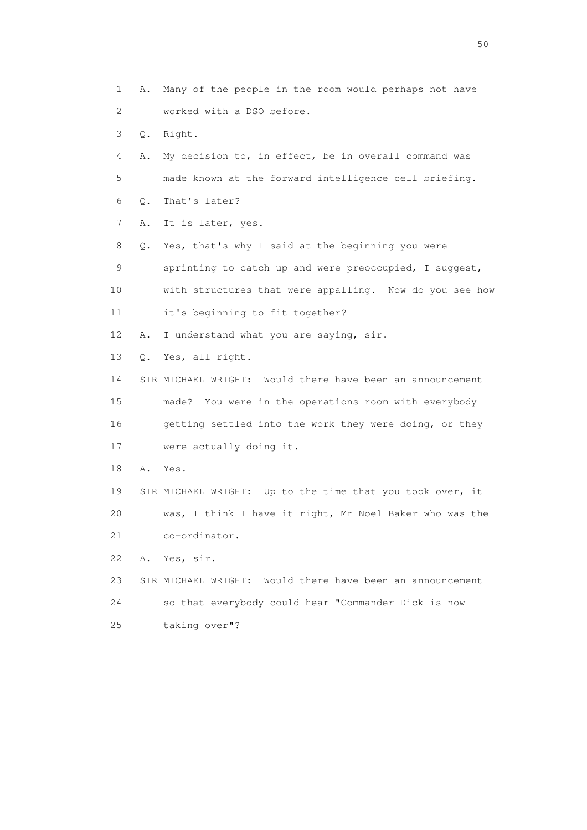1 A. Many of the people in the room would perhaps not have 2 worked with a DSO before. 3 Q. Right. 4 A. My decision to, in effect, be in overall command was 5 made known at the forward intelligence cell briefing. 6 Q. That's later? 7 A. It is later, yes. 8 Q. Yes, that's why I said at the beginning you were 9 sprinting to catch up and were preoccupied, I suggest, 10 with structures that were appalling. Now do you see how 11 it's beginning to fit together? 12 A. I understand what you are saying, sir. 13 Q. Yes, all right. 14 SIR MICHAEL WRIGHT: Would there have been an announcement 15 made? You were in the operations room with everybody 16 getting settled into the work they were doing, or they 17 were actually doing it. 18 A. Yes. 19 SIR MICHAEL WRIGHT: Up to the time that you took over, it 20 was, I think I have it right, Mr Noel Baker who was the 21 co-ordinator. 22 A. Yes, sir. 23 SIR MICHAEL WRIGHT: Would there have been an announcement 24 so that everybody could hear "Commander Dick is now 25 taking over"?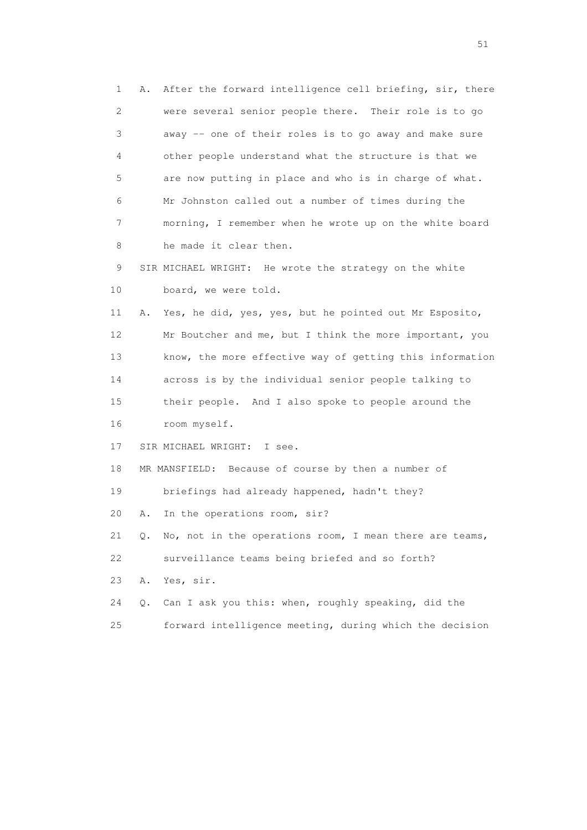1 A. After the forward intelligence cell briefing, sir, there 2 were several senior people there. Their role is to go 3 away -- one of their roles is to go away and make sure 4 other people understand what the structure is that we 5 are now putting in place and who is in charge of what. 6 Mr Johnston called out a number of times during the 7 morning, I remember when he wrote up on the white board 8 he made it clear then. 9 SIR MICHAEL WRIGHT: He wrote the strategy on the white 10 board, we were told. 11 A. Yes, he did, yes, yes, but he pointed out Mr Esposito, 12 Mr Boutcher and me, but I think the more important, you 13 know, the more effective way of getting this information 14 across is by the individual senior people talking to 15 their people. And I also spoke to people around the 16 room myself. 17 SIR MICHAEL WRIGHT: I see. 18 MR MANSFIELD: Because of course by then a number of 19 briefings had already happened, hadn't they? 20 A. In the operations room, sir? 21 Q. No, not in the operations room, I mean there are teams, 22 surveillance teams being briefed and so forth? 23 A. Yes, sir. 24 Q. Can I ask you this: when, roughly speaking, did the 25 forward intelligence meeting, during which the decision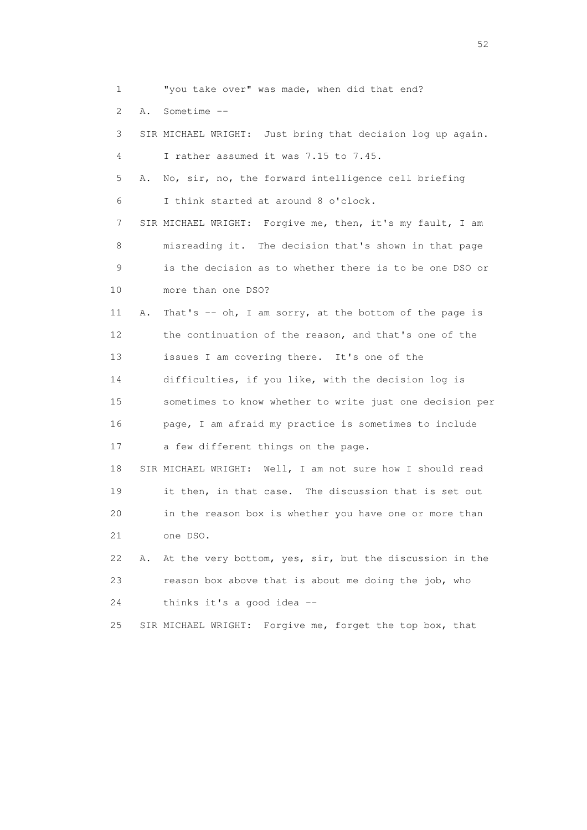1 "you take over" was made, when did that end?

2 A. Sometime --

 3 SIR MICHAEL WRIGHT: Just bring that decision log up again. 4 I rather assumed it was 7.15 to 7.45. 5 A. No, sir, no, the forward intelligence cell briefing 6 I think started at around 8 o'clock.

 7 SIR MICHAEL WRIGHT: Forgive me, then, it's my fault, I am 8 misreading it. The decision that's shown in that page 9 is the decision as to whether there is to be one DSO or 10 more than one DSO?

11 A. That's -- oh, I am sorry, at the bottom of the page is 12 the continuation of the reason, and that's one of the 13 issues I am covering there. It's one of the 14 difficulties, if you like, with the decision log is 15 sometimes to know whether to write just one decision per 16 page, I am afraid my practice is sometimes to include 17 a few different things on the page.

 18 SIR MICHAEL WRIGHT: Well, I am not sure how I should read 19 it then, in that case. The discussion that is set out 20 in the reason box is whether you have one or more than 21 one DSO.

 22 A. At the very bottom, yes, sir, but the discussion in the 23 reason box above that is about me doing the job, who 24 thinks it's a good idea --

25 SIR MICHAEL WRIGHT: Forgive me, forget the top box, that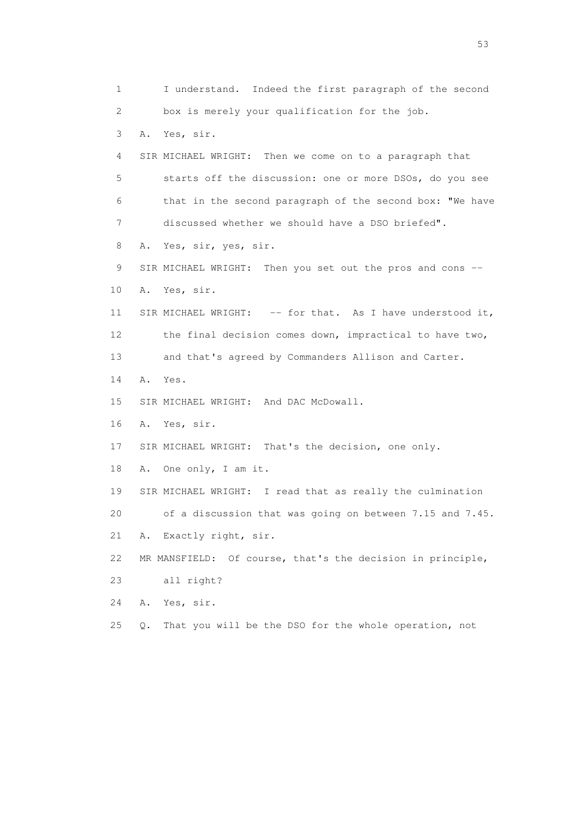1 I understand. Indeed the first paragraph of the second 2 box is merely your qualification for the job. 3 A. Yes, sir. 4 SIR MICHAEL WRIGHT: Then we come on to a paragraph that 5 starts off the discussion: one or more DSOs, do you see 6 that in the second paragraph of the second box: "We have 7 discussed whether we should have a DSO briefed". 8 A. Yes, sir, yes, sir. 9 SIR MICHAEL WRIGHT: Then you set out the pros and cons -- 10 A. Yes, sir. 11 SIR MICHAEL WRIGHT: -- for that. As I have understood it, 12 the final decision comes down, impractical to have two, 13 and that's agreed by Commanders Allison and Carter. 14 A. Yes. 15 SIR MICHAEL WRIGHT: And DAC McDowall. 16 A. Yes, sir. 17 SIR MICHAEL WRIGHT: That's the decision, one only. 18 A. One only, I am it. 19 SIR MICHAEL WRIGHT: I read that as really the culmination 20 of a discussion that was going on between 7.15 and 7.45. 21 A. Exactly right, sir. 22 MR MANSFIELD: Of course, that's the decision in principle, 23 all right? 24 A. Yes, sir. 25 Q. That you will be the DSO for the whole operation, not

 $\sim$  53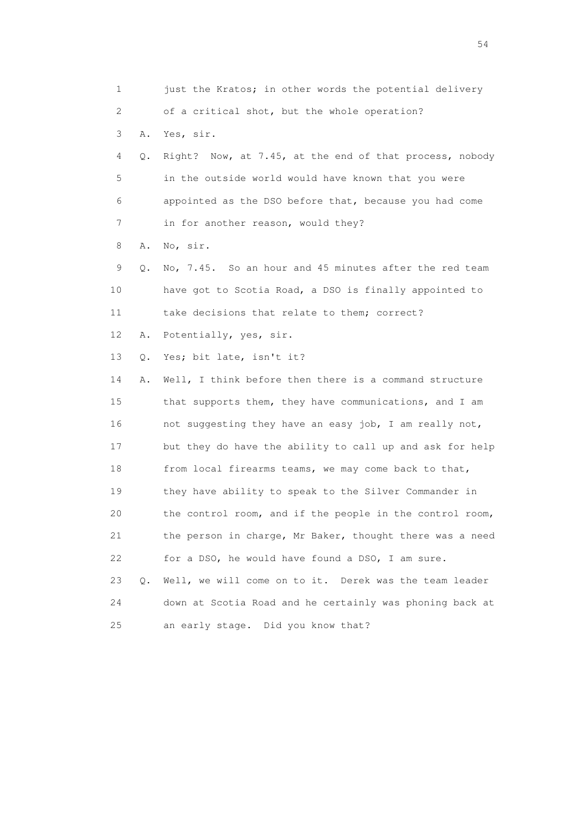1 just the Kratos; in other words the potential delivery 2 of a critical shot, but the whole operation? 3 A. Yes, sir. 4 Q. Right? Now, at 7.45, at the end of that process, nobody 5 in the outside world would have known that you were 6 appointed as the DSO before that, because you had come 7 in for another reason, would they? 8 A. No, sir. 9 Q. No, 7.45. So an hour and 45 minutes after the red team 10 have got to Scotia Road, a DSO is finally appointed to 11 take decisions that relate to them; correct? 12 A. Potentially, yes, sir. 13 Q. Yes; bit late, isn't it? 14 A. Well, I think before then there is a command structure 15 that supports them, they have communications, and I am 16 not suggesting they have an easy job, I am really not, 17 but they do have the ability to call up and ask for help 18 from local firearms teams, we may come back to that, 19 they have ability to speak to the Silver Commander in 20 the control room, and if the people in the control room, 21 the person in charge, Mr Baker, thought there was a need 22 for a DSO, he would have found a DSO, I am sure. 23 Q. Well, we will come on to it. Derek was the team leader 24 down at Scotia Road and he certainly was phoning back at 25 an early stage. Did you know that?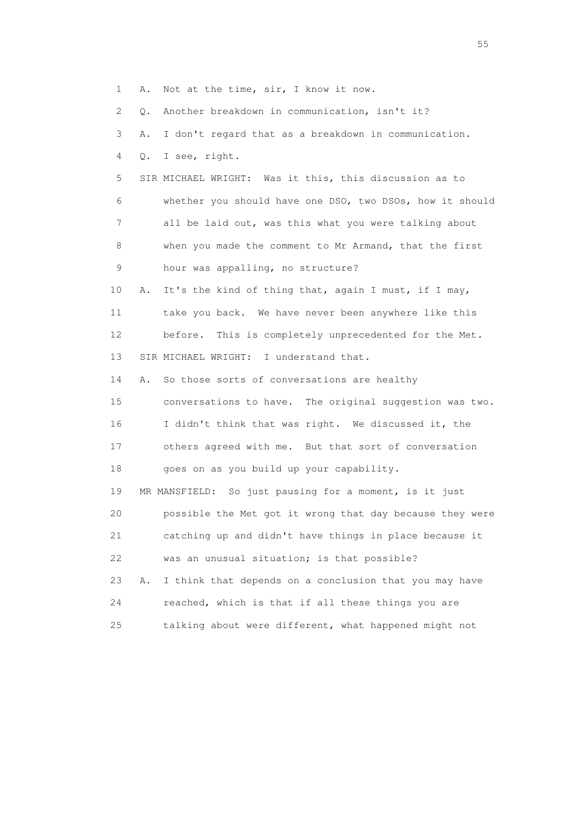1 A. Not at the time, sir, I know it now.

2 Q. Another breakdown in communication, isn't it?

3 A. I don't regard that as a breakdown in communication.

4 Q. I see, right.

 5 SIR MICHAEL WRIGHT: Was it this, this discussion as to 6 whether you should have one DSO, two DSOs, how it should 7 all be laid out, was this what you were talking about 8 when you made the comment to Mr Armand, that the first 9 hour was appalling, no structure?

 10 A. It's the kind of thing that, again I must, if I may, 11 take you back. We have never been anywhere like this 12 before. This is completely unprecedented for the Met. 13 SIR MICHAEL WRIGHT: I understand that.

14 A. So those sorts of conversations are healthy

 15 conversations to have. The original suggestion was two. 16 I didn't think that was right. We discussed it, the 17 others agreed with me. But that sort of conversation 18 goes on as you build up your capability.

 19 MR MANSFIELD: So just pausing for a moment, is it just 20 possible the Met got it wrong that day because they were 21 catching up and didn't have things in place because it 22 was an unusual situation; is that possible? 23 A. I think that depends on a conclusion that you may have

 24 reached, which is that if all these things you are 25 talking about were different, what happened might not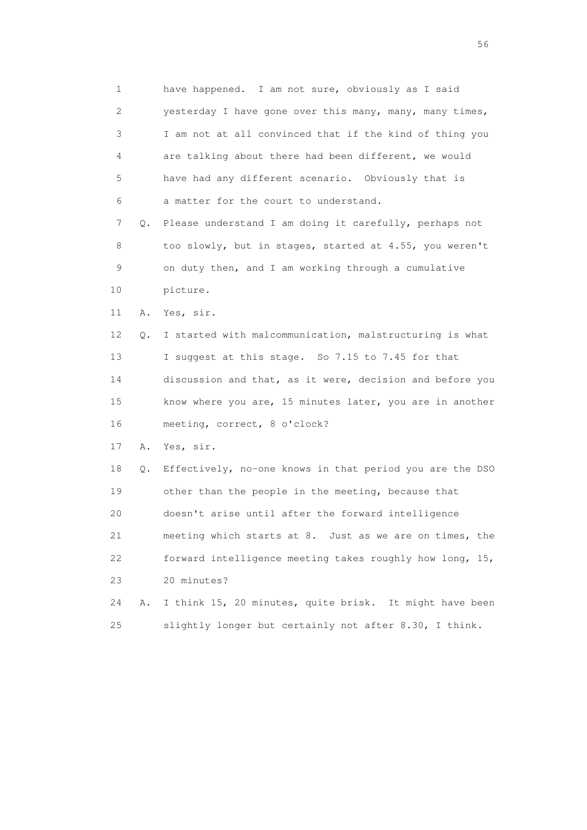1 have happened. I am not sure, obviously as I said 2 yesterday I have gone over this many, many, many times, 3 I am not at all convinced that if the kind of thing you 4 are talking about there had been different, we would 5 have had any different scenario. Obviously that is 6 a matter for the court to understand. 7 Q. Please understand I am doing it carefully, perhaps not 8 too slowly, but in stages, started at 4.55, you weren't 9 on duty then, and I am working through a cumulative 10 picture. 11 A. Yes, sir. 12 Q. I started with malcommunication, malstructuring is what 13 I suggest at this stage. So 7.15 to 7.45 for that 14 discussion and that, as it were, decision and before you 15 know where you are, 15 minutes later, you are in another 16 meeting, correct, 8 o'clock? 17 A. Yes, sir. 18 Q. Effectively, no-one knows in that period you are the DSO 19 other than the people in the meeting, because that 20 doesn't arise until after the forward intelligence 21 meeting which starts at 8. Just as we are on times, the 22 forward intelligence meeting takes roughly how long, 15, 23 20 minutes? 24 A. I think 15, 20 minutes, quite brisk. It might have been 25 slightly longer but certainly not after 8.30, I think.

 $56<sup>o</sup>$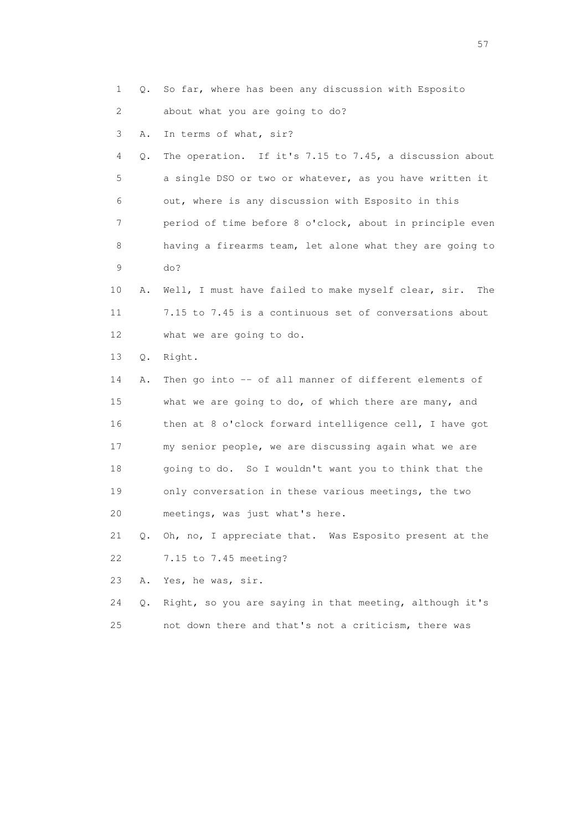1 Q. So far, where has been any discussion with Esposito 2 about what you are going to do?

3 A. In terms of what, sir?

 4 Q. The operation. If it's 7.15 to 7.45, a discussion about 5 a single DSO or two or whatever, as you have written it 6 out, where is any discussion with Esposito in this 7 period of time before 8 o'clock, about in principle even 8 having a firearms team, let alone what they are going to 9 do?

 10 A. Well, I must have failed to make myself clear, sir. The 11 7.15 to 7.45 is a continuous set of conversations about 12 what we are going to do.

13 Q. Right.

 14 A. Then go into -- of all manner of different elements of 15 what we are going to do, of which there are many, and 16 then at 8 o'clock forward intelligence cell, I have got 17 my senior people, we are discussing again what we are 18 going to do. So I wouldn't want you to think that the 19 only conversation in these various meetings, the two 20 meetings, was just what's here.

 21 Q. Oh, no, I appreciate that. Was Esposito present at the 22 7.15 to 7.45 meeting?

23 A. Yes, he was, sir.

 24 Q. Right, so you are saying in that meeting, although it's 25 not down there and that's not a criticism, there was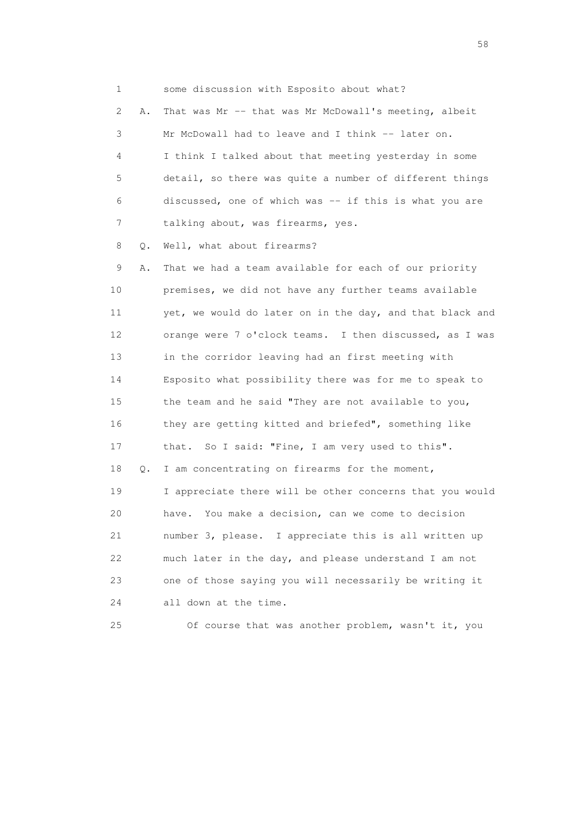1 some discussion with Esposito about what? 2 A. That was Mr -- that was Mr McDowall's meeting, albeit 3 Mr McDowall had to leave and I think -- later on. 4 I think I talked about that meeting yesterday in some 5 detail, so there was quite a number of different things 6 discussed, one of which was -- if this is what you are 7 talking about, was firearms, yes. 8 0. Well, what about firearms? 9 A. That we had a team available for each of our priority

 10 premises, we did not have any further teams available 11 yet, we would do later on in the day, and that black and 12 orange were 7 o'clock teams. I then discussed, as I was 13 in the corridor leaving had an first meeting with 14 Esposito what possibility there was for me to speak to 15 the team and he said "They are not available to you, 16 they are getting kitted and briefed", something like 17 that. So I said: "Fine, I am very used to this". 18 Q. I am concentrating on firearms for the moment, 19 I appreciate there will be other concerns that you would 20 have. You make a decision, can we come to decision 21 number 3, please. I appreciate this is all written up 22 much later in the day, and please understand I am not 23 one of those saying you will necessarily be writing it 24 all down at the time.

25 Of course that was another problem, wasn't it, you

the state of the state of the state of the state of the state of the state of the state of the state of the state of the state of the state of the state of the state of the state of the state of the state of the state of t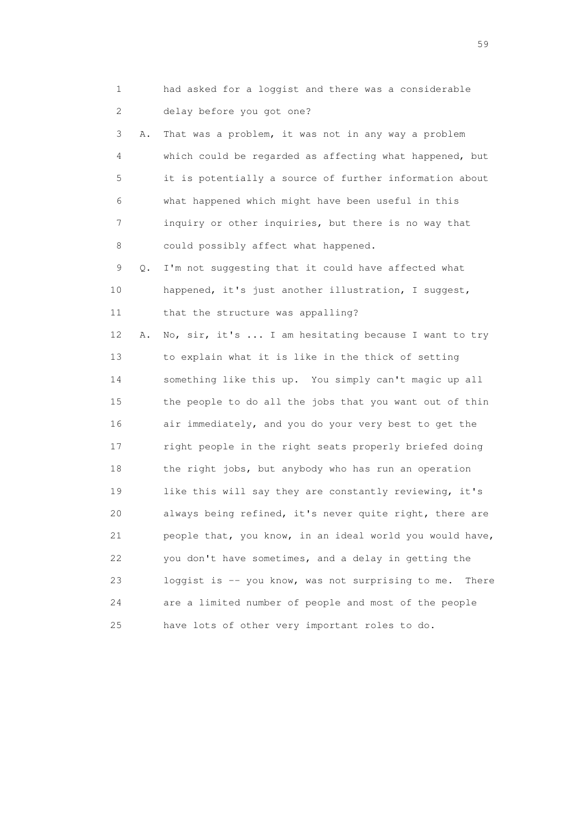1 had asked for a loggist and there was a considerable 2 delay before you got one? 3 A. That was a problem, it was not in any way a problem 4 which could be regarded as affecting what happened, but 5 it is potentially a source of further information about 6 what happened which might have been useful in this 7 inquiry or other inquiries, but there is no way that 8 could possibly affect what happened. 9 Q. I'm not suggesting that it could have affected what 10 happened, it's just another illustration, I suggest, 11 that the structure was appalling? 12 A. No, sir, it's ... I am hesitating because I want to try 13 to explain what it is like in the thick of setting 14 something like this up. You simply can't magic up all 15 the people to do all the jobs that you want out of thin 16 air immediately, and you do your very best to get the 17 right people in the right seats properly briefed doing 18 the right jobs, but anybody who has run an operation 19 like this will say they are constantly reviewing, it's 20 always being refined, it's never quite right, there are 21 people that, you know, in an ideal world you would have, 22 you don't have sometimes, and a delay in getting the 23 loggist is -- you know, was not surprising to me. There 24 are a limited number of people and most of the people 25 have lots of other very important roles to do.

 $59<sub>2</sub>$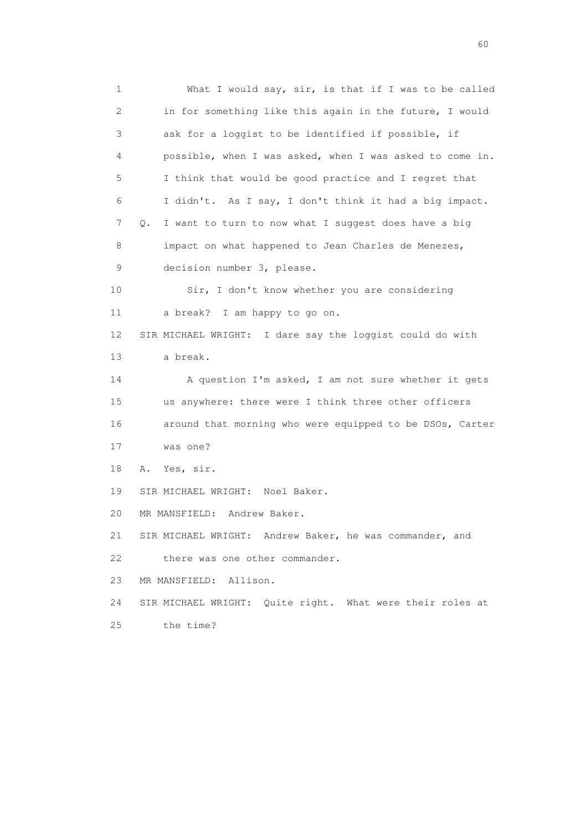1 What I would say, sir, is that if I was to be called 2 in for something like this again in the future, I would 3 ask for a loggist to be identified if possible, if 4 possible, when I was asked, when I was asked to come in. 5 I think that would be good practice and I regret that 6 I didn't. As I say, I don't think it had a big impact. 7 Q. I want to turn to now what I suggest does have a big 8 impact on what happened to Jean Charles de Menezes, 9 decision number 3, please. 10 Sir, I don't know whether you are considering 11 a break? I am happy to go on. 12 SIR MICHAEL WRIGHT: I dare say the loggist could do with 13 a break. 14 A question I'm asked, I am not sure whether it gets 15 us anywhere: there were I think three other officers 16 around that morning who were equipped to be DSOs, Carter 17 was one? 18 A. Yes, sir. 19 SIR MICHAEL WRIGHT: Noel Baker. 20 MR MANSFIELD: Andrew Baker. 21 SIR MICHAEL WRIGHT: Andrew Baker, he was commander, and 22 there was one other commander. 23 MR MANSFIELD: Allison. 24 SIR MICHAEL WRIGHT: Quite right. What were their roles at 25 the time?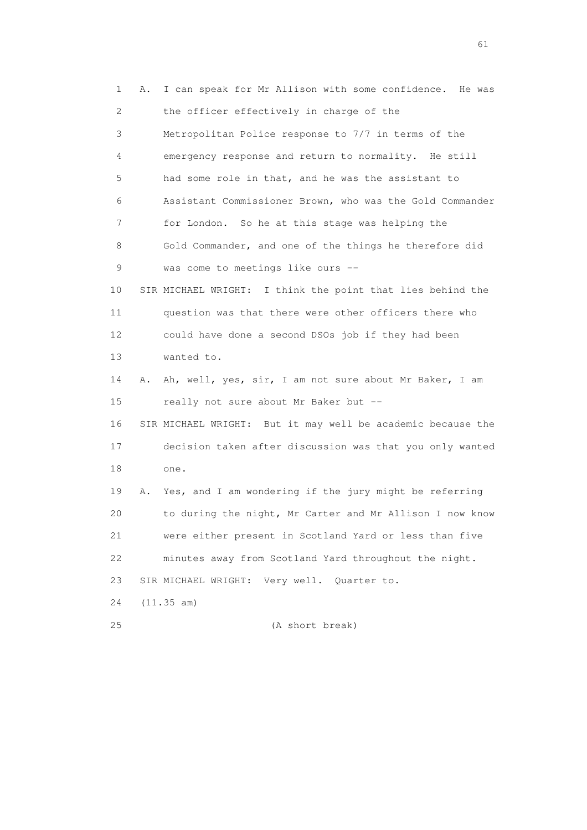1 A. I can speak for Mr Allison with some confidence. He was 2 the officer effectively in charge of the 3 Metropolitan Police response to 7/7 in terms of the 4 emergency response and return to normality. He still 5 had some role in that, and he was the assistant to 6 Assistant Commissioner Brown, who was the Gold Commander 7 for London. So he at this stage was helping the 8 Gold Commander, and one of the things he therefore did 9 was come to meetings like ours -- 10 SIR MICHAEL WRIGHT: I think the point that lies behind the 11 question was that there were other officers there who 12 could have done a second DSOs job if they had been 13 wanted to. 14 A. Ah, well, yes, sir, I am not sure about Mr Baker, I am 15 really not sure about Mr Baker but -- 16 SIR MICHAEL WRIGHT: But it may well be academic because the 17 decision taken after discussion was that you only wanted 18 one. 19 A. Yes, and I am wondering if the jury might be referring 20 to during the night, Mr Carter and Mr Allison I now know 21 were either present in Scotland Yard or less than five 22 minutes away from Scotland Yard throughout the night. 23 SIR MICHAEL WRIGHT: Very well. Quarter to. 24 (11.35 am) 25 (A short break)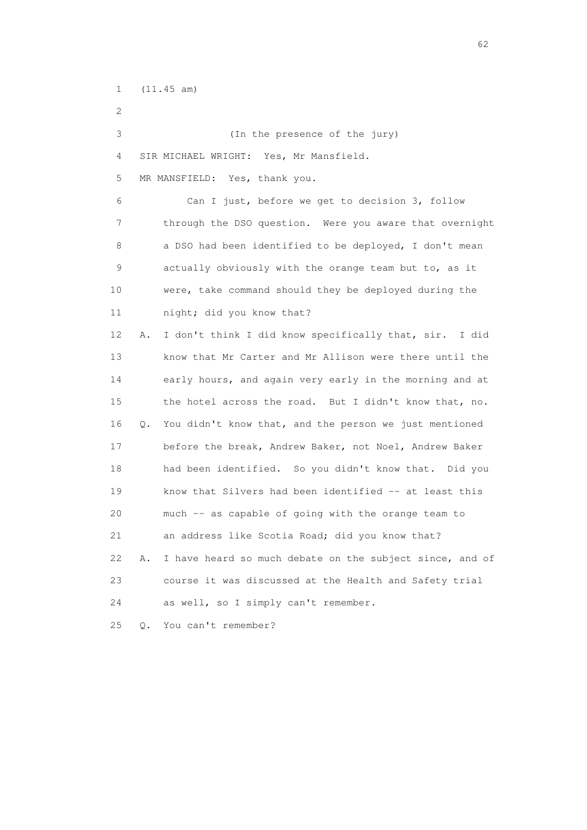1 (11.45 am)

 2 3 (In the presence of the jury) 4 SIR MICHAEL WRIGHT: Yes, Mr Mansfield. 5 MR MANSFIELD: Yes, thank you. 6 Can I just, before we get to decision 3, follow 7 through the DSO question. Were you aware that overnight 8 a DSO had been identified to be deployed, I don't mean 9 actually obviously with the orange team but to, as it 10 were, take command should they be deployed during the 11 night; did you know that? 12 A. I don't think I did know specifically that, sir. I did 13 know that Mr Carter and Mr Allison were there until the 14 early hours, and again very early in the morning and at 15 the hotel across the road. But I didn't know that, no. 16 Q. You didn't know that, and the person we just mentioned 17 before the break, Andrew Baker, not Noel, Andrew Baker 18 had been identified. So you didn't know that. Did you 19 know that Silvers had been identified -- at least this 20 much -- as capable of going with the orange team to 21 an address like Scotia Road; did you know that? 22 A. I have heard so much debate on the subject since, and of 23 course it was discussed at the Health and Safety trial 24 as well, so I simply can't remember. 25 Q. You can't remember?

 $\sim$  62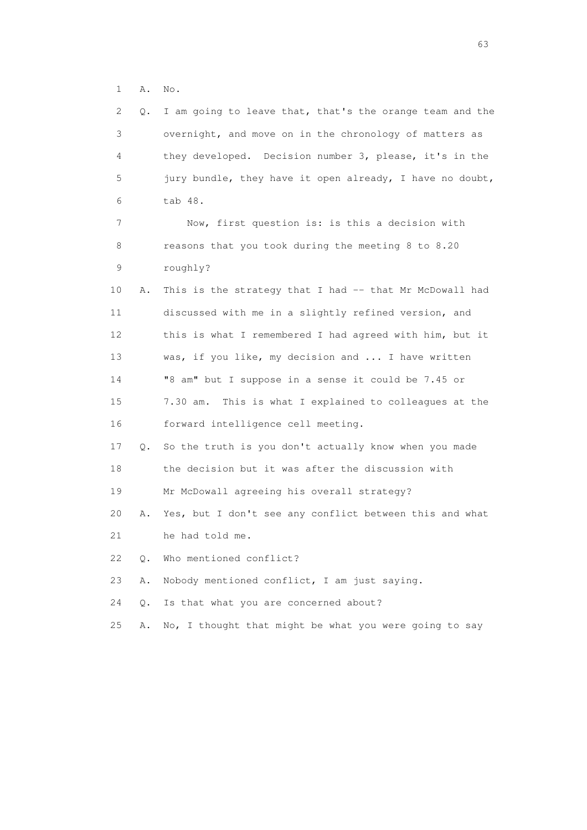1 A. No.

| 2               | Q.    | I am going to leave that, that's the orange team and the |
|-----------------|-------|----------------------------------------------------------|
| 3               |       | overnight, and move on in the chronology of matters as   |
| 4               |       | they developed. Decision number 3, please, it's in the   |
| 5               |       | jury bundle, they have it open already, I have no doubt, |
| 6               |       | tab 48.                                                  |
| 7               |       | Now, first question is: is this a decision with          |
| 8               |       | reasons that you took during the meeting 8 to 8.20       |
| 9               |       | roughly?                                                 |
| 10              | Α.    | This is the strategy that I had -- that Mr McDowall had  |
| 11              |       | discussed with me in a slightly refined version, and     |
| 12 <sup>°</sup> |       | this is what I remembered I had agreed with him, but it  |
| 13              |       | was, if you like, my decision and  I have written        |
| 14              |       | "8 am" but I suppose in a sense it could be 7.45 or      |
| 15              |       | 7.30 am. This is what I explained to colleagues at the   |
| 16              |       | forward intelligence cell meeting.                       |
| 17              | Q.    | So the truth is you don't actually know when you made    |
| 18              |       | the decision but it was after the discussion with        |
| 19              |       | Mr McDowall agreeing his overall strategy?               |
| 20              | Α.    | Yes, but I don't see any conflict between this and what  |
| 21              |       | he had told me.                                          |
| 22              | О.    | Who mentioned conflict?                                  |
| 23              | Α.    | Nobody mentioned conflict, I am just saying.             |
| 24              | $Q$ . | Is that what you are concerned about?                    |
| 25              | Α.    | No, I thought that might be what you were going to say   |
|                 |       |                                                          |

experience of the contract of the contract of the contract of the contract of the contract of the contract of the contract of the contract of the contract of the contract of the contract of the contract of the contract of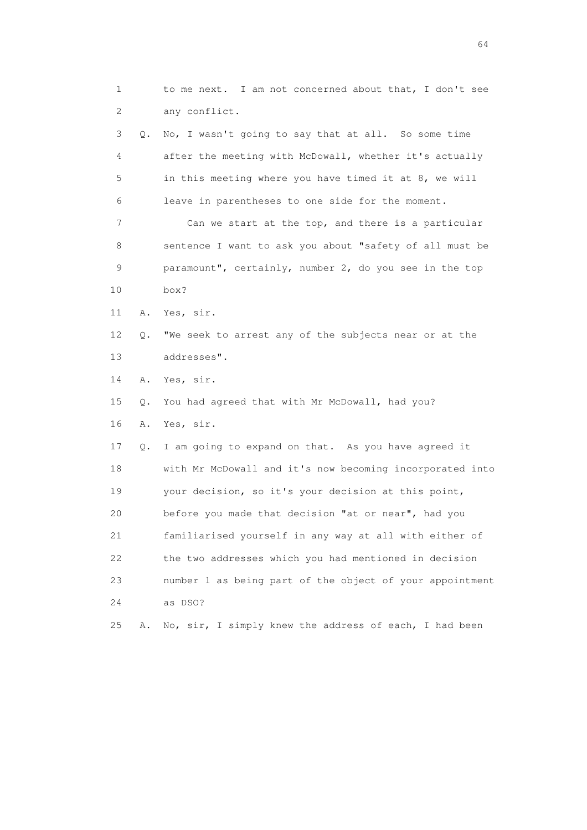1 to me next. I am not concerned about that, I don't see 2 any conflict. 3 Q. No, I wasn't going to say that at all. So some time 4 after the meeting with McDowall, whether it's actually 5 in this meeting where you have timed it at 8, we will 6 leave in parentheses to one side for the moment. 7 Can we start at the top, and there is a particular 8 sentence I want to ask you about "safety of all must be 9 paramount", certainly, number 2, do you see in the top 10 box? 11 A. Yes, sir. 12 Q. "We seek to arrest any of the subjects near or at the 13 addresses". 14 A. Yes, sir. 15 Q. You had agreed that with Mr McDowall, had you? 16 A. Yes, sir. 17 Q. I am going to expand on that. As you have agreed it 18 with Mr McDowall and it's now becoming incorporated into 19 your decision, so it's your decision at this point, 20 before you made that decision "at or near", had you 21 familiarised yourself in any way at all with either of 22 the two addresses which you had mentioned in decision 23 number 1 as being part of the object of your appointment 24 as DSO? 25 A. No, sir, I simply knew the address of each, I had been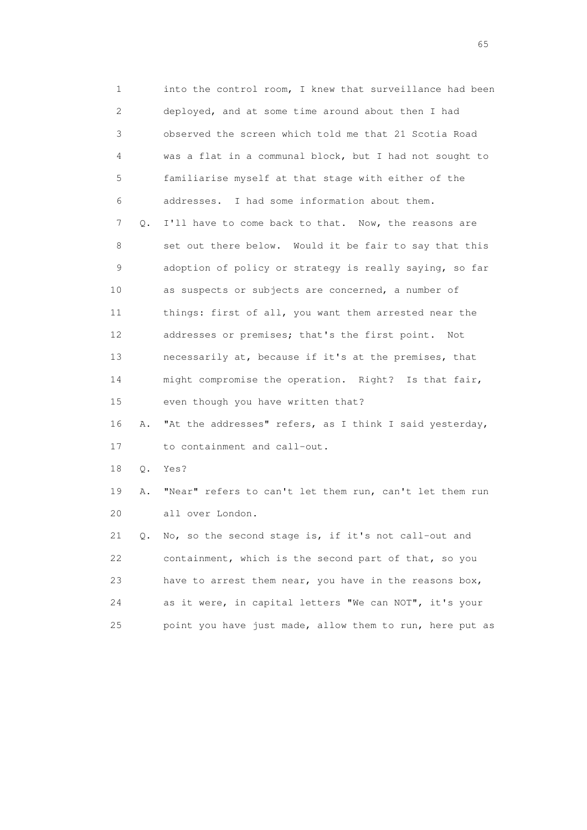1 into the control room, I knew that surveillance had been 2 deployed, and at some time around about then I had 3 observed the screen which told me that 21 Scotia Road 4 was a flat in a communal block, but I had not sought to 5 familiarise myself at that stage with either of the 6 addresses. I had some information about them. 7 Q. I'll have to come back to that. Now, the reasons are 8 set out there below. Would it be fair to say that this 9 adoption of policy or strategy is really saying, so far 10 as suspects or subjects are concerned, a number of 11 things: first of all, you want them arrested near the 12 addresses or premises; that's the first point. Not 13 necessarily at, because if it's at the premises, that 14 might compromise the operation. Right? Is that fair, 15 even though you have written that? 16 A. "At the addresses" refers, as I think I said yesterday, 17 to containment and call-out. 18 Q. Yes? 19 A. "Near" refers to can't let them run, can't let them run 20 all over London. 21 Q. No, so the second stage is, if it's not call-out and 22 containment, which is the second part of that, so you 23 have to arrest them near, you have in the reasons box,

 24 as it were, in capital letters "We can NOT", it's your 25 point you have just made, allow them to run, here put as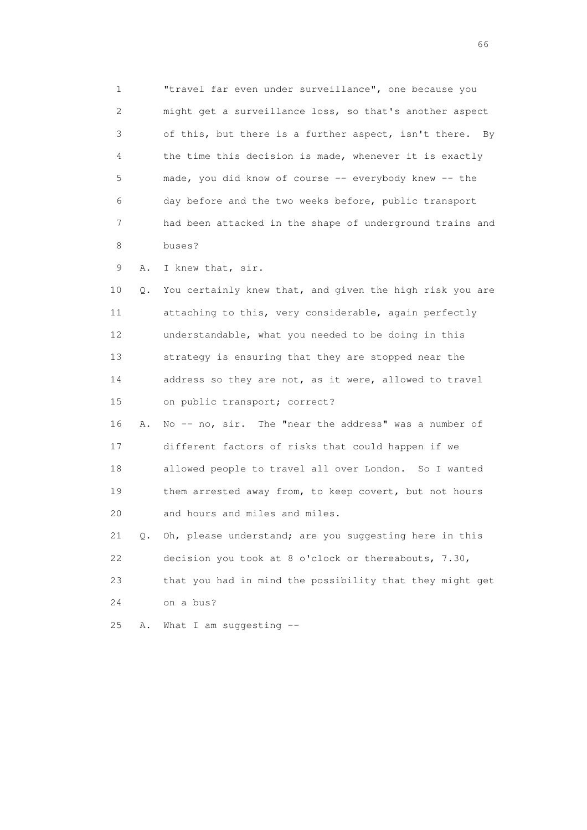1 "travel far even under surveillance", one because you 2 might get a surveillance loss, so that's another aspect 3 of this, but there is a further aspect, isn't there. By 4 the time this decision is made, whenever it is exactly 5 made, you did know of course -- everybody knew -- the 6 day before and the two weeks before, public transport 7 had been attacked in the shape of underground trains and 8 buses?

9 A. I knew that, sir.

 10 Q. You certainly knew that, and given the high risk you are 11 attaching to this, very considerable, again perfectly 12 understandable, what you needed to be doing in this 13 strategy is ensuring that they are stopped near the 14 address so they are not, as it were, allowed to travel 15 on public transport; correct?

 16 A. No -- no, sir. The "near the address" was a number of 17 different factors of risks that could happen if we 18 allowed people to travel all over London. So I wanted 19 them arrested away from, to keep covert, but not hours 20 and hours and miles and miles.

 21 Q. Oh, please understand; are you suggesting here in this 22 decision you took at 8 o'clock or thereabouts, 7.30, 23 that you had in mind the possibility that they might get 24 on a bus?

25 A. What I am suggesting --

 $\sim$  66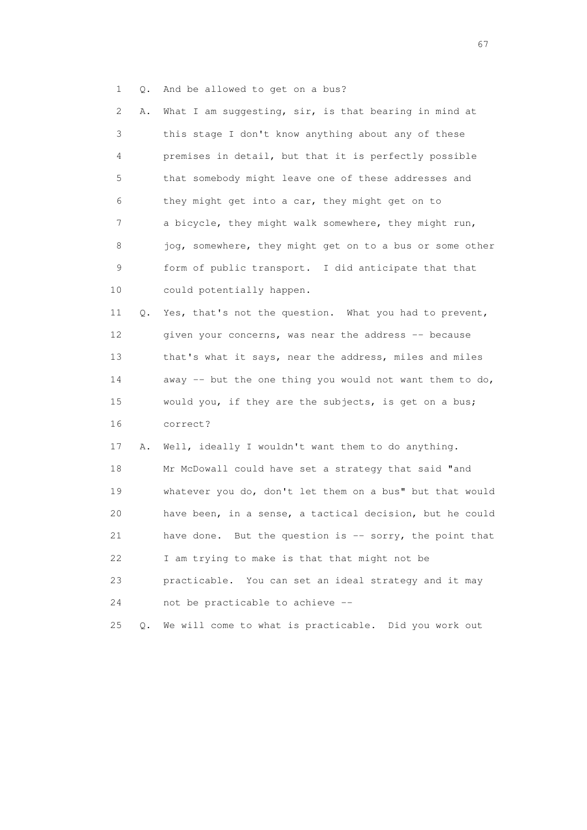1 Q. And be allowed to get on a bus?

 2 A. What I am suggesting, sir, is that bearing in mind at 3 this stage I don't know anything about any of these 4 premises in detail, but that it is perfectly possible 5 that somebody might leave one of these addresses and 6 they might get into a car, they might get on to 7 a bicycle, they might walk somewhere, they might run, 8 jog, somewhere, they might get on to a bus or some other 9 form of public transport. I did anticipate that that 10 could potentially happen.

 11 Q. Yes, that's not the question. What you had to prevent, 12 given your concerns, was near the address -- because 13 that's what it says, near the address, miles and miles 14 away -- but the one thing you would not want them to do, 15 would you, if they are the subjects, is get on a bus; 16 correct?

 17 A. Well, ideally I wouldn't want them to do anything. 18 Mr McDowall could have set a strategy that said "and 19 whatever you do, don't let them on a bus" but that would 20 have been, in a sense, a tactical decision, but he could 21 have done. But the question is -- sorry, the point that 22 I am trying to make is that that might not be 23 practicable. You can set an ideal strategy and it may 24 not be practicable to achieve --

25 Q. We will come to what is practicable. Did you work out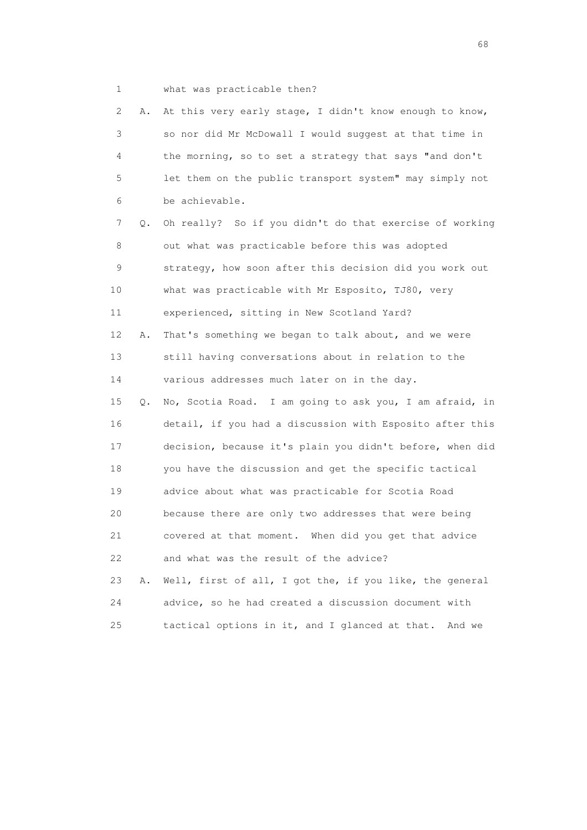- 
- 1 what was practicable then?

 2 A. At this very early stage, I didn't know enough to know, 3 so nor did Mr McDowall I would suggest at that time in 4 the morning, so to set a strategy that says "and don't 5 let them on the public transport system" may simply not 6 be achievable. 7 Q. Oh really? So if you didn't do that exercise of working 8 out what was practicable before this was adopted 9 strategy, how soon after this decision did you work out 10 what was practicable with Mr Esposito, TJ80, very 11 experienced, sitting in New Scotland Yard? 12 A. That's something we began to talk about, and we were 13 still having conversations about in relation to the 14 various addresses much later on in the day. 15 Q. No, Scotia Road. I am going to ask you, I am afraid, in 16 detail, if you had a discussion with Esposito after this 17 decision, because it's plain you didn't before, when did 18 you have the discussion and get the specific tactical 19 advice about what was practicable for Scotia Road 20 because there are only two addresses that were being 21 covered at that moment. When did you get that advice 22 and what was the result of the advice? 23 A. Well, first of all, I got the, if you like, the general 24 advice, so he had created a discussion document with

25 tactical options in it, and I glanced at that. And we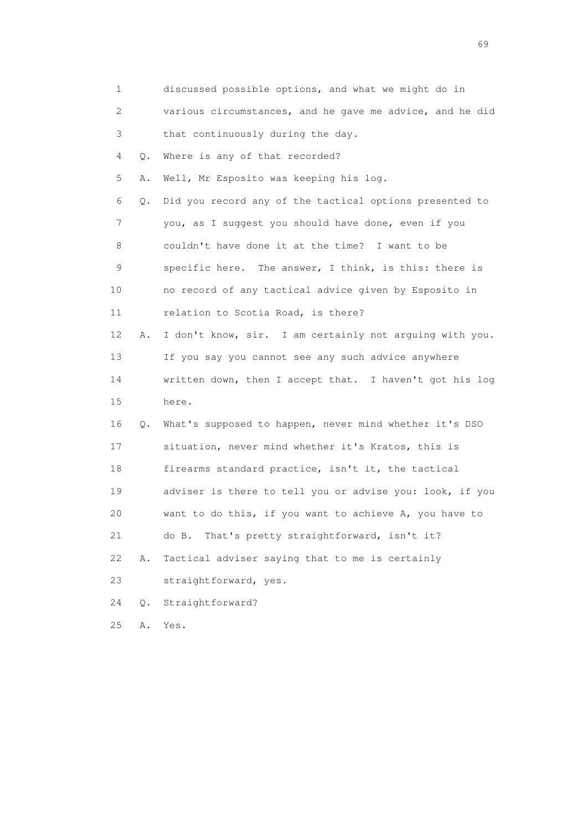| 1               |       | discussed possible options, and what we might do in      |
|-----------------|-------|----------------------------------------------------------|
| 2               |       | various circumstances, and he gave me advice, and he did |
| 3               |       | that continuously during the day.                        |
| 4               | Q.    | Where is any of that recorded?                           |
| 5               | Α.    | Well, Mr Esposito was keeping his log.                   |
| 6               | Q.    | Did you record any of the tactical options presented to  |
| 7               |       | you, as I suggest you should have done, even if you      |
| 8               |       | couldn't have done it at the time? I want to be          |
| 9               |       | specific here. The answer, I think, is this: there is    |
| 10              |       | no record of any tactical advice given by Esposito in    |
| 11              |       | relation to Scotia Road, is there?                       |
| 12 <sup>°</sup> | Α.    | I don't know, sir. I am certainly not arguing with you.  |
| 13              |       | If you say you cannot see any such advice anywhere       |
| 14              |       | written down, then I accept that. I haven't got his log  |
| 15              |       | here.                                                    |
| 16              | Q.    | What's supposed to happen, never mind whether it's DSO   |
| 17              |       | situation, never mind whether it's Kratos, this is       |
| 18              |       | firearms standard practice, isn't it, the tactical       |
| 19              |       | adviser is there to tell you or advise you: look, if you |
| 20              |       | want to do this, if you want to achieve A, you have to   |
| 21              |       | That's pretty straightforward, isn't it?<br>do B.        |
| 22              | Α.    | Tactical adviser saying that to me is certainly          |
| 23              |       | straightforward, yes.                                    |
| 24              | $Q$ . | Straightforward?                                         |
| 25              | Α.    | Yes.                                                     |

entral de la construction de la construction de la construction de la construction de la construction de la co<br>1990 : la construction de la construction de la construction de la construction de la construction de la const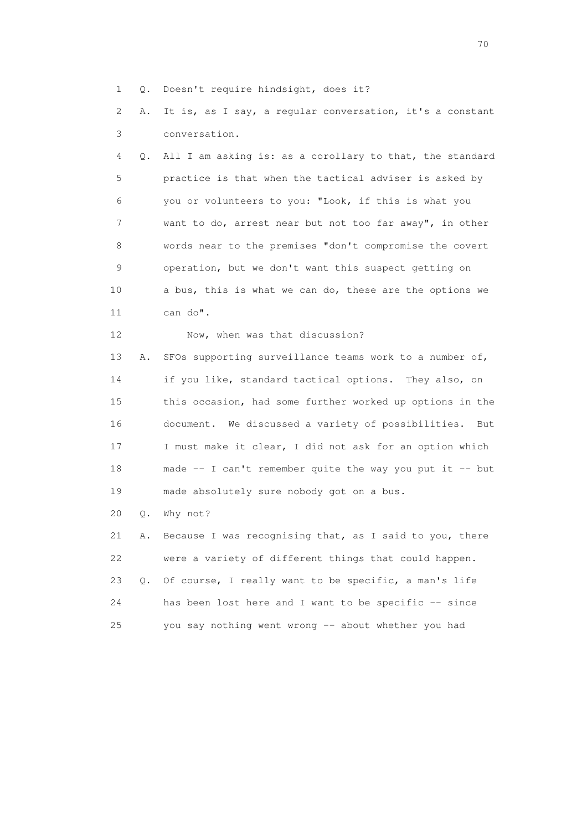1 Q. Doesn't require hindsight, does it?

 2 A. It is, as I say, a regular conversation, it's a constant 3 conversation.

 4 Q. All I am asking is: as a corollary to that, the standard 5 practice is that when the tactical adviser is asked by 6 you or volunteers to you: "Look, if this is what you 7 want to do, arrest near but not too far away", in other 8 words near to the premises "don't compromise the covert 9 operation, but we don't want this suspect getting on 10 a bus, this is what we can do, these are the options we 11 can do".

12 Now, when was that discussion?

 13 A. SFOs supporting surveillance teams work to a number of, 14 if you like, standard tactical options. They also, on 15 this occasion, had some further worked up options in the 16 document. We discussed a variety of possibilities. But 17 I must make it clear, I did not ask for an option which 18 made -- I can't remember quite the way you put it -- but 19 made absolutely sure nobody got on a bus.

20 Q. Why not?

 21 A. Because I was recognising that, as I said to you, there 22 were a variety of different things that could happen. 23 Q. Of course, I really want to be specific, a man's life 24 has been lost here and I want to be specific -- since 25 you say nothing went wrong -- about whether you had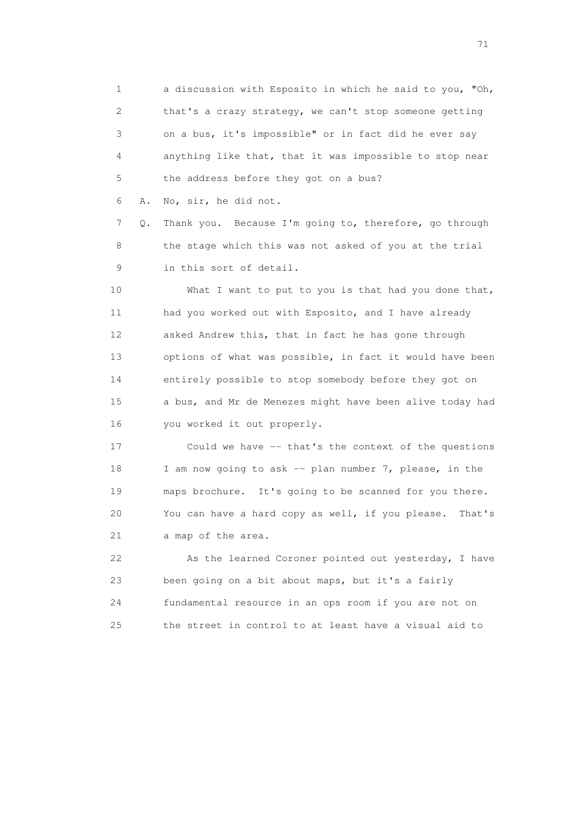1 a discussion with Esposito in which he said to you, "Oh, 2 that's a crazy strategy, we can't stop someone getting 3 on a bus, it's impossible" or in fact did he ever say 4 anything like that, that it was impossible to stop near 5 the address before they got on a bus?

6 A. No, sir, he did not.

 7 Q. Thank you. Because I'm going to, therefore, go through 8 the stage which this was not asked of you at the trial 9 in this sort of detail.

10 What I want to put to you is that had you done that, 11 had you worked out with Esposito, and I have already 12 asked Andrew this, that in fact he has gone through 13 options of what was possible, in fact it would have been 14 entirely possible to stop somebody before they got on 15 a bus, and Mr de Menezes might have been alive today had 16 you worked it out properly.

 17 Could we have -- that's the context of the questions 18 I am now going to ask -- plan number 7, please, in the 19 maps brochure. It's going to be scanned for you there. 20 You can have a hard copy as well, if you please. That's 21 a map of the area.

22 As the learned Coroner pointed out yesterday, I have 23 been going on a bit about maps, but it's a fairly 24 fundamental resource in an ops room if you are not on 25 the street in control to at least have a visual aid to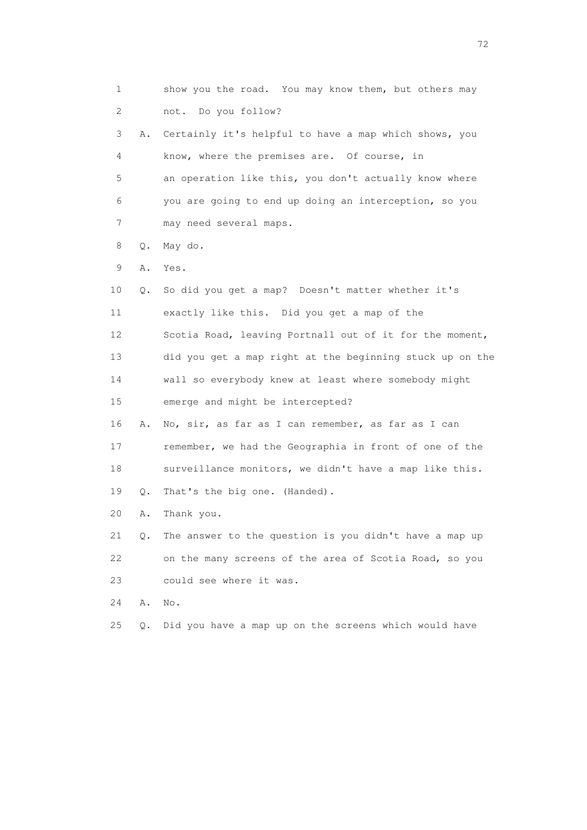| 1  |       | show you the road. You may know them, but others may     |
|----|-------|----------------------------------------------------------|
| 2  |       | not. Do you follow?                                      |
| 3  | Α.    | Certainly it's helpful to have a map which shows, you    |
| 4  |       | know, where the premises are. Of course, in              |
| 5  |       | an operation like this, you don't actually know where    |
| 6  |       | you are going to end up doing an interception, so you    |
| 7  |       | may need several maps.                                   |
| 8  | Q.    | May do.                                                  |
| 9  | Α.    | Yes.                                                     |
| 10 | Q.    | So did you get a map? Doesn't matter whether it's        |
| 11 |       | exactly like this. Did you get a map of the              |
| 12 |       | Scotia Road, leaving Portnall out of it for the moment,  |
| 13 |       | did you get a map right at the beginning stuck up on the |
| 14 |       | wall so everybody knew at least where somebody might     |
| 15 |       | emerge and might be intercepted?                         |
| 16 | Α.    | No, sir, as far as I can remember, as far as I can       |
| 17 |       | remember, we had the Geographia in front of one of the   |
| 18 |       | surveillance monitors, we didn't have a map like this.   |
| 19 | Q.    | That's the big one. (Handed).                            |
| 20 | Α.    | Thank you.                                               |
| 21 | $Q$ . | The answer to the question is you didn't have a map up   |
| 22 |       | on the many screens of the area of Scotia Road, so you   |
| 23 |       | could see where it was.                                  |
| 24 | Α.    | No.                                                      |
| 25 | Q.    | Did you have a map up on the screens which would have    |
|    |       |                                                          |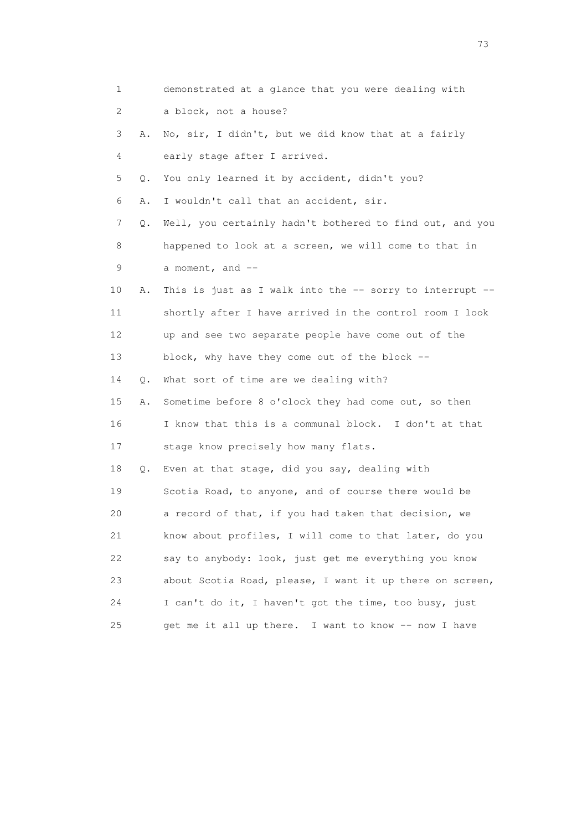| 1               |    | demonstrated at a glance that you were dealing with        |
|-----------------|----|------------------------------------------------------------|
| 2               |    | a block, not a house?                                      |
| 3               | Α. | No, sir, I didn't, but we did know that at a fairly        |
| 4               |    | early stage after I arrived.                               |
| 5               | Q. | You only learned it by accident, didn't you?               |
| 6               | Α. | I wouldn't call that an accident, sir.                     |
| 7               | Q. | Well, you certainly hadn't bothered to find out, and you   |
| 8               |    | happened to look at a screen, we will come to that in      |
| 9               |    | a moment, and $--$                                         |
| 10              | Α. | This is just as I walk into the $-$ sorry to interrupt $-$ |
| 11              |    | shortly after I have arrived in the control room I look    |
| 12 <sup>°</sup> |    | up and see two separate people have come out of the        |
| 13              |    | block, why have they come out of the block --              |
| 14              | Q. | What sort of time are we dealing with?                     |
| 15              | Α. | Sometime before 8 o'clock they had come out, so then       |
| 16              |    | I know that this is a communal block. I don't at that      |
| 17              |    | stage know precisely how many flats.                       |
| 18              | Q. | Even at that stage, did you say, dealing with              |
| 19              |    | Scotia Road, to anyone, and of course there would be       |
| 20              |    | a record of that, if you had taken that decision, we       |
| 21              |    | know about profiles, I will come to that later, do you     |
| 22              |    | say to anybody: look, just get me everything you know      |
| 23              |    | about Scotia Road, please, I want it up there on screen,   |
| 24              |    | I can't do it, I haven't got the time, too busy, just      |
| 25              |    | get me it all up there. I want to know -- now I have       |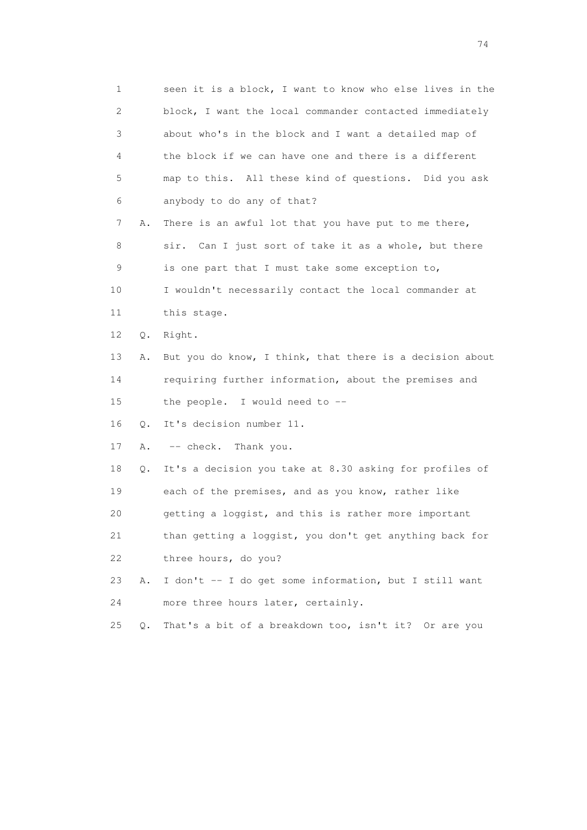1 seen it is a block, I want to know who else lives in the 2 block, I want the local commander contacted immediately 3 about who's in the block and I want a detailed map of 4 the block if we can have one and there is a different 5 map to this. All these kind of questions. Did you ask 6 anybody to do any of that? 7 A. There is an awful lot that you have put to me there, 8 sir. Can I just sort of take it as a whole, but there 9 is one part that I must take some exception to, 10 I wouldn't necessarily contact the local commander at 11 this stage. 12 Q. Right. 13 A. But you do know, I think, that there is a decision about 14 requiring further information, about the premises and 15 the people. I would need to -- 16 Q. It's decision number 11. 17 A. -- check. Thank you. 18 Q. It's a decision you take at 8.30 asking for profiles of 19 each of the premises, and as you know, rather like 20 getting a loggist, and this is rather more important 21 than getting a loggist, you don't get anything back for 22 three hours, do you? 23 A. I don't -- I do get some information, but I still want 24 more three hours later, certainly. 25 Q. That's a bit of a breakdown too, isn't it? Or are you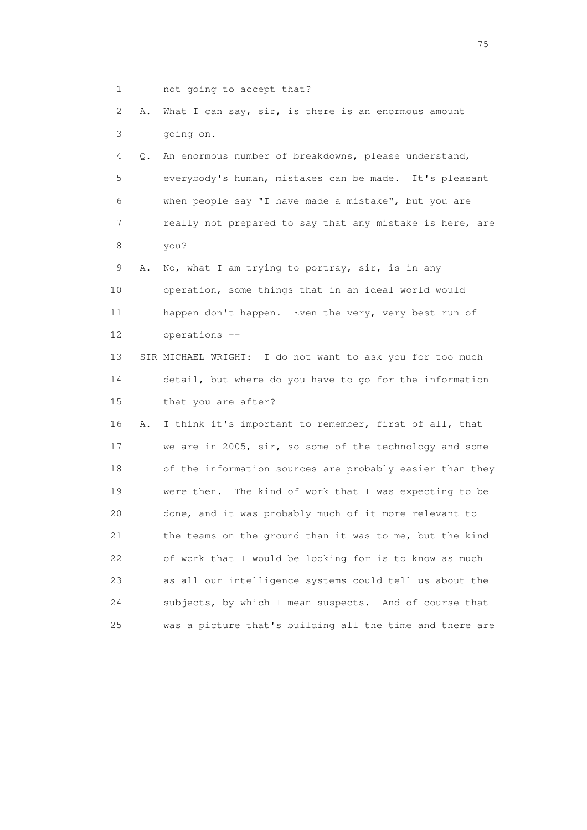1 not going to accept that?

 2 A. What I can say, sir, is there is an enormous amount 3 going on.

 4 Q. An enormous number of breakdowns, please understand, 5 everybody's human, mistakes can be made. It's pleasant 6 when people say "I have made a mistake", but you are 7 really not prepared to say that any mistake is here, are 8 you?

 9 A. No, what I am trying to portray, sir, is in any 10 operation, some things that in an ideal world would 11 happen don't happen. Even the very, very best run of 12 operations --

 13 SIR MICHAEL WRIGHT: I do not want to ask you for too much 14 detail, but where do you have to go for the information 15 that you are after?

 16 A. I think it's important to remember, first of all, that 17 we are in 2005, sir, so some of the technology and some 18 of the information sources are probably easier than they 19 were then. The kind of work that I was expecting to be 20 done, and it was probably much of it more relevant to 21 the teams on the ground than it was to me, but the kind 22 of work that I would be looking for is to know as much 23 as all our intelligence systems could tell us about the 24 subjects, by which I mean suspects. And of course that 25 was a picture that's building all the time and there are

na matsay na katalog as na kasang na mga 175 may 2008. Ang isang isang nagsang nagsang nagsang nagsang nagsang<br>Tagapang nagsang nagsang nagsang nagsang nagsang nagsang nagsang nagsang nagsang nagsang nagsang nagsang nagsa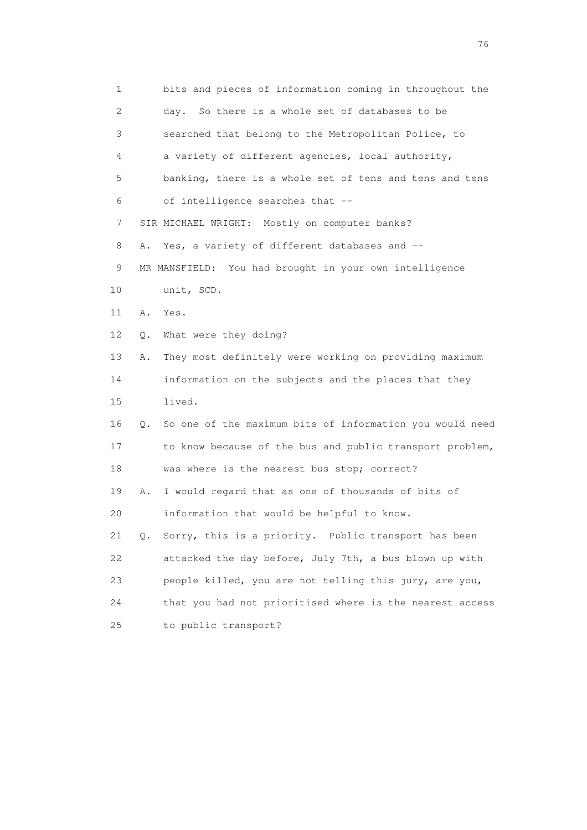| 1                         |    | bits and pieces of information coming in throughout the  |
|---------------------------|----|----------------------------------------------------------|
| $\mathbf{2}^{\mathsf{I}}$ |    | day. So there is a whole set of databases to be          |
| 3                         |    | searched that belong to the Metropolitan Police, to      |
| 4                         |    | a variety of different agencies, local authority,        |
| 5                         |    | banking, there is a whole set of tens and tens and tens  |
| 6                         |    | of intelligence searches that --                         |
| 7                         |    | SIR MICHAEL WRIGHT: Mostly on computer banks?            |
| 8                         | Α. | Yes, a variety of different databases and --             |
| 9                         |    | MR MANSFIELD: You had brought in your own intelligence   |
| 10                        |    | unit, SCD.                                               |
| 11                        | Α. | Yes.                                                     |
| 12                        | Q. | What were they doing?                                    |
| 13                        | Α. | They most definitely were working on providing maximum   |
| 14                        |    | information on the subjects and the places that they     |
| 15                        |    | lived.                                                   |
| 16                        | Q. | So one of the maximum bits of information you would need |
| 17                        |    | to know because of the bus and public transport problem, |
| 18                        |    | was where is the nearest bus stop; correct?              |
| 19                        | Α. | I would regard that as one of thousands of bits of       |
| 20                        |    | information that would be helpful to know.               |
| 21                        | Q. | Sorry, this is a priority. Public transport has been     |
| 22                        |    | attacked the day before, July 7th, a bus blown up with   |
| 23                        |    | people killed, you are not telling this jury, are you,   |
| 24                        |    | that you had not prioritised where is the nearest access |
| 25                        |    | to public transport?                                     |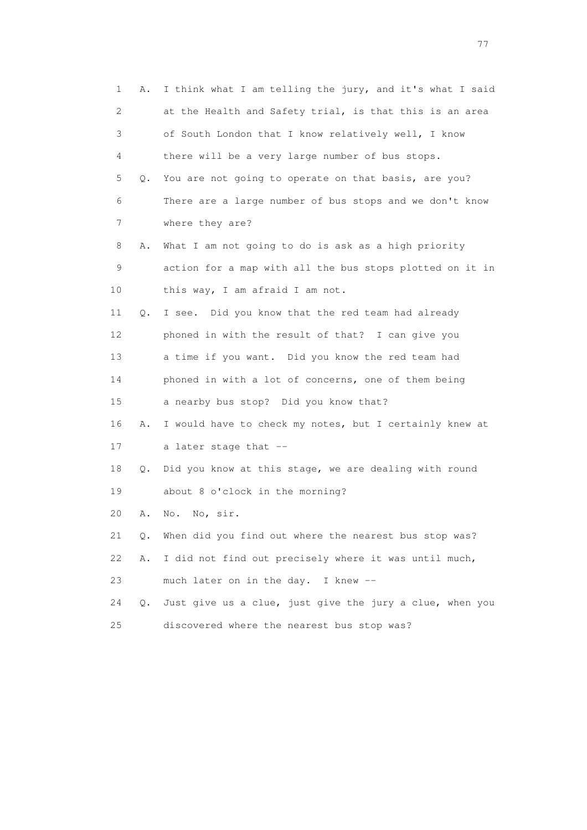1 A. I think what I am telling the jury, and it's what I said 2 at the Health and Safety trial, is that this is an area 3 of South London that I know relatively well, I know 4 there will be a very large number of bus stops. 5 Q. You are not going to operate on that basis, are you? 6 There are a large number of bus stops and we don't know 7 where they are? 8 A. What I am not going to do is ask as a high priority 9 action for a map with all the bus stops plotted on it in 10 this way, I am afraid I am not. 11 Q. I see. Did you know that the red team had already 12 phoned in with the result of that? I can give you 13 a time if you want. Did you know the red team had 14 phoned in with a lot of concerns, one of them being 15 a nearby bus stop? Did you know that? 16 A. I would have to check my notes, but I certainly knew at 17 a later stage that -- 18 Q. Did you know at this stage, we are dealing with round 19 about 8 o'clock in the morning? 20 A. No. No, sir. 21 Q. When did you find out where the nearest bus stop was? 22 A. I did not find out precisely where it was until much, 23 much later on in the day. I knew -- 24 Q. Just give us a clue, just give the jury a clue, when you 25 discovered where the nearest bus stop was?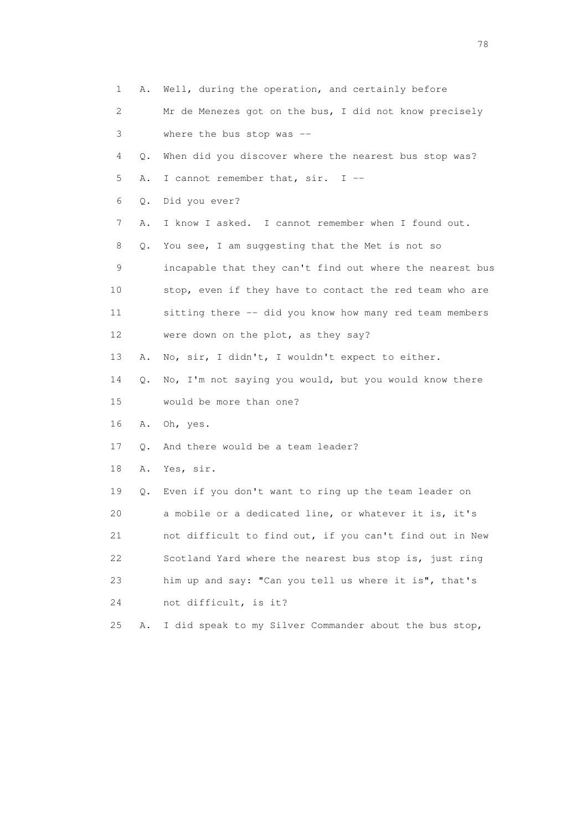|    | $\mathbf{1}$<br>Α. | Well, during the operation, and certainly before         |
|----|--------------------|----------------------------------------------------------|
|    | 2                  | Mr de Menezes got on the bus, I did not know precisely   |
|    | 3                  | where the bus stop was --                                |
|    | 4<br>Q.            | When did you discover where the nearest bus stop was?    |
|    | 5<br>Α.            | I cannot remember that, sir. I --                        |
|    | 6<br>Q.            | Did you ever?                                            |
|    | 7<br>Α.            | I know I asked. I cannot remember when I found out.      |
|    | 8<br>Q.            | You see, I am suggesting that the Met is not so          |
|    | 9                  | incapable that they can't find out where the nearest bus |
| 10 |                    | stop, even if they have to contact the red team who are  |
| 11 |                    | sitting there -- did you know how many red team members  |
| 12 |                    | were down on the plot, as they say?                      |
| 13 | Α.                 | No, sir, I didn't, I wouldn't expect to either.          |
| 14 | Q.                 | No, I'm not saying you would, but you would know there   |
| 15 |                    | would be more than one?                                  |
| 16 | Α.                 | Oh, yes.                                                 |
| 17 | Q.                 | And there would be a team leader?                        |
| 18 | Α.                 | Yes, sir.                                                |
| 19 | Q.                 | Even if you don't want to ring up the team leader on     |
| 20 |                    | a mobile or a dedicated line, or whatever it is, it's    |
| 21 |                    | not difficult to find out, if you can't find out in New  |
| 22 |                    | Scotland Yard where the nearest bus stop is, just ring   |
| 23 |                    | him up and say: "Can you tell us where it is", that's    |
| 24 |                    | not difficult, is it?                                    |
| 25 | Α.                 | I did speak to my Silver Commander about the bus stop,   |

n and the state of the state of the state of the state of the state of the state of the state of the state of the state of the state of the state of the state of the state of the state of the state of the state of the stat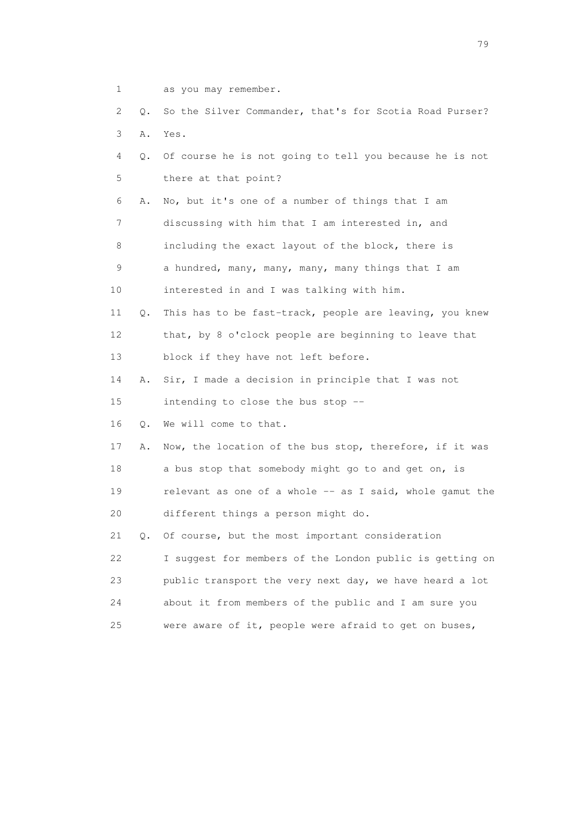- 1 as you may remember.
- 2 Q. So the Silver Commander, that's for Scotia Road Purser? 3 A. Yes.
- 4 Q. Of course he is not going to tell you because he is not 5 there at that point?
- 6 A. No, but it's one of a number of things that I am 7 discussing with him that I am interested in, and 8 including the exact layout of the block, there is 9 a hundred, many, many, many, many things that I am
- 10 interested in and I was talking with him.
- 11 Q. This has to be fast-track, people are leaving, you knew 12 that, by 8 o'clock people are beginning to leave that 13 block if they have not left before.
- 14 A. Sir, I made a decision in principle that I was not

15 intending to close the bus stop --

16 Q. We will come to that.

 17 A. Now, the location of the bus stop, therefore, if it was 18 a bus stop that somebody might go to and get on, is 19 relevant as one of a whole -- as I said, whole gamut the 20 different things a person might do.

 21 Q. Of course, but the most important consideration 22 I suggest for members of the London public is getting on 23 public transport the very next day, we have heard a lot 24 about it from members of the public and I am sure you 25 were aware of it, people were afraid to get on buses,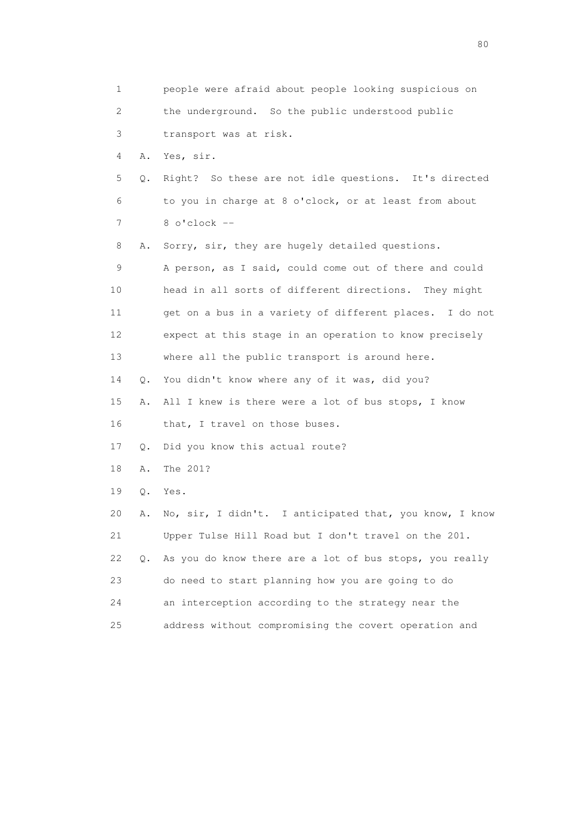| 1                         |           | people were afraid about people looking suspicious on   |
|---------------------------|-----------|---------------------------------------------------------|
| $\mathbf{2}^{\mathsf{I}}$ |           | the underground. So the public understood public        |
| 3                         |           | transport was at risk.                                  |
| 4                         | Α.        | Yes, sir.                                               |
| 5                         | Q.        | Right? So these are not idle questions. It's directed   |
| 6                         |           | to you in charge at 8 o'clock, or at least from about   |
| 7                         |           | $8$ o'clock $-$                                         |
| 8                         | Α.        | Sorry, sir, they are hugely detailed questions.         |
| 9                         |           | A person, as I said, could come out of there and could  |
| 10                        |           | head in all sorts of different directions. They might   |
| 11                        |           | get on a bus in a variety of different places. I do not |
| 12                        |           | expect at this stage in an operation to know precisely  |
| 13                        |           | where all the public transport is around here.          |
| 14                        | Q.        | You didn't know where any of it was, did you?           |
| 15                        | Α.        | All I knew is there were a lot of bus stops, I know     |
| 16                        |           | that, I travel on those buses.                          |
| 17                        | Q.        | Did you know this actual route?                         |
| 18                        | Α.        | The 201?                                                |
| 19                        | Q.        | Yes.                                                    |
| 20                        | Α.        | No, sir, I didn't. I anticipated that, you know, I know |
| 21                        |           | Upper Tulse Hill Road but I don't travel on the 201.    |
| 22                        | $\circ$ . | As you do know there are a lot of bus stops, you really |
| 23                        |           | do need to start planning how you are going to do       |
| 24                        |           | an interception according to the strategy near the      |
| 25                        |           | address without compromising the covert operation and   |

entration of the state of the state of the state of the state of the state of the state of the state of the state of the state of the state of the state of the state of the state of the state of the state of the state of t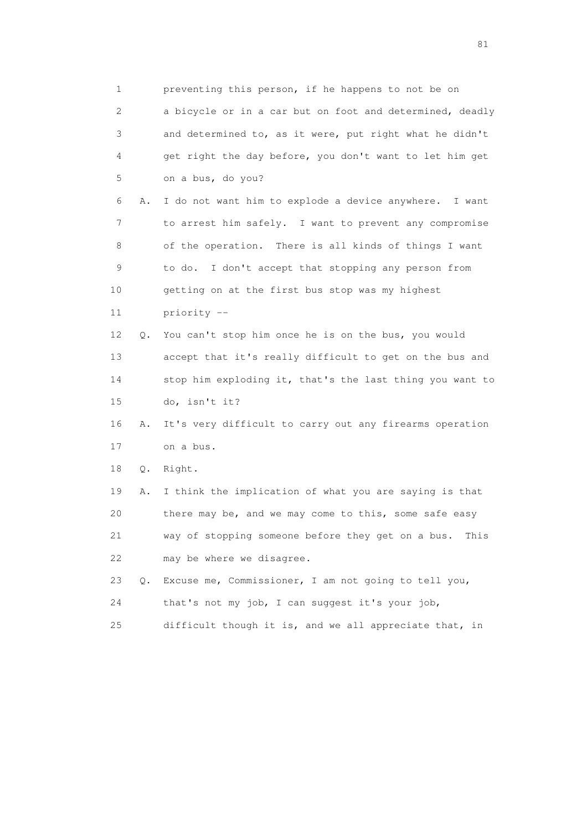1 preventing this person, if he happens to not be on 2 a bicycle or in a car but on foot and determined, deadly 3 and determined to, as it were, put right what he didn't 4 get right the day before, you don't want to let him get 5 on a bus, do you? 6 A. I do not want him to explode a device anywhere. I want 7 to arrest him safely. I want to prevent any compromise 8 of the operation. There is all kinds of things I want 9 to do. I don't accept that stopping any person from 10 getting on at the first bus stop was my highest 11 priority -- 12 Q. You can't stop him once he is on the bus, you would 13 accept that it's really difficult to get on the bus and 14 stop him exploding it, that's the last thing you want to 15 do, isn't it? 16 A. It's very difficult to carry out any firearms operation 17 on a bus. 18 Q. Right. 19 A. I think the implication of what you are saying is that 20 there may be, and we may come to this, some safe easy 21 way of stopping someone before they get on a bus. This 22 may be where we disagree. 23 Q. Excuse me, Commissioner, I am not going to tell you, 24 that's not my job, I can suggest it's your job, 25 difficult though it is, and we all appreciate that, in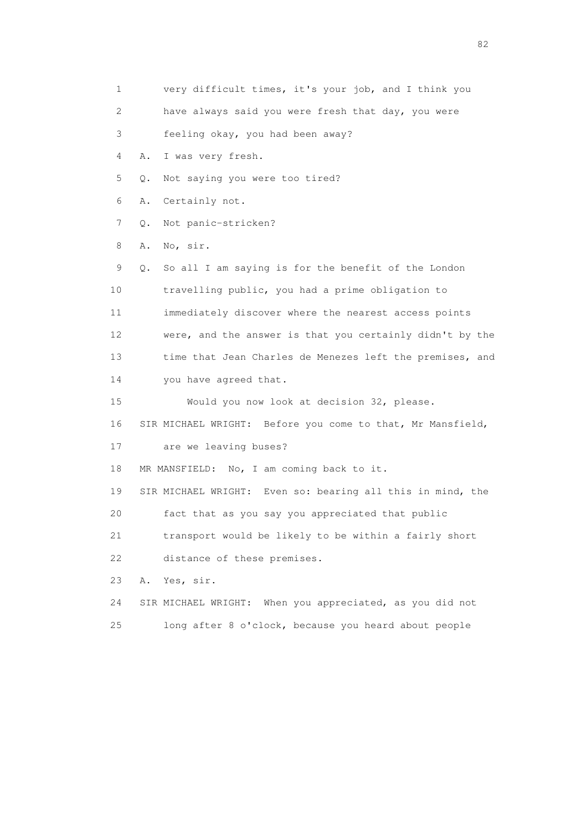1 very difficult times, it's your job, and I think you 2 have always said you were fresh that day, you were 3 feeling okay, you had been away? 4 A. I was very fresh. 5 Q. Not saying you were too tired? 6 A. Certainly not. 7 Q. Not panic-stricken? 8 A. No, sir. 9 Q. So all I am saying is for the benefit of the London 10 travelling public, you had a prime obligation to 11 immediately discover where the nearest access points 12 were, and the answer is that you certainly didn't by the 13 time that Jean Charles de Menezes left the premises, and 14 you have agreed that. 15 Would you now look at decision 32, please. 16 SIR MICHAEL WRIGHT: Before you come to that, Mr Mansfield, 17 are we leaving buses? 18 MR MANSFIELD: No, I am coming back to it. 19 SIR MICHAEL WRIGHT: Even so: bearing all this in mind, the 20 fact that as you say you appreciated that public 21 transport would be likely to be within a fairly short 22 distance of these premises. 23 A. Yes, sir. 24 SIR MICHAEL WRIGHT: When you appreciated, as you did not 25 long after 8 o'clock, because you heard about people

experience of the state of the state of the state of the state of the state of the state of the state of the s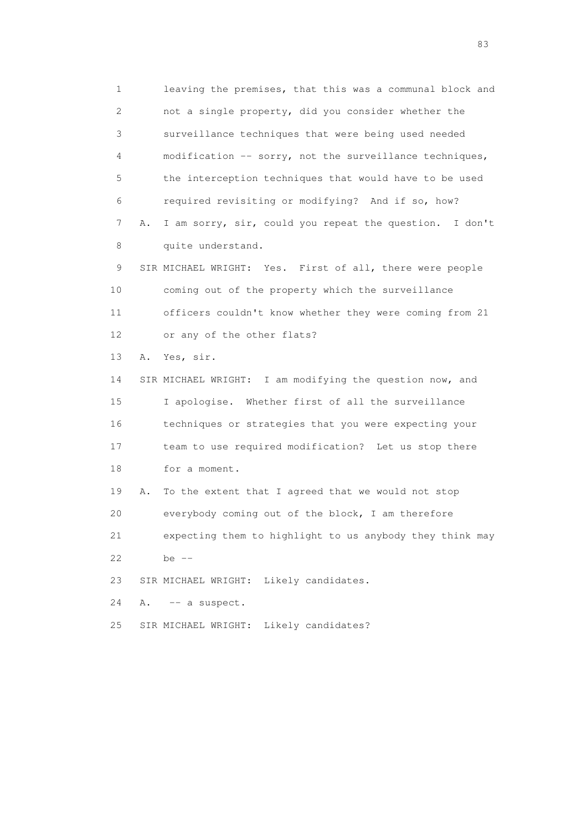1 leaving the premises, that this was a communal block and 2 not a single property, did you consider whether the 3 surveillance techniques that were being used needed 4 modification -- sorry, not the surveillance techniques, 5 the interception techniques that would have to be used 6 required revisiting or modifying? And if so, how? 7 A. I am sorry, sir, could you repeat the question. I don't 8 quite understand.

 9 SIR MICHAEL WRIGHT: Yes. First of all, there were people 10 coming out of the property which the surveillance 11 officers couldn't know whether they were coming from 21 12 or any of the other flats?

13 A. Yes, sir.

 14 SIR MICHAEL WRIGHT: I am modifying the question now, and 15 I apologise. Whether first of all the surveillance 16 techniques or strategies that you were expecting your 17 team to use required modification? Let us stop there 18 for a moment.

 19 A. To the extent that I agreed that we would not stop 20 everybody coming out of the block, I am therefore 21 expecting them to highlight to us anybody they think may

22 be --

23 SIR MICHAEL WRIGHT: Likely candidates.

24 A. -- a suspect.

25 SIR MICHAEL WRIGHT: Likely candidates?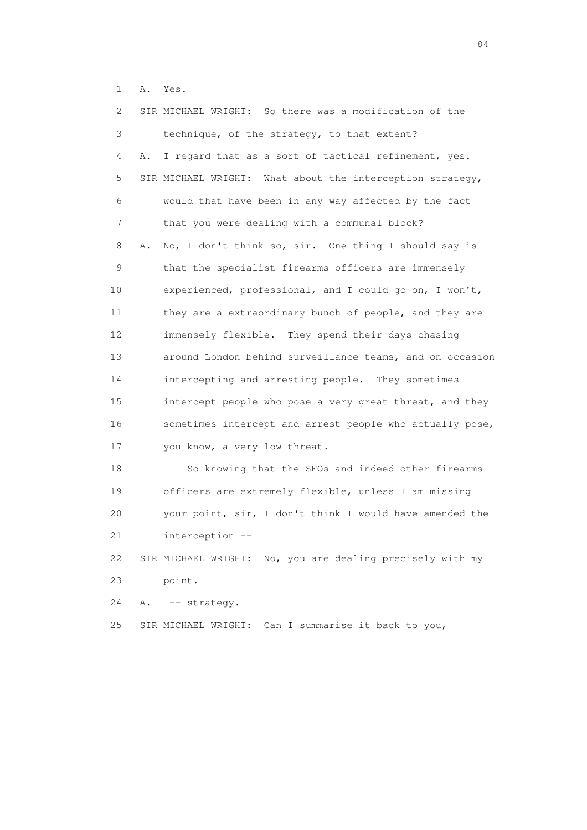1 A. Yes.

| 2               | SIR MICHAEL WRIGHT: So there was a modification of the     |
|-----------------|------------------------------------------------------------|
| 3               | technique, of the strategy, to that extent?                |
| 4               | I regard that as a sort of tactical refinement, yes.<br>Α. |
| 5               | SIR MICHAEL WRIGHT: What about the interception strategy,  |
| 6               | would that have been in any way affected by the fact       |
| 7               | that you were dealing with a communal block?               |
| 8               | No, I don't think so, sir. One thing I should say is<br>Α. |
| 9               | that the specialist firearms officers are immensely        |
| 10              | experienced, professional, and I could go on, I won't,     |
| 11              | they are a extraordinary bunch of people, and they are     |
| 12 <sup>°</sup> | immensely flexible. They spend their days chasing          |
| 13              | around London behind surveillance teams, and on occasion   |
| 14              | intercepting and arresting people. They sometimes          |
| 15              | intercept people who pose a very great threat, and they    |
| 16              | sometimes intercept and arrest people who actually pose,   |
| 17              | you know, a very low threat.                               |
| 18              | So knowing that the SFOs and indeed other firearms         |
| 19              | officers are extremely flexible, unless I am missing       |
| 20              | your point, sir, I don't think I would have amended the    |
| 21              | interception --                                            |
| 22              | SIR MICHAEL WRIGHT: No, you are dealing precisely with my  |
| 23              | point.                                                     |
| 24              | Α.<br>-- strategy.                                         |

25 SIR MICHAEL WRIGHT: Can I summarise it back to you,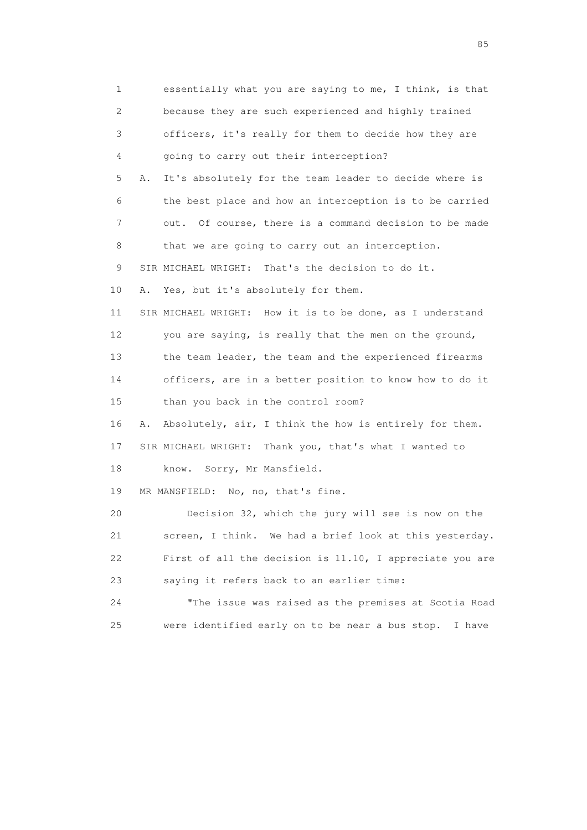1 essentially what you are saying to me, I think, is that 2 because they are such experienced and highly trained 3 officers, it's really for them to decide how they are 4 going to carry out their interception? 5 A. It's absolutely for the team leader to decide where is 6 the best place and how an interception is to be carried 7 out. Of course, there is a command decision to be made 8 that we are going to carry out an interception. 9 SIR MICHAEL WRIGHT: That's the decision to do it. 10 A. Yes, but it's absolutely for them. 11 SIR MICHAEL WRIGHT: How it is to be done, as I understand 12 you are saying, is really that the men on the ground, 13 the team leader, the team and the experienced firearms 14 officers, are in a better position to know how to do it 15 than you back in the control room? 16 A. Absolutely, sir, I think the how is entirely for them. 17 SIR MICHAEL WRIGHT: Thank you, that's what I wanted to 18 know. Sorry, Mr Mansfield. 19 MR MANSFIELD: No, no, that's fine. 20 Decision 32, which the jury will see is now on the 21 screen, I think. We had a brief look at this yesterday. 22 First of all the decision is 11.10, I appreciate you are 23 saying it refers back to an earlier time: 24 "The issue was raised as the premises at Scotia Road 25 were identified early on to be near a bus stop. I have

experience of the contract of the contract of the contract of the contract of the contract of the contract of the contract of the contract of the contract of the contract of the contract of the contract of the contract of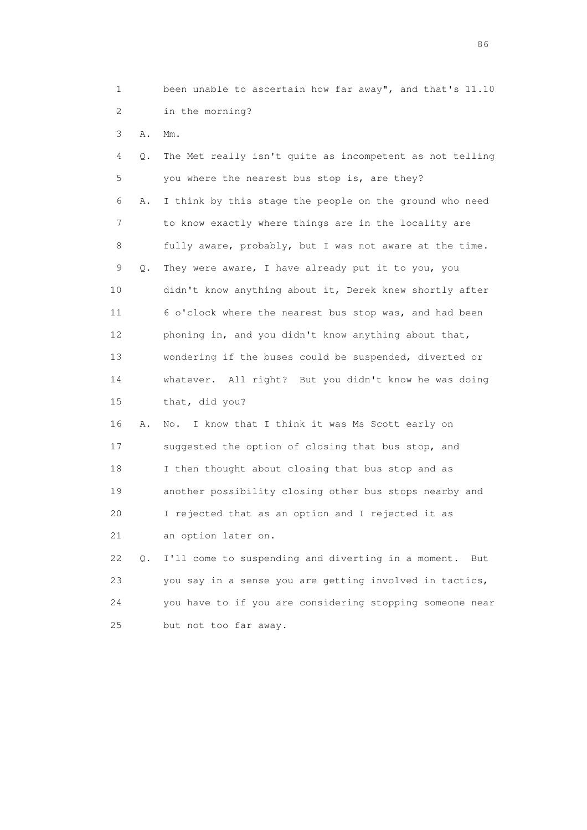1 been unable to ascertain how far away", and that's 11.10 2 in the morning?

3 A. Mm.

 4 Q. The Met really isn't quite as incompetent as not telling 5 you where the nearest bus stop is, are they? 6 A. I think by this stage the people on the ground who need 7 to know exactly where things are in the locality are 8 fully aware, probably, but I was not aware at the time. 9 Q. They were aware, I have already put it to you, you 10 didn't know anything about it, Derek knew shortly after 11 6 o'clock where the nearest bus stop was, and had been 12 phoning in, and you didn't know anything about that, 13 wondering if the buses could be suspended, diverted or 14 whatever. All right? But you didn't know he was doing 15 that, did you? 16 A. No. I know that I think it was Ms Scott early on 17 suggested the option of closing that bus stop, and 18 I then thought about closing that bus stop and as 19 another possibility closing other bus stops nearby and 20 I rejected that as an option and I rejected it as 21 an option later on. 22 Q. I'll come to suspending and diverting in a moment. But 23 you say in a sense you are getting involved in tactics,

 24 you have to if you are considering stopping someone near 25 but not too far away.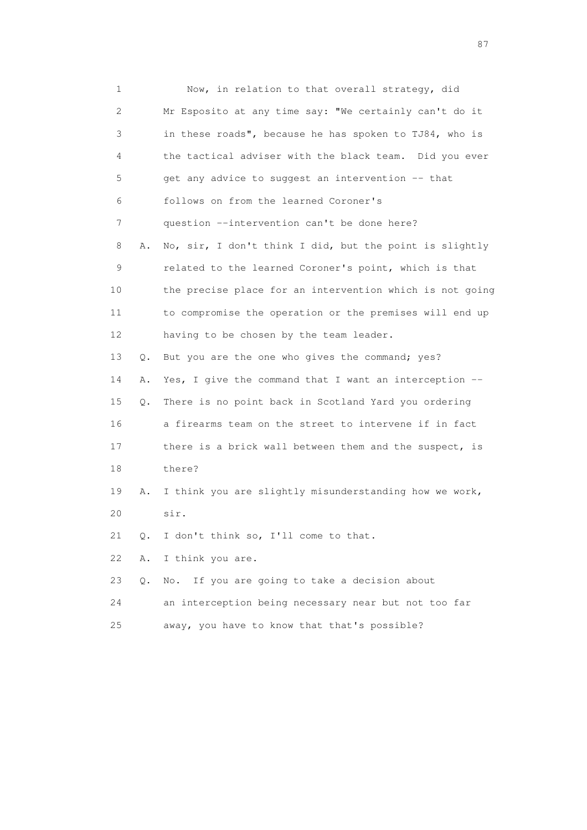1 Now, in relation to that overall strategy, did 2 Mr Esposito at any time say: "We certainly can't do it 3 in these roads", because he has spoken to TJ84, who is 4 the tactical adviser with the black team. Did you ever 5 get any advice to suggest an intervention -- that 6 follows on from the learned Coroner's 7 question --intervention can't be done here? 8 A. No, sir, I don't think I did, but the point is slightly 9 related to the learned Coroner's point, which is that 10 the precise place for an intervention which is not going 11 to compromise the operation or the premises will end up 12 having to be chosen by the team leader. 13 Q. But you are the one who gives the command; yes? 14 A. Yes, I give the command that I want an interception -- 15 Q. There is no point back in Scotland Yard you ordering 16 a firearms team on the street to intervene if in fact 17 there is a brick wall between them and the suspect, is 18 there? 19 A. I think you are slightly misunderstanding how we work, 20 sir. 21 Q. I don't think so, I'll come to that. 22 A. I think you are. 23 Q. No. If you are going to take a decision about 24 an interception being necessary near but not too far

25 away, you have to know that that's possible?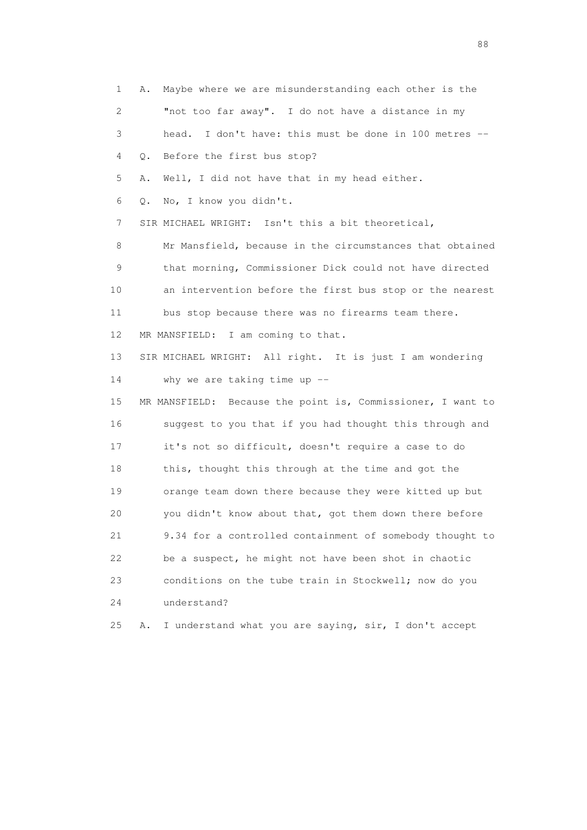1 A. Maybe where we are misunderstanding each other is the 2 "not too far away". I do not have a distance in my 3 head. I don't have: this must be done in 100 metres -- 4 Q. Before the first bus stop? 5 A. Well, I did not have that in my head either. 6 Q. No, I know you didn't. 7 SIR MICHAEL WRIGHT: Isn't this a bit theoretical, 8 Mr Mansfield, because in the circumstances that obtained 9 that morning, Commissioner Dick could not have directed 10 an intervention before the first bus stop or the nearest 11 bus stop because there was no firearms team there. 12 MR MANSFIELD: I am coming to that. 13 SIR MICHAEL WRIGHT: All right. It is just I am wondering 14 why we are taking time up -- 15 MR MANSFIELD: Because the point is, Commissioner, I want to 16 suggest to you that if you had thought this through and 17 it's not so difficult, doesn't require a case to do 18 this, thought this through at the time and got the 19 orange team down there because they were kitted up but 20 you didn't know about that, got them down there before 21 9.34 for a controlled containment of somebody thought to 22 be a suspect, he might not have been shot in chaotic 23 conditions on the tube train in Stockwell; now do you 24 understand? 25 A. I understand what you are saying, sir, I don't accept

en de la construction de la construction de la construction de la construction de la construction de la constr<br>1880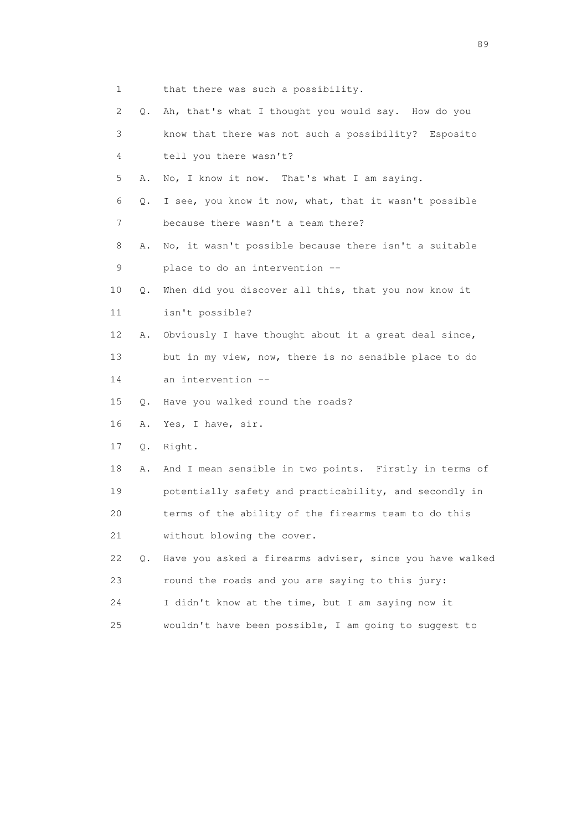- 1 that there was such a possibility.
- 2 Q. Ah, that's what I thought you would say. How do you 3 know that there was not such a possibility? Esposito 4 tell you there wasn't? 5 A. No, I know it now. That's what I am saying. 6 Q. I see, you know it now, what, that it wasn't possible 7 because there wasn't a team there? 8 A. No, it wasn't possible because there isn't a suitable 9 place to do an intervention -- 10 Q. When did you discover all this, that you now know it 11 isn't possible? 12 A. Obviously I have thought about it a great deal since, 13 but in my view, now, there is no sensible place to do 14 an intervention -- 15 Q. Have you walked round the roads? 16 A. Yes, I have, sir. 17 Q. Right. 18 A. And I mean sensible in two points. Firstly in terms of 19 potentially safety and practicability, and secondly in 20 terms of the ability of the firearms team to do this 21 without blowing the cover. 22 Q. Have you asked a firearms adviser, since you have walked 23 round the roads and you are saying to this jury: 24 I didn't know at the time, but I am saying now it 25 wouldn't have been possible, I am going to suggest to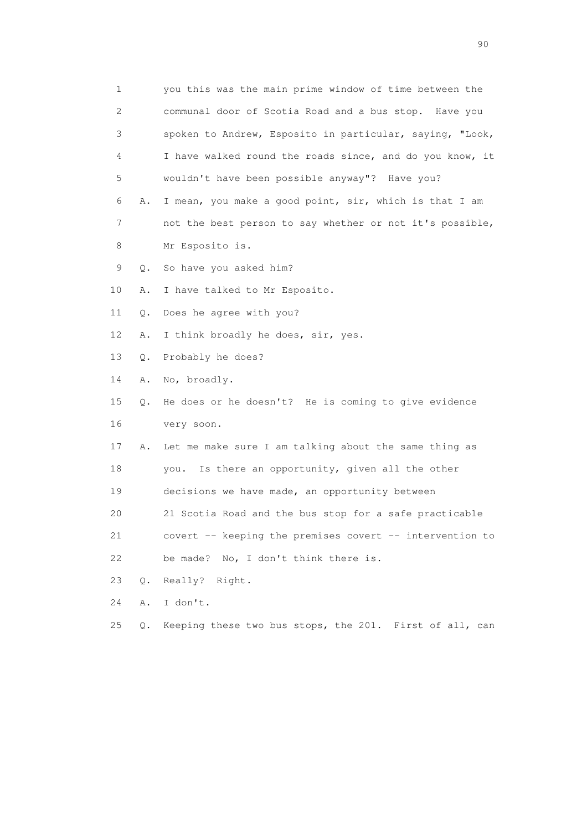1 you this was the main prime window of time between the 2 communal door of Scotia Road and a bus stop. Have you 3 spoken to Andrew, Esposito in particular, saying, "Look, 4 I have walked round the roads since, and do you know, it 5 wouldn't have been possible anyway"? Have you? 6 A. I mean, you make a good point, sir, which is that I am 7 not the best person to say whether or not it's possible, 8 Mr Esposito is. 9 Q. So have you asked him? 10 A. I have talked to Mr Esposito. 11 Q. Does he agree with you? 12 A. I think broadly he does, sir, yes. 13 Q. Probably he does? 14 A. No, broadly. 15 Q. He does or he doesn't? He is coming to give evidence 16 very soon. 17 A. Let me make sure I am talking about the same thing as 18 you. Is there an opportunity, given all the other 19 decisions we have made, an opportunity between 20 21 Scotia Road and the bus stop for a safe practicable 21 covert -- keeping the premises covert -- intervention to 22 be made? No, I don't think there is. 23 Q. Really? Right. 24 A. I don't. 25 Q. Keeping these two bus stops, the 201. First of all, can

entration of the contract of the contract of the contract of the contract of the contract of the contract of the contract of the contract of the contract of the contract of the contract of the contract of the contract of t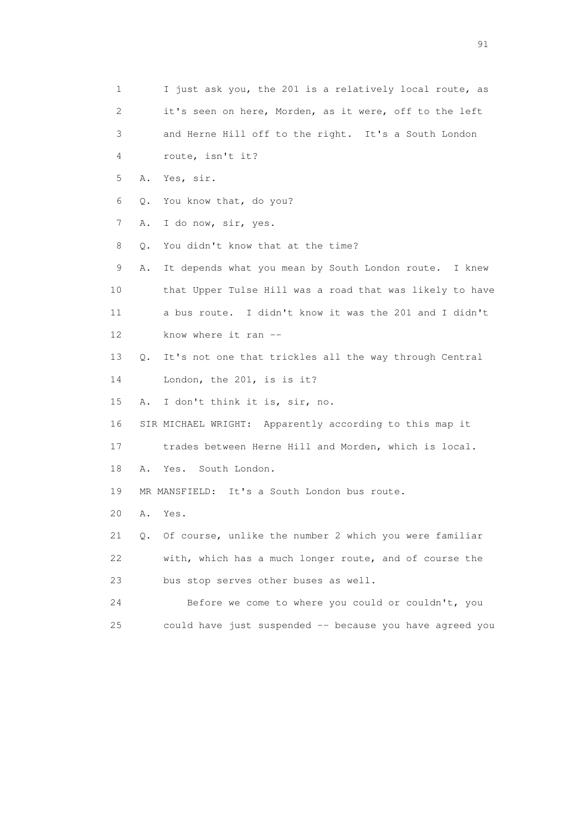1 I just ask you, the 201 is a relatively local route, as 2 it's seen on here, Morden, as it were, off to the left 3 and Herne Hill off to the right. It's a South London 4 route, isn't it? 5 A. Yes, sir. 6 Q. You know that, do you? 7 A. I do now, sir, yes. 8 Q. You didn't know that at the time? 9 A. It depends what you mean by South London route. I knew 10 that Upper Tulse Hill was a road that was likely to have 11 a bus route. I didn't know it was the 201 and I didn't 12 know where it ran -- 13 Q. It's not one that trickles all the way through Central 14 London, the 201, is is it? 15 A. I don't think it is, sir, no. 16 SIR MICHAEL WRIGHT: Apparently according to this map it 17 trades between Herne Hill and Morden, which is local. 18 A. Yes. South London. 19 MR MANSFIELD: It's a South London bus route. 20 A. Yes. 21 Q. Of course, unlike the number 2 which you were familiar 22 with, which has a much longer route, and of course the 23 bus stop serves other buses as well. 24 Before we come to where you could or couldn't, you 25 could have just suspended -- because you have agreed you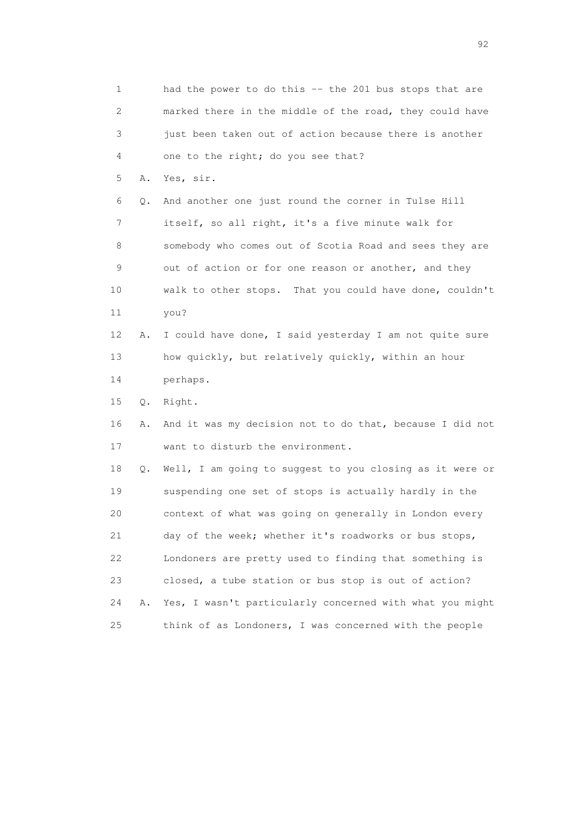1 had the power to do this -- the 201 bus stops that are 2 marked there in the middle of the road, they could have 3 just been taken out of action because there is another 4 one to the right; do you see that? 5 A. Yes, sir. 6 Q. And another one just round the corner in Tulse Hill 7 itself, so all right, it's a five minute walk for 8 somebody who comes out of Scotia Road and sees they are 9 out of action or for one reason or another, and they 10 walk to other stops. That you could have done, couldn't 11 you? 12 A. I could have done, I said yesterday I am not quite sure 13 how quickly, but relatively quickly, within an hour 14 perhaps. 15 Q. Right. 16 A. And it was my decision not to do that, because I did not 17 want to disturb the environment. 18 Q. Well, I am going to suggest to you closing as it were or 19 suspending one set of stops is actually hardly in the 20 context of what was going on generally in London every 21 day of the week; whether it's roadworks or bus stops, 22 Londoners are pretty used to finding that something is 23 closed, a tube station or bus stop is out of action? 24 A. Yes, I wasn't particularly concerned with what you might 25 think of as Londoners, I was concerned with the people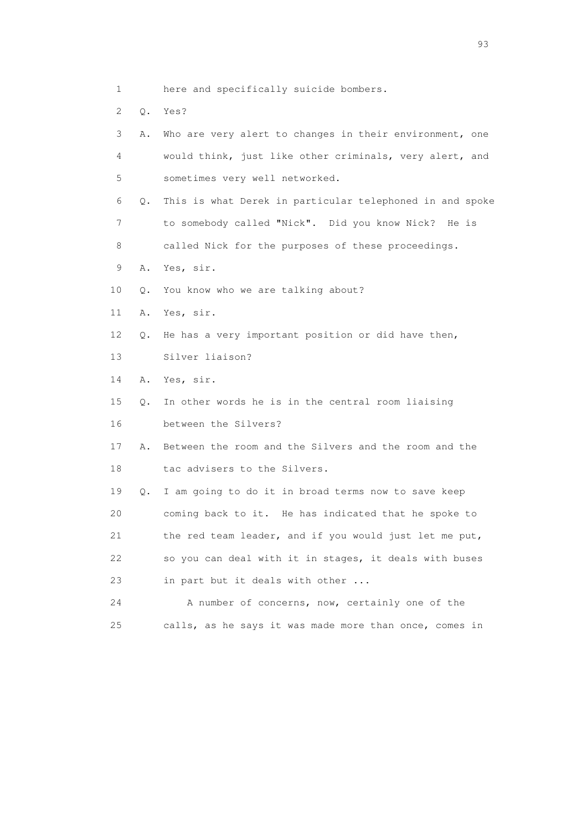- 1 here and specifically suicide bombers.
- 2 Q. Yes?

| 3  | Α. | Who are very alert to changes in their environment, one  |
|----|----|----------------------------------------------------------|
| 4  |    | would think, just like other criminals, very alert, and  |
| 5  |    | sometimes very well networked.                           |
| 6  | Q. | This is what Derek in particular telephoned in and spoke |
| 7  |    | to somebody called "Nick". Did you know Nick?<br>He is   |
| 8  |    | called Nick for the purposes of these proceedings.       |
| 9  | Α. | Yes, sir.                                                |
| 10 | Q. | You know who we are talking about?                       |
| 11 | Α. | Yes, sir.                                                |
| 12 | О. | He has a very important position or did have then,       |
| 13 |    | Silver liaison?                                          |
| 14 | Α. | Yes, sir.                                                |
| 15 | Q. | In other words he is in the central room liaising        |
| 16 |    | between the Silvers?                                     |
| 17 | Α. | Between the room and the Silvers and the room and the    |
| 18 |    | tac advisers to the Silvers.                             |
| 19 | Q. | I am going to do it in broad terms now to save keep      |
| 20 |    | coming back to it. He has indicated that he spoke to     |
| 21 |    | the red team leader, and if you would just let me put,   |
| 22 |    | so you can deal with it in stages, it deals with buses   |
| 23 |    | in part but it deals with other                          |
| 24 |    | A number of concerns, now, certainly one of the          |
| 25 |    | calls, as he says it was made more than once, comes in   |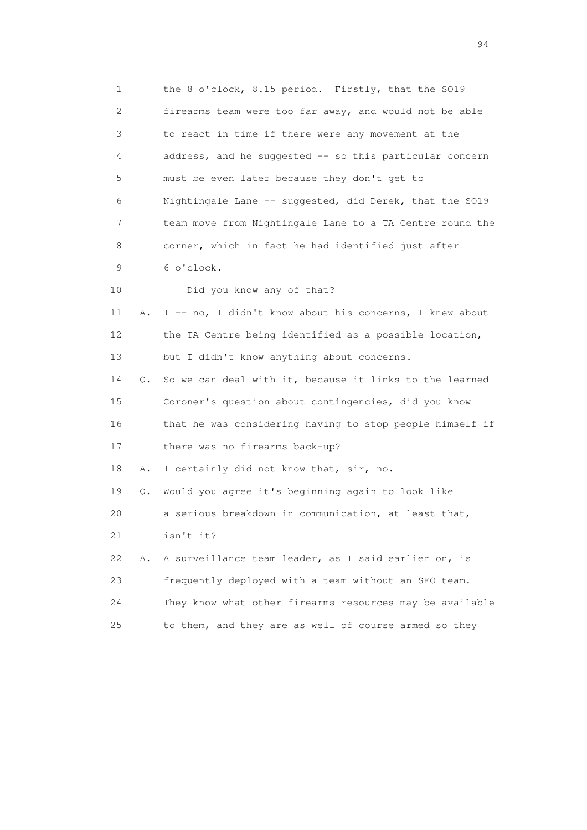1 the 8 o'clock, 8.15 period. Firstly, that the SO19 2 firearms team were too far away, and would not be able 3 to react in time if there were any movement at the 4 address, and he suggested -- so this particular concern 5 must be even later because they don't get to 6 Nightingale Lane -- suggested, did Derek, that the SO19 7 team move from Nightingale Lane to a TA Centre round the 8 corner, which in fact he had identified just after 9 6 o'clock. 10 Did you know any of that? 11 A. I -- no, I didn't know about his concerns, I knew about 12 the TA Centre being identified as a possible location, 13 but I didn't know anything about concerns. 14 Q. So we can deal with it, because it links to the learned 15 Coroner's question about contingencies, did you know 16 that he was considering having to stop people himself if 17 there was no firearms back-up? 18 A. I certainly did not know that, sir, no. 19 Q. Would you agree it's beginning again to look like 20 a serious breakdown in communication, at least that, 21 isn't it? 22 A. A surveillance team leader, as I said earlier on, is 23 frequently deployed with a team without an SFO team. 24 They know what other firearms resources may be available 25 to them, and they are as well of course armed so they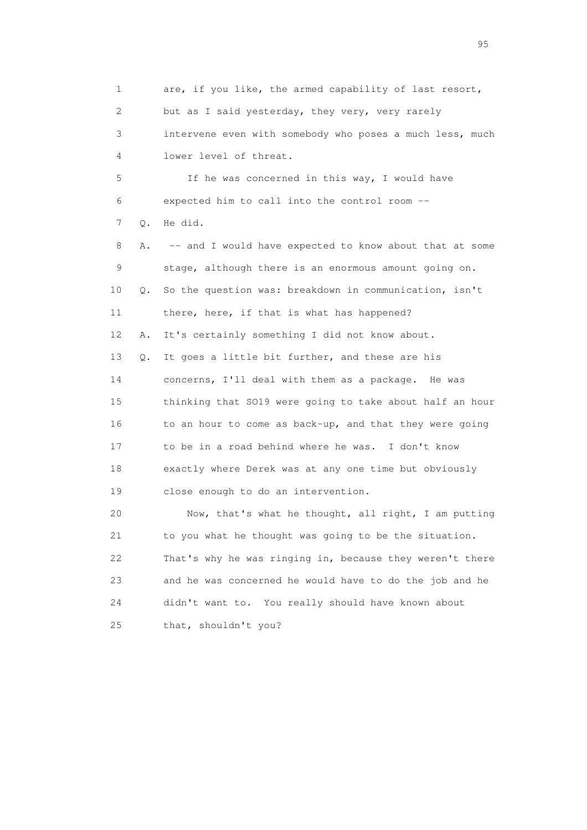1 are, if you like, the armed capability of last resort, 2 but as I said yesterday, they very, very rarely 3 intervene even with somebody who poses a much less, much 4 lower level of threat. 5 If he was concerned in this way, I would have 6 expected him to call into the control room -- 7 Q. He did. 8 A. -- and I would have expected to know about that at some 9 stage, although there is an enormous amount going on. 10 Q. So the question was: breakdown in communication, isn't 11 there, here, if that is what has happened? 12 A. It's certainly something I did not know about. 13 Q. It goes a little bit further, and these are his 14 concerns, I'll deal with them as a package. He was 15 thinking that SO19 were going to take about half an hour 16 to an hour to come as back-up, and that they were going 17 to be in a road behind where he was. I don't know 18 exactly where Derek was at any one time but obviously 19 close enough to do an intervention. 20 Now, that's what he thought, all right, I am putting 21 to you what he thought was going to be the situation. 22 That's why he was ringing in, because they weren't there 23 and he was concerned he would have to do the job and he

 24 didn't want to. You really should have known about 25 that, shouldn't you?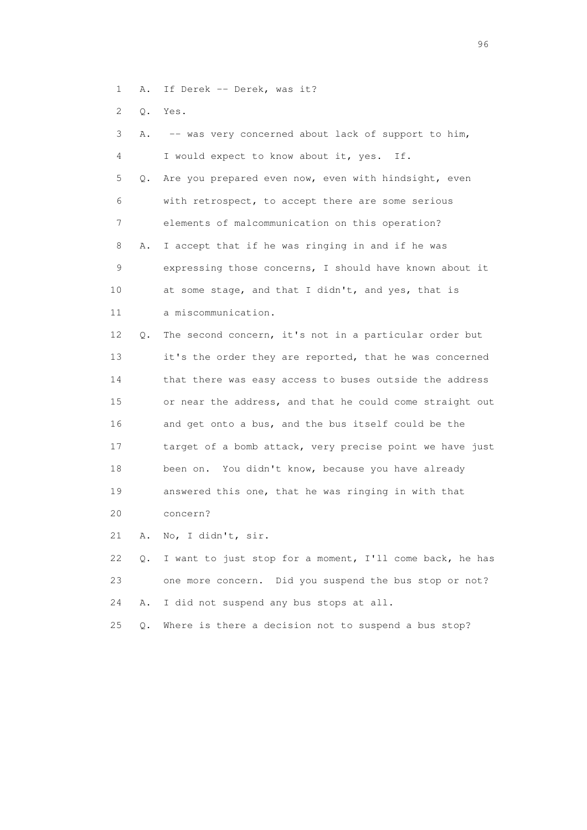- 1 A. If Derek -- Derek, was it?
- 2 Q. Yes.

| 3  | Α. | -- was very concerned about lack of support to him,      |
|----|----|----------------------------------------------------------|
| 4  |    | I would expect to know about it, yes. If.                |
| 5  | О. | Are you prepared even now, even with hindsight, even     |
| 6  |    | with retrospect, to accept there are some serious        |
| 7  |    | elements of malcommunication on this operation?          |
| 8  | Α. | I accept that if he was ringing in and if he was         |
| 9  |    | expressing those concerns, I should have known about it  |
| 10 |    | at some stage, and that I didn't, and yes, that is       |
| 11 |    | a miscommunication.                                      |
| 12 | Q. | The second concern, it's not in a particular order but   |
| 13 |    | it's the order they are reported, that he was concerned  |
| 14 |    | that there was easy access to buses outside the address  |
| 15 |    | or near the address, and that he could come straight out |
| 16 |    | and get onto a bus, and the bus itself could be the      |
| 17 |    | target of a bomb attack, very precise point we have just |
| 18 |    | been on. You didn't know, because you have already       |
| 19 |    | answered this one, that he was ringing in with that      |
| 20 |    | concern?                                                 |
| 21 | Α. | No, I didn't, sir.                                       |
|    |    |                                                          |

 22 Q. I want to just stop for a moment, I'll come back, he has 23 one more concern. Did you suspend the bus stop or not? 24 A. I did not suspend any bus stops at all.

25 Q. Where is there a decision not to suspend a bus stop?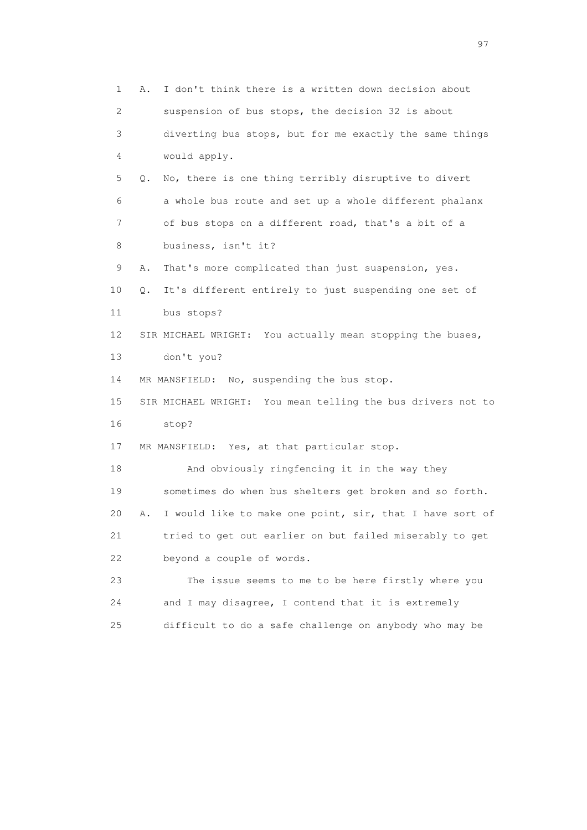1 A. I don't think there is a written down decision about 2 suspension of bus stops, the decision 32 is about 3 diverting bus stops, but for me exactly the same things 4 would apply. 5 Q. No, there is one thing terribly disruptive to divert 6 a whole bus route and set up a whole different phalanx 7 of bus stops on a different road, that's a bit of a 8 business, isn't it? 9 A. That's more complicated than just suspension, yes. 10 Q. It's different entirely to just suspending one set of 11 bus stops? 12 SIR MICHAEL WRIGHT: You actually mean stopping the buses, 13 don't you? 14 MR MANSFIELD: No, suspending the bus stop. 15 SIR MICHAEL WRIGHT: You mean telling the bus drivers not to 16 stop? 17 MR MANSFIELD: Yes, at that particular stop. 18 And obviously ringfencing it in the way they 19 sometimes do when bus shelters get broken and so forth. 20 A. I would like to make one point, sir, that I have sort of 21 tried to get out earlier on but failed miserably to get 22 beyond a couple of words. 23 The issue seems to me to be here firstly where you 24 and I may disagree, I contend that it is extremely 25 difficult to do a safe challenge on anybody who may be

experience of the contract of the contract of the contract of the contract of the contract of the contract of the contract of the contract of the contract of the contract of the contract of the contract of the contract of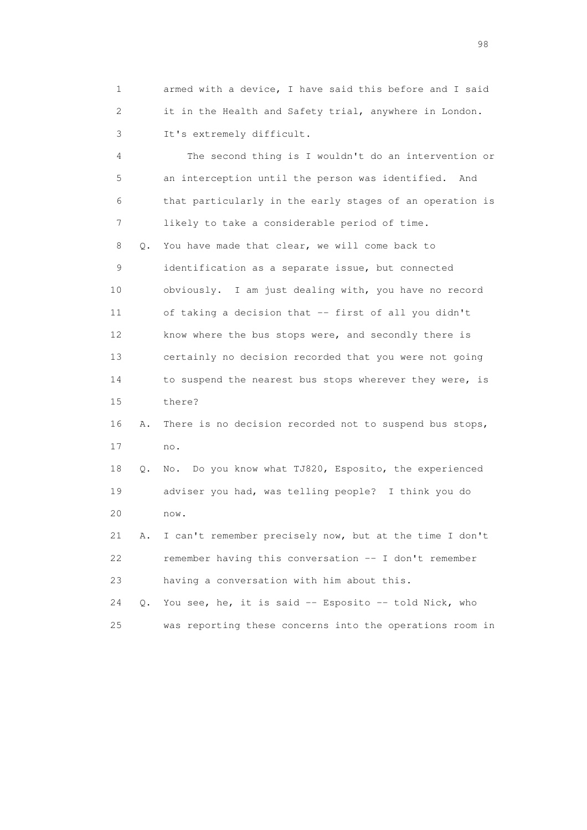1 armed with a device, I have said this before and I said 2 it in the Health and Safety trial, anywhere in London. 3 It's extremely difficult.

 4 The second thing is I wouldn't do an intervention or 5 an interception until the person was identified. And 6 that particularly in the early stages of an operation is 7 likely to take a considerable period of time. 8 Q. You have made that clear, we will come back to 9 identification as a separate issue, but connected 10 obviously. I am just dealing with, you have no record 11 of taking a decision that -- first of all you didn't 12 know where the bus stops were, and secondly there is 13 certainly no decision recorded that you were not going 14 to suspend the nearest bus stops wherever they were, is 15 there? 16 A. There is no decision recorded not to suspend bus stops, 17 no. 18 Q. No. Do you know what TJ820, Esposito, the experienced 19 adviser you had, was telling people? I think you do 20 now. 21 A. I can't remember precisely now, but at the time I don't 22 remember having this conversation -- I don't remember 23 having a conversation with him about this. 24 Q. You see, he, it is said -- Esposito -- told Nick, who

25 was reporting these concerns into the operations room in

en 1988 en 1989 en 1989 en 1989 en 1989 en 1989 en 1989 en 1989 en 1989 en 1989 en 1989 en 1989 en 1989 en 19<br>De grote en 1989 en 1989 en 1989 en 1989 en 1989 en 1989 en 1989 en 1989 en 1989 en 1989 en 1989 en 1989 en 19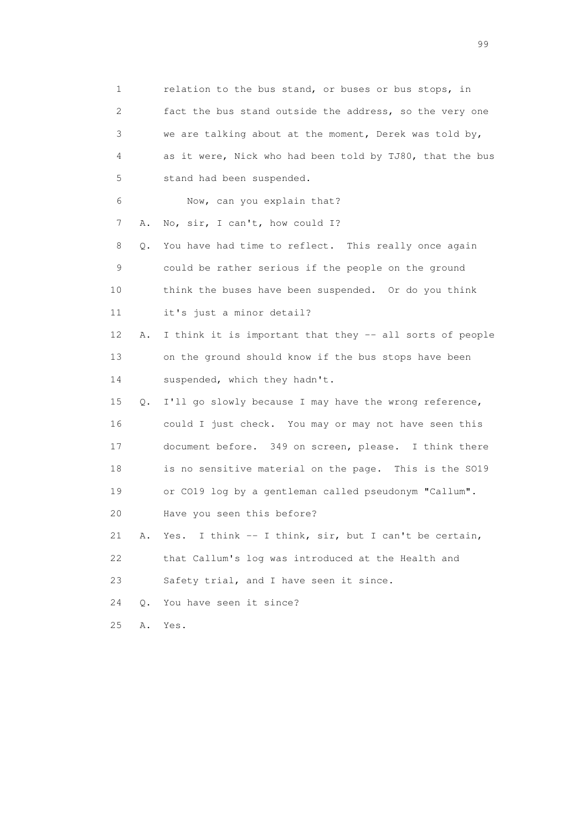| 1                         |    | relation to the bus stand, or buses or bus stops, in     |
|---------------------------|----|----------------------------------------------------------|
| $\mathbf{2}^{\mathsf{I}}$ |    | fact the bus stand outside the address, so the very one  |
| 3                         |    | we are talking about at the moment, Derek was told by,   |
| 4                         |    | as it were, Nick who had been told by TJ80, that the bus |
| 5                         |    | stand had been suspended.                                |
| 6                         |    | Now, can you explain that?                               |
| 7                         | Α. | No, sir, I can't, how could I?                           |
| 8                         | Q. | You have had time to reflect. This really once again     |
| 9                         |    | could be rather serious if the people on the ground      |
| 10                        |    | think the buses have been suspended. Or do you think     |
| 11                        |    | it's just a minor detail?                                |
| 12                        | Α. | I think it is important that they -- all sorts of people |
| 13                        |    | on the ground should know if the bus stops have been     |
| 14                        |    | suspended, which they hadn't.                            |
| 15                        | Q. | I'll go slowly because I may have the wrong reference,   |
| 16                        |    | could I just check. You may or may not have seen this    |
| 17                        |    | document before. 349 on screen, please. I think there    |
| 18                        |    | is no sensitive material on the page. This is the SO19   |
| 19                        |    | or CO19 log by a gentleman called pseudonym "Callum".    |
| 20                        |    | Have you seen this before?                               |
| 21                        | Α. | Yes. I think -- I think, sir, but I can't be certain,    |
| 22                        |    | that Callum's log was introduced at the Health and       |
| 23                        |    | Safety trial, and I have seen it since.                  |
| 24                        | О. | You have seen it since?                                  |
| 25                        | Α. | Yes.                                                     |

en de la construction de la construction de la construction de la construction de la construction de la constr<br>1990 : le construction de la construction de la construction de la construction de la construction de la const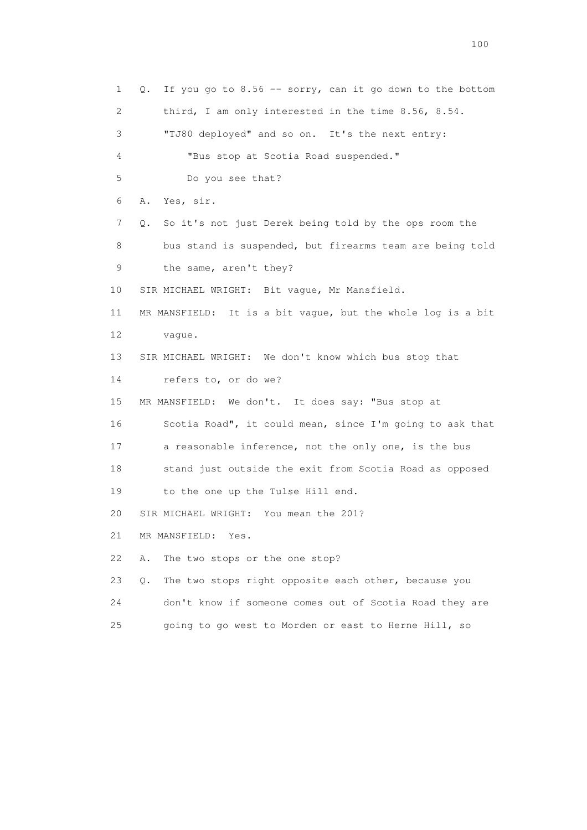1 Q. If you go to 8.56 -- sorry, can it go down to the bottom 2 third, I am only interested in the time 8.56, 8.54. 3 "TJ80 deployed" and so on. It's the next entry: 4 "Bus stop at Scotia Road suspended." 5 Do you see that? 6 A. Yes, sir. 7 Q. So it's not just Derek being told by the ops room the 8 bus stand is suspended, but firearms team are being told 9 the same, aren't they? 10 SIR MICHAEL WRIGHT: Bit vague, Mr Mansfield. 11 MR MANSFIELD: It is a bit vague, but the whole log is a bit 12 vague. 13 SIR MICHAEL WRIGHT: We don't know which bus stop that 14 refers to, or do we? 15 MR MANSFIELD: We don't. It does say: "Bus stop at 16 Scotia Road", it could mean, since I'm going to ask that 17 a reasonable inference, not the only one, is the bus 18 stand just outside the exit from Scotia Road as opposed 19 to the one up the Tulse Hill end. 20 SIR MICHAEL WRIGHT: You mean the 201? 21 MR MANSFIELD: Yes. 22 A. The two stops or the one stop? 23 Q. The two stops right opposite each other, because you 24 don't know if someone comes out of Scotia Road they are 25 going to go west to Morden or east to Herne Hill, so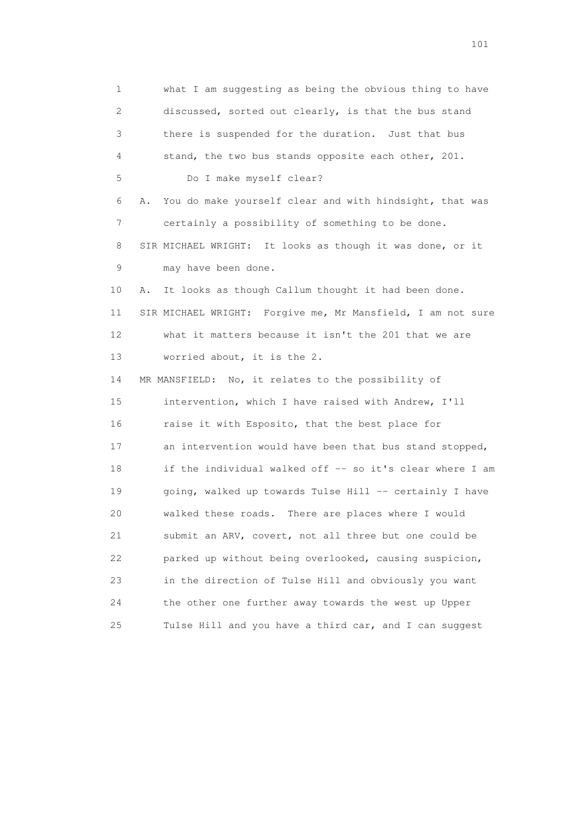1 what I am suggesting as being the obvious thing to have 2 discussed, sorted out clearly, is that the bus stand 3 there is suspended for the duration. Just that bus 4 stand, the two bus stands opposite each other, 201. 5 Do I make myself clear? 6 A. You do make yourself clear and with hindsight, that was 7 certainly a possibility of something to be done. 8 SIR MICHAEL WRIGHT: It looks as though it was done, or it 9 may have been done. 10 A. It looks as though Callum thought it had been done. 11 SIR MICHAEL WRIGHT: Forgive me, Mr Mansfield, I am not sure 12 what it matters because it isn't the 201 that we are 13 worried about, it is the 2. 14 MR MANSFIELD: No, it relates to the possibility of 15 intervention, which I have raised with Andrew, I'll 16 raise it with Esposito, that the best place for 17 an intervention would have been that bus stand stopped, 18 if the individual walked off -- so it's clear where I am 19 going, walked up towards Tulse Hill -- certainly I have 20 walked these roads. There are places where I would 21 submit an ARV, covert, not all three but one could be 22 parked up without being overlooked, causing suspicion, 23 in the direction of Tulse Hill and obviously you want 24 the other one further away towards the west up Upper 25 Tulse Hill and you have a third car, and I can suggest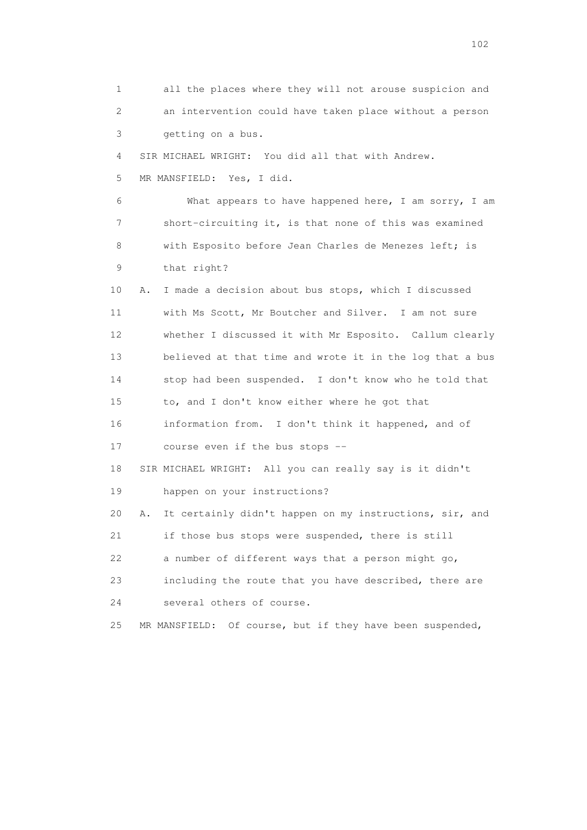1 all the places where they will not arouse suspicion and 2 an intervention could have taken place without a person 3 getting on a bus. 4 SIR MICHAEL WRIGHT: You did all that with Andrew. 5 MR MANSFIELD: Yes, I did. 6 What appears to have happened here, I am sorry, I am 7 short-circuiting it, is that none of this was examined 8 with Esposito before Jean Charles de Menezes left; is 9 that right? 10 A. I made a decision about bus stops, which I discussed 11 with Ms Scott, Mr Boutcher and Silver. I am not sure 12 whether I discussed it with Mr Esposito. Callum clearly 13 believed at that time and wrote it in the log that a bus 14 stop had been suspended. I don't know who he told that 15 to, and I don't know either where he got that 16 information from. I don't think it happened, and of 17 course even if the bus stops -- 18 SIR MICHAEL WRIGHT: All you can really say is it didn't 19 happen on your instructions? 20 A. It certainly didn't happen on my instructions, sir, and 21 if those bus stops were suspended, there is still 22 a number of different ways that a person might go, 23 including the route that you have described, there are 24 several others of course. 25 MR MANSFIELD: Of course, but if they have been suspended,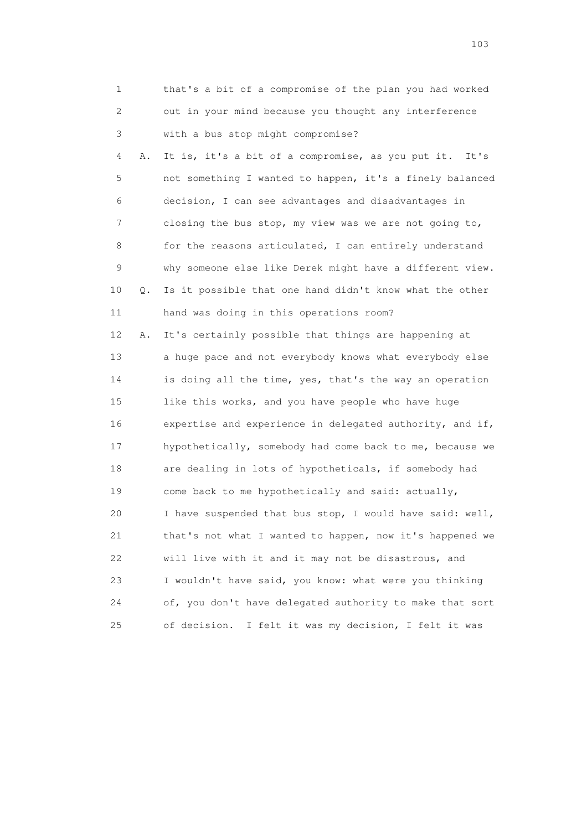| 1  |    | that's a bit of a compromise of the plan you had worked  |
|----|----|----------------------------------------------------------|
| 2  |    | out in your mind because you thought any interference    |
| 3  |    | with a bus stop might compromise?                        |
| 4  | Α. | It is, it's a bit of a compromise, as you put it. It's   |
| 5  |    | not something I wanted to happen, it's a finely balanced |
| 6  |    | decision, I can see advantages and disadvantages in      |
| 7  |    | closing the bus stop, my view was we are not going to,   |
| 8  |    | for the reasons articulated, I can entirely understand   |
| 9  |    | why someone else like Derek might have a different view. |
| 10 | Q. | Is it possible that one hand didn't know what the other  |
| 11 |    | hand was doing in this operations room?                  |
| 12 | Α. | It's certainly possible that things are happening at     |
| 13 |    | a huge pace and not everybody knows what everybody else  |
| 14 |    | is doing all the time, yes, that's the way an operation  |
| 15 |    | like this works, and you have people who have huge       |
| 16 |    | expertise and experience in delegated authority, and if, |
| 17 |    | hypothetically, somebody had come back to me, because we |
| 18 |    | are dealing in lots of hypotheticals, if somebody had    |
| 19 |    | come back to me hypothetically and said: actually,       |
| 20 |    | I have suspended that bus stop, I would have said: well, |
| 21 |    | that's not what I wanted to happen, now it's happened we |
| 22 |    | will live with it and it may not be disastrous, and      |
| 23 |    | I wouldn't have said, you know: what were you thinking   |
| 24 |    | of, you don't have delegated authority to make that sort |
| 25 |    | of decision. I felt it was my decision, I felt it was    |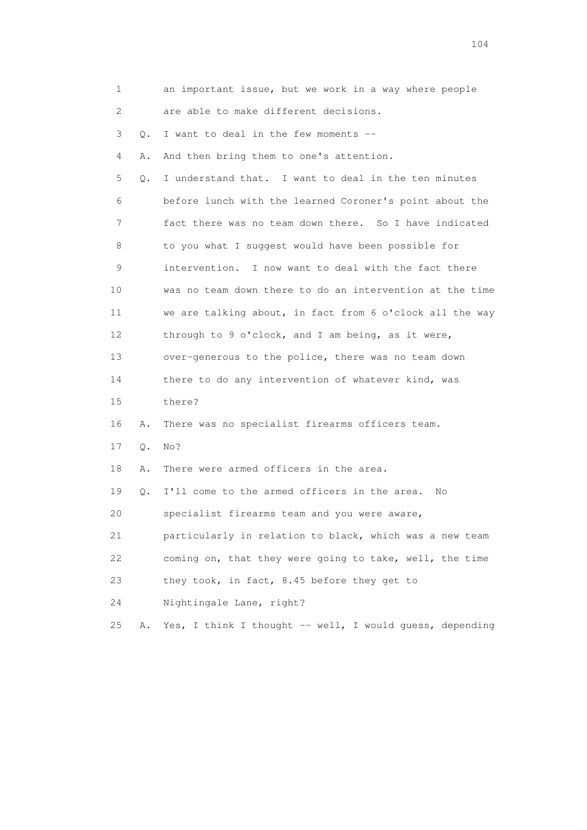| 1  |           | an important issue, but we work in a way where people    |
|----|-----------|----------------------------------------------------------|
| 2  |           | are able to make different decisions.                    |
| 3  | $\circ$ . | I want to deal in the few moments --                     |
| 4  | Α.        | And then bring them to one's attention.                  |
| 5  | О.        | I understand that. I want to deal in the ten minutes     |
| 6  |           | before lunch with the learned Coroner's point about the  |
| 7  |           | fact there was no team down there. So I have indicated   |
| 8  |           | to you what I suggest would have been possible for       |
| 9  |           | intervention. I now want to deal with the fact there     |
| 10 |           | was no team down there to do an intervention at the time |
| 11 |           | we are talking about, in fact from 6 o'clock all the way |
| 12 |           | through to 9 o'clock, and I am being, as it were,        |
| 13 |           | over-generous to the police, there was no team down      |
| 14 |           | there to do any intervention of whatever kind, was       |
| 15 |           | there?                                                   |
| 16 | Α.        | There was no specialist firearms officers team.          |
| 17 | Q.        | No?                                                      |
| 18 | Α.        | There were armed officers in the area.                   |
| 19 | Q.        | I'll come to the armed officers in the area.<br>No       |
| 20 |           | specialist firearms team and you were aware,             |
| 21 |           | particularly in relation to black, which was a new team  |
| 22 |           | coming on, that they were going to take, well, the time  |
| 23 |           | they took, in fact, 8.45 before they get to              |
| 24 |           | Nightingale Lane, right?                                 |
| 25 | Α.        | Yes, I think I thought -- well, I would guess, depending |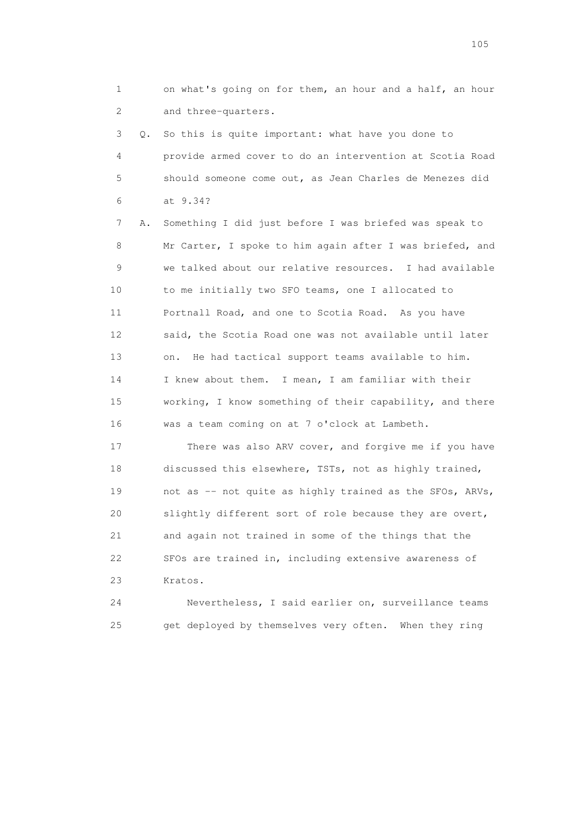1 on what's going on for them, an hour and a half, an hour 2 and three-quarters.

 3 Q. So this is quite important: what have you done to 4 provide armed cover to do an intervention at Scotia Road 5 should someone come out, as Jean Charles de Menezes did 6 at 9.34?

 7 A. Something I did just before I was briefed was speak to 8 Mr Carter, I spoke to him again after I was briefed, and 9 we talked about our relative resources. I had available 10 to me initially two SFO teams, one I allocated to 11 Portnall Road, and one to Scotia Road. As you have 12 said, the Scotia Road one was not available until later 13 on. He had tactical support teams available to him. 14 I knew about them. I mean, I am familiar with their 15 working, I know something of their capability, and there 16 was a team coming on at 7 o'clock at Lambeth.

 17 There was also ARV cover, and forgive me if you have 18 discussed this elsewhere, TSTs, not as highly trained, 19 not as -- not quite as highly trained as the SFOs, ARVs, 20 slightly different sort of role because they are overt, 21 and again not trained in some of the things that the 22 SFOs are trained in, including extensive awareness of 23 Kratos.

 24 Nevertheless, I said earlier on, surveillance teams 25 get deployed by themselves very often. When they ring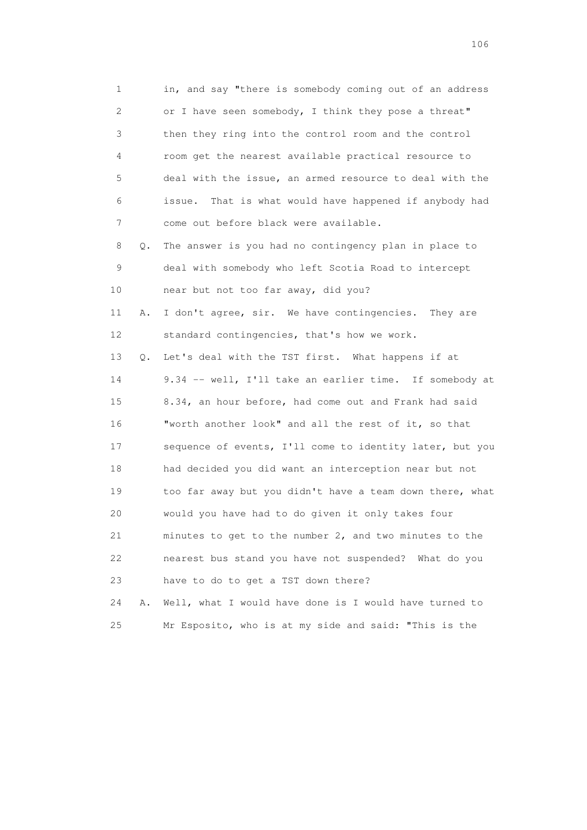1 in, and say "there is somebody coming out of an address 2 or I have seen somebody, I think they pose a threat" 3 then they ring into the control room and the control 4 room get the nearest available practical resource to 5 deal with the issue, an armed resource to deal with the 6 issue. That is what would have happened if anybody had 7 come out before black were available. 8 Q. The answer is you had no contingency plan in place to 9 deal with somebody who left Scotia Road to intercept 10 near but not too far away, did you? 11 A. I don't agree, sir. We have contingencies. They are 12 standard contingencies, that's how we work. 13 Q. Let's deal with the TST first. What happens if at 14 9.34 -- well, I'll take an earlier time. If somebody at 15 8.34, an hour before, had come out and Frank had said 16 "worth another look" and all the rest of it, so that 17 sequence of events, I'll come to identity later, but you 18 had decided you did want an interception near but not 19 too far away but you didn't have a team down there, what 20 would you have had to do given it only takes four 21 minutes to get to the number 2, and two minutes to the 22 nearest bus stand you have not suspended? What do you 23 have to do to get a TST down there? 24 A. Well, what I would have done is I would have turned to

25 Mr Esposito, who is at my side and said: "This is the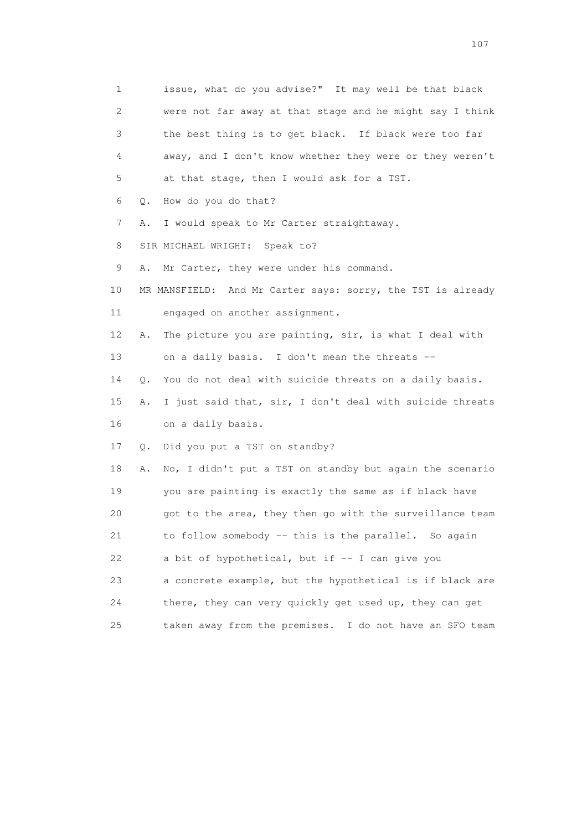1 issue, what do you advise?" It may well be that black 2 were not far away at that stage and he might say I think 3 the best thing is to get black. If black were too far 4 away, and I don't know whether they were or they weren't 5 at that stage, then I would ask for a TST. 6 Q. How do you do that? 7 A. I would speak to Mr Carter straightaway. 8 SIR MICHAEL WRIGHT: Speak to? 9 A. Mr Carter, they were under his command. 10 MR MANSFIELD: And Mr Carter says: sorry, the TST is already 11 engaged on another assignment. 12 A. The picture you are painting, sir, is what I deal with 13 on a daily basis. I don't mean the threats -- 14 Q. You do not deal with suicide threats on a daily basis. 15 A. I just said that, sir, I don't deal with suicide threats 16 on a daily basis. 17 Q. Did you put a TST on standby? 18 A. No, I didn't put a TST on standby but again the scenario 19 you are painting is exactly the same as if black have 20 got to the area, they then go with the surveillance team 21 to follow somebody -- this is the parallel. So again 22 a bit of hypothetical, but if -- I can give you 23 a concrete example, but the hypothetical is if black are 24 there, they can very quickly get used up, they can get 25 taken away from the premises. I do not have an SFO team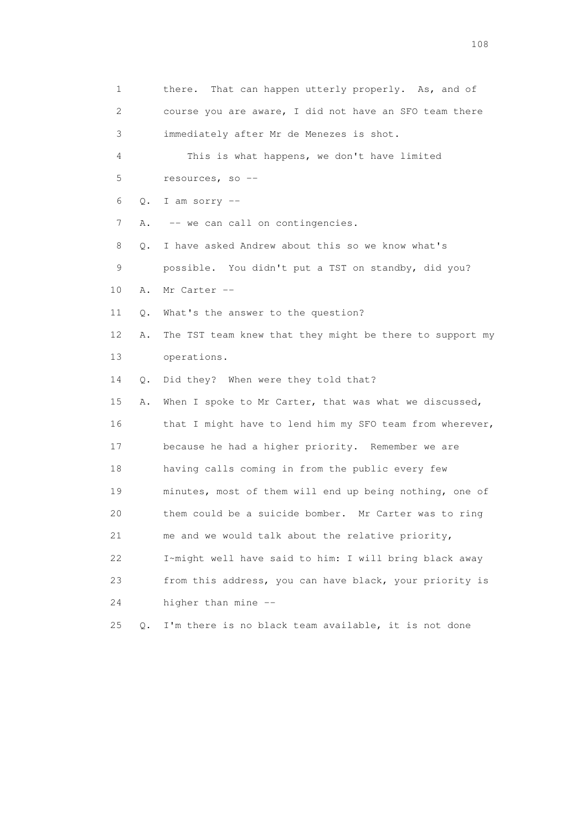1 there. That can happen utterly properly. As, and of 2 course you are aware, I did not have an SFO team there 3 immediately after Mr de Menezes is shot. 4 This is what happens, we don't have limited 5 resources, so --  $6$  O. I am sorry  $-$ 7 A. -- we can call on contingencies. 8 Q. I have asked Andrew about this so we know what's 9 possible. You didn't put a TST on standby, did you? 10 A. Mr Carter -- 11 Q. What's the answer to the question? 12 A. The TST team knew that they might be there to support my 13 operations. 14 Q. Did they? When were they told that? 15 A. When I spoke to Mr Carter, that was what we discussed, 16 that I might have to lend him my SFO team from wherever, 17 because he had a higher priority. Remember we are 18 having calls coming in from the public every few 19 minutes, most of them will end up being nothing, one of 20 them could be a suicide bomber. Mr Carter was to ring 21 me and we would talk about the relative priority, 22 I~might well have said to him: I will bring black away 23 from this address, you can have black, your priority is 24 higher than mine -- 25 Q. I'm there is no black team available, it is not done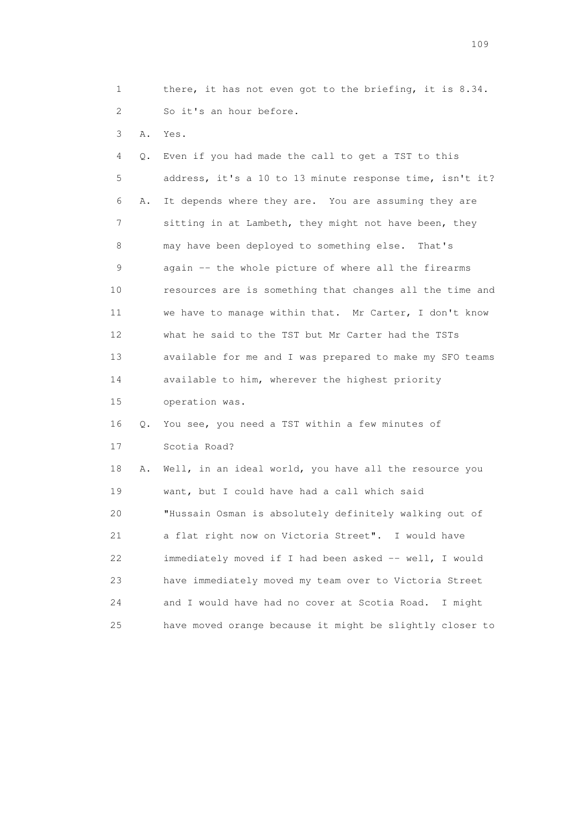1 there, it has not even got to the briefing, it is 8.34. 2 So it's an hour before.

3 A. Yes.

 4 Q. Even if you had made the call to get a TST to this 5 address, it's a 10 to 13 minute response time, isn't it? 6 A. It depends where they are. You are assuming they are 7 sitting in at Lambeth, they might not have been, they 8 may have been deployed to something else. That's 9 again -- the whole picture of where all the firearms 10 resources are is something that changes all the time and 11 we have to manage within that. Mr Carter, I don't know 12 what he said to the TST but Mr Carter had the TSTs 13 available for me and I was prepared to make my SFO teams 14 available to him, wherever the highest priority 15 operation was. 16 Q. You see, you need a TST within a few minutes of 17 Scotia Road? 18 A. Well, in an ideal world, you have all the resource you 19 want, but I could have had a call which said 20 "Hussain Osman is absolutely definitely walking out of 21 a flat right now on Victoria Street". I would have 22 immediately moved if I had been asked -- well, I would 23 have immediately moved my team over to Victoria Street 24 and I would have had no cover at Scotia Road. I might

25 have moved orange because it might be slightly closer to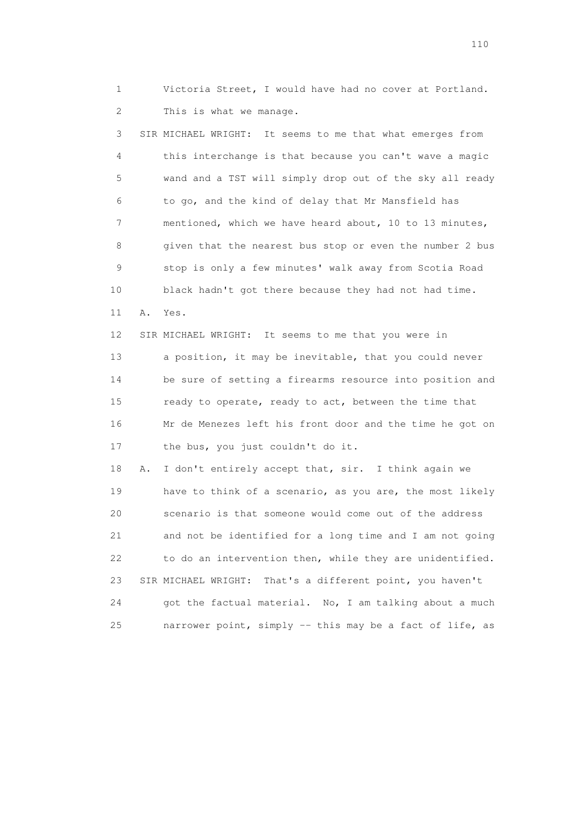1 Victoria Street, I would have had no cover at Portland. 2 This is what we manage.

 3 SIR MICHAEL WRIGHT: It seems to me that what emerges from 4 this interchange is that because you can't wave a magic 5 wand and a TST will simply drop out of the sky all ready 6 to go, and the kind of delay that Mr Mansfield has 7 mentioned, which we have heard about, 10 to 13 minutes, 8 given that the nearest bus stop or even the number 2 bus 9 stop is only a few minutes' walk away from Scotia Road 10 black hadn't got there because they had not had time. 11 A. Yes. 12 SIR MICHAEL WRIGHT: It seems to me that you were in 13 a position, it may be inevitable, that you could never 14 be sure of setting a firearms resource into position and 15 ready to operate, ready to act, between the time that 16 Mr de Menezes left his front door and the time he got on 17 the bus, you just couldn't do it. 18 A. I don't entirely accept that, sir. I think again we 19 have to think of a scenario, as you are, the most likely

 20 scenario is that someone would come out of the address 21 and not be identified for a long time and I am not going 22 to do an intervention then, while they are unidentified. 23 SIR MICHAEL WRIGHT: That's a different point, you haven't 24 got the factual material. No, I am talking about a much 25 narrower point, simply -- this may be a fact of life, as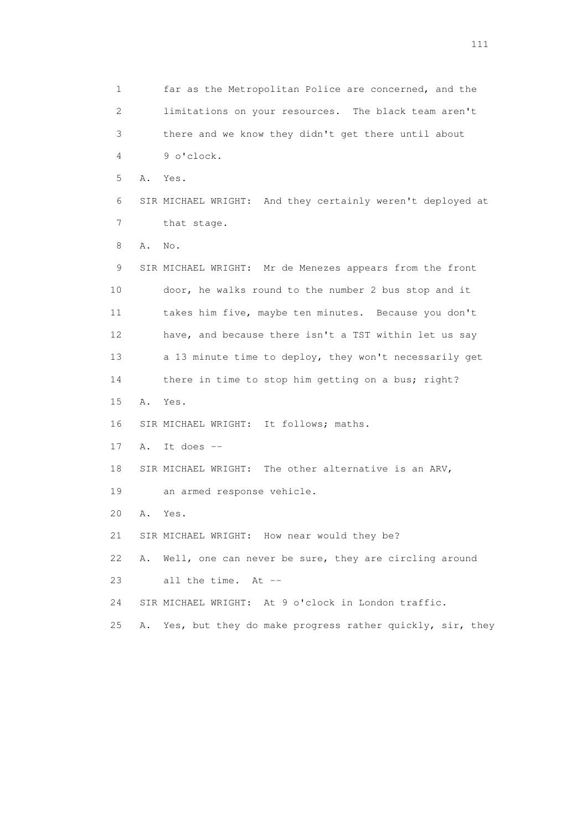1 far as the Metropolitan Police are concerned, and the 2 limitations on your resources. The black team aren't 3 there and we know they didn't get there until about 4 9 o'clock. 5 A. Yes. 6 SIR MICHAEL WRIGHT: And they certainly weren't deployed at 7 that stage. 8 A. No. 9 SIR MICHAEL WRIGHT: Mr de Menezes appears from the front 10 door, he walks round to the number 2 bus stop and it 11 takes him five, maybe ten minutes. Because you don't 12 have, and because there isn't a TST within let us say 13 a 13 minute time to deploy, they won't necessarily get 14 there in time to stop him getting on a bus; right? 15 A. Yes. 16 SIR MICHAEL WRIGHT: It follows; maths. 17 A. It does -- 18 SIR MICHAEL WRIGHT: The other alternative is an ARV, 19 an armed response vehicle. 20 A. Yes. 21 SIR MICHAEL WRIGHT: How near would they be? 22 A. Well, one can never be sure, they are circling around 23 all the time. At -- 24 SIR MICHAEL WRIGHT: At 9 o'clock in London traffic. 25 A. Yes, but they do make progress rather quickly, sir, they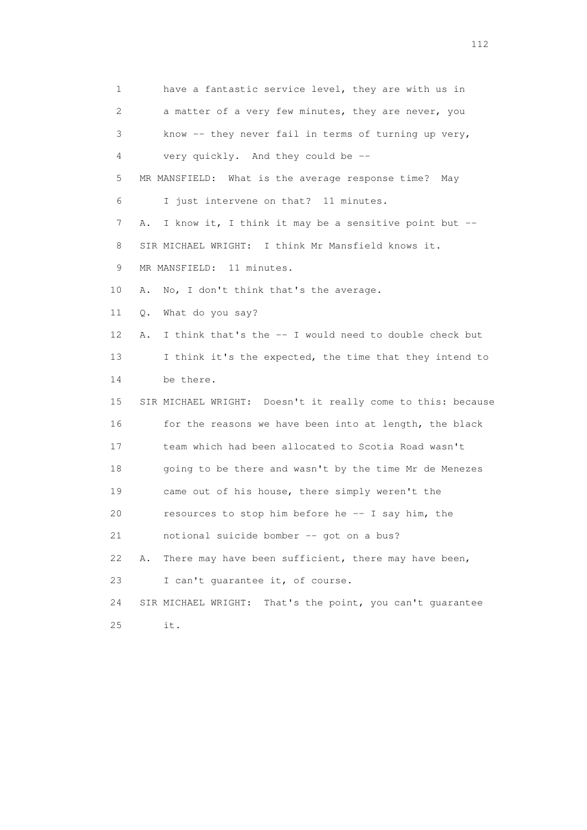1 have a fantastic service level, they are with us in 2 a matter of a very few minutes, they are never, you 3 know -- they never fail in terms of turning up very, 4 very quickly. And they could be -- 5 MR MANSFIELD: What is the average response time? May 6 I just intervene on that? 11 minutes. 7 A. I know it, I think it may be a sensitive point but -- 8 SIR MICHAEL WRIGHT: I think Mr Mansfield knows it. 9 MR MANSFIELD: 11 minutes. 10 A. No, I don't think that's the average. 11 Q. What do you say? 12 A. I think that's the -- I would need to double check but 13 I think it's the expected, the time that they intend to 14 be there. 15 SIR MICHAEL WRIGHT: Doesn't it really come to this: because 16 for the reasons we have been into at length, the black 17 team which had been allocated to Scotia Road wasn't 18 going to be there and wasn't by the time Mr de Menezes 19 came out of his house, there simply weren't the 20 resources to stop him before he -- I say him, the 21 notional suicide bomber -- got on a bus? 22 A. There may have been sufficient, there may have been, 23 I can't guarantee it, of course. 24 SIR MICHAEL WRIGHT: That's the point, you can't guarantee 25 it.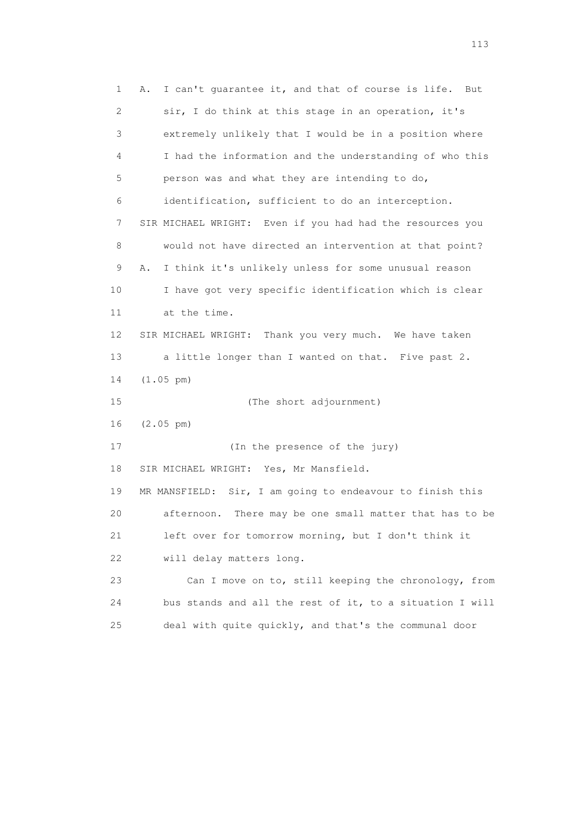1 A. I can't guarantee it, and that of course is life. But 2 sir, I do think at this stage in an operation, it's 3 extremely unlikely that I would be in a position where 4 I had the information and the understanding of who this 5 person was and what they are intending to do, 6 identification, sufficient to do an interception. 7 SIR MICHAEL WRIGHT: Even if you had had the resources you 8 would not have directed an intervention at that point? 9 A. I think it's unlikely unless for some unusual reason 10 I have got very specific identification which is clear 11 at the time. 12 SIR MICHAEL WRIGHT: Thank you very much. We have taken 13 a little longer than I wanted on that. Five past 2. 14 (1.05 pm) 15 (The short adjournment) 16 (2.05 pm) 17 (In the presence of the jury) 18 SIR MICHAEL WRIGHT: Yes, Mr Mansfield. 19 MR MANSFIELD: Sir, I am going to endeavour to finish this 20 afternoon. There may be one small matter that has to be 21 left over for tomorrow morning, but I don't think it 22 will delay matters long. 23 Can I move on to, still keeping the chronology, from 24 bus stands and all the rest of it, to a situation I will 25 deal with quite quickly, and that's the communal door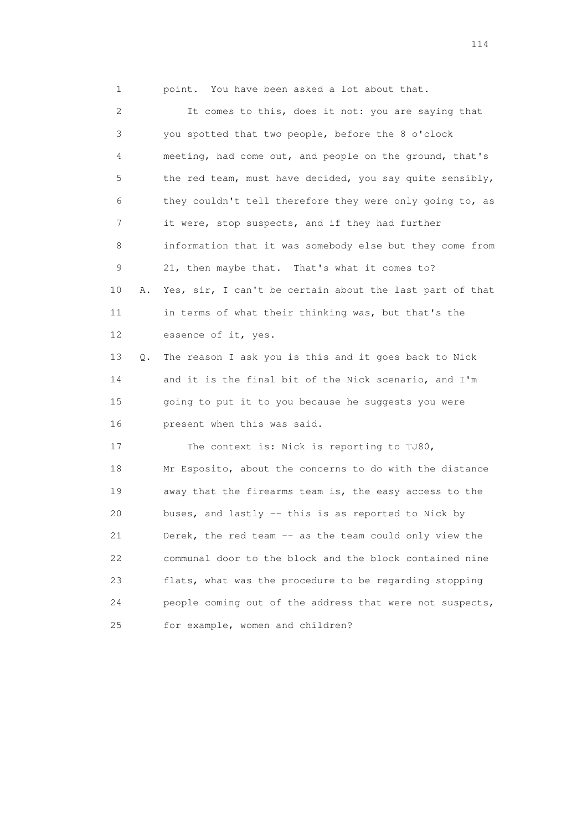1 point. You have been asked a lot about that.

 2 It comes to this, does it not: you are saying that 3 you spotted that two people, before the 8 o'clock 4 meeting, had come out, and people on the ground, that's 5 the red team, must have decided, you say quite sensibly, 6 they couldn't tell therefore they were only going to, as 7 it were, stop suspects, and if they had further 8 information that it was somebody else but they come from 9 21, then maybe that. That's what it comes to? 10 A. Yes, sir, I can't be certain about the last part of that 11 in terms of what their thinking was, but that's the 12 essence of it, yes. 13 Q. The reason I ask you is this and it goes back to Nick 14 and it is the final bit of the Nick scenario, and I'm 15 going to put it to you because he suggests you were 16 present when this was said. 17 The context is: Nick is reporting to TJ80, 18 Mr Esposito, about the concerns to do with the distance 19 away that the firearms team is, the easy access to the 20 buses, and lastly -- this is as reported to Nick by 21 Derek, the red team -- as the team could only view the 22 communal door to the block and the block contained nine 23 flats, what was the procedure to be regarding stopping 24 people coming out of the address that were not suspects, 25 for example, women and children?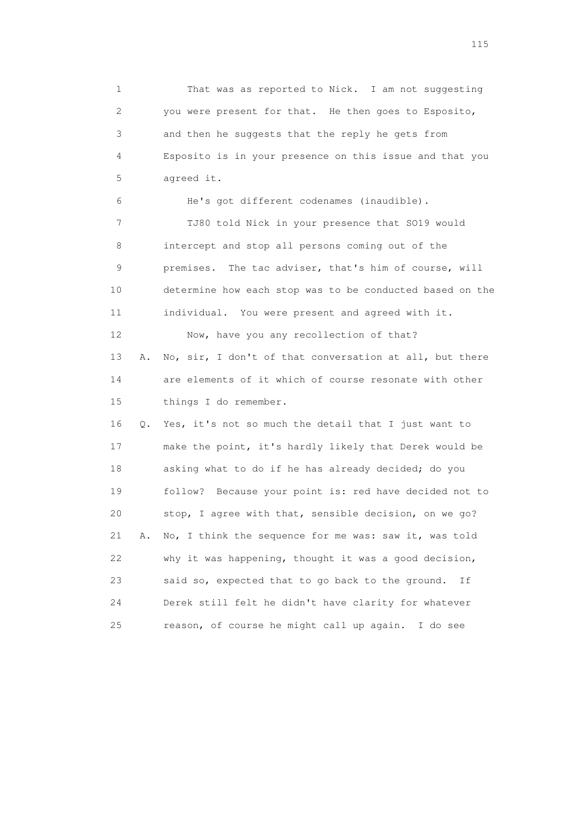1 That was as reported to Nick. I am not suggesting 2 you were present for that. He then goes to Esposito, 3 and then he suggests that the reply he gets from 4 Esposito is in your presence on this issue and that you 5 agreed it. 6 He's got different codenames (inaudible).

 7 TJ80 told Nick in your presence that SO19 would 8 intercept and stop all persons coming out of the 9 premises. The tac adviser, that's him of course, will 10 determine how each stop was to be conducted based on the 11 individual. You were present and agreed with it. 12 Now, have you any recollection of that?

 13 A. No, sir, I don't of that conversation at all, but there 14 are elements of it which of course resonate with other 15 things I do remember.

 16 Q. Yes, it's not so much the detail that I just want to 17 make the point, it's hardly likely that Derek would be 18 asking what to do if he has already decided; do you 19 follow? Because your point is: red have decided not to 20 stop, I agree with that, sensible decision, on we go? 21 A. No, I think the sequence for me was: saw it, was told 22 why it was happening, thought it was a good decision, 23 said so, expected that to go back to the ground. If 24 Derek still felt he didn't have clarity for whatever 25 reason, of course he might call up again. I do see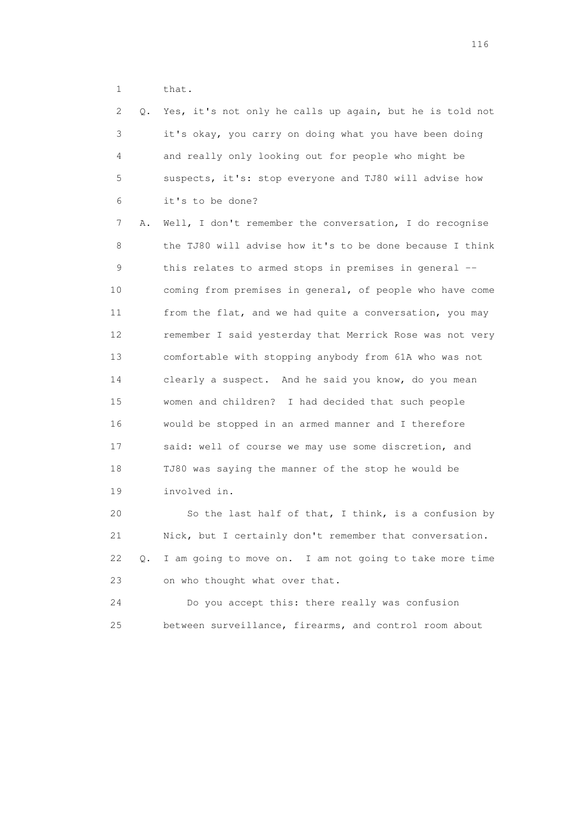1 that.

| 2  | О. | Yes, it's not only he calls up again, but he is told not |
|----|----|----------------------------------------------------------|
| 3  |    | it's okay, you carry on doing what you have been doing   |
| 4  |    | and really only looking out for people who might be      |
| 5  |    | suspects, it's: stop everyone and TJ80 will advise how   |
| 6  |    | it's to be done?                                         |
| 7  | Α. | Well, I don't remember the conversation, I do recognise  |
| 8  |    | the TJ80 will advise how it's to be done because I think |
| 9  |    | this relates to armed stops in premises in general --    |
| 10 |    | coming from premises in general, of people who have come |
| 11 |    | from the flat, and we had quite a conversation, you may  |
| 12 |    | remember I said yesterday that Merrick Rose was not very |
| 13 |    | comfortable with stopping anybody from 61A who was not   |
| 14 |    | clearly a suspect. And he said you know, do you mean     |
| 15 |    | women and children? I had decided that such people       |
| 16 |    | would be stopped in an armed manner and I therefore      |
| 17 |    | said: well of course we may use some discretion, and     |
| 18 |    | TJ80 was saying the manner of the stop he would be       |
| 19 |    | involved in.                                             |
| 20 |    | So the last half of that, I think, is a confusion by     |
| 21 |    | Nick, but I certainly don't remember that conversation.  |
| 22 | О. | I am going to move on. I am not going to take more time  |
| 23 |    | on who thought what over that.                           |
| 24 |    | Do you accept this: there really was confusion           |

25 between surveillance, firearms, and control room about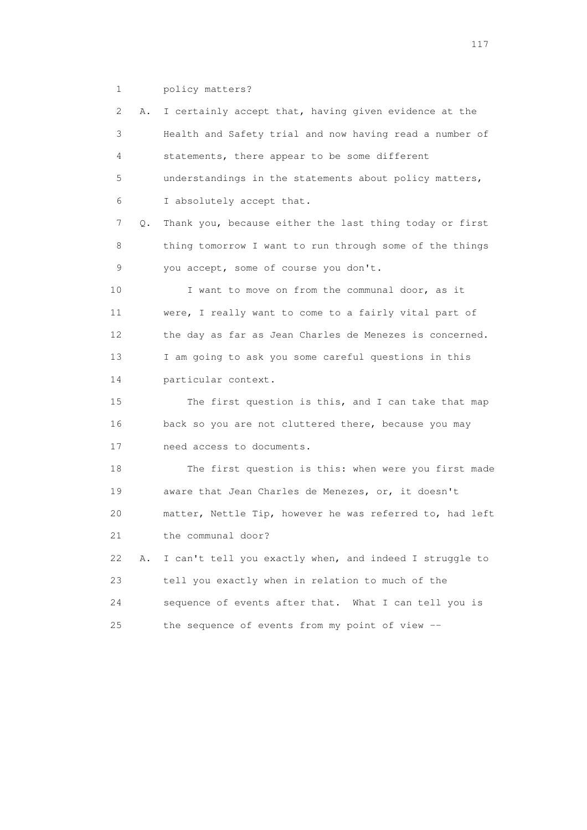1 policy matters?

 2 A. I certainly accept that, having given evidence at the 3 Health and Safety trial and now having read a number of 4 statements, there appear to be some different 5 understandings in the statements about policy matters, 6 I absolutely accept that. 7 Q. Thank you, because either the last thing today or first 8 thing tomorrow I want to run through some of the things 9 you accept, some of course you don't. 10 I want to move on from the communal door, as it 11 were, I really want to come to a fairly vital part of 12 the day as far as Jean Charles de Menezes is concerned. 13 I am going to ask you some careful questions in this 14 particular context. 15 The first question is this, and I can take that map 16 back so you are not cluttered there, because you may 17 need access to documents. 18 The first question is this: when were you first made 19 aware that Jean Charles de Menezes, or, it doesn't 20 matter, Nettle Tip, however he was referred to, had left 21 the communal door? 22 A. I can't tell you exactly when, and indeed I struggle to 23 tell you exactly when in relation to much of the 24 sequence of events after that. What I can tell you is 25 the sequence of events from my point of view --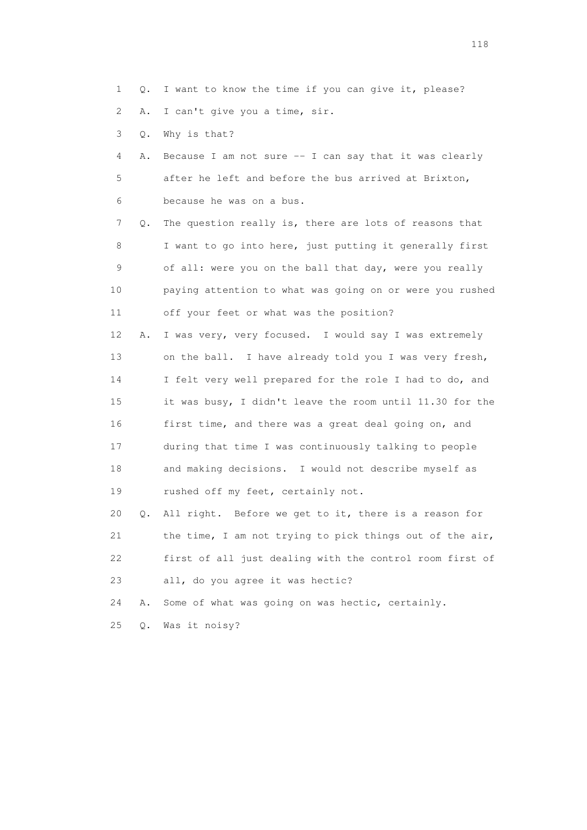1 Q. I want to know the time if you can give it, please?

2 A. I can't give you a time, sir.

3 Q. Why is that?

 4 A. Because I am not sure -- I can say that it was clearly 5 after he left and before the bus arrived at Brixton, 6 because he was on a bus.

 7 Q. The question really is, there are lots of reasons that 8 I want to go into here, just putting it generally first 9 of all: were you on the ball that day, were you really 10 paying attention to what was going on or were you rushed 11 off your feet or what was the position?

 12 A. I was very, very focused. I would say I was extremely 13 on the ball. I have already told you I was very fresh, 14 I felt very well prepared for the role I had to do, and 15 it was busy, I didn't leave the room until 11.30 for the 16 first time, and there was a great deal going on, and 17 during that time I was continuously talking to people 18 and making decisions. I would not describe myself as 19 rushed off my feet, certainly not.

 20 Q. All right. Before we get to it, there is a reason for 21 the time, I am not trying to pick things out of the air, 22 first of all just dealing with the control room first of 23 all, do you agree it was hectic?

24 A. Some of what was going on was hectic, certainly.

25 Q. Was it noisy?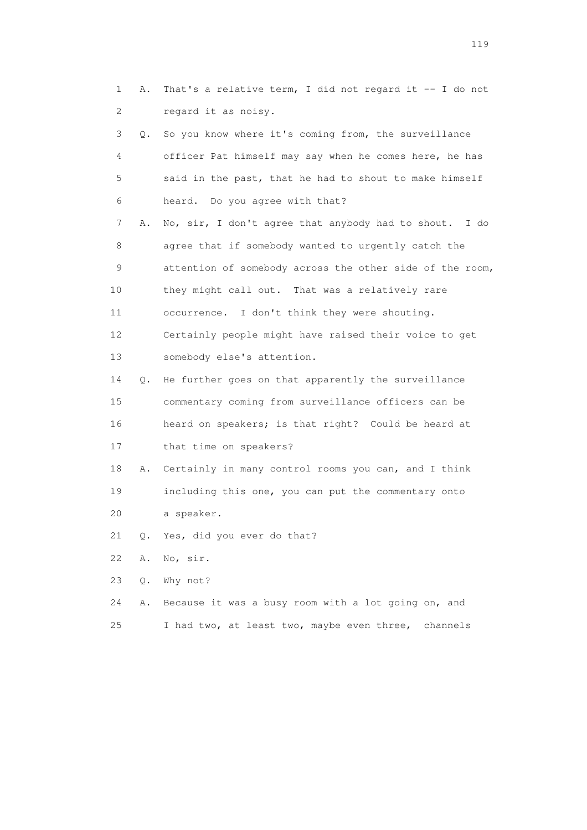1 A. That's a relative term, I did not regard it -- I do not 2 regard it as noisy.

|                 | 3<br>$\circ$ . | So you know where it's coming from, the surveillance     |
|-----------------|----------------|----------------------------------------------------------|
|                 | $\overline{4}$ | officer Pat himself may say when he comes here, he has   |
|                 | 5              | said in the past, that he had to shout to make himself   |
|                 | 6              | heard. Do you agree with that?                           |
|                 | 7<br>Α.        | No, sir, I don't agree that anybody had to shout. I do   |
|                 | 8              | agree that if somebody wanted to urgently catch the      |
|                 | 9              | attention of somebody across the other side of the room, |
| 10              |                | they might call out. That was a relatively rare          |
| 11              |                | occurrence. I don't think they were shouting.            |
| 12 <sup>°</sup> |                | Certainly people might have raised their voice to get    |
| 13              |                | somebody else's attention.                               |
| 14              |                | Q. He further goes on that apparently the surveillance   |
| 15              |                | commentary coming from surveillance officers can be      |
| 16              |                | heard on speakers; is that right? Could be heard at      |
| 17              |                | that time on speakers?                                   |
| 18              | Α.             | Certainly in many control rooms you can, and I think     |
| 19              |                | including this one, you can put the commentary onto      |
|                 |                |                                                          |

- 20 a speaker.
- 21 Q. Yes, did you ever do that?
- 22 A. No, sir.
- 23 Q. Why not?
- 24 A. Because it was a busy room with a lot going on, and 25 I had two, at least two, maybe even three, channels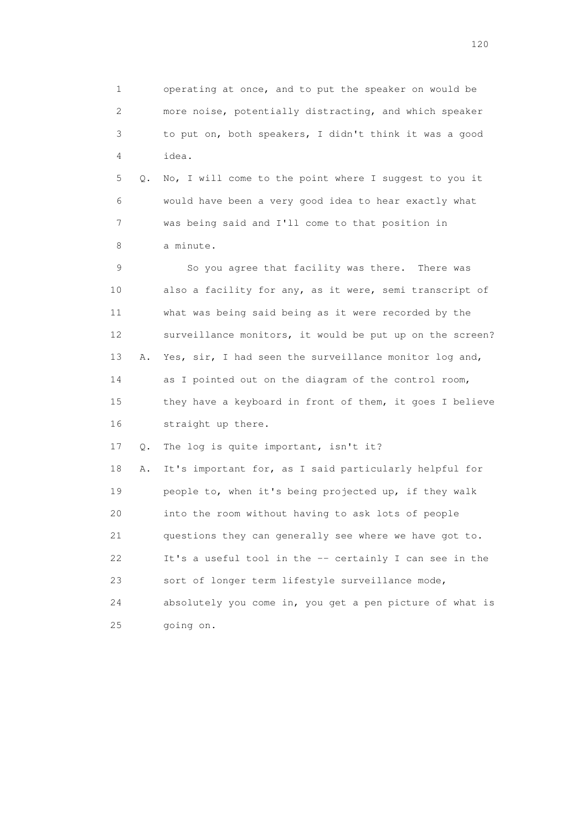1 operating at once, and to put the speaker on would be 2 more noise, potentially distracting, and which speaker 3 to put on, both speakers, I didn't think it was a good 4 idea.

 5 Q. No, I will come to the point where I suggest to you it 6 would have been a very good idea to hear exactly what 7 was being said and I'll come to that position in 8 a minute.

 9 So you agree that facility was there. There was 10 also a facility for any, as it were, semi transcript of 11 what was being said being as it were recorded by the 12 surveillance monitors, it would be put up on the screen? 13 A. Yes, sir, I had seen the surveillance monitor log and, 14 as I pointed out on the diagram of the control room, 15 they have a keyboard in front of them, it goes I believe 16 straight up there.

17 Q. The log is quite important, isn't it?

 18 A. It's important for, as I said particularly helpful for 19 people to, when it's being projected up, if they walk 20 into the room without having to ask lots of people 21 questions they can generally see where we have got to. 22 It's a useful tool in the -- certainly I can see in the 23 sort of longer term lifestyle surveillance mode, 24 absolutely you come in, you get a pen picture of what is 25 going on.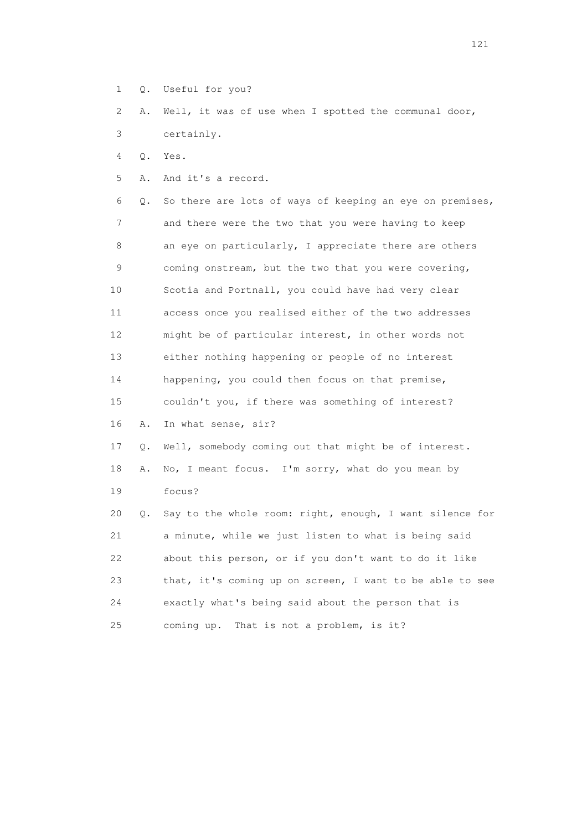1 Q. Useful for you?

 2 A. Well, it was of use when I spotted the communal door, 3 certainly.

4 Q. Yes.

5 A. And it's a record.

 6 Q. So there are lots of ways of keeping an eye on premises, 7 and there were the two that you were having to keep 8 an eye on particularly, I appreciate there are others 9 coming onstream, but the two that you were covering, 10 Scotia and Portnall, you could have had very clear 11 access once you realised either of the two addresses 12 might be of particular interest, in other words not 13 either nothing happening or people of no interest 14 happening, you could then focus on that premise, 15 couldn't you, if there was something of interest? 16 A. In what sense, sir? 17 Q. Well, somebody coming out that might be of interest. 18 A. No, I meant focus. I'm sorry, what do you mean by 19 focus? 20 Q. Say to the whole room: right, enough, I want silence for 21 a minute, while we just listen to what is being said 22 about this person, or if you don't want to do it like 23 that, it's coming up on screen, I want to be able to see 24 exactly what's being said about the person that is

25 coming up. That is not a problem, is it?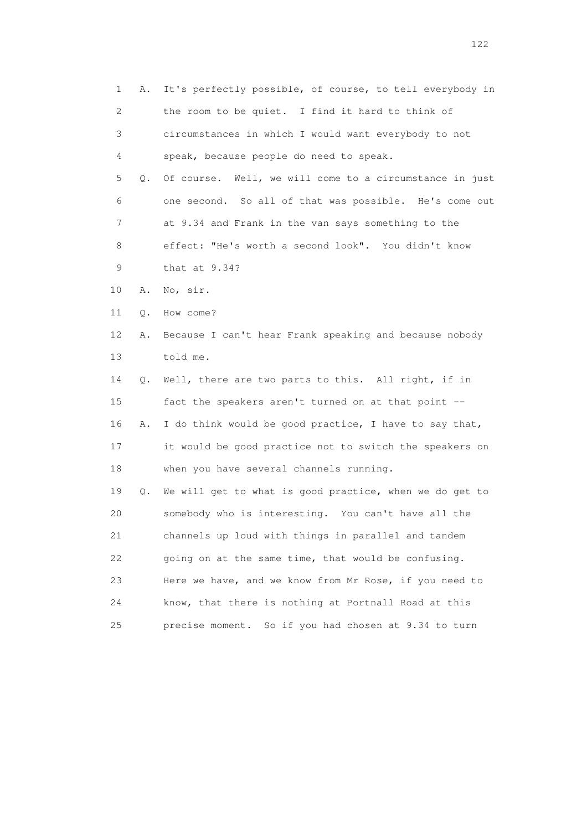1 A. It's perfectly possible, of course, to tell everybody in 2 the room to be quiet. I find it hard to think of 3 circumstances in which I would want everybody to not 4 speak, because people do need to speak. 5 Q. Of course. Well, we will come to a circumstance in just 6 one second. So all of that was possible. He's come out 7 at 9.34 and Frank in the van says something to the 8 effect: "He's worth a second look". You didn't know 9 that at 9.34? 10 A. No, sir. 11 Q. How come? 12 A. Because I can't hear Frank speaking and because nobody 13 told me. 14 Q. Well, there are two parts to this. All right, if in 15 fact the speakers aren't turned on at that point -- 16 A. I do think would be good practice, I have to say that, 17 it would be good practice not to switch the speakers on 18 when you have several channels running. 19 Q. We will get to what is good practice, when we do get to 20 somebody who is interesting. You can't have all the 21 channels up loud with things in parallel and tandem 22 going on at the same time, that would be confusing. 23 Here we have, and we know from Mr Rose, if you need to 24 know, that there is nothing at Portnall Road at this 25 precise moment. So if you had chosen at 9.34 to turn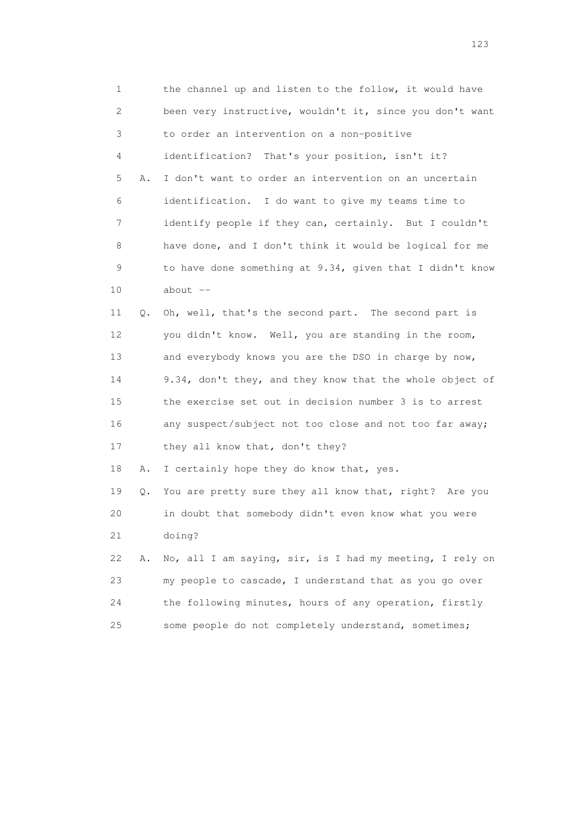1 the channel up and listen to the follow, it would have 2 been very instructive, wouldn't it, since you don't want 3 to order an intervention on a non-positive 4 identification? That's your position, isn't it? 5 A. I don't want to order an intervention on an uncertain 6 identification. I do want to give my teams time to 7 identify people if they can, certainly. But I couldn't 8 have done, and I don't think it would be logical for me 9 to have done something at 9.34, given that I didn't know 10 about -- 11 Q. Oh, well, that's the second part. The second part is

 12 you didn't know. Well, you are standing in the room, 13 and everybody knows you are the DSO in charge by now, 14 9.34, don't they, and they know that the whole object of 15 the exercise set out in decision number 3 is to arrest 16 any suspect/subject not too close and not too far away; 17 they all know that, don't they?

18 A. I certainly hope they do know that, yes.

 19 Q. You are pretty sure they all know that, right? Are you 20 in doubt that somebody didn't even know what you were 21 doing?

 22 A. No, all I am saying, sir, is I had my meeting, I rely on 23 my people to cascade, I understand that as you go over 24 the following minutes, hours of any operation, firstly 25 some people do not completely understand, sometimes;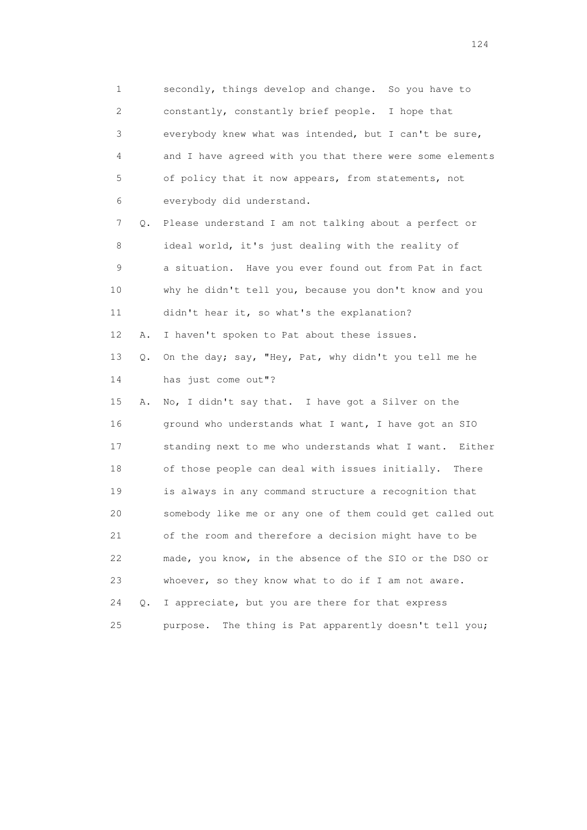1 secondly, things develop and change. So you have to 2 constantly, constantly brief people. I hope that 3 everybody knew what was intended, but I can't be sure, 4 and I have agreed with you that there were some elements 5 of policy that it now appears, from statements, not 6 everybody did understand. 7 Q. Please understand I am not talking about a perfect or 8 ideal world, it's just dealing with the reality of 9 a situation. Have you ever found out from Pat in fact 10 why he didn't tell you, because you don't know and you 11 didn't hear it, so what's the explanation? 12 A. I haven't spoken to Pat about these issues. 13 Q. On the day; say, "Hey, Pat, why didn't you tell me he 14 has just come out"? 15 A. No, I didn't say that. I have got a Silver on the 16 ground who understands what I want, I have got an SIO 17 standing next to me who understands what I want. Either 18 of those people can deal with issues initially. There 19 is always in any command structure a recognition that 20 somebody like me or any one of them could get called out 21 of the room and therefore a decision might have to be 22 made, you know, in the absence of the SIO or the DSO or 23 whoever, so they know what to do if I am not aware. 24 Q. I appreciate, but you are there for that express 25 purpose. The thing is Pat apparently doesn't tell you;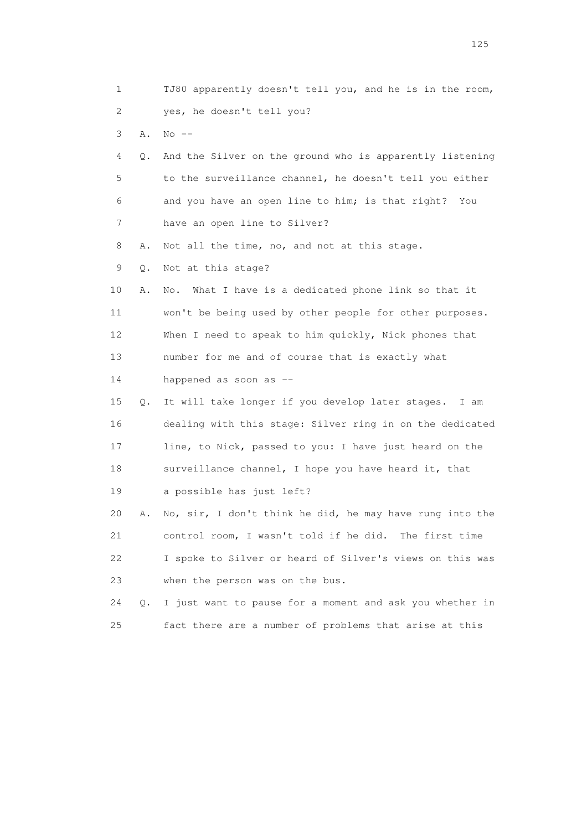| $\mathbf 1$     |    | TJ80 apparently doesn't tell you, and he is in the room, |
|-----------------|----|----------------------------------------------------------|
| 2               |    | yes, he doesn't tell you?                                |
| 3               | Α. | $No$ $--$                                                |
| 4               | Q. | And the Silver on the ground who is apparently listening |
| 5               |    | to the surveillance channel, he doesn't tell you either  |
| 6               |    | and you have an open line to him; is that right?<br>You  |
| 7               |    | have an open line to Silver?                             |
| 8               | Α. | Not all the time, no, and not at this stage.             |
| 9               | Q. | Not at this stage?                                       |
| 10              | Α. | What I have is a dedicated phone link so that it<br>No.  |
| 11              |    | won't be being used by other people for other purposes.  |
| 12 <sup>°</sup> |    | When I need to speak to him quickly, Nick phones that    |
| 13              |    | number for me and of course that is exactly what         |
| 14              |    | happened as soon as --                                   |
| 15              | Q. | It will take longer if you develop later stages. I am    |
| 16              |    | dealing with this stage: Silver ring in on the dedicated |
| 17              |    | line, to Nick, passed to you: I have just heard on the   |
| 18              |    | surveillance channel, I hope you have heard it, that     |
| 19              |    | a possible has just left?                                |
| 20              | Α. | No, sir, I don't think he did, he may have rung into the |
| 21              |    | control room, I wasn't told if he did. The first time    |
| 22              |    | I spoke to Silver or heard of Silver's views on this was |
| 23              |    | when the person was on the bus.                          |
| 24              | Q. | I just want to pause for a moment and ask you whether in |
| 25              |    | fact there are a number of problems that arise at this   |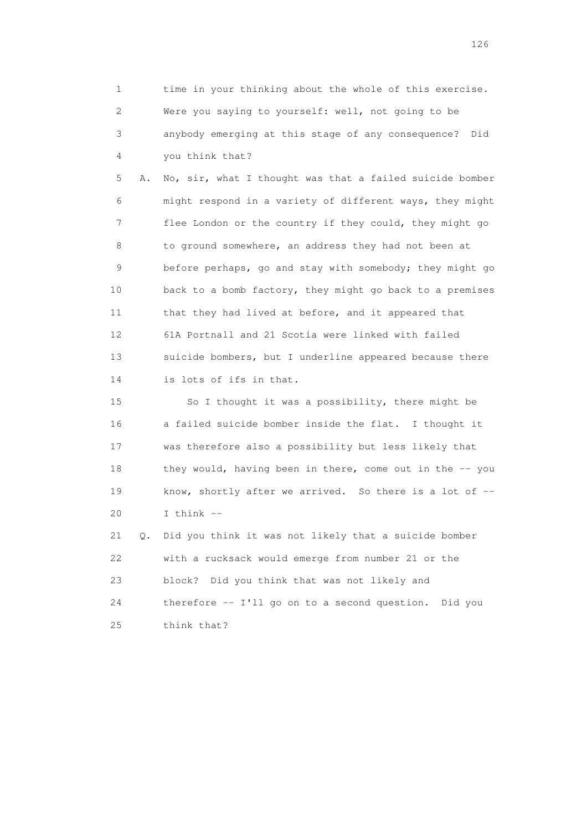1 time in your thinking about the whole of this exercise. 2 Were you saying to yourself: well, not going to be 3 anybody emerging at this stage of any consequence? Did 4 you think that?

 5 A. No, sir, what I thought was that a failed suicide bomber 6 might respond in a variety of different ways, they might 7 flee London or the country if they could, they might go 8 to ground somewhere, an address they had not been at 9 before perhaps, go and stay with somebody; they might go 10 back to a bomb factory, they might go back to a premises 11 that they had lived at before, and it appeared that 12 61A Portnall and 21 Scotia were linked with failed 13 suicide bombers, but I underline appeared because there 14 is lots of ifs in that.

 15 So I thought it was a possibility, there might be 16 a failed suicide bomber inside the flat. I thought it 17 was therefore also a possibility but less likely that 18 they would, having been in there, come out in the -- you 19 know, shortly after we arrived. So there is a lot of  $-$ -20 I think --

 21 Q. Did you think it was not likely that a suicide bomber 22 with a rucksack would emerge from number 21 or the 23 block? Did you think that was not likely and 24 therefore -- I'll go on to a second question. Did you 25 think that?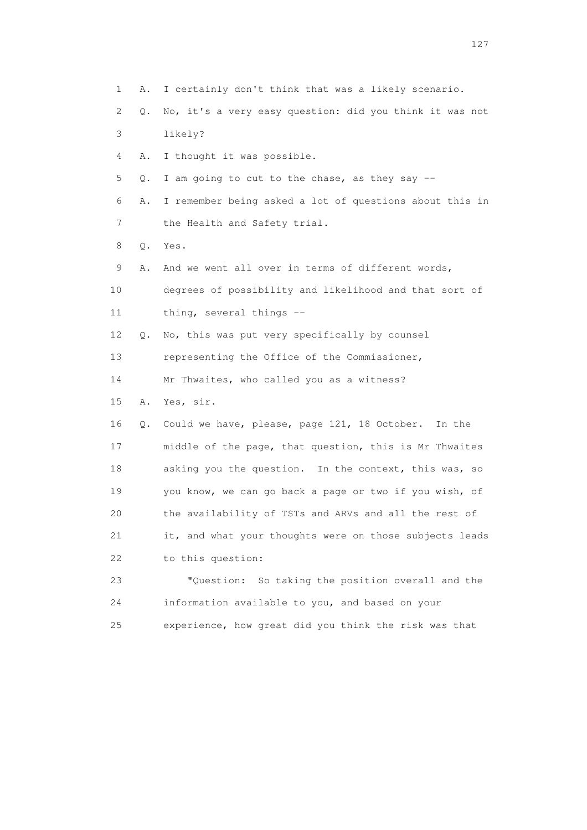1 A. I certainly don't think that was a likely scenario. 2 Q. No, it's a very easy question: did you think it was not 3 likely? 4 A. I thought it was possible. 5 Q. I am going to cut to the chase, as they say -- 6 A. I remember being asked a lot of questions about this in 7 the Health and Safety trial. 8 Q. Yes. 9 A. And we went all over in terms of different words, 10 degrees of possibility and likelihood and that sort of 11 thing, several things -- 12 Q. No, this was put very specifically by counsel 13 representing the Office of the Commissioner, 14 Mr Thwaites, who called you as a witness? 15 A. Yes, sir. 16 Q. Could we have, please, page 121, 18 October. In the 17 middle of the page, that question, this is Mr Thwaites 18 asking you the question. In the context, this was, so 19 you know, we can go back a page or two if you wish, of 20 the availability of TSTs and ARVs and all the rest of 21 it, and what your thoughts were on those subjects leads 22 to this question: 23 "Question: So taking the position overall and the 24 information available to you, and based on your 25 experience, how great did you think the risk was that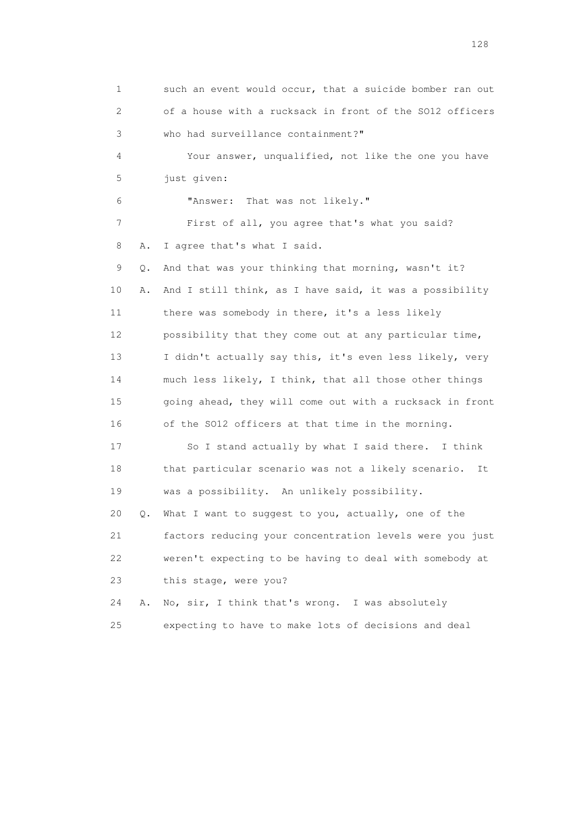1 such an event would occur, that a suicide bomber ran out 2 of a house with a rucksack in front of the SO12 officers 3 who had surveillance containment?" 4 Your answer, unqualified, not like the one you have 5 just given: 6 "Answer: That was not likely." 7 First of all, you agree that's what you said? 8 A. I agree that's what I said. 9 Q. And that was your thinking that morning, wasn't it? 10 A. And I still think, as I have said, it was a possibility 11 there was somebody in there, it's a less likely 12 possibility that they come out at any particular time, 13 I didn't actually say this, it's even less likely, very 14 much less likely, I think, that all those other things 15 going ahead, they will come out with a rucksack in front 16 of the SO12 officers at that time in the morning. 17 So I stand actually by what I said there. I think 18 that particular scenario was not a likely scenario. It 19 was a possibility. An unlikely possibility. 20 Q. What I want to suggest to you, actually, one of the 21 factors reducing your concentration levels were you just 22 weren't expecting to be having to deal with somebody at 23 this stage, were you? 24 A. No, sir, I think that's wrong. I was absolutely 25 expecting to have to make lots of decisions and deal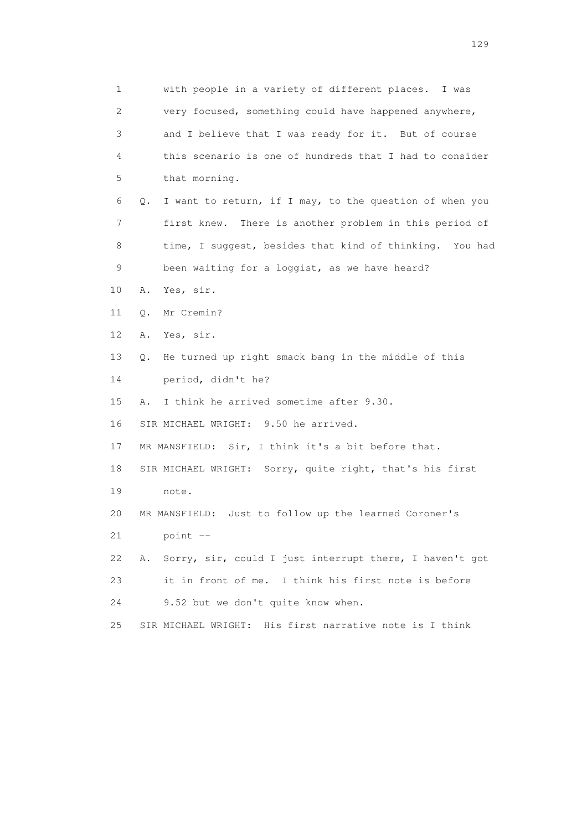1 with people in a variety of different places. I was 2 very focused, something could have happened anywhere, 3 and I believe that I was ready for it. But of course 4 this scenario is one of hundreds that I had to consider 5 that morning. 6 Q. I want to return, if I may, to the question of when you 7 first knew. There is another problem in this period of 8 time, I suggest, besides that kind of thinking. You had 9 been waiting for a loggist, as we have heard? 10 A. Yes, sir. 11 Q. Mr Cremin? 12 A. Yes, sir. 13 Q. He turned up right smack bang in the middle of this 14 period, didn't he? 15 A. I think he arrived sometime after 9.30. 16 SIR MICHAEL WRIGHT: 9.50 he arrived. 17 MR MANSFIELD: Sir, I think it's a bit before that. 18 SIR MICHAEL WRIGHT: Sorry, quite right, that's his first 19 note. 20 MR MANSFIELD: Just to follow up the learned Coroner's 21 point -- 22 A. Sorry, sir, could I just interrupt there, I haven't got 23 it in front of me. I think his first note is before 24 9.52 but we don't quite know when. 25 SIR MICHAEL WRIGHT: His first narrative note is I think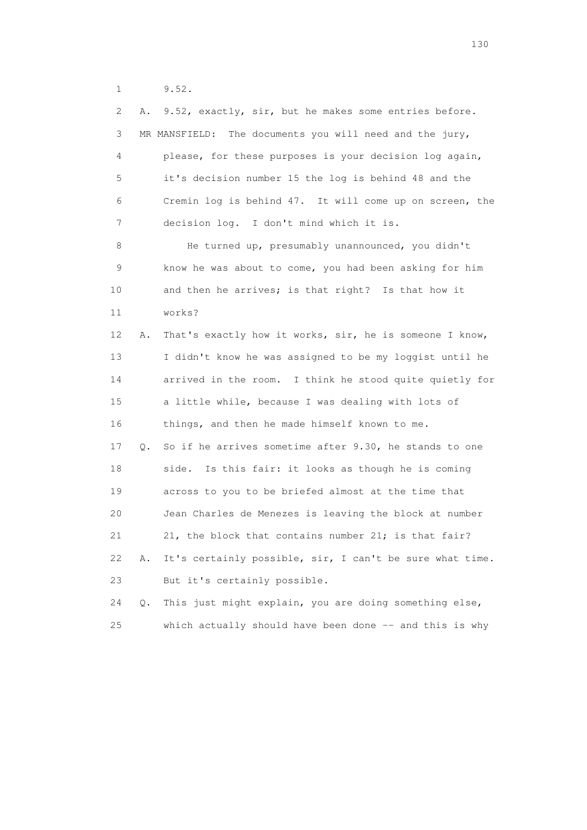1 9.52.

| 2  | Α.    | 9.52, exactly, sir, but he makes some entries before.      |
|----|-------|------------------------------------------------------------|
| 3  |       | MR MANSFIELD:<br>The documents you will need and the jury, |
| 4  |       | please, for these purposes is your decision log again,     |
| 5  |       | it's decision number 15 the log is behind 48 and the       |
| 6  |       | Cremin log is behind 47. It will come up on screen, the    |
| 7  |       | decision log. I don't mind which it is.                    |
| 8  |       | He turned up, presumably unannounced, you didn't           |
| 9  |       | know he was about to come, you had been asking for him     |
| 10 |       | and then he arrives; is that right? Is that how it         |
| 11 |       | works?                                                     |
| 12 | Α.    | That's exactly how it works, sir, he is someone I know,    |
| 13 |       | I didn't know he was assigned to be my loggist until he    |
| 14 |       | arrived in the room. I think he stood quite quietly for    |
| 15 |       | a little while, because I was dealing with lots of         |
| 16 |       | things, and then he made himself known to me.              |
| 17 | Q.    | So if he arrives sometime after 9.30, he stands to one     |
| 18 |       | Is this fair: it looks as though he is coming<br>side.     |
| 19 |       | across to you to be briefed almost at the time that        |
| 20 |       | Jean Charles de Menezes is leaving the block at number     |
| 21 |       | 21, the block that contains number 21; is that fair?       |
| 22 | Α.    | It's certainly possible, sir, I can't be sure what time.   |
| 23 |       | But it's certainly possible.                               |
| 24 | $Q$ . | This just might explain, you are doing something else,     |
| 25 |       | which actually should have been done -- and this is why    |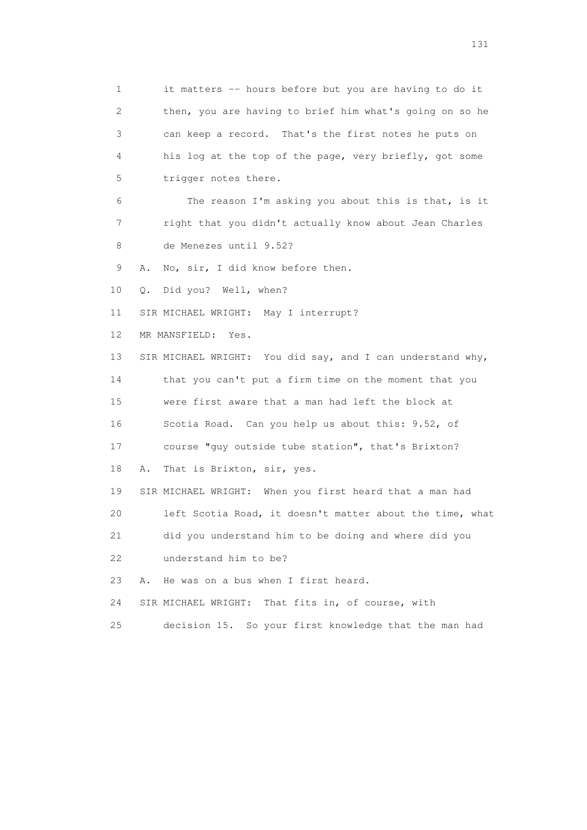1 it matters -- hours before but you are having to do it 2 then, you are having to brief him what's going on so he 3 can keep a record. That's the first notes he puts on 4 his log at the top of the page, very briefly, got some 5 trigger notes there. 6 The reason I'm asking you about this is that, is it 7 right that you didn't actually know about Jean Charles 8 de Menezes until 9.52? 9 A. No, sir, I did know before then. 10 Q. Did you? Well, when? 11 SIR MICHAEL WRIGHT: May I interrupt? 12 MR MANSFIELD: Yes. 13 SIR MICHAEL WRIGHT: You did say, and I can understand why, 14 that you can't put a firm time on the moment that you 15 were first aware that a man had left the block at 16 Scotia Road. Can you help us about this: 9.52, of 17 course "guy outside tube station", that's Brixton? 18 A. That is Brixton, sir, yes. 19 SIR MICHAEL WRIGHT: When you first heard that a man had 20 left Scotia Road, it doesn't matter about the time, what 21 did you understand him to be doing and where did you 22 understand him to be? 23 A. He was on a bus when I first heard. 24 SIR MICHAEL WRIGHT: That fits in, of course, with 25 decision 15. So your first knowledge that the man had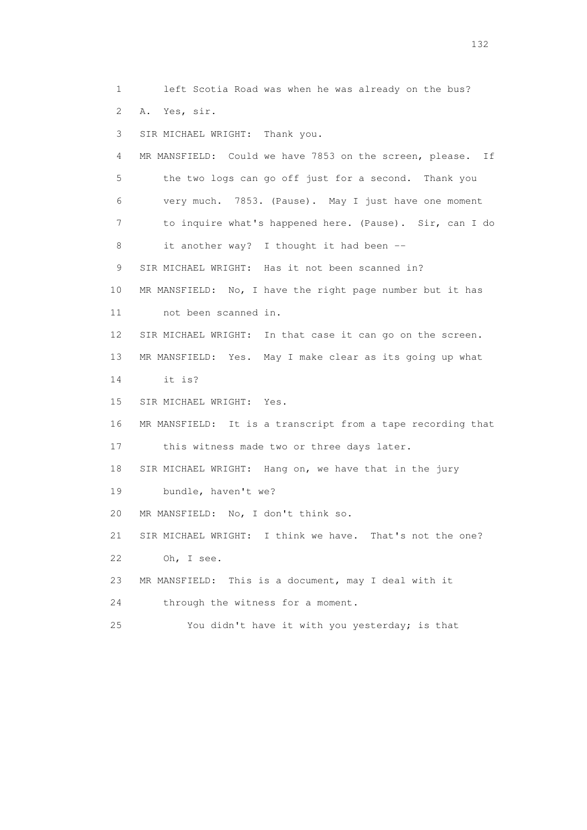2 A. Yes, sir. 3 SIR MICHAEL WRIGHT: Thank you. 4 MR MANSFIELD: Could we have 7853 on the screen, please. If 5 the two logs can go off just for a second. Thank you 6 very much. 7853. (Pause). May I just have one moment 7 to inquire what's happened here. (Pause). Sir, can I do 8 it another way? I thought it had been -- 9 SIR MICHAEL WRIGHT: Has it not been scanned in? 10 MR MANSFIELD: No, I have the right page number but it has 11 not been scanned in. 12 SIR MICHAEL WRIGHT: In that case it can go on the screen. 13 MR MANSFIELD: Yes. May I make clear as its going up what 14 it is?

1 left Scotia Road was when he was already on the bus?

15 SIR MICHAEL WRIGHT: Yes.

16 MR MANSFIELD: It is a transcript from a tape recording that

17 this witness made two or three days later.

18 SIR MICHAEL WRIGHT: Hang on, we have that in the jury

19 bundle, haven't we?

20 MR MANSFIELD: No, I don't think so.

 21 SIR MICHAEL WRIGHT: I think we have. That's not the one? 22 Oh, I see.

23 MR MANSFIELD: This is a document, may I deal with it

24 through the witness for a moment.

25 You didn't have it with you yesterday; is that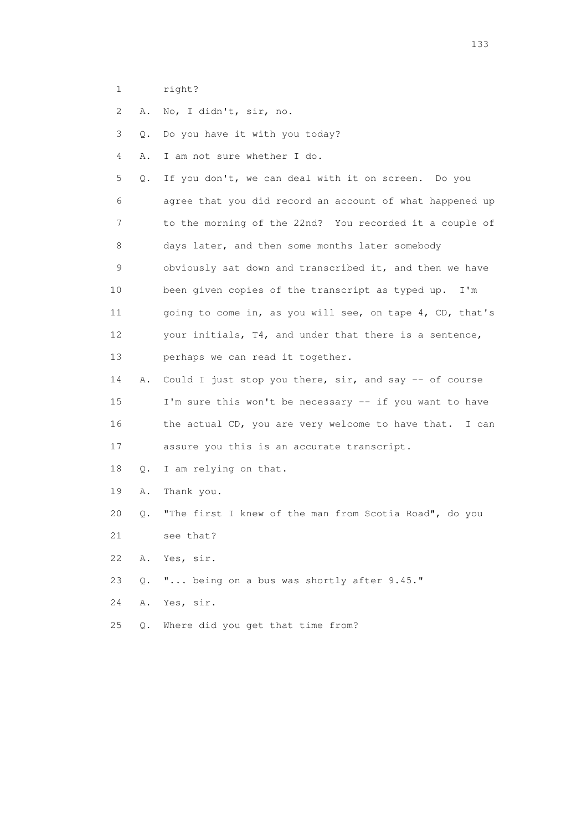- 1 right?
- 2 A. No, I didn't, sir, no.

3 Q. Do you have it with you today?

- 4 A. I am not sure whether I do.
- 5 Q. If you don't, we can deal with it on screen. Do you 6 agree that you did record an account of what happened up 7 to the morning of the 22nd? You recorded it a couple of 8 days later, and then some months later somebody 9 obviously sat down and transcribed it, and then we have 10 been given copies of the transcript as typed up. I'm 11 going to come in, as you will see, on tape 4, CD, that's 12 your initials, T4, and under that there is a sentence, 13 perhaps we can read it together.
- 14 A. Could I just stop you there, sir, and say -- of course 15 I'm sure this won't be necessary -- if you want to have 16 the actual CD, you are very welcome to have that. I can 17 assure you this is an accurate transcript.
- 18 Q. I am relying on that.
- 19 A. Thank you.
- 20 Q. "The first I knew of the man from Scotia Road", do you
- 21 see that?
- 22 A. Yes, sir.
- 23 Q. "... being on a bus was shortly after 9.45."
- 24 A. Yes, sir.
- 25 Q. Where did you get that time from?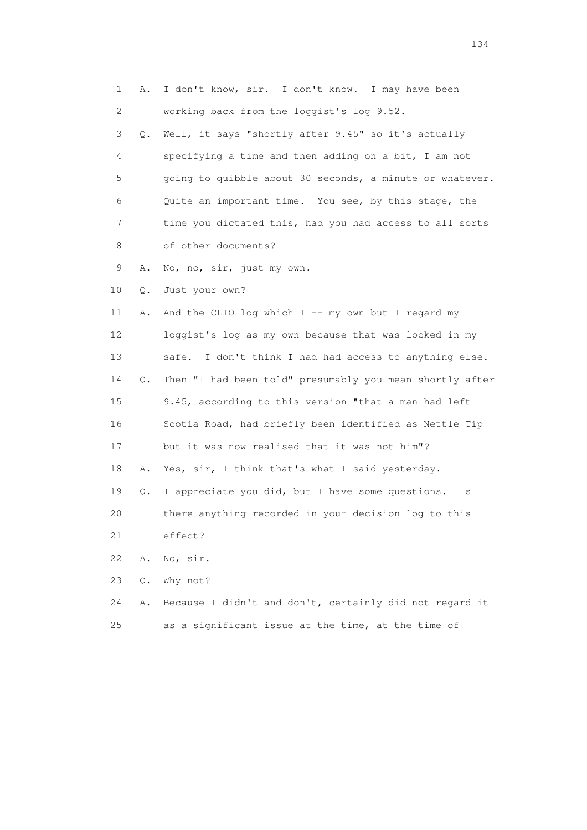| 1  | Α. | I don't know, sir. I don't know. I may have been          |
|----|----|-----------------------------------------------------------|
| 2  |    | working back from the loggist's log 9.52.                 |
| 3  | Q. | Well, it says "shortly after 9.45" so it's actually       |
| 4  |    | specifying a time and then adding on a bit, I am not      |
| 5  |    | going to quibble about 30 seconds, a minute or whatever.  |
| 6  |    | Quite an important time. You see, by this stage, the      |
| 7  |    | time you dictated this, had you had access to all sorts   |
| 8  |    | of other documents?                                       |
| 9  | Α. | No, no, sir, just my own.                                 |
| 10 | Q. | Just your own?                                            |
| 11 | Α. | And the CLIO log which $I$ -- my own but I regard my      |
| 12 |    | loggist's log as my own because that was locked in my     |
| 13 |    | I don't think I had had access to anything else.<br>safe. |
| 14 | Q. | Then "I had been told" presumably you mean shortly after  |
| 15 |    | 9.45, according to this version "that a man had left      |
| 16 |    | Scotia Road, had briefly been identified as Nettle Tip    |
| 17 |    | but it was now realised that it was not him"?             |
| 18 | Α. | Yes, sir, I think that's what I said yesterday.           |
| 19 | Q. | I appreciate you did, but I have some questions.<br>Is    |
| 20 |    | there anything recorded in your decision log to this      |
| 21 |    | effect?                                                   |
| 22 | Α. | No, sir.                                                  |
| 23 | Q. | Why not?                                                  |
| 24 | Α. | Because I didn't and don't, certainly did not regard it   |
| 25 |    | as a significant issue at the time, at the time of        |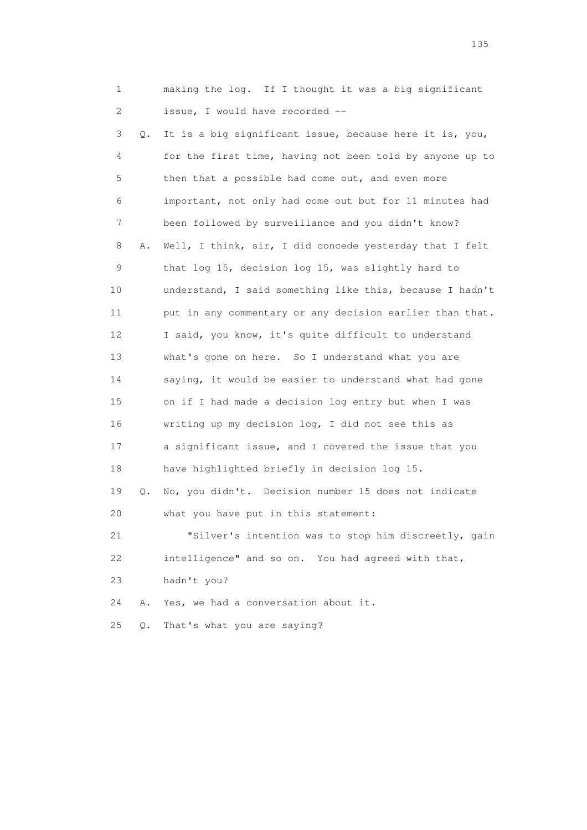|                 | 1       | making the log. If I thought it was a big significant    |
|-----------------|---------|----------------------------------------------------------|
|                 | 2       | issue, I would have recorded --                          |
|                 | 3<br>Q. | It is a big significant issue, because here it is, you,  |
|                 | 4       | for the first time, having not been told by anyone up to |
|                 | 5       | then that a possible had come out, and even more         |
|                 | 6       | important, not only had come out but for 11 minutes had  |
|                 | 7       | been followed by surveillance and you didn't know?       |
|                 | 8<br>Α. | Well, I think, sir, I did concede yesterday that I felt  |
|                 | 9       | that log 15, decision log 15, was slightly hard to       |
| 10              |         | understand, I said something like this, because I hadn't |
| 11              |         | put in any commentary or any decision earlier than that. |
| 12 <sup>°</sup> |         | I said, you know, it's quite difficult to understand     |
| 13              |         | what's gone on here. So I understand what you are        |
| 14              |         | saying, it would be easier to understand what had gone   |
| 15              |         | on if I had made a decision log entry but when I was     |
| 16              |         | writing up my decision log, I did not see this as        |
| 17              |         | a significant issue, and I covered the issue that you    |
| 18              |         | have highlighted briefly in decision log 15.             |
| 19              | Q.      | No, you didn't. Decision number 15 does not indicate     |
| 20              |         | what you have put in this statement:                     |
| 21              |         | "Silver's intention was to stop him discreetly, gain     |
| 22              |         | intelligence" and so on. You had agreed with that,       |
| 23              |         | hadn't you?                                              |
| 24              | Α.      | Yes, we had a conversation about it.                     |
| 25              | $Q$ .   | That's what you are saying?                              |

n 135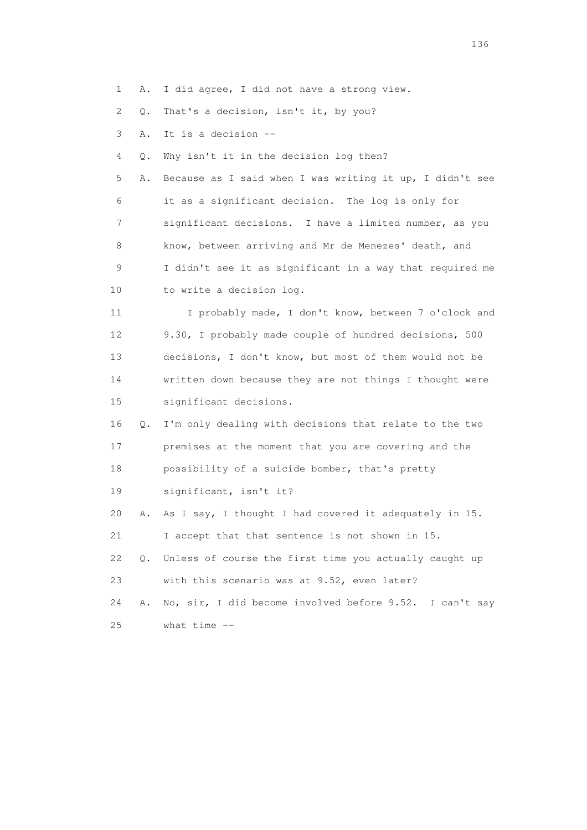1 A. I did agree, I did not have a strong view.

2 Q. That's a decision, isn't it, by you?

3 A. It is a decision --

4 Q. Why isn't it in the decision log then?

 5 A. Because as I said when I was writing it up, I didn't see 6 it as a significant decision. The log is only for 7 significant decisions. I have a limited number, as you 8 know, between arriving and Mr de Menezes' death, and 9 I didn't see it as significant in a way that required me 10 to write a decision log.

 11 I probably made, I don't know, between 7 o'clock and 12 9.30, I probably made couple of hundred decisions, 500 13 decisions, I don't know, but most of them would not be 14 written down because they are not things I thought were 15 significant decisions.

 16 Q. I'm only dealing with decisions that relate to the two 17 premises at the moment that you are covering and the 18 possibility of a suicide bomber, that's pretty

19 significant, isn't it?

20 A. As I say, I thought I had covered it adequately in 15.

21 I accept that that sentence is not shown in 15.

 22 Q. Unless of course the first time you actually caught up 23 with this scenario was at 9.52, even later?

 24 A. No, sir, I did become involved before 9.52. I can't say 25 what time --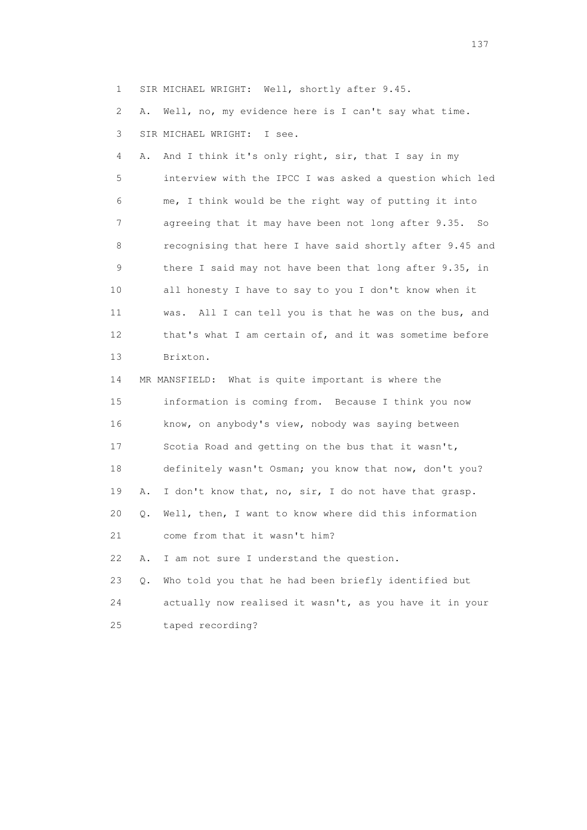1 SIR MICHAEL WRIGHT: Well, shortly after 9.45.

 2 A. Well, no, my evidence here is I can't say what time. 3 SIR MICHAEL WRIGHT: I see.

 4 A. And I think it's only right, sir, that I say in my 5 interview with the IPCC I was asked a question which led 6 me, I think would be the right way of putting it into 7 agreeing that it may have been not long after 9.35. So 8 recognising that here I have said shortly after 9.45 and 9 there I said may not have been that long after 9.35, in 10 all honesty I have to say to you I don't know when it 11 was. All I can tell you is that he was on the bus, and 12 that's what I am certain of, and it was sometime before 13 Brixton. 14 MR MANSFIELD: What is quite important is where the 15 information is coming from. Because I think you now 16 know, on anybody's view, nobody was saying between

 17 Scotia Road and getting on the bus that it wasn't, 18 definitely wasn't Osman; you know that now, don't you? 19 A. I don't know that, no, sir, I do not have that grasp. 20 Q. Well, then, I want to know where did this information 21 come from that it wasn't him?

22 A. I am not sure I understand the question.

 23 Q. Who told you that he had been briefly identified but 24 actually now realised it wasn't, as you have it in your 25 taped recording?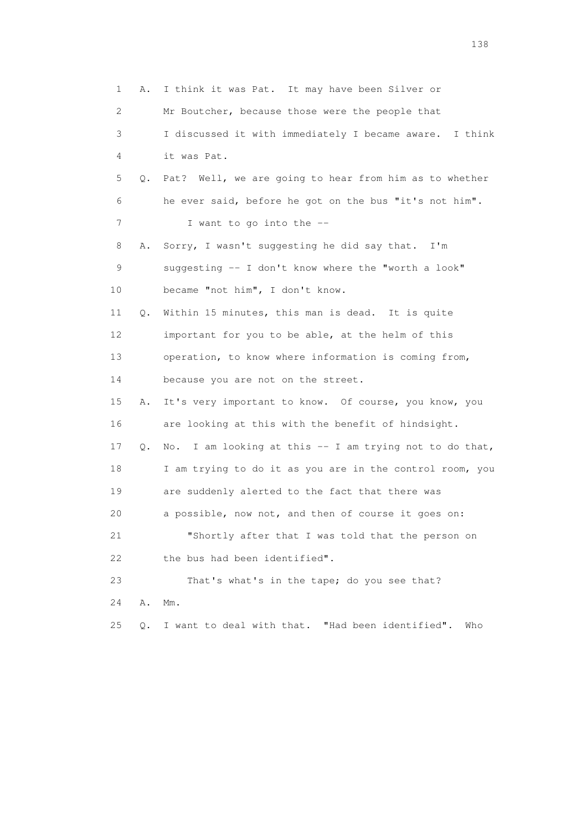1 A. I think it was Pat. It may have been Silver or 2 Mr Boutcher, because those were the people that 3 I discussed it with immediately I became aware. I think 4 it was Pat. 5 Q. Pat? Well, we are going to hear from him as to whether 6 he ever said, before he got on the bus "it's not him". 7 I want to go into the -- 8 A. Sorry, I wasn't suggesting he did say that. I'm 9 suggesting -- I don't know where the "worth a look" 10 became "not him", I don't know. 11 Q. Within 15 minutes, this man is dead. It is quite 12 important for you to be able, at the helm of this 13 operation, to know where information is coming from, 14 because you are not on the street. 15 A. It's very important to know. Of course, you know, you 16 are looking at this with the benefit of hindsight. 17 Q. No. I am looking at this -- I am trying not to do that, 18 I am trying to do it as you are in the control room, you 19 are suddenly alerted to the fact that there was 20 a possible, now not, and then of course it goes on: 21 "Shortly after that I was told that the person on 22 the bus had been identified". 23 That's what's in the tape; do you see that? 24 A. Mm. 25 Q. I want to deal with that. "Had been identified". Who

138 and 138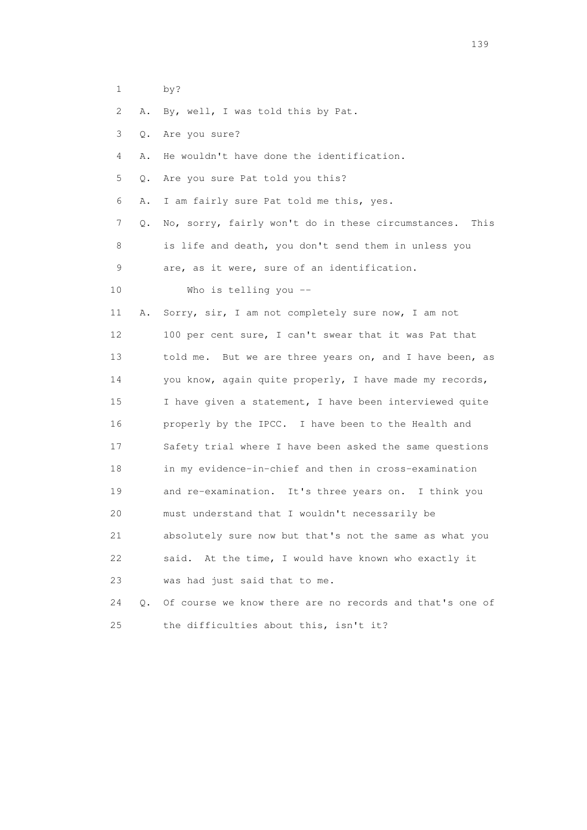- 1 by?
- 2 A. By, well, I was told this by Pat.
- 3 Q. Are you sure?
- 4 A. He wouldn't have done the identification.
- 5 Q. Are you sure Pat told you this?
- 6 A. I am fairly sure Pat told me this, yes.
- 7 Q. No, sorry, fairly won't do in these circumstances. This 8 is life and death, you don't send them in unless you 9 are, as it were, sure of an identification.
- 10 Who is telling you --

 11 A. Sorry, sir, I am not completely sure now, I am not 12 100 per cent sure, I can't swear that it was Pat that 13 told me. But we are three years on, and I have been, as 14 you know, again quite properly, I have made my records, 15 I have given a statement, I have been interviewed quite 16 properly by the IPCC. I have been to the Health and 17 Safety trial where I have been asked the same questions 18 in my evidence-in-chief and then in cross-examination 19 and re-examination. It's three years on. I think you 20 must understand that I wouldn't necessarily be 21 absolutely sure now but that's not the same as what you 22 said. At the time, I would have known who exactly it 23 was had just said that to me.

 24 Q. Of course we know there are no records and that's one of 25 the difficulties about this, isn't it?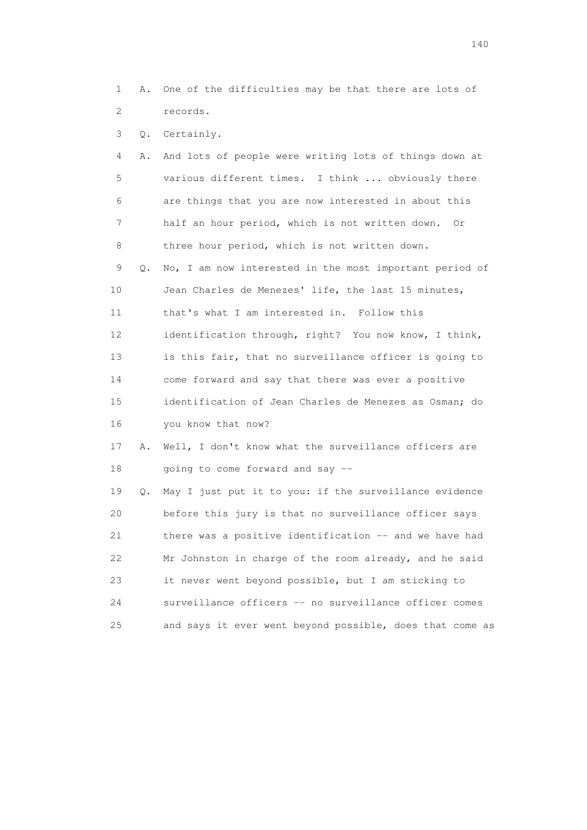1 A. One of the difficulties may be that there are lots of 2 records.

3 Q. Certainly.

| 4  | Α. | And lots of people were writing lots of things down at  |
|----|----|---------------------------------------------------------|
| 5  |    | various different times. I think  obviously there       |
| 6  |    | are things that you are now interested in about this    |
| 7  |    | half an hour period, which is not written down. Or      |
| 8  |    | three hour period, which is not written down.           |
| 9  | 0. | No, I am now interested in the most important period of |
| 10 |    | Jean Charles de Menezes' life, the last 15 minutes,     |
| 11 |    | that's what I am interested in. Follow this             |
| 12 |    | identification through, right? You now know, I think,   |
| 13 |    | is this fair, that no surveillance officer is going to  |
| 14 |    | come forward and say that there was ever a positive     |
| 15 |    | identification of Jean Charles de Menezes as Osman; do  |
| 16 |    | you know that now?                                      |
| 17 | Α. | Well, I don't know what the surveillance officers are   |
| 18 |    | going to come forward and say --                        |
| 19 | Q. | May I just put it to you: if the surveillance evidence  |
| 20 |    | before this jury is that no surveillance officer says   |
| 21 |    | there was a positive identification -- and we have had  |
| 22 |    | Mr Johnston in charge of the room already, and he said  |
| 23 |    | it never went beyond possible, but I am sticking to     |
| 24 |    | surveillance officers -- no surveillance officer comes  |

25 and says it ever went beyond possible, does that come as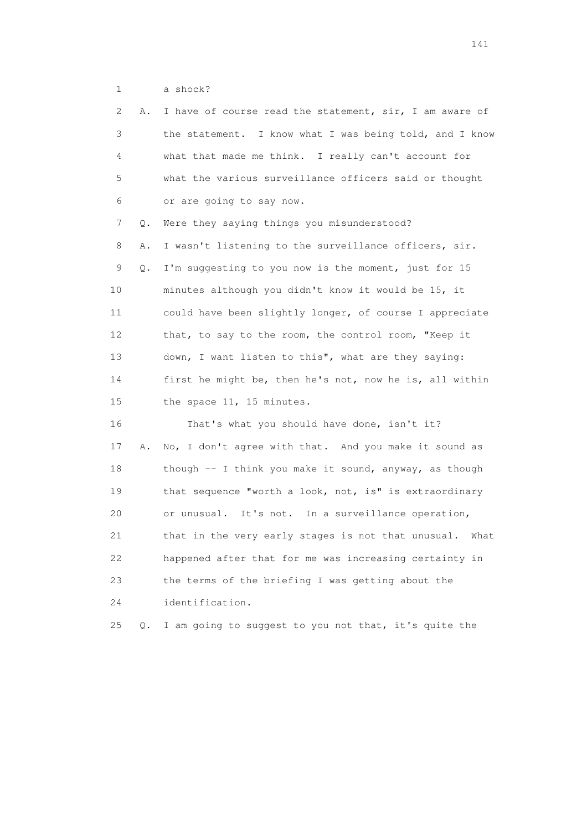1 a shock?

| 2               | Α. | I have of course read the statement, sir, I am aware of |
|-----------------|----|---------------------------------------------------------|
| 3               |    | the statement. I know what I was being told, and I know |
| 4               |    | what that made me think. I really can't account for     |
| 5               |    | what the various surveillance officers said or thought  |
| 6               |    | or are going to say now.                                |
| $\overline{7}$  | Q. | Were they saying things you misunderstood?              |
| 8               | Α. | I wasn't listening to the surveillance officers, sir.   |
| 9               | Q. | I'm suggesting to you now is the moment, just for 15    |
| 10              |    | minutes although you didn't know it would be 15, it     |
| 11              |    | could have been slightly longer, of course I appreciate |
| 12 <sup>°</sup> |    | that, to say to the room, the control room, "Keep it    |
| 13              |    | down, I want listen to this", what are they saying:     |
| 14              |    | first he might be, then he's not, now he is, all within |
| 15              |    | the space 11, 15 minutes.                               |
| 16              |    | That's what you should have done, isn't it?             |
| 17              | Α. | No, I don't agree with that. And you make it sound as   |
| 18              |    | though -- I think you make it sound, anyway, as though  |
| 19              |    | that sequence "worth a look, not, is" is extraordinary  |
| 20              |    | or unusual. It's not. In a surveillance operation,      |
| 21              |    | that in the very early stages is not that unusual. What |
| 22              |    | happened after that for me was increasing certainty in  |
| 23              |    | the terms of the briefing I was getting about the       |
| 24              |    | identification.                                         |
| 25              | Q. | I am going to suggest to you not that, it's quite the   |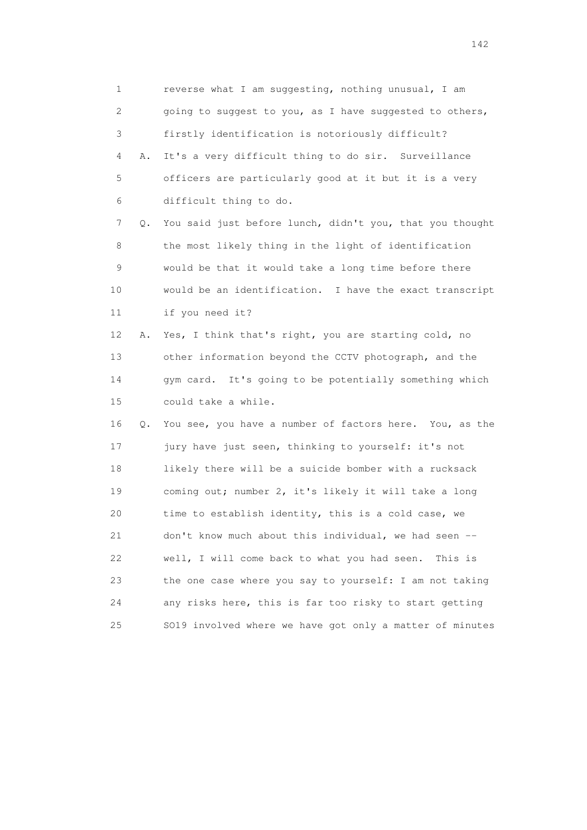1 reverse what I am suggesting, nothing unusual, I am 2 going to suggest to you, as I have suggested to others, 3 firstly identification is notoriously difficult? 4 A. It's a very difficult thing to do sir. Surveillance 5 officers are particularly good at it but it is a very 6 difficult thing to do. 7 Q. You said just before lunch, didn't you, that you thought 8 the most likely thing in the light of identification 9 would be that it would take a long time before there 10 would be an identification. I have the exact transcript 11 if you need it? 12 A. Yes, I think that's right, you are starting cold, no 13 other information beyond the CCTV photograph, and the 14 gym card. It's going to be potentially something which 15 could take a while. 16 Q. You see, you have a number of factors here. You, as the 17 jury have just seen, thinking to yourself: it's not 18 likely there will be a suicide bomber with a rucksack 19 coming out; number 2, it's likely it will take a long 20 time to establish identity, this is a cold case, we 21 don't know much about this individual, we had seen -- 22 well, I will come back to what you had seen. This is 23 the one case where you say to yourself: I am not taking 24 any risks here, this is far too risky to start getting 25 SO19 involved where we have got only a matter of minutes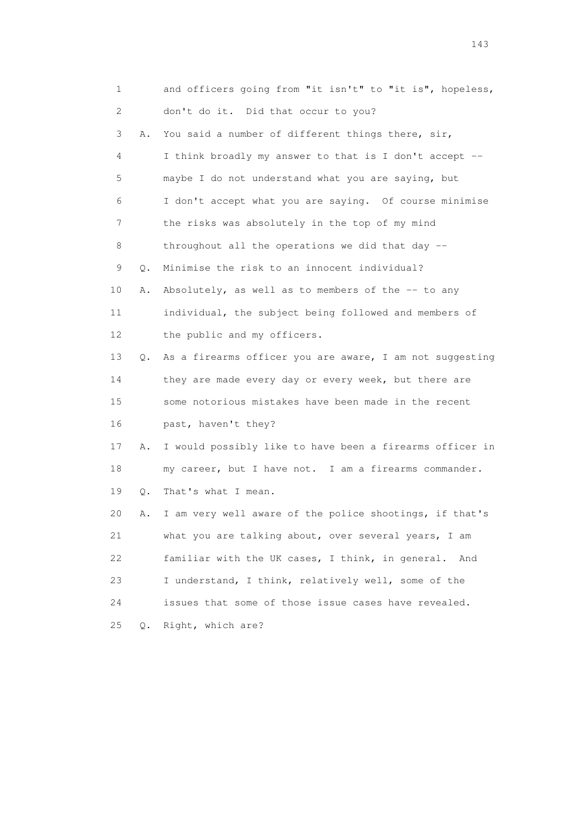| 1  |    | and officers going from "it isn't" to "it is", hopeless, |
|----|----|----------------------------------------------------------|
| 2  |    | don't do it. Did that occur to you?                      |
| 3  | Α. | You said a number of different things there, sir,        |
| 4  |    | I think broadly my answer to that is I don't accept --   |
| 5  |    | maybe I do not understand what you are saying, but       |
| 6  |    | I don't accept what you are saying. Of course minimise   |
| 7  |    | the risks was absolutely in the top of my mind           |
| 8  |    | throughout all the operations we did that day $-$        |
| 9  | Q. | Minimise the risk to an innocent individual?             |
| 10 | Α. | Absolutely, as well as to members of the -- to any       |
| 11 |    | individual, the subject being followed and members of    |
| 12 |    | the public and my officers.                              |
| 13 | О. | As a firearms officer you are aware, I am not suggesting |
| 14 |    | they are made every day or every week, but there are     |
| 15 |    | some notorious mistakes have been made in the recent     |
| 16 |    | past, haven't they?                                      |
| 17 | Α. | I would possibly like to have been a firearms officer in |
| 18 |    | my career, but I have not. I am a firearms commander.    |
| 19 | Q. | That's what I mean.                                      |
| 20 | Α. | I am very well aware of the police shootings, if that's  |
| 21 |    | what you are talking about, over several years, I am     |
| 22 |    | familiar with the UK cases, I think, in general.<br>And  |
| 23 |    | I understand, I think, relatively well, some of the      |
| 24 |    | issues that some of those issue cases have revealed.     |
| 25 | О. | Right, which are?                                        |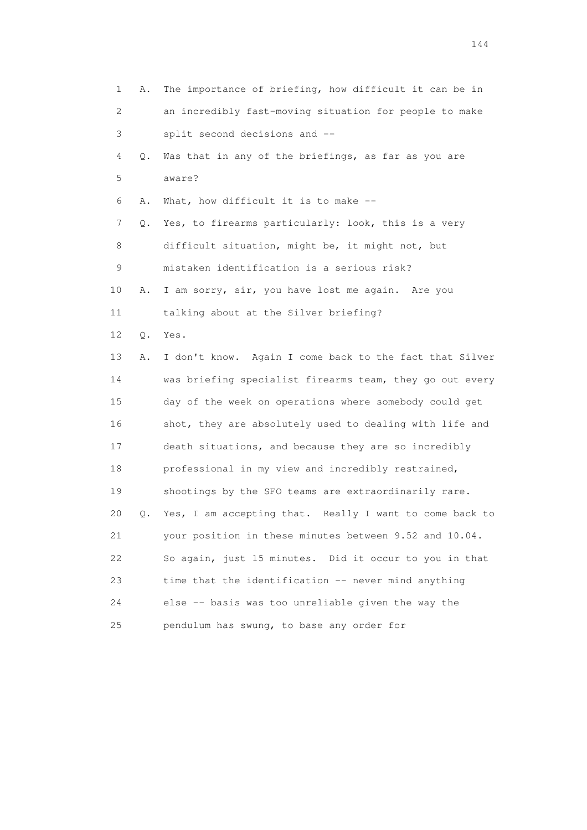1 A. The importance of briefing, how difficult it can be in 2 an incredibly fast-moving situation for people to make 3 split second decisions and -- 4 Q. Was that in any of the briefings, as far as you are 5 aware? 6 A. What, how difficult it is to make -- 7 Q. Yes, to firearms particularly: look, this is a very 8 difficult situation, might be, it might not, but 9 mistaken identification is a serious risk? 10 A. I am sorry, sir, you have lost me again. Are you 11 talking about at the Silver briefing? 12 Q. Yes. 13 A. I don't know. Again I come back to the fact that Silver 14 was briefing specialist firearms team, they go out every 15 day of the week on operations where somebody could get 16 shot, they are absolutely used to dealing with life and 17 death situations, and because they are so incredibly 18 professional in my view and incredibly restrained, 19 shootings by the SFO teams are extraordinarily rare. 20 Q. Yes, I am accepting that. Really I want to come back to 21 your position in these minutes between 9.52 and 10.04. 22 So again, just 15 minutes. Did it occur to you in that 23 time that the identification -- never mind anything 24 else -- basis was too unreliable given the way the 25 pendulum has swung, to base any order for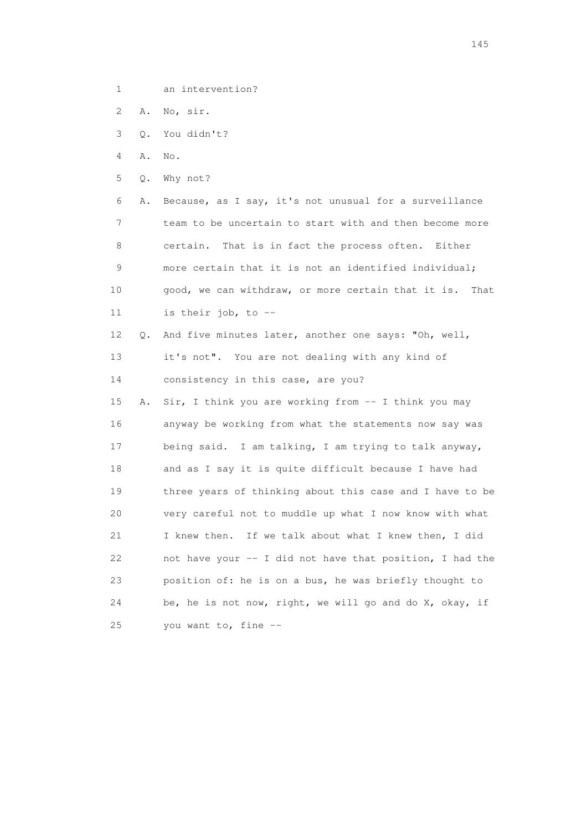- 1 an intervention?
- 2 A. No, sir.
- 3 Q. You didn't?
- 4 A. No.
- 5 Q. Why not?

 6 A. Because, as I say, it's not unusual for a surveillance 7 team to be uncertain to start with and then become more 8 certain. That is in fact the process often. Either 9 more certain that it is not an identified individual; 10 good, we can withdraw, or more certain that it is. That 11 is their job, to --

 12 Q. And five minutes later, another one says: "Oh, well, 13 it's not". You are not dealing with any kind of 14 consistency in this case, are you?

 15 A. Sir, I think you are working from -- I think you may 16 anyway be working from what the statements now say was 17 being said. I am talking, I am trying to talk anyway, 18 and as I say it is quite difficult because I have had 19 three years of thinking about this case and I have to be 20 very careful not to muddle up what I now know with what 21 I knew then. If we talk about what I knew then, I did 22 not have your -- I did not have that position, I had the 23 position of: he is on a bus, he was briefly thought to 24 be, he is not now, right, we will go and do X, okay, if 25 you want to, fine --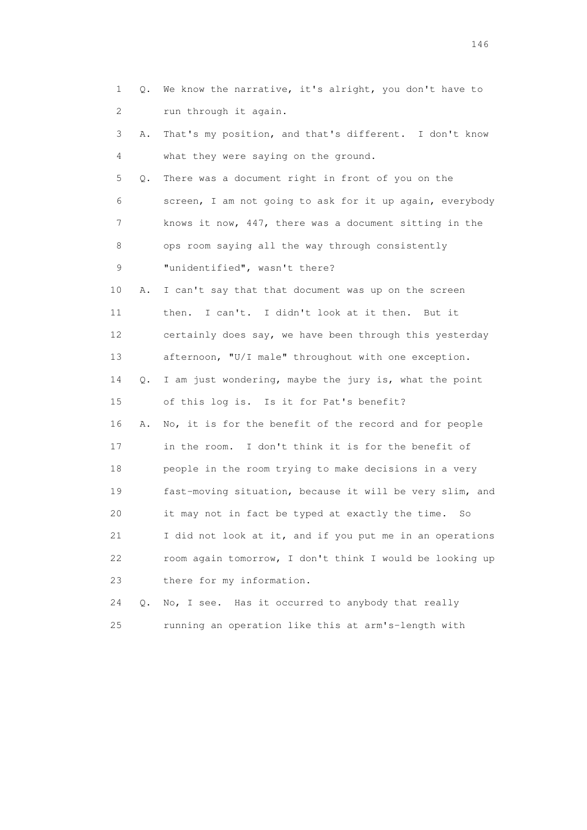| 1               | Q.            | We know the narrative, it's alright, you don't have to   |
|-----------------|---------------|----------------------------------------------------------|
| 2               |               | run through it again.                                    |
| 3               | Α.            | That's my position, and that's different. I don't know   |
| 4               |               | what they were saying on the ground.                     |
| 5               | Q.            | There was a document right in front of you on the        |
| 6               |               | screen, I am not going to ask for it up again, everybody |
| 7               |               | knows it now, 447, there was a document sitting in the   |
| 8               |               | ops room saying all the way through consistently         |
| 9               |               | "unidentified", wasn't there?                            |
| 10              | Α.            | I can't say that that document was up on the screen      |
| 11              |               | I can't. I didn't look at it then.<br>then.<br>But it    |
| 12 <sup>°</sup> |               | certainly does say, we have been through this yesterday  |
| 13              |               | afternoon, "U/I male" throughout with one exception.     |
| 14              | $Q_{\bullet}$ | I am just wondering, maybe the jury is, what the point   |
| 15              |               | of this log is. Is it for Pat's benefit?                 |
| 16              | Α.            | No, it is for the benefit of the record and for people   |
| 17              |               | in the room. I don't think it is for the benefit of      |
| 18              |               | people in the room trying to make decisions in a very    |
| 19              |               | fast-moving situation, because it will be very slim, and |
| 20              |               | it may not in fact be typed at exactly the time.<br>So   |
| 21              |               | I did not look at it, and if you put me in an operations |
| 22              |               | room again tomorrow, I don't think I would be looking up |
| 23              |               | there for my information.                                |
|                 |               |                                                          |

 24 Q. No, I see. Has it occurred to anybody that really 25 running an operation like this at arm's-length with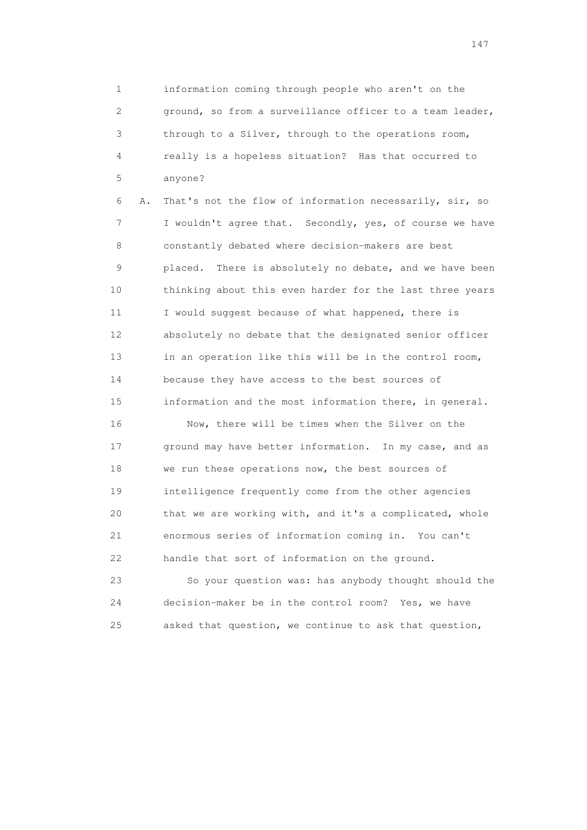1 information coming through people who aren't on the 2 ground, so from a surveillance officer to a team leader, 3 through to a Silver, through to the operations room, 4 really is a hopeless situation? Has that occurred to 5 anyone?

 6 A. That's not the flow of information necessarily, sir, so 7 I wouldn't agree that. Secondly, yes, of course we have 8 constantly debated where decision-makers are best 9 placed. There is absolutely no debate, and we have been 10 thinking about this even harder for the last three years 11 I would suggest because of what happened, there is 12 absolutely no debate that the designated senior officer 13 in an operation like this will be in the control room, 14 because they have access to the best sources of 15 information and the most information there, in general.

 16 Now, there will be times when the Silver on the 17 ground may have better information. In my case, and as 18 we run these operations now, the best sources of 19 intelligence frequently come from the other agencies 20 that we are working with, and it's a complicated, whole 21 enormous series of information coming in. You can't 22 handle that sort of information on the ground.

 23 So your question was: has anybody thought should the 24 decision-maker be in the control room? Yes, we have 25 asked that question, we continue to ask that question,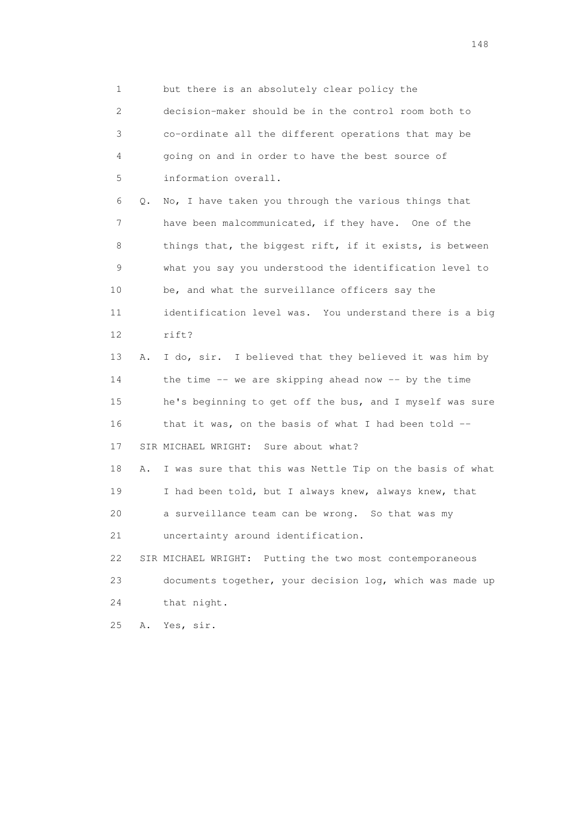1 but there is an absolutely clear policy the

 2 decision-maker should be in the control room both to 3 co-ordinate all the different operations that may be 4 going on and in order to have the best source of 5 information overall.

 6 Q. No, I have taken you through the various things that 7 have been malcommunicated, if they have. One of the 8 things that, the biggest rift, if it exists, is between 9 what you say you understood the identification level to 10 be, and what the surveillance officers say the 11 identification level was. You understand there is a big 12 rift? 13 A. I do, sir. I believed that they believed it was him by

 14 the time -- we are skipping ahead now -- by the time 15 he's beginning to get off the bus, and I myself was sure 16 that it was, on the basis of what I had been told -- 17 SIR MICHAEL WRIGHT: Sure about what? 18 A. I was sure that this was Nettle Tip on the basis of what 19 I had been told, but I always knew, always knew, that 20 a surveillance team can be wrong. So that was my

21 uncertainty around identification.

 22 SIR MICHAEL WRIGHT: Putting the two most contemporaneous 23 documents together, your decision log, which was made up 24 that night.

25 A. Yes, sir.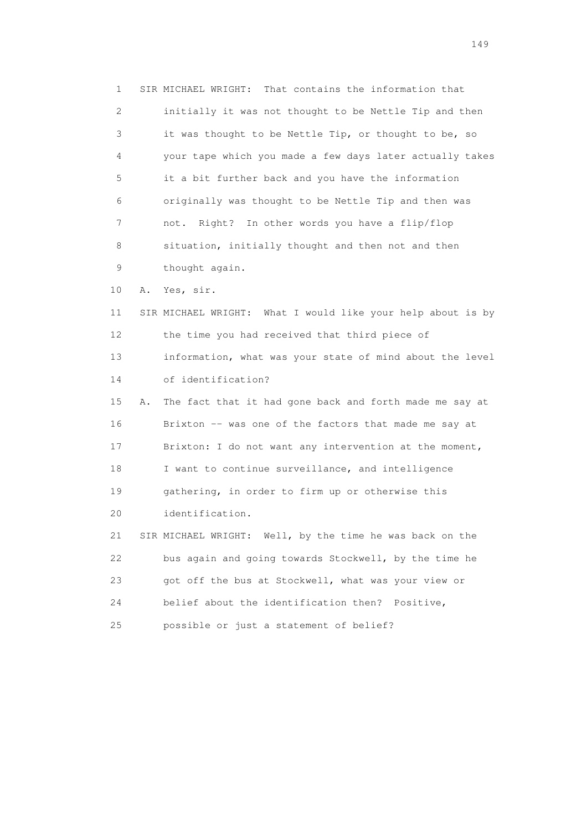1 SIR MICHAEL WRIGHT: That contains the information that 2 initially it was not thought to be Nettle Tip and then 3 it was thought to be Nettle Tip, or thought to be, so 4 your tape which you made a few days later actually takes 5 it a bit further back and you have the information 6 originally was thought to be Nettle Tip and then was 7 not. Right? In other words you have a flip/flop 8 situation, initially thought and then not and then 9 thought again. 10 A. Yes, sir. 11 SIR MICHAEL WRIGHT: What I would like your help about is by 12 the time you had received that third piece of 13 information, what was your state of mind about the level 14 of identification? 15 A. The fact that it had gone back and forth made me say at 16 Brixton -- was one of the factors that made me say at 17 Brixton: I do not want any intervention at the moment, 18 I want to continue surveillance, and intelligence 19 gathering, in order to firm up or otherwise this 20 identification. 21 SIR MICHAEL WRIGHT: Well, by the time he was back on the 22 bus again and going towards Stockwell, by the time he 23 got off the bus at Stockwell, what was your view or 24 belief about the identification then? Positive, 25 possible or just a statement of belief?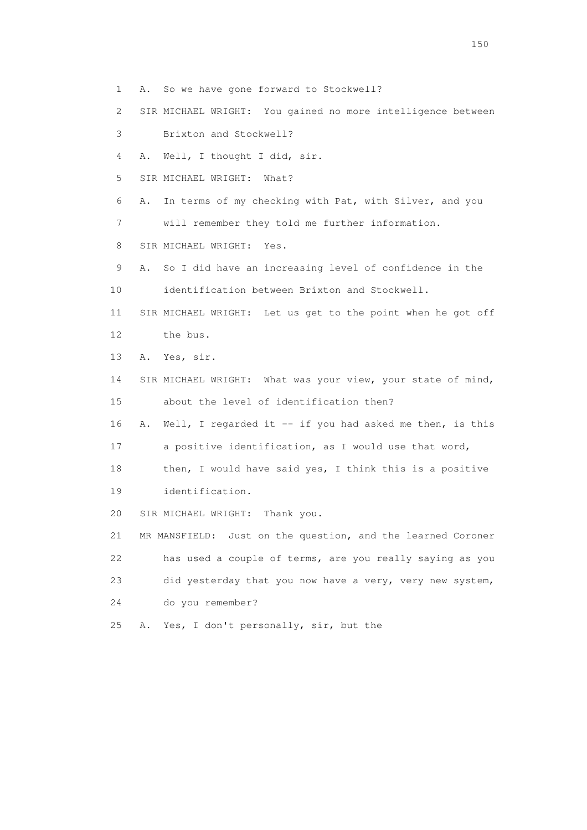1 A. So we have gone forward to Stockwell?

2 SIR MICHAEL WRIGHT: You gained no more intelligence between

3 Brixton and Stockwell?

4 A. Well, I thought I did, sir.

5 SIR MICHAEL WRIGHT: What?

6 A. In terms of my checking with Pat, with Silver, and you

7 will remember they told me further information.

8 SIR MICHAEL WRIGHT: Yes.

9 A. So I did have an increasing level of confidence in the

10 identification between Brixton and Stockwell.

 11 SIR MICHAEL WRIGHT: Let us get to the point when he got off 12 the bus.

13 A. Yes, sir.

 14 SIR MICHAEL WRIGHT: What was your view, your state of mind, 15 about the level of identification then?

16 A. Well, I regarded it -- if you had asked me then, is this

17 a positive identification, as I would use that word,

18 then, I would have said yes, I think this is a positive

19 identification.

20 SIR MICHAEL WRIGHT: Thank you.

 21 MR MANSFIELD: Just on the question, and the learned Coroner 22 has used a couple of terms, are you really saying as you 23 did yesterday that you now have a very, very new system, 24 do you remember?

25 A. Yes, I don't personally, sir, but the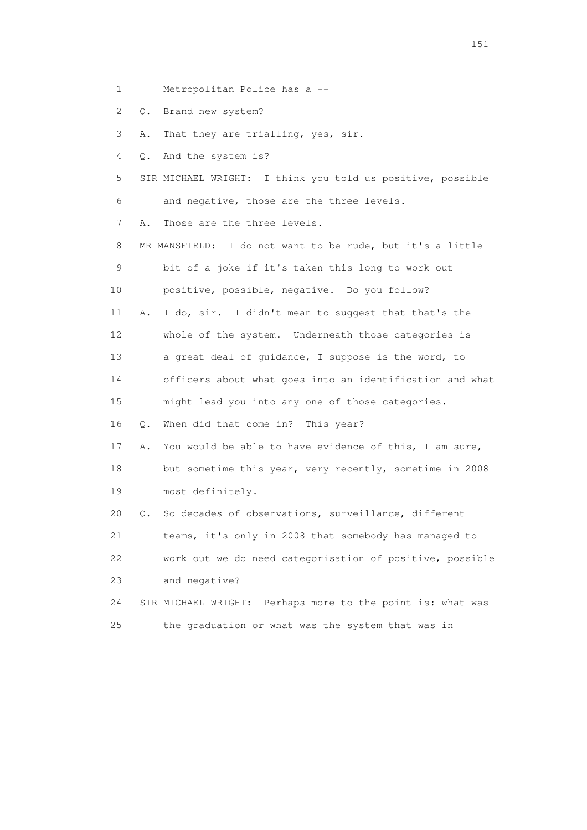- 1 Metropolitan Police has a --
- 2 Q. Brand new system?
- 3 A. That they are trialling, yes, sir.
- 4 Q. And the system is?
- 5 SIR MICHAEL WRIGHT: I think you told us positive, possible 6 and negative, those are the three levels.

7 A. Those are the three levels.

 8 MR MANSFIELD: I do not want to be rude, but it's a little 9 bit of a joke if it's taken this long to work out 10 positive, possible, negative. Do you follow?

 11 A. I do, sir. I didn't mean to suggest that that's the 12 whole of the system. Underneath those categories is 13 a great deal of guidance, I suppose is the word, to 14 officers about what goes into an identification and what

15 might lead you into any one of those categories.

16 Q. When did that come in? This year?

 17 A. You would be able to have evidence of this, I am sure, 18 but sometime this year, very recently, sometime in 2008 19 most definitely.

 20 Q. So decades of observations, surveillance, different 21 teams, it's only in 2008 that somebody has managed to 22 work out we do need categorisation of positive, possible 23 and negative?

 24 SIR MICHAEL WRIGHT: Perhaps more to the point is: what was 25 the graduation or what was the system that was in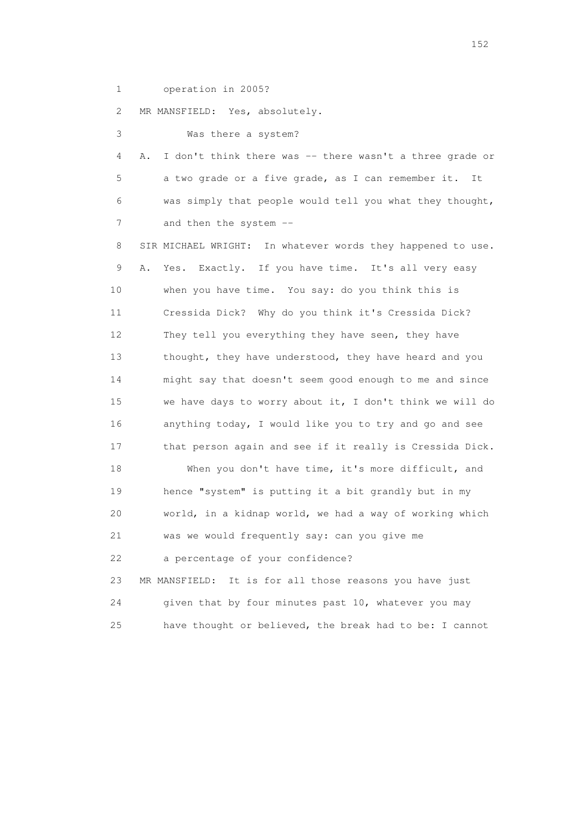1 operation in 2005?

2 MR MANSFIELD: Yes, absolutely.

3 Was there a system?

 4 A. I don't think there was -- there wasn't a three grade or 5 a two grade or a five grade, as I can remember it. It 6 was simply that people would tell you what they thought, 7 and then the system --

 8 SIR MICHAEL WRIGHT: In whatever words they happened to use. 9 A. Yes. Exactly. If you have time. It's all very easy 10 when you have time. You say: do you think this is 11 Cressida Dick? Why do you think it's Cressida Dick? 12 They tell you everything they have seen, they have 13 thought, they have understood, they have heard and you 14 might say that doesn't seem good enough to me and since 15 we have days to worry about it, I don't think we will do 16 anything today, I would like you to try and go and see 17 that person again and see if it really is Cressida Dick. 18 When you don't have time, it's more difficult, and 19 hence "system" is putting it a bit grandly but in my 20 world, in a kidnap world, we had a way of working which 21 was we would frequently say: can you give me 22 a percentage of your confidence? 23 MR MANSFIELD: It is for all those reasons you have just

 24 given that by four minutes past 10, whatever you may 25 have thought or believed, the break had to be: I cannot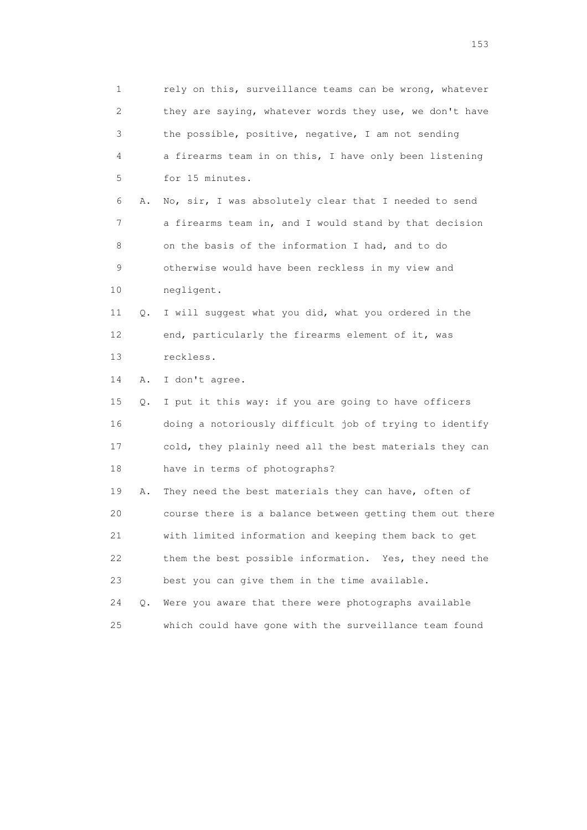1 rely on this, surveillance teams can be wrong, whatever 2 they are saying, whatever words they use, we don't have 3 the possible, positive, negative, I am not sending 4 a firearms team in on this, I have only been listening 5 for 15 minutes. 6 A. No, sir, I was absolutely clear that I needed to send 7 a firearms team in, and I would stand by that decision 8 on the basis of the information I had, and to do 9 otherwise would have been reckless in my view and 10 negligent. 11 Q. I will suggest what you did, what you ordered in the 12 end, particularly the firearms element of it, was 13 reckless. 14 A. I don't agree. 15 Q. I put it this way: if you are going to have officers 16 doing a notoriously difficult job of trying to identify 17 cold, they plainly need all the best materials they can 18 have in terms of photographs? 19 A. They need the best materials they can have, often of 20 course there is a balance between getting them out there 21 with limited information and keeping them back to get 22 them the best possible information. Yes, they need the 23 best you can give them in the time available. 24 Q. Were you aware that there were photographs available 25 which could have gone with the surveillance team found

n 153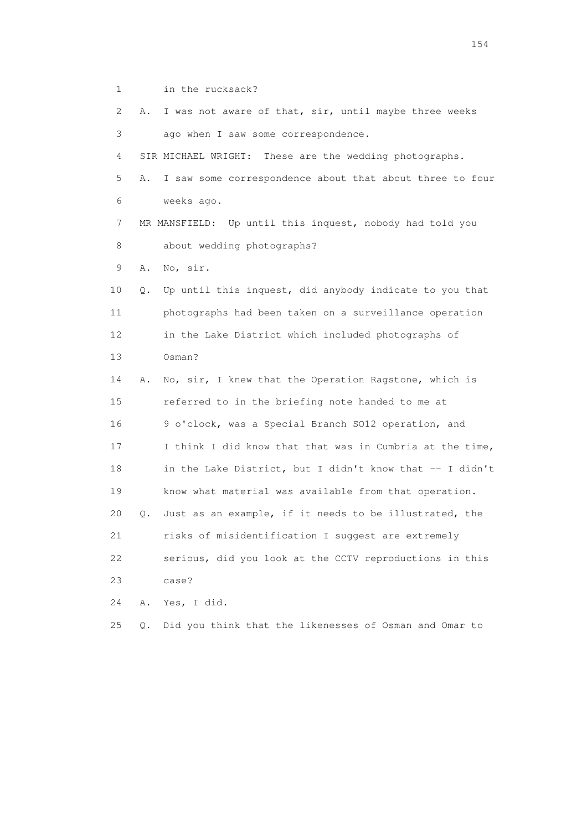1 in the rucksack? 2 A. I was not aware of that, sir, until maybe three weeks 3 ago when I saw some correspondence. 4 SIR MICHAEL WRIGHT: These are the wedding photographs. 5 A. I saw some correspondence about that about three to four 6 weeks ago. 7 MR MANSFIELD: Up until this inquest, nobody had told you 8 about wedding photographs? 9 A. No, sir. 10 Q. Up until this inquest, did anybody indicate to you that 11 photographs had been taken on a surveillance operation 12 in the Lake District which included photographs of 13 Osman? 14 A. No, sir, I knew that the Operation Ragstone, which is 15 referred to in the briefing note handed to me at 16 9 o'clock, was a Special Branch SO12 operation, and 17 I think I did know that that was in Cumbria at the time, 18 in the Lake District, but I didn't know that -- I didn't 19 know what material was available from that operation. 20 Q. Just as an example, if it needs to be illustrated, the 21 risks of misidentification I suggest are extremely 22 serious, did you look at the CCTV reproductions in this 23 case? 24 A. Yes, I did.

25 Q. Did you think that the likenesses of Osman and Omar to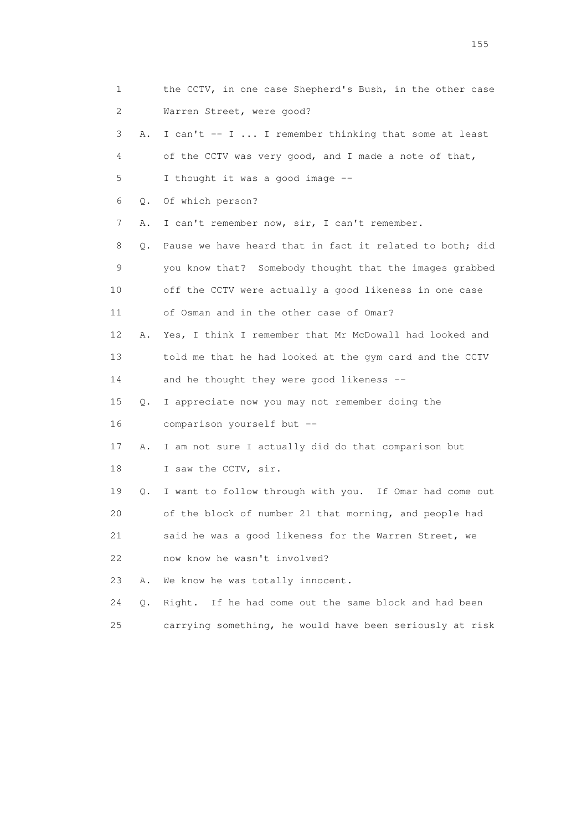| 1  |    | the CCTV, in one case Shepherd's Bush, in the other case |
|----|----|----------------------------------------------------------|
| 2  |    | Warren Street, were good?                                |
| 3  | Α. | I can't -- I  I remember thinking that some at least     |
| 4  |    | of the CCTV was very good, and I made a note of that,    |
| 5  |    | I thought it was a good image --                         |
| 6  | Q. | Of which person?                                         |
| 7  | Α. | I can't remember now, sir, I can't remember.             |
| 8  | Q. | Pause we have heard that in fact it related to both; did |
| 9  |    | you know that? Somebody thought that the images grabbed  |
| 10 |    | off the CCTV were actually a good likeness in one case   |
| 11 |    | of Osman and in the other case of Omar?                  |
| 12 | Α. | Yes, I think I remember that Mr McDowall had looked and  |
| 13 |    | told me that he had looked at the gym card and the CCTV  |
| 14 |    | and he thought they were good likeness --                |
| 15 | Q. | I appreciate now you may not remember doing the          |
| 16 |    | comparison yourself but --                               |
| 17 | Α. | I am not sure I actually did do that comparison but      |
| 18 |    | I saw the CCTV, sir.                                     |
| 19 | Q. | I want to follow through with you. If Omar had come out  |
| 20 |    | of the block of number 21 that morning, and people had   |
| 21 |    | said he was a good likeness for the Warren Street, we    |
| 22 |    | now know he wasn't involved?                             |
| 23 | Α. | We know he was totally innocent.                         |
| 24 | Q. | If he had come out the same block and had been<br>Right. |
| 25 |    | carrying something, he would have been seriously at risk |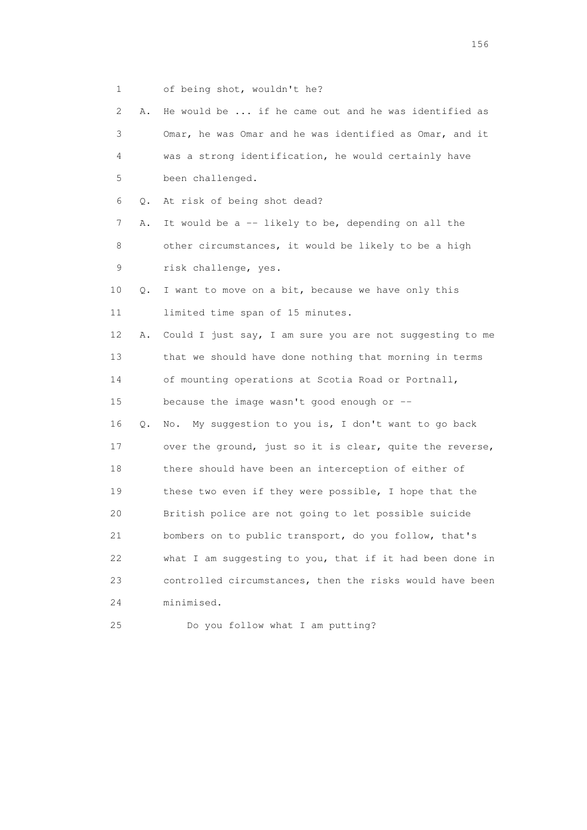1 of being shot, wouldn't he?

| 2  | Α.    | He would be  if he came out and he was identified as     |
|----|-------|----------------------------------------------------------|
| 3  |       | Omar, he was Omar and he was identified as Omar, and it  |
| 4  |       | was a strong identification, he would certainly have     |
| 5  |       | been challenged.                                         |
| 6  | Q.    | At risk of being shot dead?                              |
| 7  | Α.    | It would be a -- likely to be, depending on all the      |
| 8  |       | other circumstances, it would be likely to be a high     |
| 9  |       | risk challenge, yes.                                     |
| 10 | Q.    | I want to move on a bit, because we have only this       |
| 11 |       | limited time span of 15 minutes.                         |
| 12 | Α.    | Could I just say, I am sure you are not suggesting to me |
| 13 |       | that we should have done nothing that morning in terms   |
| 14 |       | of mounting operations at Scotia Road or Portnall,       |
| 15 |       | because the image wasn't good enough or --               |
| 16 | $Q$ . | My suggestion to you is, I don't want to go back<br>No.  |
| 17 |       | over the ground, just so it is clear, quite the reverse, |
| 18 |       | there should have been an interception of either of      |
| 19 |       | these two even if they were possible, I hope that the    |
| 20 |       | British police are not going to let possible suicide     |
| 21 |       | bombers on to public transport, do you follow, that's    |
| 22 |       | what I am suggesting to you, that if it had been done in |
| 23 |       | controlled circumstances, then the risks would have been |
| 24 |       | minimised.                                               |
| 25 |       | Do you follow what I am putting?                         |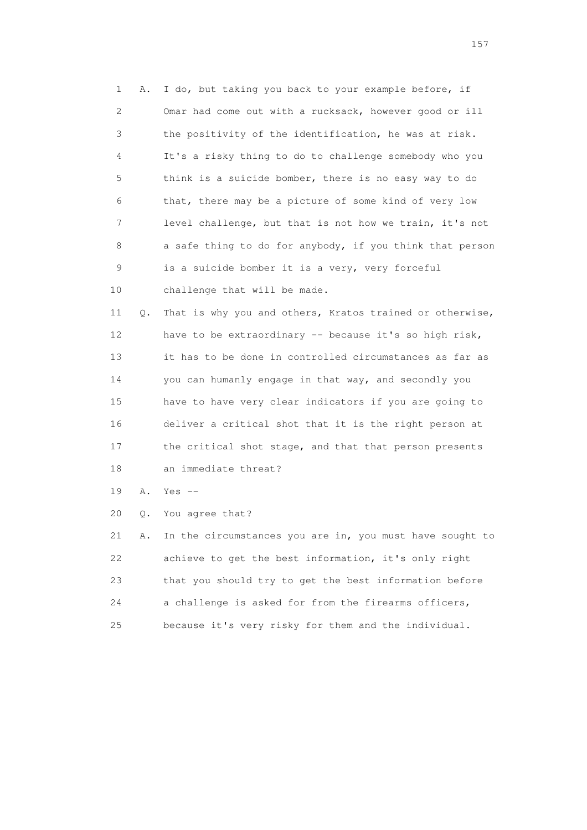1 A. I do, but taking you back to your example before, if 2 Omar had come out with a rucksack, however good or ill 3 the positivity of the identification, he was at risk. 4 It's a risky thing to do to challenge somebody who you 5 think is a suicide bomber, there is no easy way to do 6 that, there may be a picture of some kind of very low 7 level challenge, but that is not how we train, it's not 8 a safe thing to do for anybody, if you think that person 9 is a suicide bomber it is a very, very forceful 10 challenge that will be made.

 11 Q. That is why you and others, Kratos trained or otherwise, 12 have to be extraordinary -- because it's so high risk, 13 it has to be done in controlled circumstances as far as 14 you can humanly engage in that way, and secondly you 15 have to have very clear indicators if you are going to 16 deliver a critical shot that it is the right person at 17 the critical shot stage, and that that person presents 18 an immediate threat?

19 A. Yes --

20 Q. You agree that?

 21 A. In the circumstances you are in, you must have sought to 22 achieve to get the best information, it's only right 23 that you should try to get the best information before 24 a challenge is asked for from the firearms officers, 25 because it's very risky for them and the individual.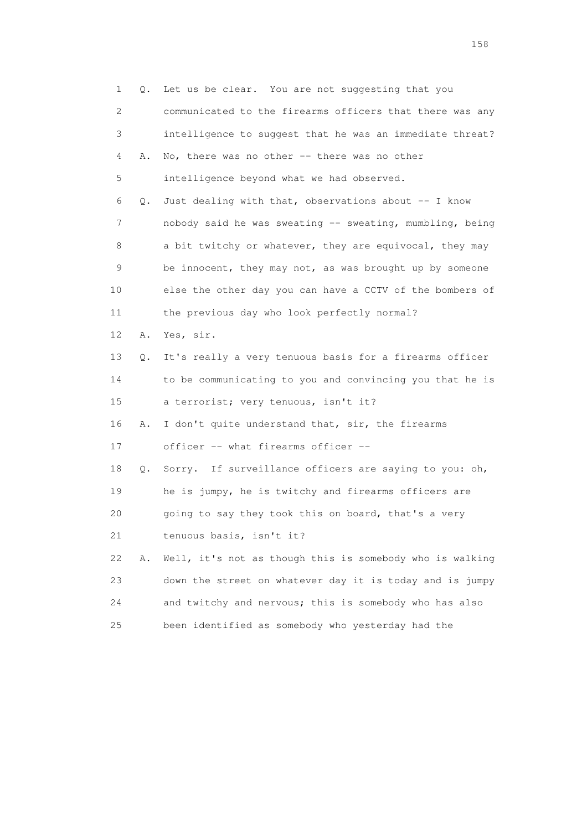1 Q. Let us be clear. You are not suggesting that you 2 communicated to the firearms officers that there was any 3 intelligence to suggest that he was an immediate threat? 4 A. No, there was no other -- there was no other 5 intelligence beyond what we had observed. 6 Q. Just dealing with that, observations about -- I know 7 nobody said he was sweating -- sweating, mumbling, being 8 a bit twitchy or whatever, they are equivocal, they may 9 be innocent, they may not, as was brought up by someone 10 else the other day you can have a CCTV of the bombers of 11 the previous day who look perfectly normal? 12 A. Yes, sir. 13 Q. It's really a very tenuous basis for a firearms officer 14 to be communicating to you and convincing you that he is 15 a terrorist; very tenuous, isn't it? 16 A. I don't quite understand that, sir, the firearms 17 officer -- what firearms officer -- 18 Q. Sorry. If surveillance officers are saying to you: oh, 19 he is jumpy, he is twitchy and firearms officers are 20 going to say they took this on board, that's a very 21 tenuous basis, isn't it? 22 A. Well, it's not as though this is somebody who is walking 23 down the street on whatever day it is today and is jumpy 24 and twitchy and nervous; this is somebody who has also 25 been identified as somebody who yesterday had the

158 and 158 and 158 and 158 and 158 and 158 and 158 and 158 and 158 and 158 and 158 and 158 and 158 and 158 and 158 and 158 and 158 and 158 and 158 and 158 and 159 and 159 and 159 and 159 and 159 and 159 and 159 and 159 an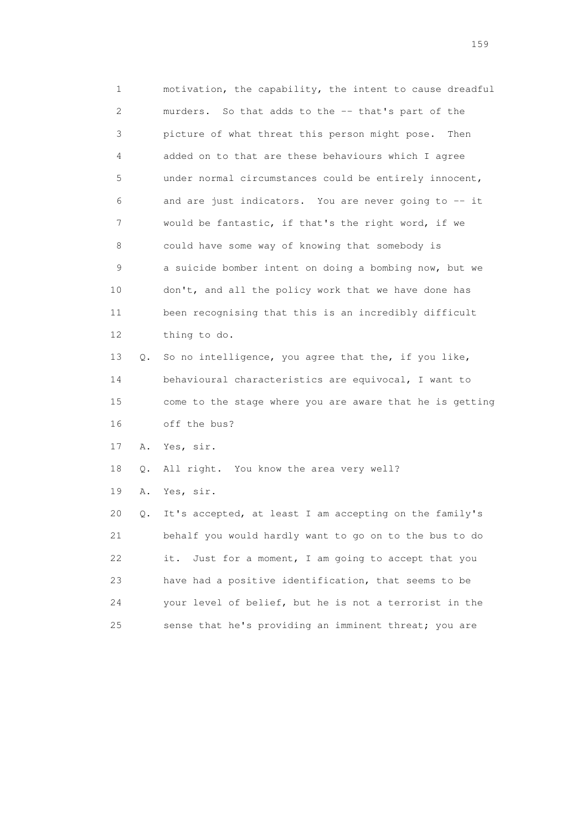1 motivation, the capability, the intent to cause dreadful 2 murders. So that adds to the -- that's part of the 3 picture of what threat this person might pose. Then 4 added on to that are these behaviours which I agree 5 under normal circumstances could be entirely innocent, 6 and are just indicators. You are never going to -- it 7 would be fantastic, if that's the right word, if we 8 could have some way of knowing that somebody is 9 a suicide bomber intent on doing a bombing now, but we 10 don't, and all the policy work that we have done has 11 been recognising that this is an incredibly difficult 12 thing to do. 13 Q. So no intelligence, you agree that the, if you like, 14 behavioural characteristics are equivocal, I want to 15 come to the stage where you are aware that he is getting

16 off the bus?

17 A. Yes, sir.

18 Q. All right. You know the area very well?

19 A. Yes, sir.

 20 Q. It's accepted, at least I am accepting on the family's 21 behalf you would hardly want to go on to the bus to do 22 it. Just for a moment, I am going to accept that you 23 have had a positive identification, that seems to be 24 your level of belief, but he is not a terrorist in the 25 sense that he's providing an imminent threat; you are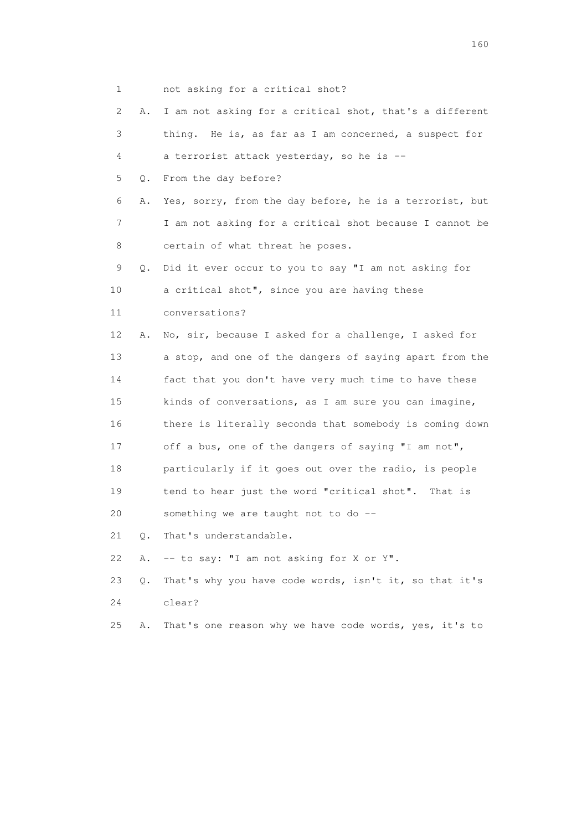1 not asking for a critical shot? 2 A. I am not asking for a critical shot, that's a different 3 thing. He is, as far as I am concerned, a suspect for 4 a terrorist attack yesterday, so he is -- 5 Q. From the day before? 6 A. Yes, sorry, from the day before, he is a terrorist, but 7 I am not asking for a critical shot because I cannot be 8 certain of what threat he poses. 9 Q. Did it ever occur to you to say "I am not asking for 10 a critical shot", since you are having these 11 conversations? 12 A. No, sir, because I asked for a challenge, I asked for 13 a stop, and one of the dangers of saying apart from the 14 fact that you don't have very much time to have these 15 kinds of conversations, as I am sure you can imagine, 16 there is literally seconds that somebody is coming down 17 off a bus, one of the dangers of saying "I am not", 18 particularly if it goes out over the radio, is people 19 tend to hear just the word "critical shot". That is 20 something we are taught not to do -- 21 Q. That's understandable. 22 A. -- to say: "I am not asking for X or Y". 23 Q. That's why you have code words, isn't it, so that it's 24 clear? 25 A. That's one reason why we have code words, yes, it's to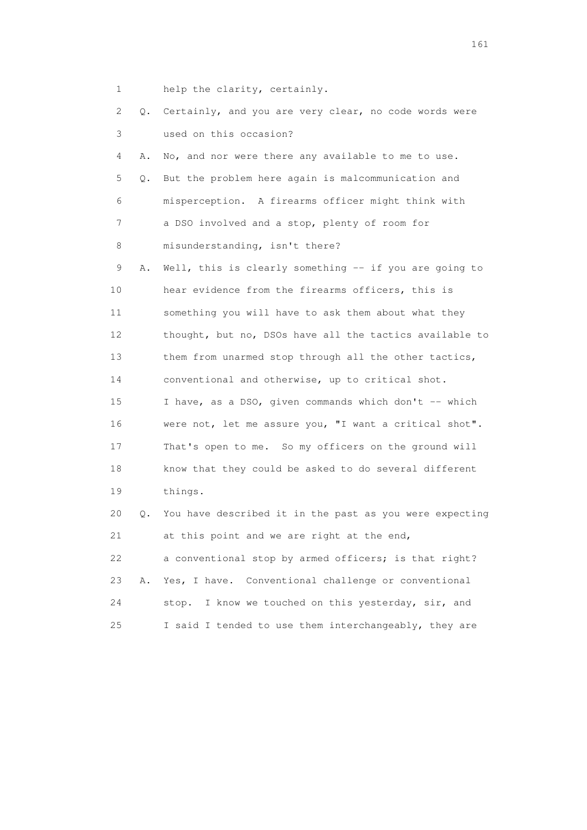1 help the clarity, certainly.

| 2  |    | Q. Certainly, and you are very clear, no code words were |
|----|----|----------------------------------------------------------|
| 3  |    | used on this occasion?                                   |
| 4  | Α. | No, and nor were there any available to me to use.       |
| 5  | Q. | But the problem here again is malcommunication and       |
| 6  |    | misperception. A firearms officer might think with       |
| 7  |    | a DSO involved and a stop, plenty of room for            |
| 8  |    | misunderstanding, isn't there?                           |
| 9  | Α. | Well, this is clearly something -- if you are going to   |
| 10 |    | hear evidence from the firearms officers, this is        |
| 11 |    | something you will have to ask them about what they      |
| 12 |    | thought, but no, DSOs have all the tactics available to  |
| 13 |    | them from unarmed stop through all the other tactics,    |
| 14 |    | conventional and otherwise, up to critical shot.         |
| 15 |    | I have, as a DSO, given commands which don't -- which    |
| 16 |    | were not, let me assure you, "I want a critical shot".   |
| 17 |    | That's open to me. So my officers on the ground will     |
| 18 |    | know that they could be asked to do several different    |
| 19 |    | things.                                                  |
| 20 | Q. | You have described it in the past as you were expecting  |
| 21 |    | at this point and we are right at the end,               |
| 22 |    | a conventional stop by armed officers; is that right?    |
| 23 | Α. | Yes, I have. Conventional challenge or conventional      |
| 24 |    | stop. I know we touched on this yesterday, sir, and      |
| 25 |    | I said I tended to use them interchangeably, they are    |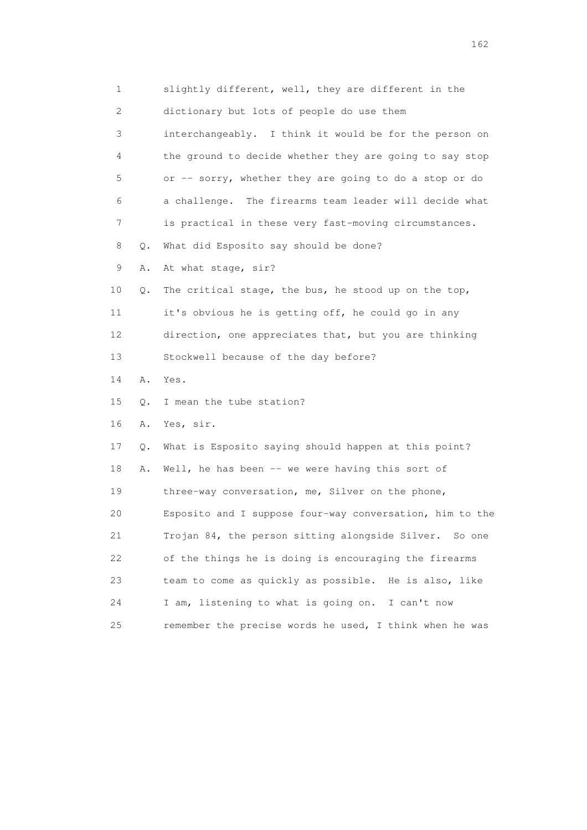1 slightly different, well, they are different in the 2 dictionary but lots of people do use them 3 interchangeably. I think it would be for the person on 4 the ground to decide whether they are going to say stop 5 or -- sorry, whether they are going to do a stop or do 6 a challenge. The firearms team leader will decide what 7 is practical in these very fast-moving circumstances. 8 Q. What did Esposito say should be done? 9 A. At what stage, sir? 10 Q. The critical stage, the bus, he stood up on the top, 11 it's obvious he is getting off, he could go in any 12 direction, one appreciates that, but you are thinking 13 Stockwell because of the day before? 14 A. Yes. 15 Q. I mean the tube station? 16 A. Yes, sir. 17 Q. What is Esposito saying should happen at this point? 18 A. Well, he has been -- we were having this sort of 19 three-way conversation, me, Silver on the phone, 20 Esposito and I suppose four-way conversation, him to the 21 Trojan 84, the person sitting alongside Silver. So one 22 of the things he is doing is encouraging the firearms 23 team to come as quickly as possible. He is also, like 24 I am, listening to what is going on. I can't now 25 remember the precise words he used, I think when he was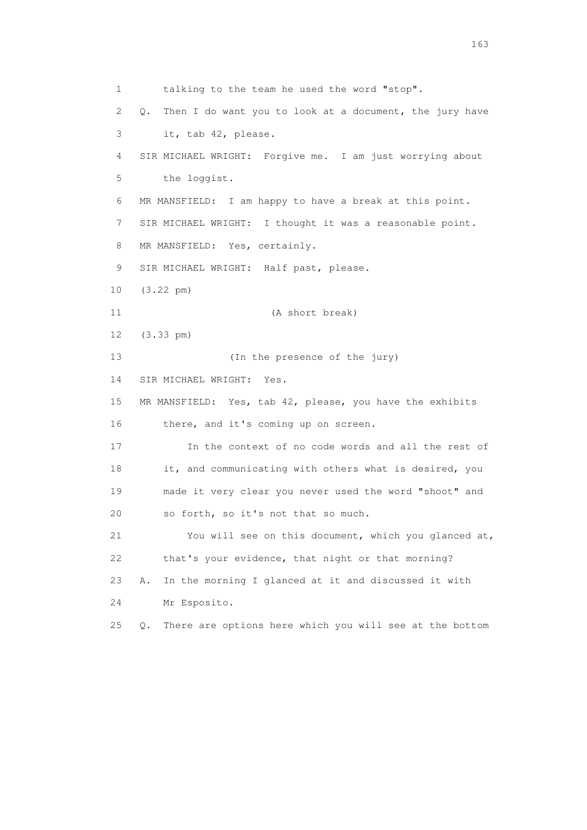1 talking to the team he used the word "stop". 2 Q. Then I do want you to look at a document, the jury have 3 it, tab 42, please. 4 SIR MICHAEL WRIGHT: Forgive me. I am just worrying about 5 the loggist. 6 MR MANSFIELD: I am happy to have a break at this point. 7 SIR MICHAEL WRIGHT: I thought it was a reasonable point. 8 MR MANSFIELD: Yes, certainly. 9 SIR MICHAEL WRIGHT: Half past, please. 10 (3.22 pm) 11 (A short break) 12 (3.33 pm) 13 (In the presence of the jury) 14 SIR MICHAEL WRIGHT: Yes. 15 MR MANSFIELD: Yes, tab 42, please, you have the exhibits 16 there, and it's coming up on screen. 17 In the context of no code words and all the rest of 18 it, and communicating with others what is desired, you 19 made it very clear you never used the word "shoot" and 20 so forth, so it's not that so much. 21 You will see on this document, which you glanced at, 22 that's your evidence, that night or that morning? 23 A. In the morning I glanced at it and discussed it with 24 Mr Esposito. 25 Q. There are options here which you will see at the bottom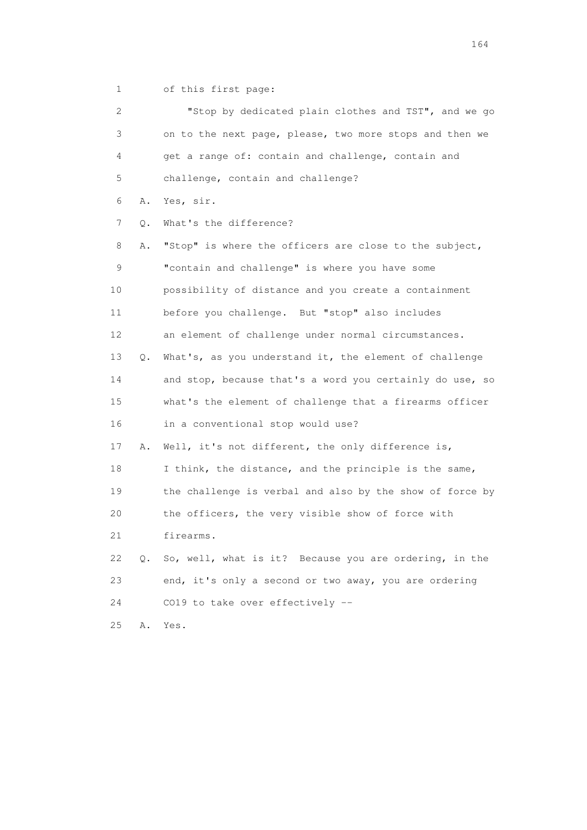1 of this first page:

| 2  |    | "Stop by dedicated plain clothes and TST", and we go     |
|----|----|----------------------------------------------------------|
| 3  |    | on to the next page, please, two more stops and then we  |
| 4  |    | get a range of: contain and challenge, contain and       |
| 5  |    | challenge, contain and challenge?                        |
| 6  | Α. | Yes, sir.                                                |
| 7  | Q. | What's the difference?                                   |
| 8  | Α. | "Stop" is where the officers are close to the subject,   |
| 9  |    | "contain and challenge" is where you have some           |
| 10 |    | possibility of distance and you create a containment     |
| 11 |    | before you challenge. But "stop" also includes           |
| 12 |    | an element of challenge under normal circumstances.      |
| 13 | Q. | What's, as you understand it, the element of challenge   |
| 14 |    | and stop, because that's a word you certainly do use, so |
| 15 |    | what's the element of challenge that a firearms officer  |
| 16 |    | in a conventional stop would use?                        |
| 17 | Α. | Well, it's not different, the only difference is,        |
| 18 |    | I think, the distance, and the principle is the same,    |
| 19 |    | the challenge is verbal and also by the show of force by |
| 20 |    | the officers, the very visible show of force with        |
| 21 |    | firearms.                                                |
| 22 | Q. | So, well, what is it? Because you are ordering, in the   |
| 23 |    | end, it's only a second or two away, you are ordering    |
| 24 |    | CO19 to take over effectively --                         |
| 25 | Α. | Yes.                                                     |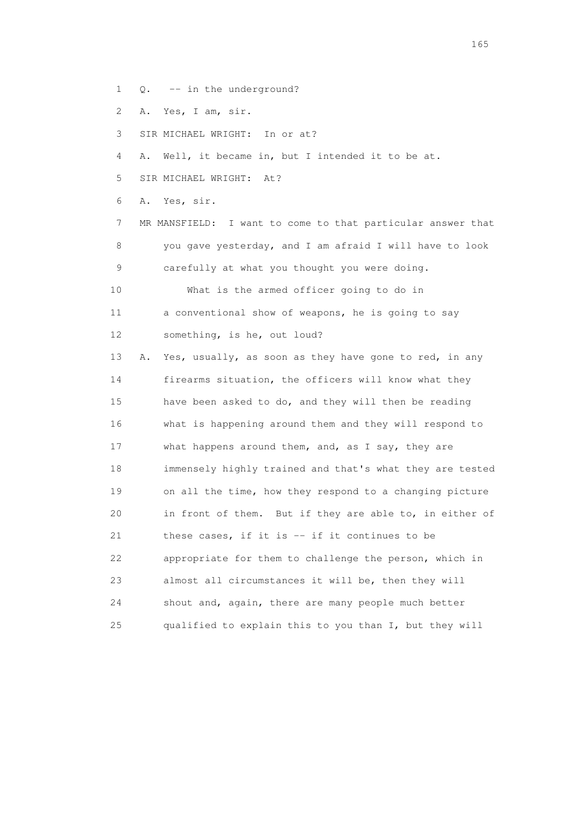- 1 Q. -- in the underground?
- 2 A. Yes, I am, sir.
- 3 SIR MICHAEL WRIGHT: In or at?
- 4 A. Well, it became in, but I intended it to be at.
- 5 SIR MICHAEL WRIGHT: At?

6 A. Yes, sir.

 7 MR MANSFIELD: I want to come to that particular answer that 8 you gave yesterday, and I am afraid I will have to look 9 carefully at what you thought you were doing.

 10 What is the armed officer going to do in 11 a conventional show of weapons, he is going to say 12 something, is he, out loud?

 13 A. Yes, usually, as soon as they have gone to red, in any 14 firearms situation, the officers will know what they 15 have been asked to do, and they will then be reading 16 what is happening around them and they will respond to 17 what happens around them, and, as I say, they are 18 immensely highly trained and that's what they are tested 19 on all the time, how they respond to a changing picture 20 in front of them. But if they are able to, in either of 21 these cases, if it is -- if it continues to be 22 appropriate for them to challenge the person, which in 23 almost all circumstances it will be, then they will 24 shout and, again, there are many people much better 25 qualified to explain this to you than I, but they will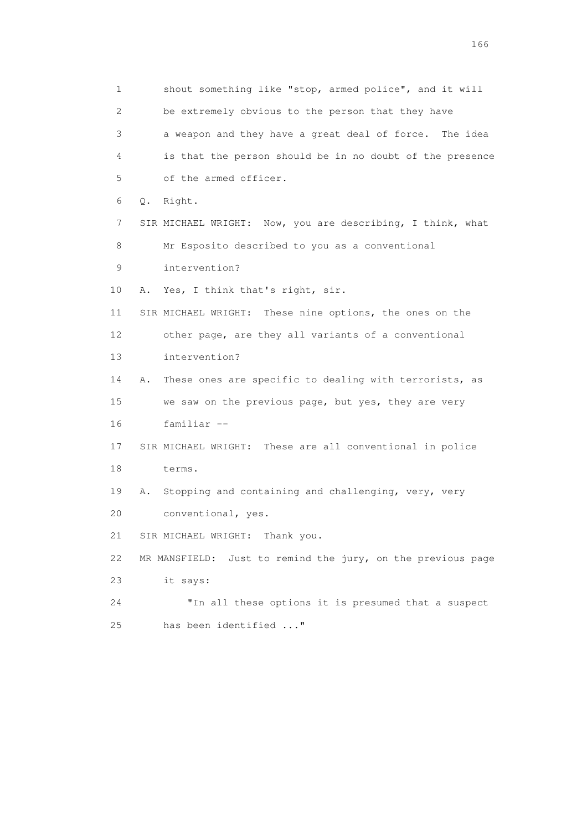1 shout something like "stop, armed police", and it will 2 be extremely obvious to the person that they have 3 a weapon and they have a great deal of force. The idea 4 is that the person should be in no doubt of the presence 5 of the armed officer. 6 Q. Right. 7 SIR MICHAEL WRIGHT: Now, you are describing, I think, what 8 Mr Esposito described to you as a conventional 9 intervention? 10 A. Yes, I think that's right, sir. 11 SIR MICHAEL WRIGHT: These nine options, the ones on the 12 other page, are they all variants of a conventional 13 intervention? 14 A. These ones are specific to dealing with terrorists, as 15 we saw on the previous page, but yes, they are very 16 familiar -- 17 SIR MICHAEL WRIGHT: These are all conventional in police 18 terms. 19 A. Stopping and containing and challenging, very, very 20 conventional, yes. 21 SIR MICHAEL WRIGHT: Thank you. 22 MR MANSFIELD: Just to remind the jury, on the previous page 23 it says: 24 "In all these options it is presumed that a suspect 25 has been identified ..."

<u>166</u> **166**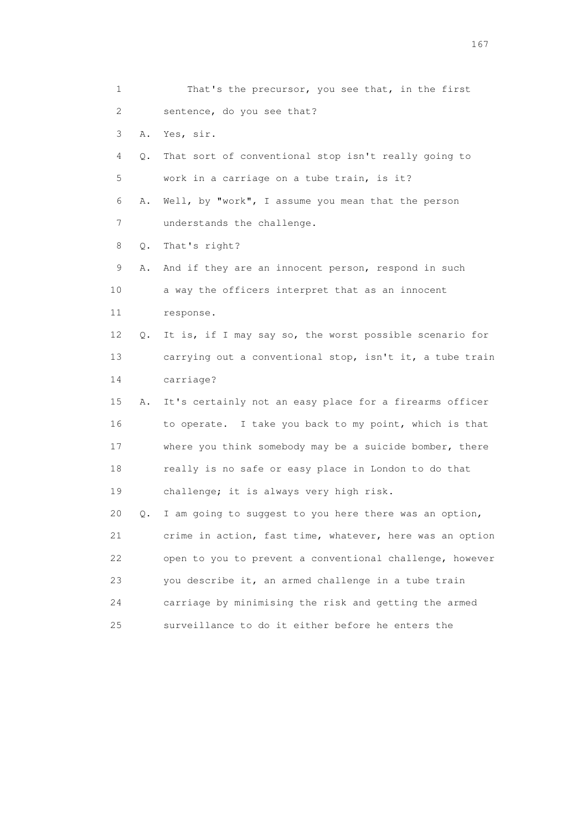| 1  |    | That's the precursor, you see that, in the first         |
|----|----|----------------------------------------------------------|
| 2  |    | sentence, do you see that?                               |
| 3  | Α. | Yes, sir.                                                |
| 4  | Q. | That sort of conventional stop isn't really going to     |
| 5  |    | work in a carriage on a tube train, is it?               |
| 6  | Α. | Well, by "work", I assume you mean that the person       |
| 7  |    | understands the challenge.                               |
| 8  | Q. | That's right?                                            |
| 9  | Α. | And if they are an innocent person, respond in such      |
| 10 |    | a way the officers interpret that as an innocent         |
| 11 |    | response.                                                |
| 12 | Q. | It is, if I may say so, the worst possible scenario for  |
| 13 |    | carrying out a conventional stop, isn't it, a tube train |
| 14 |    | carriage?                                                |
| 15 | Α. | It's certainly not an easy place for a firearms officer  |
| 16 |    | to operate. I take you back to my point, which is that   |
| 17 |    | where you think somebody may be a suicide bomber, there  |
| 18 |    | really is no safe or easy place in London to do that     |
| 19 |    | challenge; it is always very high risk.                  |
| 20 | Q. | I am going to suggest to you here there was an option,   |
| 21 |    | crime in action, fast time, whatever, here was an option |
| 22 |    | open to you to prevent a conventional challenge, however |
| 23 |    | you describe it, an armed challenge in a tube train      |
| 24 |    | carriage by minimising the risk and getting the armed    |
| 25 |    | surveillance to do it either before he enters the        |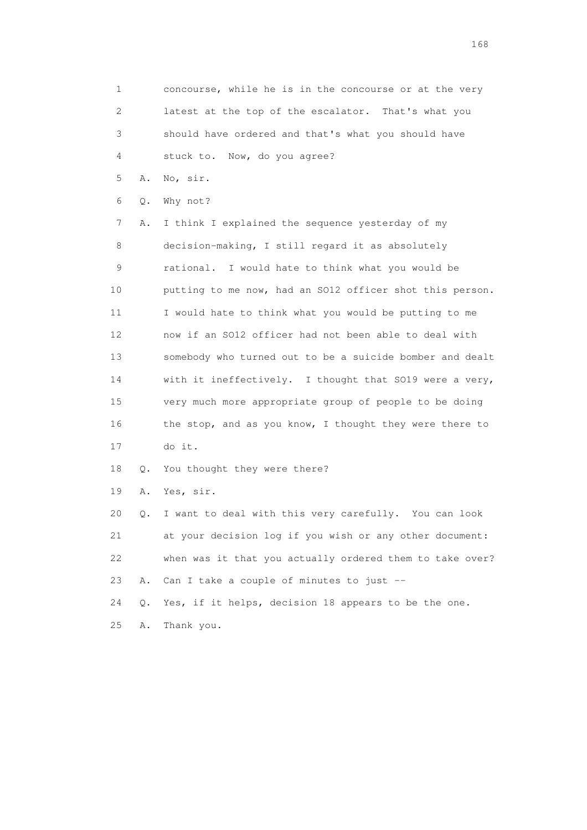1 concourse, while he is in the concourse or at the very 2 latest at the top of the escalator. That's what you 3 should have ordered and that's what you should have 4 stuck to. Now, do you agree? 5 A. No, sir.

6 Q. Why not?

 7 A. I think I explained the sequence yesterday of my 8 decision-making, I still regard it as absolutely 9 rational. I would hate to think what you would be 10 putting to me now, had an SO12 officer shot this person. 11 I would hate to think what you would be putting to me 12 now if an SO12 officer had not been able to deal with 13 somebody who turned out to be a suicide bomber and dealt 14 with it ineffectively. I thought that SO19 were a very, 15 very much more appropriate group of people to be doing 16 the stop, and as you know, I thought they were there to 17 do it.

18 Q. You thought they were there?

19 A. Yes, sir.

 20 Q. I want to deal with this very carefully. You can look 21 at your decision log if you wish or any other document: 22 when was it that you actually ordered them to take over? 23 A. Can I take a couple of minutes to just --

24 Q. Yes, if it helps, decision 18 appears to be the one.

25 A. Thank you.

<u>168</u> **168**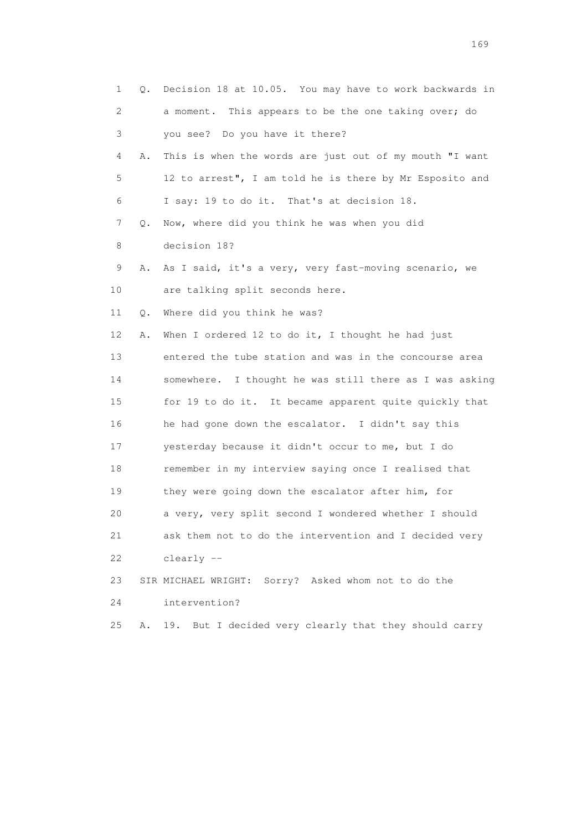| $\mathbf{1}$ | Q. | Decision 18 at 10.05. You may have to work backwards in  |
|--------------|----|----------------------------------------------------------|
| 2            |    | a moment. This appears to be the one taking over; do     |
| 3            |    | you see? Do you have it there?                           |
| 4            | Α. | This is when the words are just out of my mouth "I want  |
| 5            |    | 12 to arrest", I am told he is there by Mr Esposito and  |
| 6            |    | I say: 19 to do it. That's at decision 18.               |
| 7            | Q. | Now, where did you think he was when you did             |
| 8            |    | decision 18?                                             |
| 9            | Α. | As I said, it's a very, very fast-moving scenario, we    |
| 10           |    | are talking split seconds here.                          |
| 11           | Q. | Where did you think he was?                              |
| 12           | Α. | When I ordered $12$ to do it, I thought he had just      |
| 13           |    | entered the tube station and was in the concourse area   |
| 14           |    | somewhere. I thought he was still there as I was asking  |
| 15           |    | for 19 to do it. It became apparent quite quickly that   |
| 16           |    | he had gone down the escalator. I didn't say this        |
| 17           |    | yesterday because it didn't occur to me, but I do        |
| 18           |    | remember in my interview saying once I realised that     |
| 19           |    | they were going down the escalator after him, for        |
| 20           |    | a very, very split second I wondered whether I should    |
| 21           |    | ask them not to do the intervention and I decided very   |
| 22           |    | clearly --                                               |
| 23           |    | SIR MICHAEL WRIGHT: Sorry? Asked whom not to do the      |
| 24           |    | intervention?                                            |
| 25           | Α. | But I decided very clearly that they should carry<br>19. |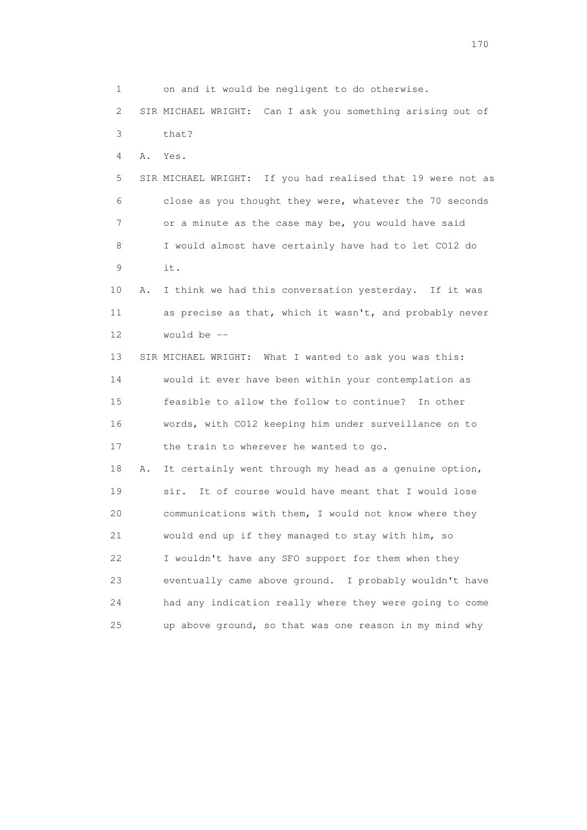1 on and it would be negligent to do otherwise. 2 SIR MICHAEL WRIGHT: Can I ask you something arising out of 3 that? 4 A. Yes. 5 SIR MICHAEL WRIGHT: If you had realised that 19 were not as 6 close as you thought they were, whatever the 70 seconds 7 or a minute as the case may be, you would have said 8 I would almost have certainly have had to let CO12 do 9 it. 10 A. I think we had this conversation yesterday. If it was 11 as precise as that, which it wasn't, and probably never 12 would be -- 13 SIR MICHAEL WRIGHT: What I wanted to ask you was this: 14 would it ever have been within your contemplation as 15 feasible to allow the follow to continue? In other 16 words, with CO12 keeping him under surveillance on to 17 the train to wherever he wanted to go. 18 A. It certainly went through my head as a genuine option, 19 sir. It of course would have meant that I would lose 20 communications with them, I would not know where they 21 would end up if they managed to stay with him, so 22 I wouldn't have any SFO support for them when they 23 eventually came above ground. I probably wouldn't have 24 had any indication really where they were going to come 25 up above ground, so that was one reason in my mind why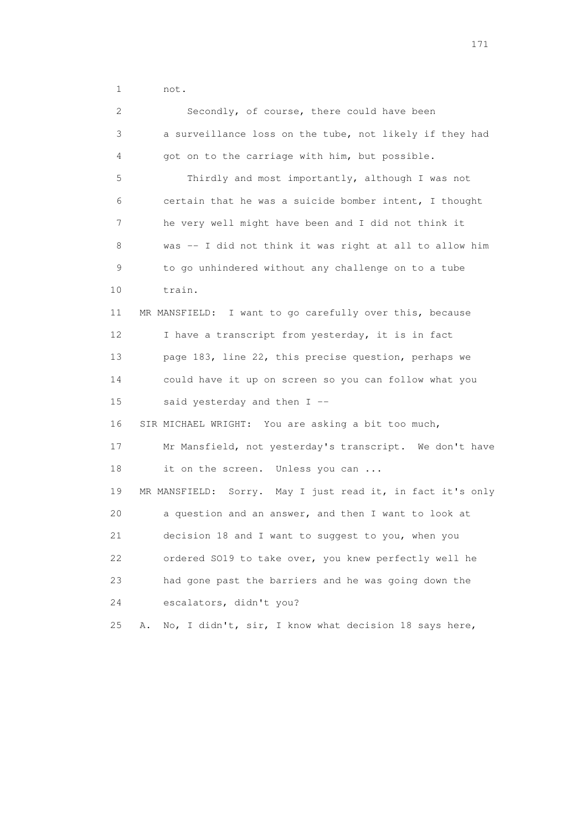1 not.

| 2               | Secondly, of course, there could have been                  |
|-----------------|-------------------------------------------------------------|
| 3               | a surveillance loss on the tube, not likely if they had     |
| 4               | got on to the carriage with him, but possible.              |
| 5               | Thirdly and most importantly, although I was not            |
| 6               | certain that he was a suicide bomber intent, I thought      |
| 7               | he very well might have been and I did not think it         |
| 8               | was -- I did not think it was right at all to allow him     |
| $\mathsf 9$     | to go unhindered without any challenge on to a tube         |
| 10              | train.                                                      |
| 11              | MR MANSFIELD: I want to go carefully over this, because     |
| 12 <sup>°</sup> | I have a transcript from yesterday, it is in fact           |
| 13              | page 183, line 22, this precise question, perhaps we        |
| 14              | could have it up on screen so you can follow what you       |
| 15              | said yesterday and then I --                                |
| 16              | SIR MICHAEL WRIGHT: You are asking a bit too much,          |
| 17              | Mr Mansfield, not yesterday's transcript. We don't have     |
| 18              | it on the screen. Unless you can                            |
| 19              | MR MANSFIELD: Sorry. May I just read it, in fact it's only  |
| 20              | a question and an answer, and then I want to look at        |
| 21              | decision 18 and I want to suggest to you, when you          |
| 22              | ordered S019 to take over, you knew perfectly well he       |
| 23              | had gone past the barriers and he was going down the        |
| 24              | escalators, didn't you?                                     |
| 25              | No, I didn't, sir, I know what decision 18 says here,<br>Α. |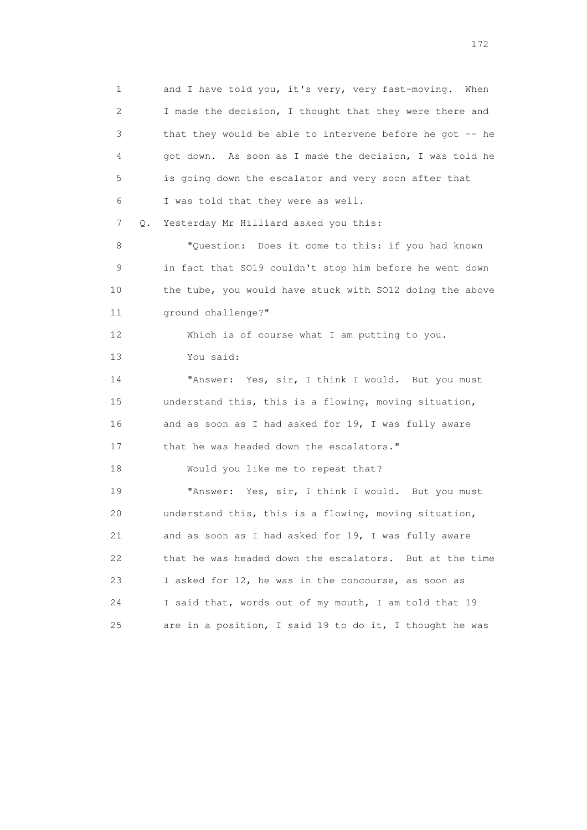1 and I have told you, it's very, very fast-moving. When 2 I made the decision, I thought that they were there and 3 that they would be able to intervene before he got -- he 4 got down. As soon as I made the decision, I was told he 5 is going down the escalator and very soon after that 6 I was told that they were as well. 7 Q. Yesterday Mr Hilliard asked you this: 8 "Question: Does it come to this: if you had known 9 in fact that SO19 couldn't stop him before he went down 10 the tube, you would have stuck with SO12 doing the above 11 ground challenge?" 12 Which is of course what I am putting to you.

13 You said:

14 "Answer: Yes, sir, I think I would. But you must 15 understand this, this is a flowing, moving situation, 16 and as soon as I had asked for 19, I was fully aware 17 that he was headed down the escalators."

18 Would you like me to repeat that?

 19 "Answer: Yes, sir, I think I would. But you must 20 understand this, this is a flowing, moving situation, 21 and as soon as I had asked for 19, I was fully aware 22 that he was headed down the escalators. But at the time 23 I asked for 12, he was in the concourse, as soon as 24 I said that, words out of my mouth, I am told that 19 25 are in a position, I said 19 to do it, I thought he was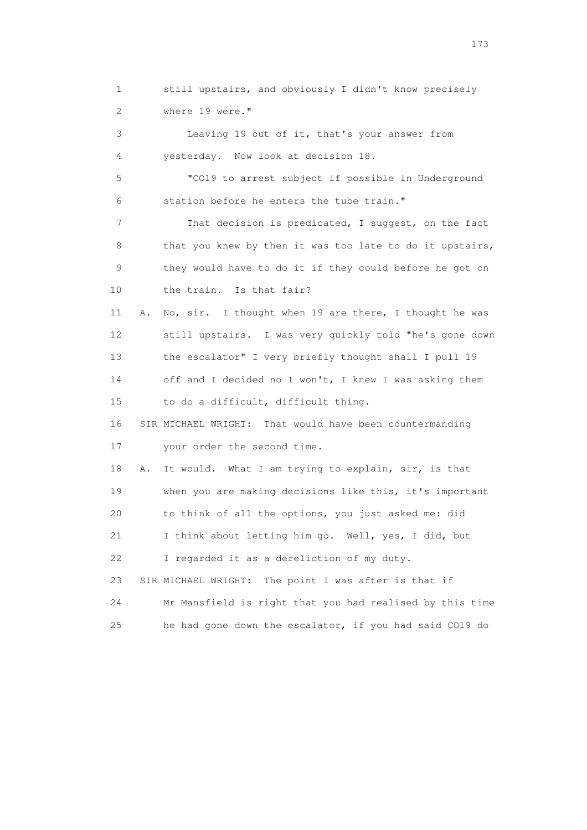1 still upstairs, and obviously I didn't know precisely 2 where 19 were." 3 Leaving 19 out of it, that's your answer from 4 yesterday. Now look at decision 18. 5 "CO19 to arrest subject if possible in Underground 6 station before he enters the tube train." 7 That decision is predicated, I suggest, on the fact 8 that you knew by then it was too late to do it upstairs, 9 they would have to do it if they could before he got on 10 the train. Is that fair? 11 A. No, sir. I thought when 19 are there, I thought he was 12 still upstairs. I was very quickly told "he's gone down 13 the escalator" I very briefly thought shall I pull 19 14 off and I decided no I won't, I knew I was asking them 15 to do a difficult, difficult thing. 16 SIR MICHAEL WRIGHT: That would have been countermanding 17 your order the second time. 18 A. It would. What I am trying to explain, sir, is that 19 when you are making decisions like this, it's important 20 to think of all the options, you just asked me: did 21 I think about letting him go. Well, yes, I did, but 22 I regarded it as a dereliction of my duty. 23 SIR MICHAEL WRIGHT: The point I was after is that if 24 Mr Mansfield is right that you had realised by this time 25 he had gone down the escalator, if you had said CO19 do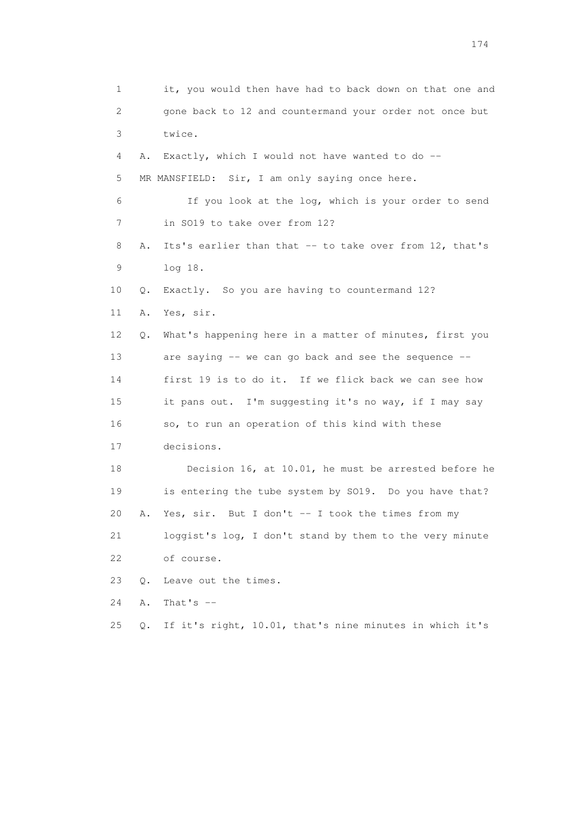1 it, you would then have had to back down on that one and 2 gone back to 12 and countermand your order not once but 3 twice. 4 A. Exactly, which I would not have wanted to do -- 5 MR MANSFIELD: Sir, I am only saying once here. 6 If you look at the log, which is your order to send 7 in SO19 to take over from 12? 8 A. Its's earlier than that -- to take over from 12, that's 9 log 18. 10 Q. Exactly. So you are having to countermand 12? 11 A. Yes, sir. 12 Q. What's happening here in a matter of minutes, first you 13 are saying -- we can go back and see the sequence -- 14 first 19 is to do it. If we flick back we can see how 15 it pans out. I'm suggesting it's no way, if I may say 16 so, to run an operation of this kind with these 17 decisions. 18 Decision 16, at 10.01, he must be arrested before he 19 is entering the tube system by SO19. Do you have that? 20 A. Yes, sir. But I don't -- I took the times from my 21 loggist's log, I don't stand by them to the very minute 22 of course. 23 Q. Leave out the times. 24 A. That's -- 25 Q. If it's right, 10.01, that's nine minutes in which it's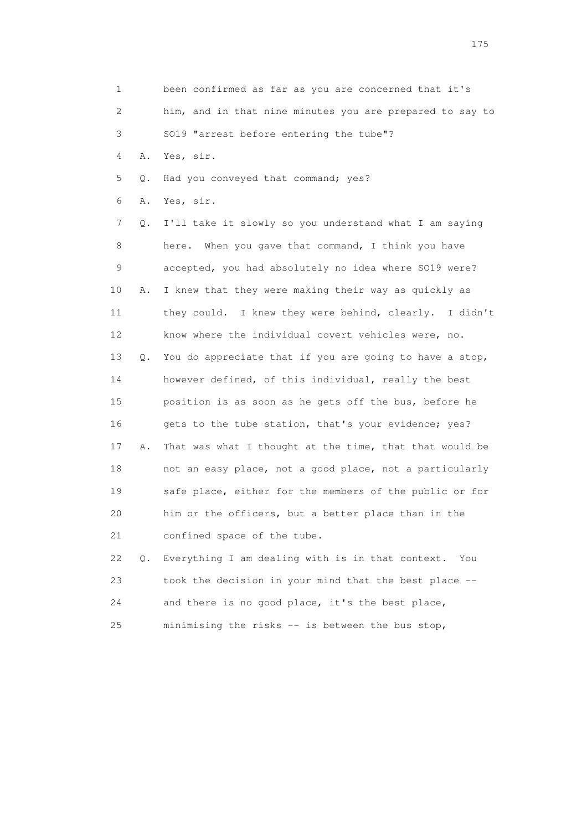1 been confirmed as far as you are concerned that it's 2 him, and in that nine minutes you are prepared to say to 3 SO19 "arrest before entering the tube"? 4 A. Yes, sir. 5 Q. Had you conveyed that command; yes? 6 A. Yes, sir. 7 Q. I'll take it slowly so you understand what I am saying 8 here. When you gave that command, I think you have 9 accepted, you had absolutely no idea where SO19 were? 10 A. I knew that they were making their way as quickly as 11 they could. I knew they were behind, clearly. I didn't 12 know where the individual covert vehicles were, no. 13 Q. You do appreciate that if you are going to have a stop, 14 however defined, of this individual, really the best 15 position is as soon as he gets off the bus, before he 16 gets to the tube station, that's your evidence; yes? 17 A. That was what I thought at the time, that that would be 18 not an easy place, not a good place, not a particularly 19 safe place, either for the members of the public or for 20 him or the officers, but a better place than in the 21 confined space of the tube. 22 Q. Everything I am dealing with is in that context. You 23 took the decision in your mind that the best place -- 24 and there is no good place, it's the best place,

25 minimising the risks -- is between the bus stop,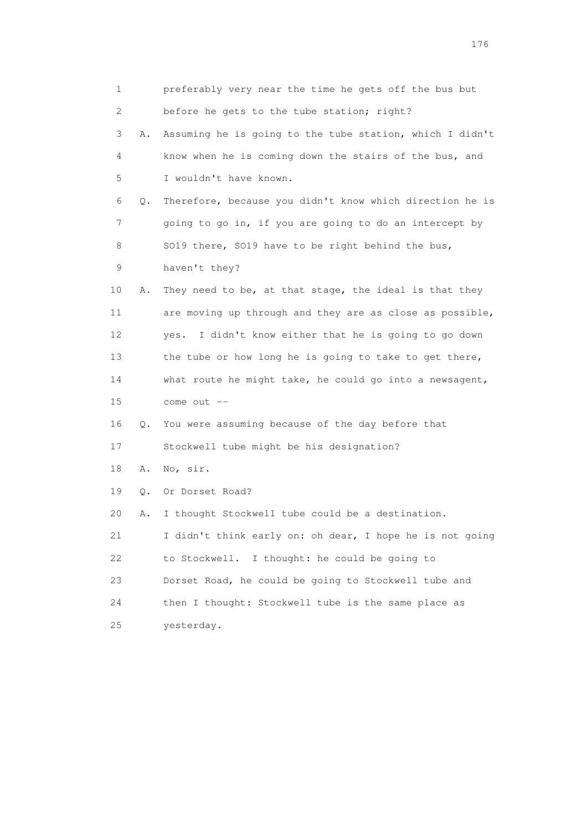|                 | 1       | preferably very near the time he gets off the bus but    |
|-----------------|---------|----------------------------------------------------------|
|                 | 2       | before he gets to the tube station; right?               |
|                 | 3<br>Α. | Assuming he is going to the tube station, which I didn't |
|                 | 4       | know when he is coming down the stairs of the bus, and   |
|                 | 5       | I wouldn't have known.                                   |
|                 | 6<br>Q. | Therefore, because you didn't know which direction he is |
|                 | 7       | going to go in, if you are going to do an intercept by   |
|                 | 8       | SO19 there, SO19 have to be right behind the bus,        |
|                 | 9       | haven't they?                                            |
| 10              | Α.      | They need to be, at that stage, the ideal is that they   |
| 11              |         | are moving up through and they are as close as possible, |
| 12 <sup>°</sup> |         | I didn't know either that he is going to go down<br>yes. |
| 13              |         | the tube or how long he is going to take to get there,   |
| 14              |         | what route he might take, he could go into a newsagent,  |
| 15              |         | come out --                                              |
| 16              | Q.      | You were assuming because of the day before that         |
| 17              |         | Stockwell tube might be his designation?                 |
| 18              | Α.      | No, sir.                                                 |
| 19              | Q.      | Or Dorset Road?                                          |
| 20              | Α.      | I thought Stockwell tube could be a destination.         |
| 21              |         | I didn't think early on: oh dear, I hope he is not going |
| 22              |         | to Stockwell.<br>I thought: he could be going to         |
| 23              |         | Dorset Road, he could be going to Stockwell tube and     |
| 24              |         | then I thought: Stockwell tube is the same place as      |
| 25              |         | yesterday.                                               |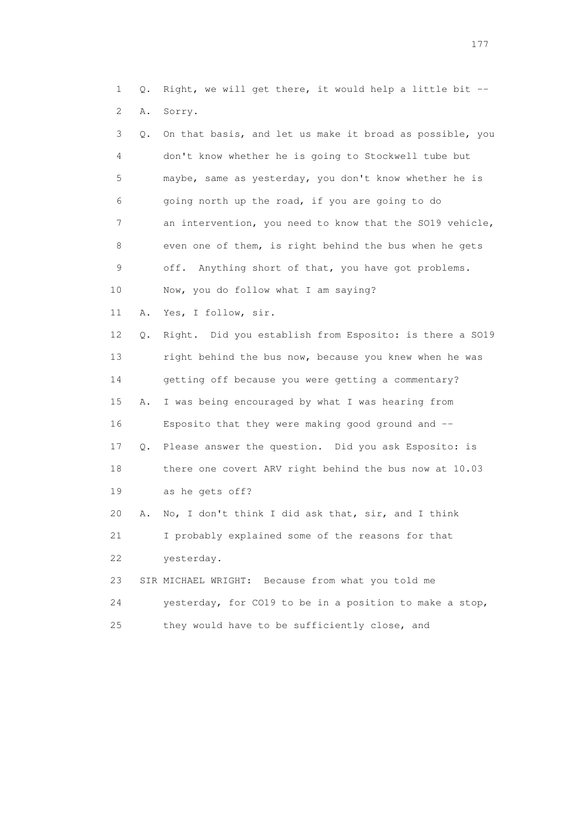1 Q. Right, we will get there, it would help a little bit -- 2 A. Sorry.

| 3  | Q. | On that basis, and let us make it broad as possible, you |
|----|----|----------------------------------------------------------|
| 4  |    | don't know whether he is going to Stockwell tube but     |
| 5  |    | maybe, same as yesterday, you don't know whether he is   |
| 6  |    | going north up the road, if you are going to do          |
| 7  |    | an intervention, you need to know that the SO19 vehicle, |
| 8  |    | even one of them, is right behind the bus when he gets   |
| 9  |    | Anything short of that, you have got problems.<br>off.   |
| 10 |    | Now, you do follow what I am saying?                     |
| 11 | Α. | Yes, I follow, sir.                                      |
| 12 | Q. | Right. Did you establish from Esposito: is there a SO19  |
| 13 |    | right behind the bus now, because you knew when he was   |
| 14 |    | getting off because you were getting a commentary?       |
| 15 | Α. | I was being encouraged by what I was hearing from        |
| 16 |    | Esposito that they were making good ground and --        |
| 17 | Q. | Please answer the question. Did you ask Esposito: is     |
| 18 |    | there one covert ARV right behind the bus now at 10.03   |
| 19 |    | as he gets off?                                          |
| 20 | Α. | No, I don't think I did ask that, sir, and I think       |
| 21 |    | I probably explained some of the reasons for that        |
| 22 |    | yesterday.                                               |
| 23 |    | SIR MICHAEL WRIGHT: Because from what you told me        |
| 24 |    | yesterday, for CO19 to be in a position to make a stop,  |
| 25 |    | they would have to be sufficiently close, and            |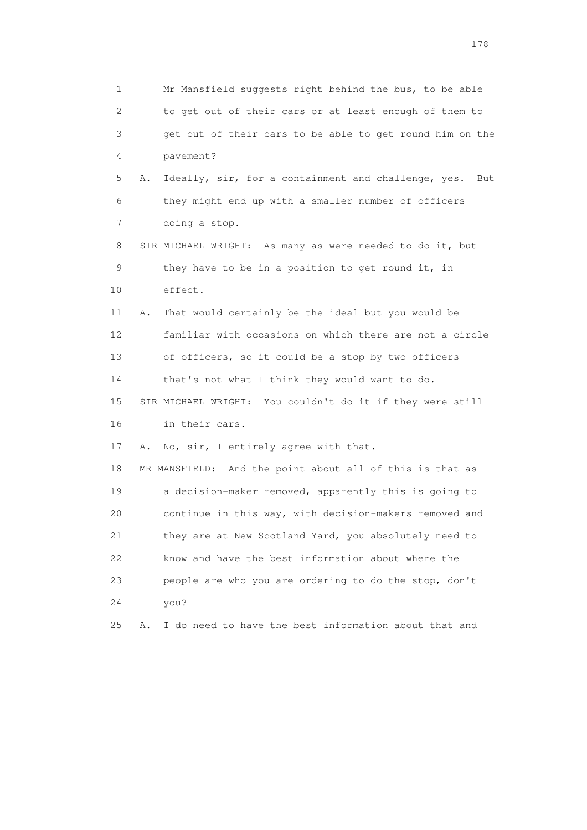1 Mr Mansfield suggests right behind the bus, to be able 2 to get out of their cars or at least enough of them to 3 get out of their cars to be able to get round him on the 4 pavement? 5 A. Ideally, sir, for a containment and challenge, yes. But 6 they might end up with a smaller number of officers 7 doing a stop. 8 SIR MICHAEL WRIGHT: As many as were needed to do it, but 9 they have to be in a position to get round it, in 10 effect. 11 A. That would certainly be the ideal but you would be 12 familiar with occasions on which there are not a circle 13 of officers, so it could be a stop by two officers 14 that's not what I think they would want to do. 15 SIR MICHAEL WRIGHT: You couldn't do it if they were still 16 in their cars. 17 A. No, sir, I entirely agree with that. 18 MR MANSFIELD: And the point about all of this is that as 19 a decision-maker removed, apparently this is going to 20 continue in this way, with decision-makers removed and 21 they are at New Scotland Yard, you absolutely need to 22 know and have the best information about where the 23 people are who you are ordering to do the stop, don't 24 you? 25 A. I do need to have the best information about that and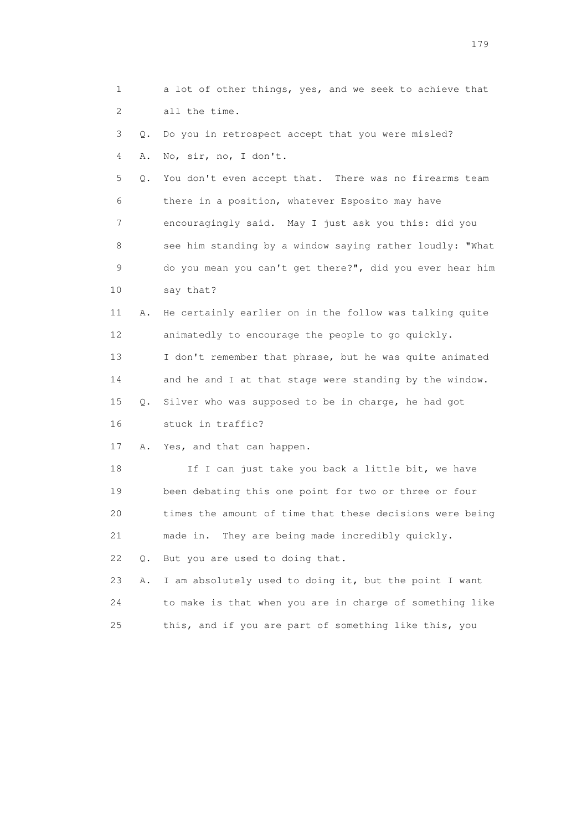1 a lot of other things, yes, and we seek to achieve that 2 all the time.

 3 Q. Do you in retrospect accept that you were misled? 4 A. No, sir, no, I don't.

 5 Q. You don't even accept that. There was no firearms team 6 there in a position, whatever Esposito may have 7 encouragingly said. May I just ask you this: did you 8 see him standing by a window saying rather loudly: "What 9 do you mean you can't get there?", did you ever hear him 10 say that?

 11 A. He certainly earlier on in the follow was talking quite 12 animatedly to encourage the people to go quickly. 13 I don't remember that phrase, but he was quite animated 14 and he and I at that stage were standing by the window. 15 Q. Silver who was supposed to be in charge, he had got

16 stuck in traffic?

17 A. Yes, and that can happen.

18 If I can just take you back a little bit, we have 19 been debating this one point for two or three or four 20 times the amount of time that these decisions were being 21 made in. They are being made incredibly quickly. 22 Q. But you are used to doing that. 23 A. I am absolutely used to doing it, but the point I want

 24 to make is that when you are in charge of something like 25 this, and if you are part of something like this, you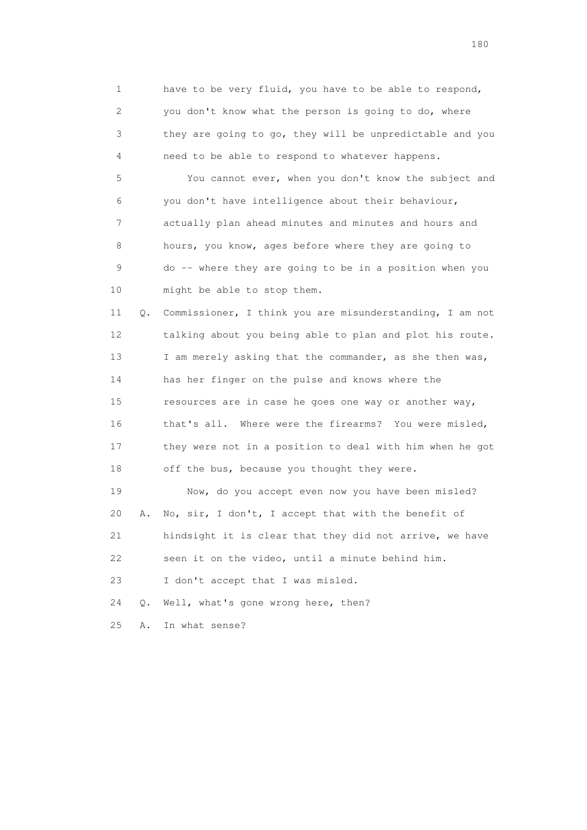1 have to be very fluid, you have to be able to respond, 2 you don't know what the person is going to do, where 3 they are going to go, they will be unpredictable and you 4 need to be able to respond to whatever happens.

 5 You cannot ever, when you don't know the subject and 6 you don't have intelligence about their behaviour, 7 actually plan ahead minutes and minutes and hours and 8 hours, you know, ages before where they are going to 9 do -- where they are going to be in a position when you 10 might be able to stop them.

 11 Q. Commissioner, I think you are misunderstanding, I am not 12 talking about you being able to plan and plot his route. 13 I am merely asking that the commander, as she then was, 14 has her finger on the pulse and knows where the 15 resources are in case he goes one way or another way, 16 that's all. Where were the firearms? You were misled, 17 they were not in a position to deal with him when he got 18 off the bus, because you thought they were.

 19 Now, do you accept even now you have been misled? 20 A. No, sir, I don't, I accept that with the benefit of 21 hindsight it is clear that they did not arrive, we have 22 seen it on the video, until a minute behind him. 23 I don't accept that I was misled.

24 Q. Well, what's gone wrong here, then?

25 A. In what sense?

180 and 180 and 180 and 180 and 180 and 180 and 180 and 180 and 180 and 180 and 180 and 180 and 180 and 180 and 180 and 180 and 180 and 180 and 180 and 180 and 180 and 180 and 180 and 180 and 180 and 180 and 180 and 180 an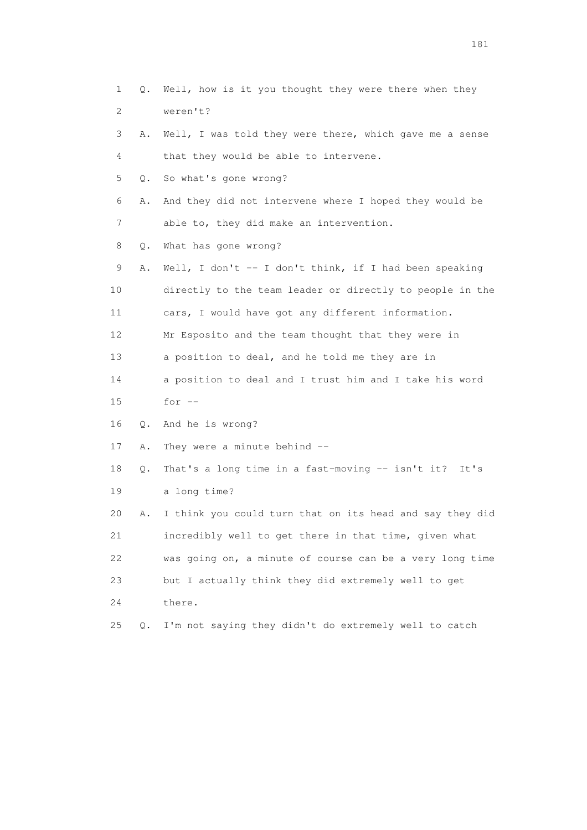1 Q. Well, how is it you thought they were there when they 2 weren't? 3 A. Well, I was told they were there, which gave me a sense 4 that they would be able to intervene. 5 Q. So what's gone wrong? 6 A. And they did not intervene where I hoped they would be 7 able to, they did make an intervention. 8 Q. What has gone wrong? 9 A. Well, I don't -- I don't think, if I had been speaking 10 directly to the team leader or directly to people in the 11 cars, I would have got any different information. 12 Mr Esposito and the team thought that they were in 13 a position to deal, and he told me they are in 14 a position to deal and I trust him and I take his word 15 for -- 16 Q. And he is wrong? 17 A. They were a minute behind -- 18 Q. That's a long time in a fast-moving -- isn't it? It's 19 a long time? 20 A. I think you could turn that on its head and say they did 21 incredibly well to get there in that time, given what 22 was going on, a minute of course can be a very long time 23 but I actually think they did extremely well to get 24 there. 25 Q. I'm not saying they didn't do extremely well to catch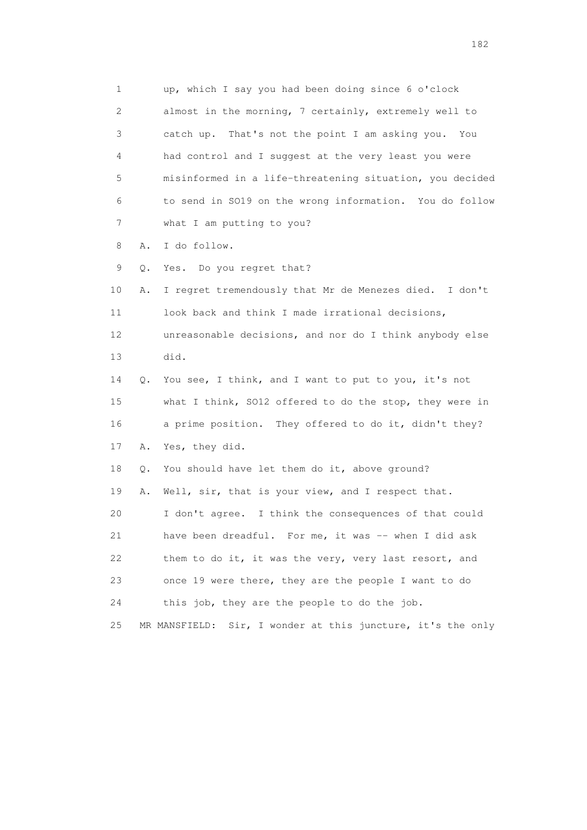1 up, which I say you had been doing since 6 o'clock 2 almost in the morning, 7 certainly, extremely well to 3 catch up. That's not the point I am asking you. You 4 had control and I suggest at the very least you were 5 misinformed in a life-threatening situation, you decided 6 to send in SO19 on the wrong information. You do follow 7 what I am putting to you? 8 A. I do follow. 9 Q. Yes. Do you regret that? 10 A. I regret tremendously that Mr de Menezes died. I don't 11 look back and think I made irrational decisions, 12 unreasonable decisions, and nor do I think anybody else 13 did. 14 Q. You see, I think, and I want to put to you, it's not 15 what I think, SO12 offered to do the stop, they were in 16 a prime position. They offered to do it, didn't they? 17 A. Yes, they did. 18 Q. You should have let them do it, above ground? 19 A. Well, sir, that is your view, and I respect that. 20 I don't agree. I think the consequences of that could 21 have been dreadful. For me, it was -- when I did ask 22 them to do it, it was the very, very last resort, and 23 once 19 were there, they are the people I want to do 24 this job, they are the people to do the job. 25 MR MANSFIELD: Sir, I wonder at this juncture, it's the only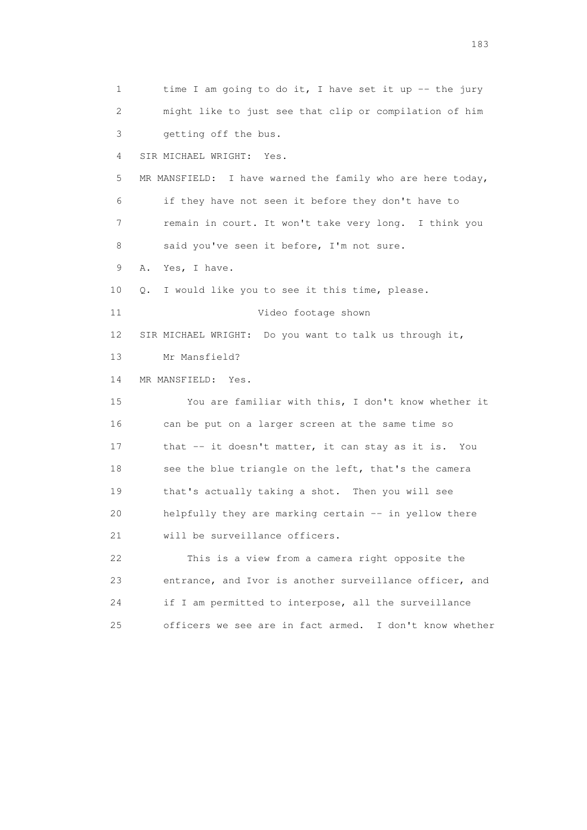1 time I am going to do it, I have set it up -- the jury 2 might like to just see that clip or compilation of him 3 getting off the bus. 4 SIR MICHAEL WRIGHT: Yes. 5 MR MANSFIELD: I have warned the family who are here today, 6 if they have not seen it before they don't have to 7 remain in court. It won't take very long. I think you 8 said you've seen it before, I'm not sure. 9 A. Yes, I have. 10 Q. I would like you to see it this time, please. 11 Video footage shown 12 SIR MICHAEL WRIGHT: Do you want to talk us through it, 13 Mr Mansfield? 14 MR MANSFIELD: Yes. 15 You are familiar with this, I don't know whether it 16 can be put on a larger screen at the same time so 17 that -- it doesn't matter, it can stay as it is. You 18 see the blue triangle on the left, that's the camera 19 that's actually taking a shot. Then you will see 20 helpfully they are marking certain -- in yellow there 21 will be surveillance officers. 22 This is a view from a camera right opposite the 23 entrance, and Ivor is another surveillance officer, and 24 if I am permitted to interpose, all the surveillance 25 officers we see are in fact armed. I don't know whether

183 and the contract of the contract of the contract of the contract of the contract of the contract of the contract of the contract of the contract of the contract of the contract of the contract of the contract of the co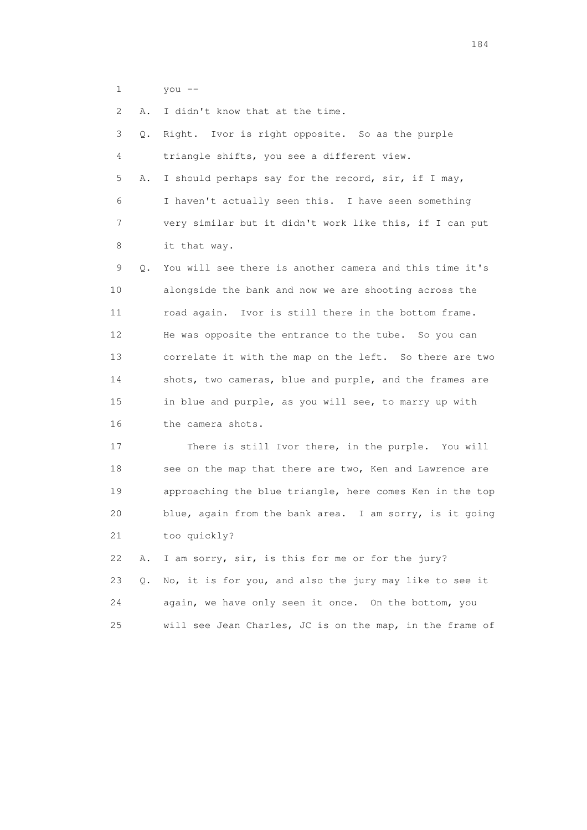1 you --

2 A. I didn't know that at the time.

 3 Q. Right. Ivor is right opposite. So as the purple 4 triangle shifts, you see a different view. 5 A. I should perhaps say for the record, sir, if I may, 6 I haven't actually seen this. I have seen something 7 very similar but it didn't work like this, if I can put 8 it that way. 9 Q. You will see there is another camera and this time it's 10 alongside the bank and now we are shooting across the 11 road again. Ivor is still there in the bottom frame. 12 He was opposite the entrance to the tube. So you can 13 correlate it with the map on the left. So there are two 14 shots, two cameras, blue and purple, and the frames are 15 in blue and purple, as you will see, to marry up with 16 the camera shots. 17 There is still Ivor there, in the purple. You will 18 see on the map that there are two, Ken and Lawrence are 19 approaching the blue triangle, here comes Ken in the top 20 blue, again from the bank area. I am sorry, is it going 21 too quickly? 22 A. I am sorry, sir, is this for me or for the jury? 23 Q. No, it is for you, and also the jury may like to see it 24 again, we have only seen it once. On the bottom, you

25 will see Jean Charles, JC is on the map, in the frame of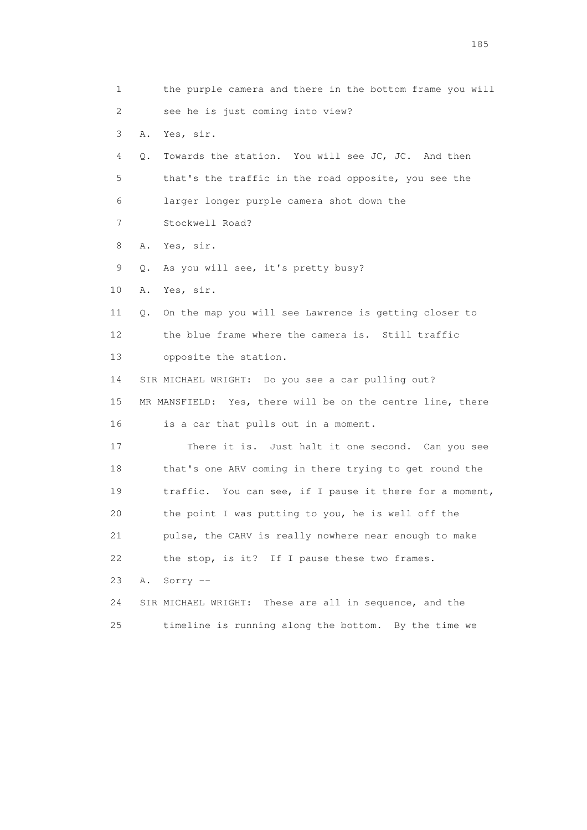1 the purple camera and there in the bottom frame you will 2 see he is just coming into view? 3 A. Yes, sir. 4 Q. Towards the station. You will see JC, JC. And then 5 that's the traffic in the road opposite, you see the 6 larger longer purple camera shot down the 7 Stockwell Road? 8 A. Yes, sir. 9 Q. As you will see, it's pretty busy? 10 A. Yes, sir. 11 Q. On the map you will see Lawrence is getting closer to 12 the blue frame where the camera is. Still traffic 13 opposite the station. 14 SIR MICHAEL WRIGHT: Do you see a car pulling out? 15 MR MANSFIELD: Yes, there will be on the centre line, there 16 is a car that pulls out in a moment. 17 There it is. Just halt it one second. Can you see 18 that's one ARV coming in there trying to get round the 19 traffic. You can see, if I pause it there for a moment, 20 the point I was putting to you, he is well off the 21 pulse, the CARV is really nowhere near enough to make 22 the stop, is it? If I pause these two frames. 23 A. Sorry -- 24 SIR MICHAEL WRIGHT: These are all in sequence, and the 25 timeline is running along the bottom. By the time we

<u>185</u>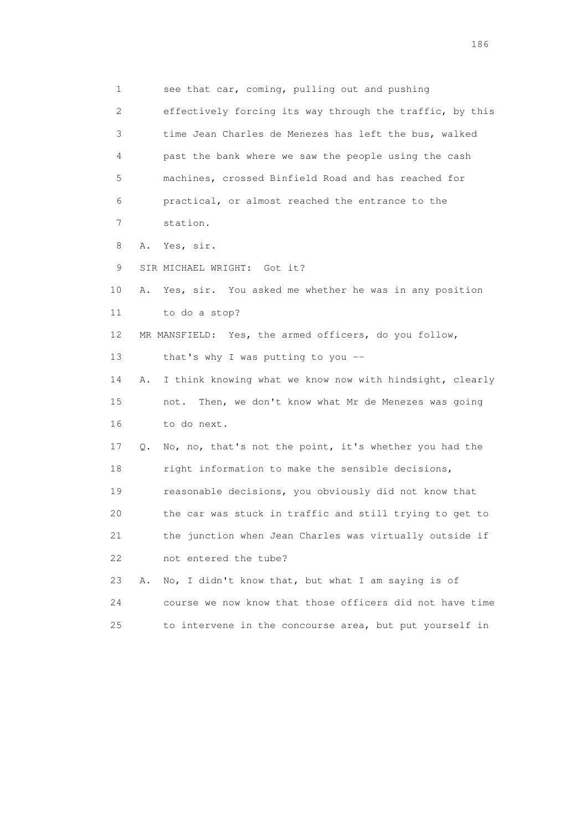1 see that car, coming, pulling out and pushing 2 effectively forcing its way through the traffic, by this 3 time Jean Charles de Menezes has left the bus, walked 4 past the bank where we saw the people using the cash 5 machines, crossed Binfield Road and has reached for 6 practical, or almost reached the entrance to the 7 station. 8 A. Yes, sir. 9 SIR MICHAEL WRIGHT: Got it? 10 A. Yes, sir. You asked me whether he was in any position 11 to do a stop? 12 MR MANSFIELD: Yes, the armed officers, do you follow, 13 that's why I was putting to you -- 14 A. I think knowing what we know now with hindsight, clearly 15 not. Then, we don't know what Mr de Menezes was going 16 to do next. 17 Q. No, no, that's not the point, it's whether you had the 18 right information to make the sensible decisions, 19 reasonable decisions, you obviously did not know that 20 the car was stuck in traffic and still trying to get to 21 the junction when Jean Charles was virtually outside if 22 not entered the tube? 23 A. No, I didn't know that, but what I am saying is of 24 course we now know that those officers did not have time 25 to intervene in the concourse area, but put yourself in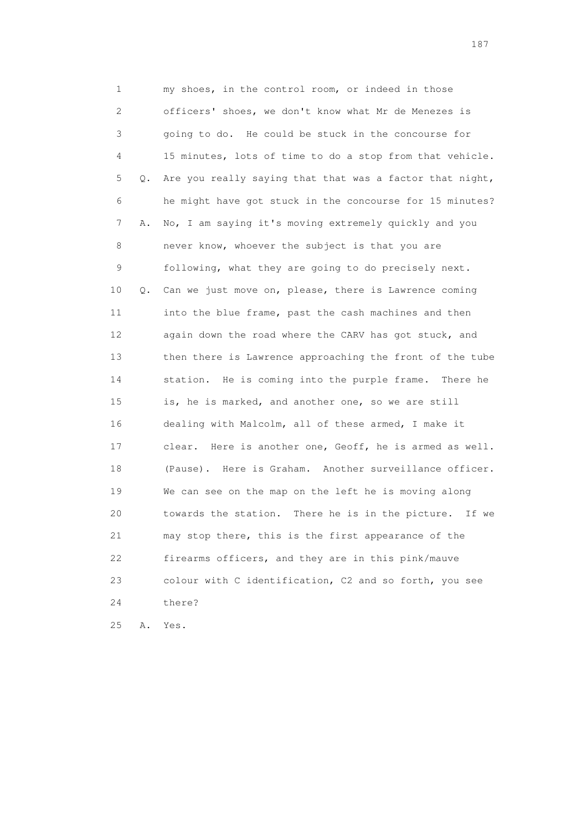1 my shoes, in the control room, or indeed in those 2 officers' shoes, we don't know what Mr de Menezes is 3 going to do. He could be stuck in the concourse for 4 15 minutes, lots of time to do a stop from that vehicle. 5 Q. Are you really saying that that was a factor that night, 6 he might have got stuck in the concourse for 15 minutes? 7 A. No, I am saying it's moving extremely quickly and you 8 never know, whoever the subject is that you are 9 following, what they are going to do precisely next. 10 Q. Can we just move on, please, there is Lawrence coming 11 into the blue frame, past the cash machines and then 12 again down the road where the CARV has got stuck, and 13 then there is Lawrence approaching the front of the tube 14 station. He is coming into the purple frame. There he 15 is, he is marked, and another one, so we are still 16 dealing with Malcolm, all of these armed, I make it 17 clear. Here is another one, Geoff, he is armed as well. 18 (Pause). Here is Graham. Another surveillance officer. 19 We can see on the map on the left he is moving along 20 towards the station. There he is in the picture. If we 21 may stop there, this is the first appearance of the 22 firearms officers, and they are in this pink/mauve 23 colour with C identification, C2 and so forth, you see 24 there?

25 A. Yes.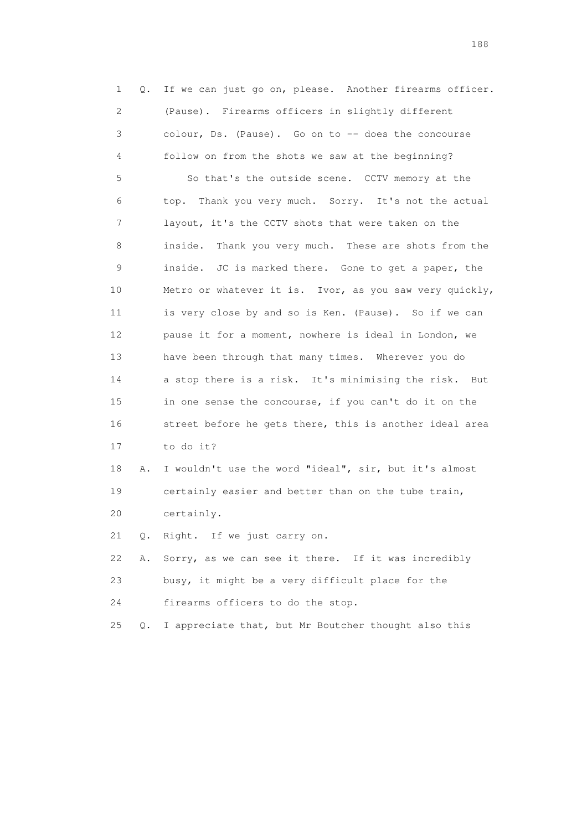1 Q. If we can just go on, please. Another firearms officer. 2 (Pause). Firearms officers in slightly different 3 colour, Ds. (Pause). Go on to -- does the concourse 4 follow on from the shots we saw at the beginning? 5 So that's the outside scene. CCTV memory at the 6 top. Thank you very much. Sorry. It's not the actual 7 layout, it's the CCTV shots that were taken on the 8 inside. Thank you very much. These are shots from the 9 inside. JC is marked there. Gone to get a paper, the 10 Metro or whatever it is. Ivor, as you saw very quickly, 11 is very close by and so is Ken. (Pause). So if we can 12 pause it for a moment, nowhere is ideal in London, we 13 have been through that many times. Wherever you do 14 a stop there is a risk. It's minimising the risk. But 15 in one sense the concourse, if you can't do it on the 16 street before he gets there, this is another ideal area 17 to do it? 18 A. I wouldn't use the word "ideal", sir, but it's almost 19 certainly easier and better than on the tube train, 20 certainly. 21 Q. Right. If we just carry on. 22 A. Sorry, as we can see it there. If it was incredibly 23 busy, it might be a very difficult place for the

24 firearms officers to do the stop.

25 Q. I appreciate that, but Mr Boutcher thought also this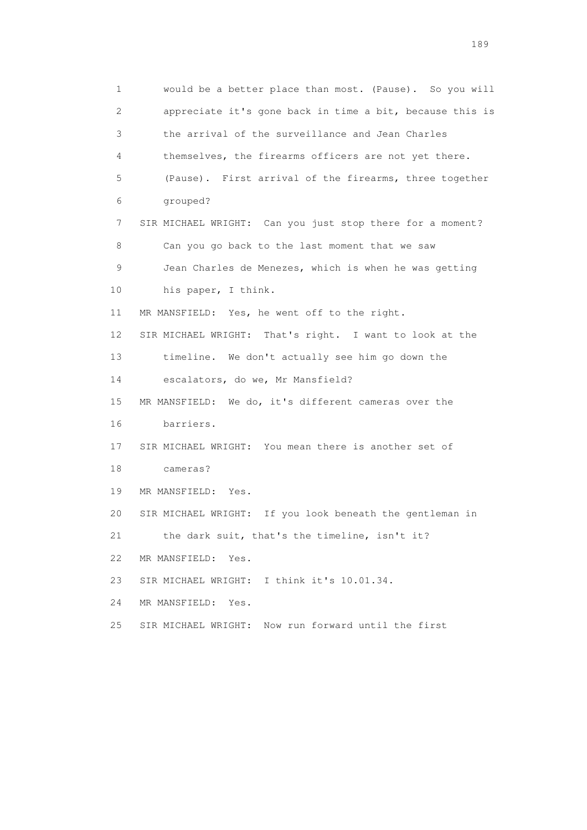1 would be a better place than most. (Pause). So you will 2 appreciate it's gone back in time a bit, because this is 3 the arrival of the surveillance and Jean Charles 4 themselves, the firearms officers are not yet there. 5 (Pause). First arrival of the firearms, three together 6 grouped? 7 SIR MICHAEL WRIGHT: Can you just stop there for a moment? 8 Can you go back to the last moment that we saw 9 Jean Charles de Menezes, which is when he was getting 10 his paper, I think. 11 MR MANSFIELD: Yes, he went off to the right. 12 SIR MICHAEL WRIGHT: That's right. I want to look at the 13 timeline. We don't actually see him go down the 14 escalators, do we, Mr Mansfield? 15 MR MANSFIELD: We do, it's different cameras over the 16 barriers. 17 SIR MICHAEL WRIGHT: You mean there is another set of 18 cameras? 19 MR MANSFIELD: Yes. 20 SIR MICHAEL WRIGHT: If you look beneath the gentleman in 21 the dark suit, that's the timeline, isn't it? 22 MR MANSFIELD: Yes. 23 SIR MICHAEL WRIGHT: I think it's 10.01.34. 24 MR MANSFIELD: Yes. 25 SIR MICHAEL WRIGHT: Now run forward until the first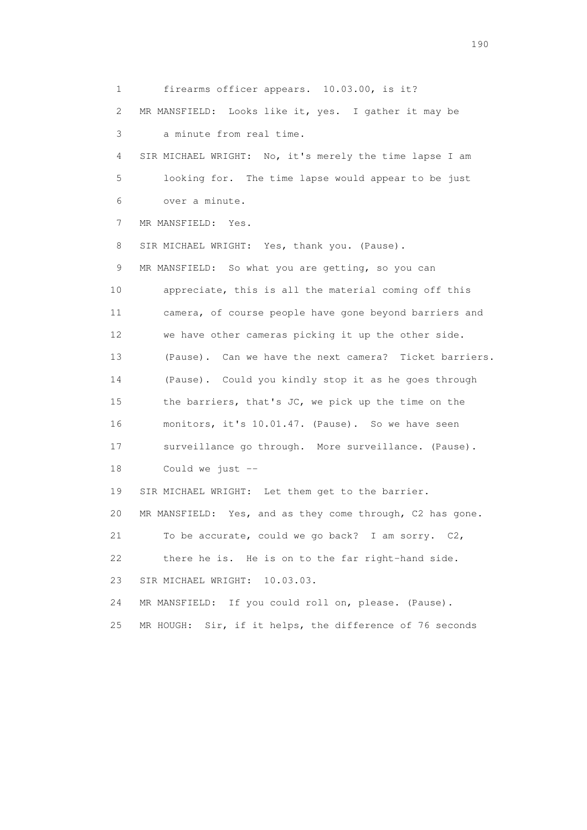1 firearms officer appears. 10.03.00, is it? 2 MR MANSFIELD: Looks like it, yes. I gather it may be 3 a minute from real time. 4 SIR MICHAEL WRIGHT: No, it's merely the time lapse I am 5 looking for. The time lapse would appear to be just 6 over a minute. 7 MR MANSFIELD: Yes. 8 SIR MICHAEL WRIGHT: Yes, thank you. (Pause). 9 MR MANSFIELD: So what you are getting, so you can 10 appreciate, this is all the material coming off this 11 camera, of course people have gone beyond barriers and 12 we have other cameras picking it up the other side. 13 (Pause). Can we have the next camera? Ticket barriers. 14 (Pause). Could you kindly stop it as he goes through 15 the barriers, that's JC, we pick up the time on the 16 monitors, it's 10.01.47. (Pause). So we have seen 17 surveillance go through. More surveillance. (Pause). 18 Could we just -- 19 SIR MICHAEL WRIGHT: Let them get to the barrier. 20 MR MANSFIELD: Yes, and as they come through, C2 has gone. 21 To be accurate, could we go back? I am sorry. C2, 22 there he is. He is on to the far right-hand side. 23 SIR MICHAEL WRIGHT: 10.03.03. 24 MR MANSFIELD: If you could roll on, please. (Pause). 25 MR HOUGH: Sir, if it helps, the difference of 76 seconds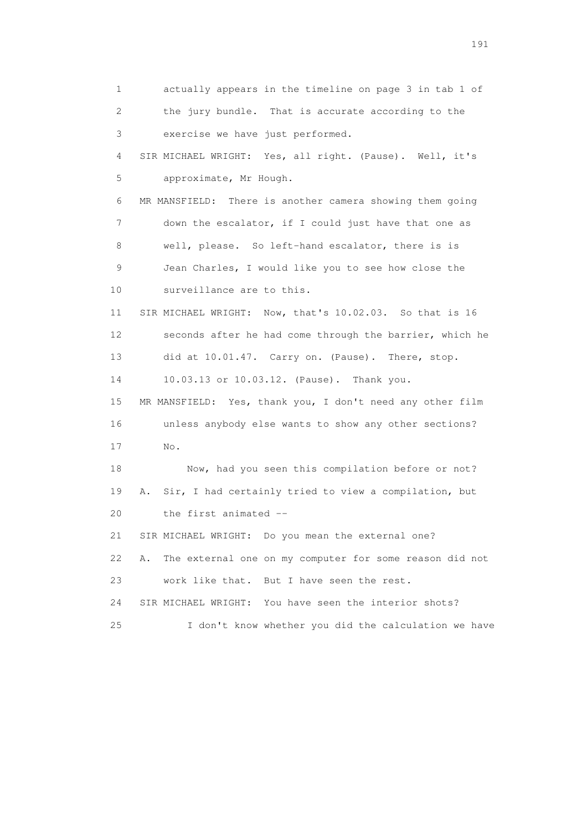1 actually appears in the timeline on page 3 in tab 1 of 2 the jury bundle. That is accurate according to the 3 exercise we have just performed. 4 SIR MICHAEL WRIGHT: Yes, all right. (Pause). Well, it's 5 approximate, Mr Hough. 6 MR MANSFIELD: There is another camera showing them going 7 down the escalator, if I could just have that one as 8 well, please. So left-hand escalator, there is is 9 Jean Charles, I would like you to see how close the 10 surveillance are to this. 11 SIR MICHAEL WRIGHT: Now, that's 10.02.03. So that is 16 12 seconds after he had come through the barrier, which he 13 did at 10.01.47. Carry on. (Pause). There, stop. 14 10.03.13 or 10.03.12. (Pause). Thank you. 15 MR MANSFIELD: Yes, thank you, I don't need any other film 16 unless anybody else wants to show any other sections? 17 No. 18 Now, had you seen this compilation before or not? 19 A. Sir, I had certainly tried to view a compilation, but 20 the first animated -- 21 SIR MICHAEL WRIGHT: Do you mean the external one? 22 A. The external one on my computer for some reason did not 23 work like that. But I have seen the rest. 24 SIR MICHAEL WRIGHT: You have seen the interior shots? 25 I don't know whether you did the calculation we have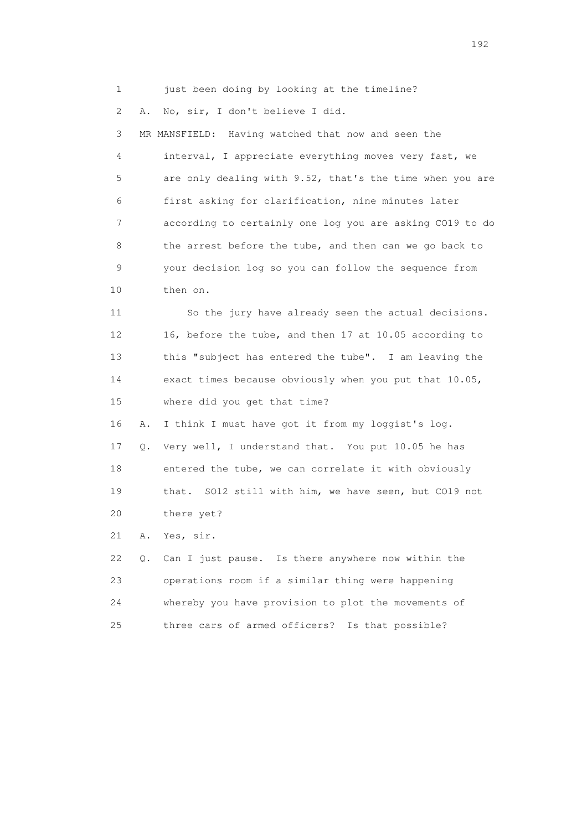1 just been doing by looking at the timeline?

2 A. No, sir, I don't believe I did.

 3 MR MANSFIELD: Having watched that now and seen the 4 interval, I appreciate everything moves very fast, we 5 are only dealing with 9.52, that's the time when you are 6 first asking for clarification, nine minutes later 7 according to certainly one log you are asking CO19 to do 8 the arrest before the tube, and then can we go back to 9 your decision log so you can follow the sequence from 10 then on.

 11 So the jury have already seen the actual decisions. 12 16, before the tube, and then 17 at 10.05 according to 13 this "subject has entered the tube". I am leaving the 14 exact times because obviously when you put that 10.05, 15 where did you get that time?

 16 A. I think I must have got it from my loggist's log. 17 Q. Very well, I understand that. You put 10.05 he has 18 entered the tube, we can correlate it with obviously 19 that. SO12 still with him, we have seen, but CO19 not 20 there yet?

21 A. Yes, sir.

 22 Q. Can I just pause. Is there anywhere now within the 23 operations room if a similar thing were happening 24 whereby you have provision to plot the movements of 25 three cars of armed officers? Is that possible?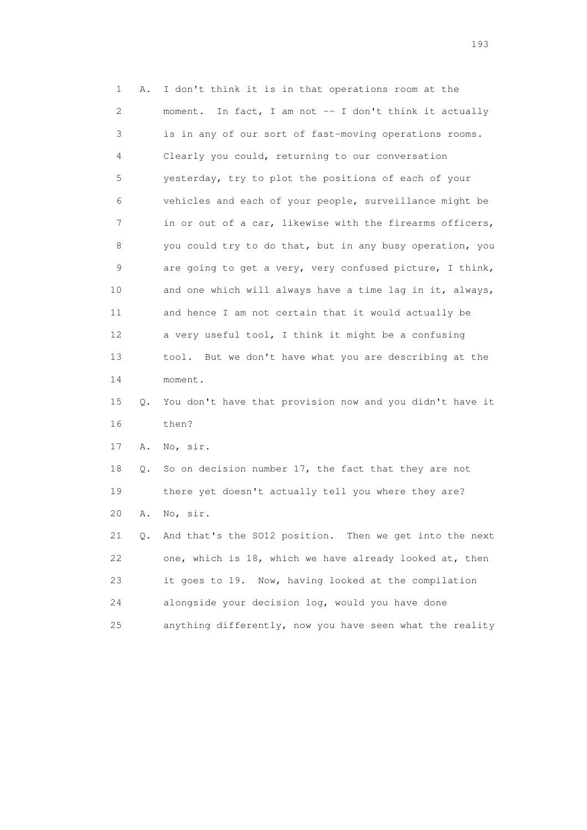1 A. I don't think it is in that operations room at the 2 moment. In fact, I am not -- I don't think it actually 3 is in any of our sort of fast-moving operations rooms. 4 Clearly you could, returning to our conversation 5 yesterday, try to plot the positions of each of your 6 vehicles and each of your people, surveillance might be 7 in or out of a car, likewise with the firearms officers, 8 you could try to do that, but in any busy operation, you 9 are going to get a very, very confused picture, I think, 10 and one which will always have a time lag in it, always, 11 and hence I am not certain that it would actually be 12 a very useful tool, I think it might be a confusing 13 tool. But we don't have what you are describing at the 14 moment. 15 Q. You don't have that provision now and you didn't have it 16 then? 17 A. No, sir. 18 Q. So on decision number 17, the fact that they are not 19 there yet doesn't actually tell you where they are? 20 A. No, sir. 21 Q. And that's the SO12 position. Then we get into the next 22 one, which is 18, which we have already looked at, then 23 it goes to 19. Now, having looked at the compilation 24 alongside your decision log, would you have done

25 anything differently, now you have seen what the reality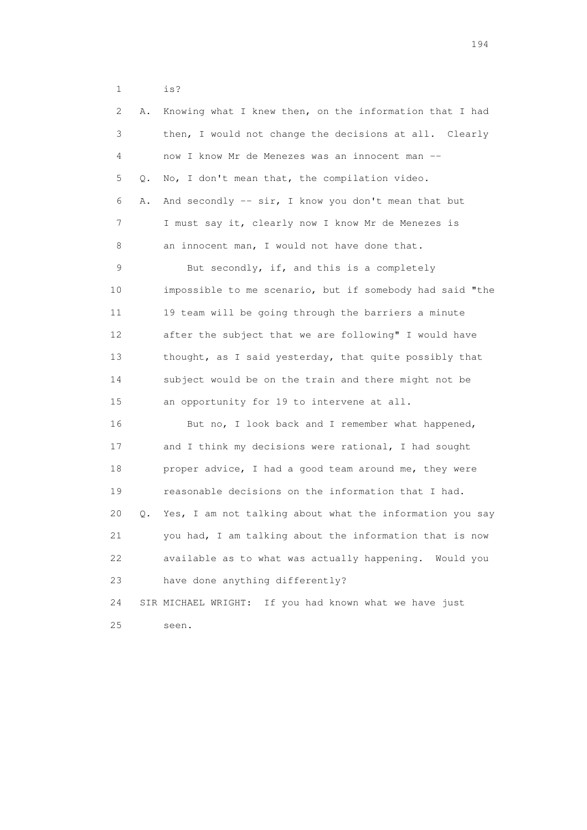1 is?

| 2  | Α. | Knowing what I knew then, on the information that I had   |
|----|----|-----------------------------------------------------------|
| 3  |    | then, I would not change the decisions at all. Clearly    |
| 4  |    | now I know Mr de Menezes was an innocent man --           |
| 5  | Q. | No, I don't mean that, the compilation video.             |
| 6  | Α. | And secondly -- sir, I know you don't mean that but       |
| 7  |    | I must say it, clearly now I know Mr de Menezes is        |
| 8  |    | an innocent man, I would not have done that.              |
| 9  |    | But secondly, if, and this is a completely                |
| 10 |    | impossible to me scenario, but if somebody had said "the  |
| 11 |    | 19 team will be going through the barriers a minute       |
| 12 |    | after the subject that we are following" I would have     |
| 13 |    | thought, as I said yesterday, that quite possibly that    |
| 14 |    | subject would be on the train and there might not be      |
| 15 |    | an opportunity for 19 to intervene at all.                |
| 16 |    | But no, I look back and I remember what happened,         |
| 17 |    | and I think my decisions were rational, I had sought      |
| 18 |    | proper advice, I had a good team around me, they were     |
| 19 |    | reasonable decisions on the information that I had.       |
| 20 | Q. | Yes, I am not talking about what the information you say  |
| 21 |    | you had, I am talking about the information that is now   |
| 22 |    | available as to what was actually happening. Would you    |
| 23 |    | have done anything differently?                           |
| 24 |    | If you had known what we have just<br>SIR MICHAEL WRIGHT: |
| 25 |    | seen.                                                     |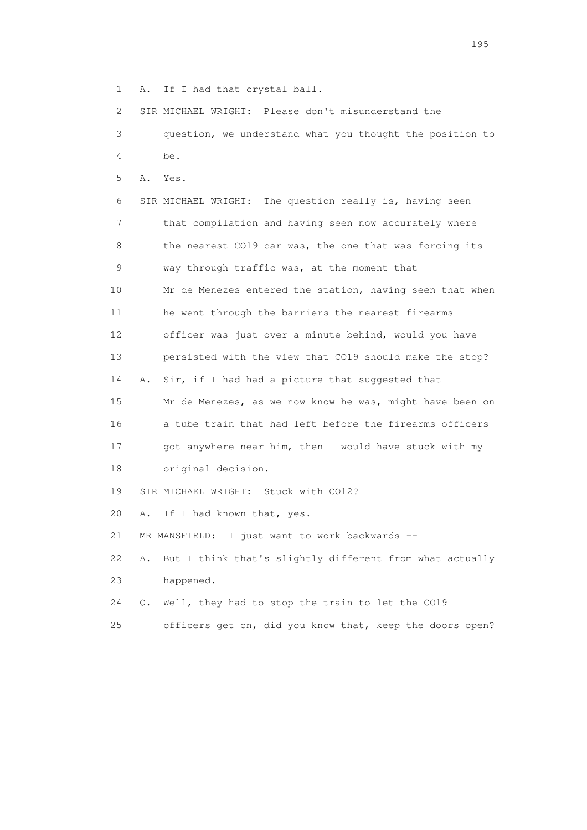1 A. If I had that crystal ball.

 2 SIR MICHAEL WRIGHT: Please don't misunderstand the 3 question, we understand what you thought the position to

- 4 be.
- 5 A. Yes.

 6 SIR MICHAEL WRIGHT: The question really is, having seen 7 that compilation and having seen now accurately where 8 the nearest CO19 car was, the one that was forcing its 9 way through traffic was, at the moment that 10 Mr de Menezes entered the station, having seen that when 11 he went through the barriers the nearest firearms 12 officer was just over a minute behind, would you have 13 persisted with the view that CO19 should make the stop? 14 A. Sir, if I had had a picture that suggested that 15 Mr de Menezes, as we now know he was, might have been on 16 a tube train that had left before the firearms officers 17 got anywhere near him, then I would have stuck with my 18 original decision. 19 SIR MICHAEL WRIGHT: Stuck with CO12?

20 A. If I had known that, yes.

21 MR MANSFIELD: I just want to work backwards --

 22 A. But I think that's slightly different from what actually 23 happened.

24 Q. Well, they had to stop the train to let the CO19

25 officers get on, did you know that, keep the doors open?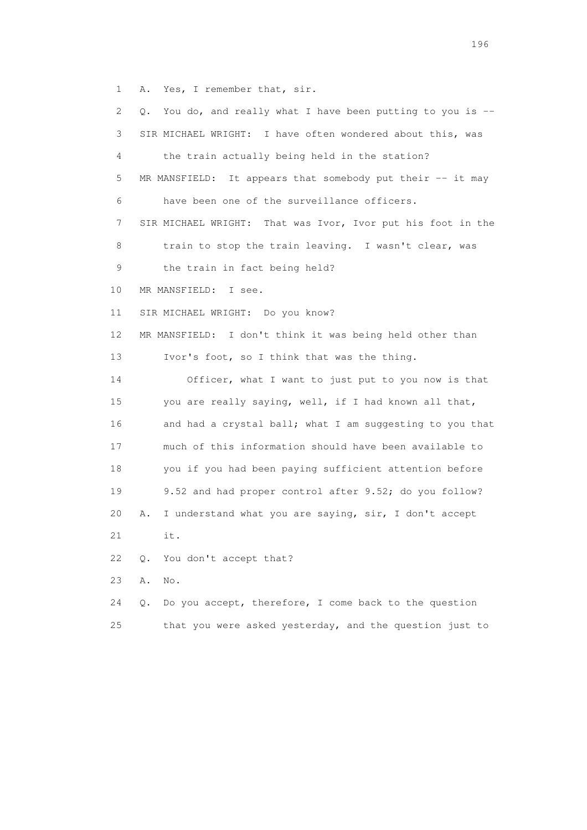1 A. Yes, I remember that, sir.

| 2. | You do, and really what I have been putting to you is --       |
|----|----------------------------------------------------------------|
| 3  | SIR MICHAEL WRIGHT: I have often wondered about this, was      |
| 4  | the train actually being held in the station?                  |
| 5  | MR MANSFIELD: It appears that somebody put their -- it may     |
| 6  | have been one of the surveillance officers.                    |
| 7  | That was Ivor, Ivor put his foot in the<br>SIR MICHAEL WRIGHT: |
| 8  | train to stop the train leaving. I wasn't clear, was           |
| 9  | the train in fact being held?                                  |
| 10 | MR MANSFIELD: I see.                                           |
| 11 | SIR MICHAEL WRIGHT: Do you know?                               |
| 12 | MR MANSFIELD: I don't think it was being held other than       |
| 13 | Ivor's foot, so I think that was the thing.                    |
| 14 | Officer, what I want to just put to you now is that            |
| 15 | you are really saying, well, if I had known all that,          |
| 16 | and had a crystal ball; what I am suggesting to you that       |
| 17 | much of this information should have been available to         |
| 18 | you if you had been paying sufficient attention before         |
| 19 | 9.52 and had proper control after 9.52; do you follow?         |
| 20 | I understand what you are saying, sir, I don't accept<br>Α.    |
| 21 | it.                                                            |
| 22 | You don't accept that?<br>Q.                                   |
| 23 | Α.<br>No.                                                      |
| 24 | Do you accept, therefore, I come back to the question<br>Q.    |
| 25 | that you were asked yesterday, and the question just to        |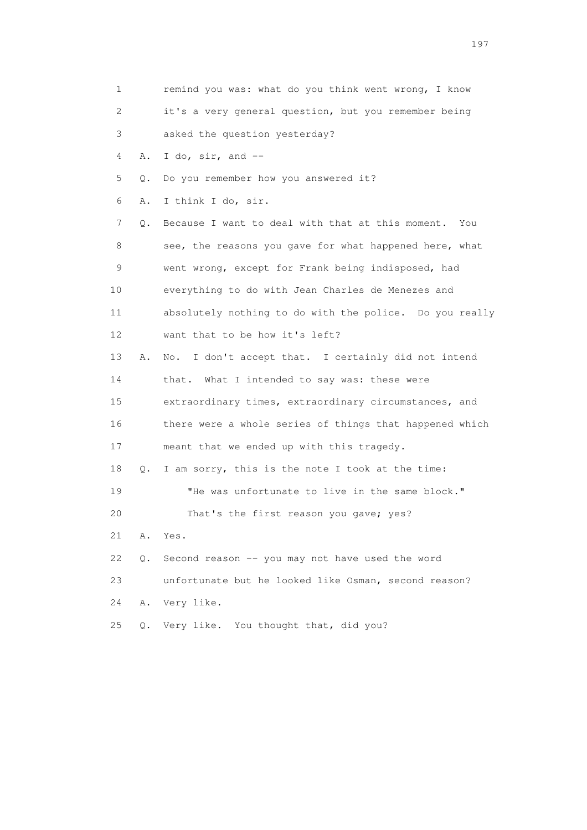| 1                         |       | remind you was: what do you think went wrong, I know    |
|---------------------------|-------|---------------------------------------------------------|
| $\mathbf{2}^{\mathsf{I}}$ |       | it's a very general question, but you remember being    |
| 3                         |       | asked the question yesterday?                           |
| 4                         | Α.    | I do, sir, and $-$                                      |
| 5                         | Q.    | Do you remember how you answered it?                    |
| 6                         | Α.    | I think I do, sir.                                      |
| 7                         | Q.    | Because I want to deal with that at this moment.<br>You |
| 8                         |       | see, the reasons you gave for what happened here, what  |
| 9                         |       | went wrong, except for Frank being indisposed, had      |
| 10                        |       | everything to do with Jean Charles de Menezes and       |
| 11                        |       | absolutely nothing to do with the police. Do you really |
| 12                        |       | want that to be how it's left?                          |
| 13                        | Α.    | I don't accept that. I certainly did not intend<br>No.  |
| 14                        |       | that. What I intended to say was: these were            |
| 15                        |       | extraordinary times, extraordinary circumstances, and   |
| 16                        |       | there were a whole series of things that happened which |
| 17                        |       | meant that we ended up with this tragedy.               |
| 18                        | Q.    | I am sorry, this is the note I took at the time:        |
| 19                        |       | "He was unfortunate to live in the same block."         |
| 20                        |       | That's the first reason you gave; yes?                  |
| 21                        | Α.    | Yes.                                                    |
| 22                        | $Q$ . | Second reason -- you may not have used the word         |
| 23                        |       | unfortunate but he looked like Osman, second reason?    |
| 24                        | Α.    | Very like.                                              |
| 25                        | Q.    | Very like. You thought that, did you?                   |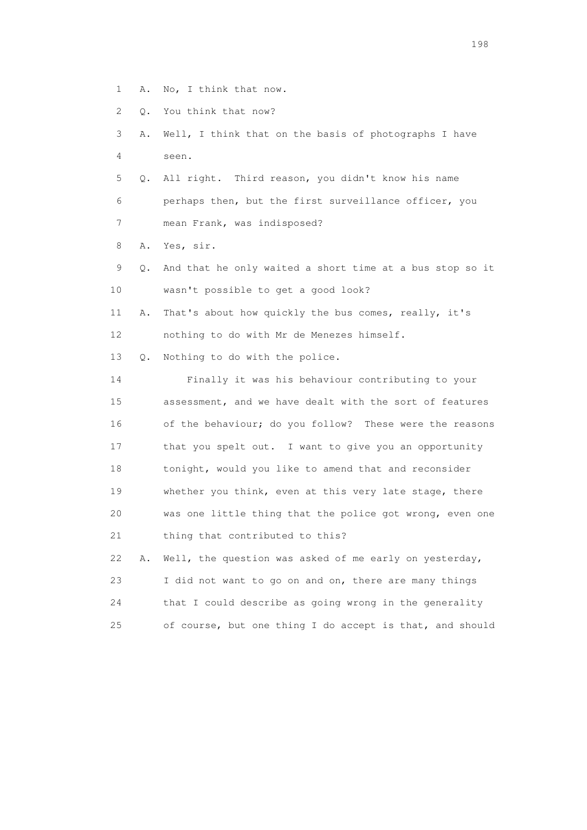- 1 A. No, I think that now.
- 2 Q. You think that now?
- 3 A. Well, I think that on the basis of photographs I have 4 seen.
- 5 Q. All right. Third reason, you didn't know his name 6 perhaps then, but the first surveillance officer, you 7 mean Frank, was indisposed?

8 A. Yes, sir.

- 9 Q. And that he only waited a short time at a bus stop so it 10 wasn't possible to get a good look?
- 11 A. That's about how quickly the bus comes, really, it's 12 nothing to do with Mr de Menezes himself.

13 Q. Nothing to do with the police.

 14 Finally it was his behaviour contributing to your 15 assessment, and we have dealt with the sort of features 16 of the behaviour; do you follow? These were the reasons 17 that you spelt out. I want to give you an opportunity 18 tonight, would you like to amend that and reconsider 19 whether you think, even at this very late stage, there 20 was one little thing that the police got wrong, even one 21 thing that contributed to this? 22 A. Well, the question was asked of me early on yesterday,

|    | IN THE TRANSPORTED WAS ARRESTED FOR THE CALLY ON YOUR LARY |
|----|------------------------------------------------------------|
| 23 | I did not want to go on and on, there are many things      |
| 24 | that I could describe as going wrong in the generality     |
| 25 | of course, but one thing I do accept is that, and should   |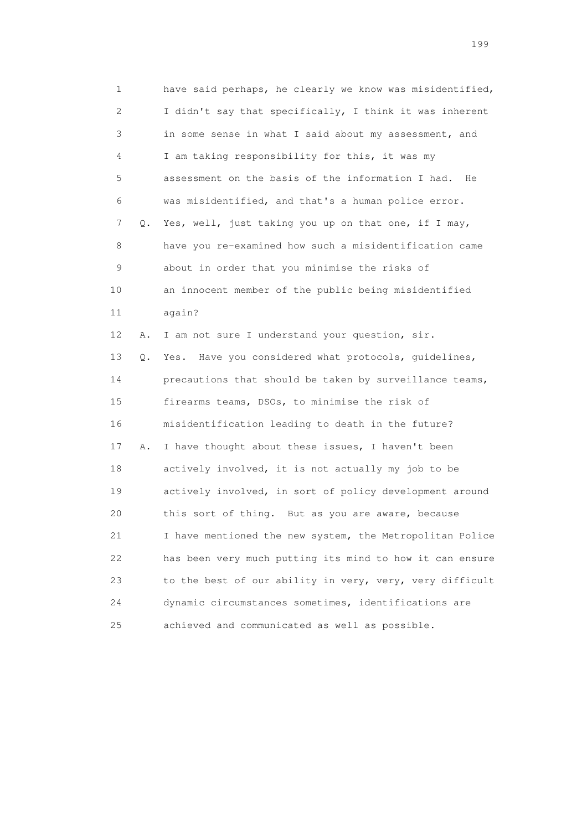1 have said perhaps, he clearly we know was misidentified, 2 I didn't say that specifically, I think it was inherent 3 in some sense in what I said about my assessment, and 4 I am taking responsibility for this, it was my 5 assessment on the basis of the information I had. He 6 was misidentified, and that's a human police error. 7 Q. Yes, well, just taking you up on that one, if I may, 8 have you re-examined how such a misidentification came 9 about in order that you minimise the risks of 10 an innocent member of the public being misidentified 11 again? 12 A. I am not sure I understand your question, sir. 13 Q. Yes. Have you considered what protocols, guidelines, 14 precautions that should be taken by surveillance teams, 15 firearms teams, DSOs, to minimise the risk of 16 misidentification leading to death in the future? 17 A. I have thought about these issues, I haven't been 18 actively involved, it is not actually my job to be 19 actively involved, in sort of policy development around 20 this sort of thing. But as you are aware, because 21 I have mentioned the new system, the Metropolitan Police 22 has been very much putting its mind to how it can ensure 23 to the best of our ability in very, very, very difficult 24 dynamic circumstances sometimes, identifications are 25 achieved and communicated as well as possible.